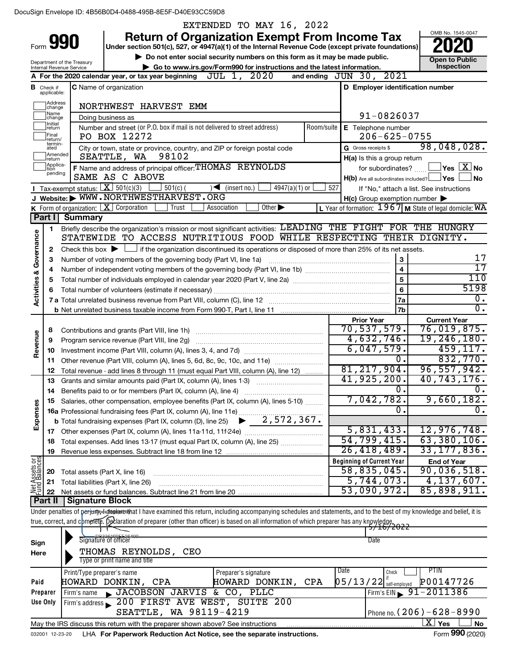DocuSign Envelope ID: 4B56B0D4-0488-495B-8E5F-D40E93CC59D8

|                         |                                  |                                                        |                                                                                                                                                                           | EXTENDED TO MAY 16, 2022                                                    |                             |            |                                                     |                                                         |
|-------------------------|----------------------------------|--------------------------------------------------------|---------------------------------------------------------------------------------------------------------------------------------------------------------------------------|-----------------------------------------------------------------------------|-----------------------------|------------|-----------------------------------------------------|---------------------------------------------------------|
|                         |                                  |                                                        | <b>Return of Organization Exempt From Income Tax</b>                                                                                                                      |                                                                             |                             |            |                                                     | OMB No. 1545-0047                                       |
|                         |                                  | Form 990                                               | Under section 501(c), 527, or 4947(a)(1) of the Internal Revenue Code (except private foundations)                                                                        |                                                                             |                             |            |                                                     |                                                         |
|                         |                                  | Department of the Treasury                             |                                                                                                                                                                           | Do not enter social security numbers on this form as it may be made public. |                             |            |                                                     | <b>Open to Public</b>                                   |
|                         |                                  | Internal Revenue Service                               |                                                                                                                                                                           | Go to www.irs.gov/Form990 for instructions and the latest information.      |                             |            |                                                     | Inspection                                              |
|                         |                                  |                                                        | A For the 2020 calendar year, or tax year beginning                                                                                                                       | JUL 1, 2020                                                                 |                             |            | and ending JUN 30, 2021                             |                                                         |
|                         | <b>B</b> Check if<br>applicable: |                                                        | <b>C</b> Name of organization                                                                                                                                             |                                                                             |                             |            | D Employer identification number                    |                                                         |
|                         | Address<br>change                |                                                        | NORTHWEST HARVEST EMM                                                                                                                                                     |                                                                             |                             |            |                                                     |                                                         |
|                         | Name<br>change                   |                                                        | Doing business as                                                                                                                                                         |                                                                             |                             |            | 91-0826037                                          |                                                         |
|                         | Initial<br>return<br>Final       |                                                        | Number and street (or P.O. box if mail is not delivered to street address)                                                                                                |                                                                             |                             | Room/suite | E Telephone number                                  |                                                         |
|                         | return/<br>termin-               |                                                        | PO BOX 12272                                                                                                                                                              |                                                                             |                             |            | $206 - 625 - 0755$<br>G Gross receipts \$           | 98,048,028.                                             |
|                         | ated<br>Amended<br>Ireturn       |                                                        | City or town, state or province, country, and ZIP or foreign postal code<br>98102<br>SEATTLE, WA                                                                          |                                                                             |                             |            | H(a) Is this a group return                         |                                                         |
|                         | Applica-<br>tion                 |                                                        | F Name and address of principal officer: THOMAS REYNOLDS                                                                                                                  |                                                                             |                             |            | for subordinates?                                   | $\overline{\ }$ Yes $\overline{\rm X}$ No               |
|                         | pending                          |                                                        | SAME AS C ABOVE                                                                                                                                                           |                                                                             |                             |            | $H(b)$ Are all subordinates included? $\Box$ Yes    | J No                                                    |
|                         |                                  | <b>I</b> Tax-exempt status: $X \overline{X}$ 501(c)(3) | $501(c)$ (<br>J Website: WWW.NORTHWESTHARVEST.ORG                                                                                                                         | $\sqrt{\bullet}$ (insert no.)                                               | $4947(a)(1)$ or             | 527        |                                                     | If "No," attach a list. See instructions                |
|                         |                                  |                                                        | K Form of organization: $X$ Corporation<br>Trust                                                                                                                          | Association                                                                 | Other $\blacktriangleright$ |            | $H(c)$ Group exemption number $\blacktriangleright$ | L Year of formation: 1967 M State of legal domicile: WA |
|                         | Part I                           | <b>Summary</b>                                         |                                                                                                                                                                           |                                                                             |                             |            |                                                     |                                                         |
|                         | 1                                |                                                        | Briefly describe the organization's mission or most significant activities: LEADING THE FIGHT FOR THE HUNGRY                                                              |                                                                             |                             |            |                                                     |                                                         |
| Activities & Governance |                                  |                                                        | STATEWIDE TO ACCESS NUTRITIOUS FOOD WHILE RESPECTING THEIR DIGNITY.                                                                                                       |                                                                             |                             |            |                                                     |                                                         |
|                         | 2                                |                                                        | Check this box $\blacktriangleright$ $\Box$ if the organization discontinued its operations or disposed of more than 25% of its net assets.                               |                                                                             |                             |            |                                                     |                                                         |
|                         | 3                                |                                                        | Number of voting members of the governing body (Part VI, line 1a)                                                                                                         |                                                                             |                             |            | $\mathbf 3$                                         | 17                                                      |
|                         | 4                                |                                                        |                                                                                                                                                                           |                                                                             |                             |            | $\overline{\mathbf{4}}$                             | 17                                                      |
|                         | 5                                |                                                        |                                                                                                                                                                           |                                                                             |                             |            | 5<br>6                                              | 110                                                     |
|                         | 6                                |                                                        | 5198                                                                                                                                                                      |                                                                             |                             |            |                                                     |                                                         |
|                         |                                  |                                                        |                                                                                                                                                                           |                                                                             |                             |            | 7a                                                  | $\overline{0}$ .                                        |
|                         |                                  |                                                        |                                                                                                                                                                           |                                                                             |                             |            | l 7b                                                | $\overline{0}$ .                                        |
|                         |                                  |                                                        |                                                                                                                                                                           |                                                                             |                             |            | <b>Prior Year</b><br>70, 537, 579.                  | <b>Current Year</b><br>76,019,875.                      |
|                         | 8                                |                                                        | Contributions and grants (Part VIII, line 1h)                                                                                                                             |                                                                             |                             |            | 4,632,746.                                          | 19,246,180.                                             |
| Revenue                 | 9                                |                                                        | Program service revenue (Part VIII, line 2g)                                                                                                                              |                                                                             |                             |            | 6,047,579.                                          | 459, 117.                                               |
|                         | 10<br>11                         |                                                        | Other revenue (Part VIII, column (A), lines 5, 6d, 8c, 9c, 10c, and 11e)                                                                                                  |                                                                             |                             |            | о.                                                  | 832,770.                                                |
|                         | 12                               |                                                        | Total revenue - add lines 8 through 11 (must equal Part VIII, column (A), line 12)                                                                                        |                                                                             |                             |            | 81, 217, 904.                                       | 96,557,942.                                             |
|                         | 13                               |                                                        | Grants and similar amounts paid (Part IX, column (A), lines 1-3)                                                                                                          |                                                                             |                             |            | 41,925,200.                                         | 40,743,176.                                             |
|                         |                                  |                                                        | 14 Benefits paid to or for members (Part IX, column (A), line 4)                                                                                                          |                                                                             |                             |            | 0.                                                  | $\overline{0}$ .                                        |
|                         |                                  |                                                        | 15 Salaries, other compensation, employee benefits (Part IX, column (A), lines 5-10)                                                                                      |                                                                             |                             | 7,042,782. | 9,660,182.                                          |                                                         |
| Expenses                |                                  |                                                        | 16a Professional fundraising fees (Part IX, column (A), line 11e)                                                                                                         |                                                                             |                             |            | 0.                                                  | $\overline{0}$ .                                        |
|                         |                                  |                                                        | <b>b</b> Total fundraising expenses (Part IX, column (D), line 25) $\rightarrow$ 2, 572, 367.                                                                             |                                                                             |                             |            |                                                     |                                                         |
|                         |                                  |                                                        |                                                                                                                                                                           |                                                                             |                             |            | 5,831,433.                                          | 12,976,748.                                             |
|                         | 18                               |                                                        | Total expenses. Add lines 13-17 (must equal Part IX, column (A), line 25) <i></i>                                                                                         |                                                                             |                             |            | 54, 799, 415.                                       | 63,380,106.                                             |
|                         | 19                               |                                                        |                                                                                                                                                                           |                                                                             |                             |            | 26,418,489.                                         | 33, 177, 836.                                           |
| Net Assets or           |                                  |                                                        |                                                                                                                                                                           |                                                                             |                             |            | <b>Beginning of Current Year</b>                    | <b>End of Year</b><br>90,036,518.                       |
|                         | 20                               | Total assets (Part X, line 16)                         |                                                                                                                                                                           |                                                                             |                             |            | 58,835,045.<br>5,744,073.                           | 4, 137, 607.                                            |
|                         | 21                               |                                                        | Total liabilities (Part X, line 26)                                                                                                                                       |                                                                             |                             |            | 53,090,972.                                         | 85,898,911.                                             |
|                         | Part II                          | <b>Signature Block</b>                                 |                                                                                                                                                                           |                                                                             |                             |            |                                                     |                                                         |
|                         |                                  |                                                        | Under penalties of perjumyodused areas at I have examined this return, including accompanying schedules and statements, and to the best of my knowledge and belief, it is |                                                                             |                             |            |                                                     |                                                         |
|                         |                                  |                                                        | true, correct, and complete. Declaration of preparer (other than officer) is based on all information of which preparer has any knowledge-                                |                                                                             |                             |            |                                                     |                                                         |
|                         |                                  |                                                        |                                                                                                                                                                           |                                                                             |                             |            |                                                     |                                                         |
| Sign                    |                                  |                                                        | Signature of officer                                                                                                                                                      |                                                                             |                             |            | Date                                                |                                                         |
| Here                    |                                  |                                                        | THOMAS REYNOLDS, CEO<br>Type or print name and title                                                                                                                      |                                                                             |                             |            |                                                     |                                                         |
|                         |                                  | Print/Type preparer's name                             |                                                                                                                                                                           |                                                                             |                             |            | Date<br>Check                                       | PTIN                                                    |
| Paid                    |                                  |                                                        | HOWARD DONKIN, CPA                                                                                                                                                        | Preparer's signature<br>HOWARD DONKIN,                                      |                             | CPA        | $05/13/22$ self-employed                            | P00147726                                               |
|                         | Preparer                         | Firm's name                                            | JACOBSON JARVIS & CO, PLLC                                                                                                                                                |                                                                             |                             |            |                                                     | Firm's EIN $\, 91 - 2011386$                            |
|                         | Use Only                         |                                                        | Firm's address 200 FIRST AVE WEST, SUITE 200                                                                                                                              |                                                                             |                             |            |                                                     |                                                         |
|                         |                                  |                                                        | SEATTLE, WA 98119-4219                                                                                                                                                    |                                                                             |                             |            |                                                     | Phone no. (206) -628-8990                               |

| May the IRS discuss this return with the preparer shown above? See instructions        | Yes | <b>No</b>       |
|----------------------------------------------------------------------------------------|-----|-----------------|
| 032001 12-23-20 LHA For Paperwork Reduction Act Notice, see the separate instructions. |     | Form 990 (2020) |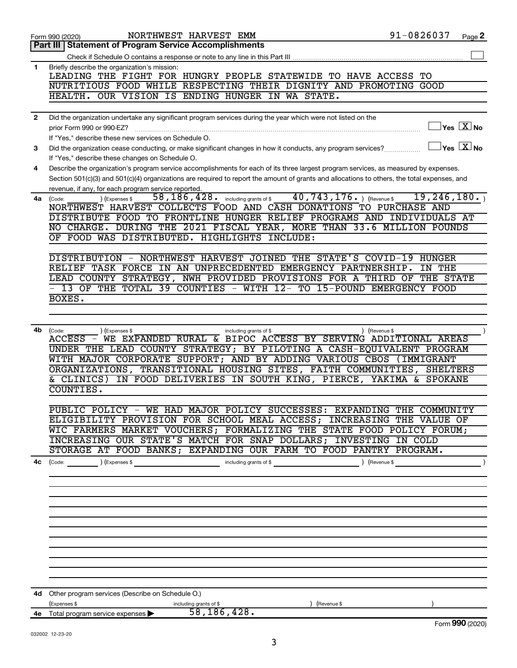|                | NORTHWEST HARVEST EMM<br>Form 990 (2020)                                                                                                     | 91-0826037<br>Page 2                              |
|----------------|----------------------------------------------------------------------------------------------------------------------------------------------|---------------------------------------------------|
|                | Part III   Statement of Program Service Accomplishments                                                                                      |                                                   |
|                |                                                                                                                                              |                                                   |
| 1              | Briefly describe the organization's mission:                                                                                                 |                                                   |
|                | LEADING THE FIGHT FOR HUNGRY PEOPLE STATEWIDE TO HAVE ACCESS TO                                                                              |                                                   |
|                | NUTRITIOUS FOOD WHILE RESPECTING THEIR DIGNITY AND PROMOTING GOOD<br>HEALTH. OUR VISION IS ENDING HUNGER IN WA STATE.                        |                                                   |
|                |                                                                                                                                              |                                                   |
|                |                                                                                                                                              |                                                   |
| $\overline{2}$ | Did the organization undertake any significant program services during the year which were not listed on the<br>prior Form 990 or 990-EZ?    | $ {\mathsf Y}\mathsf{es}\ \boxed{{\mathsf X}}$ No |
|                | If "Yes," describe these new services on Schedule O.                                                                                         |                                                   |
| 3              | Did the organization cease conducting, or make significant changes in how it conducts, any program services?                                 | $\mathsf{Yes} \mathsf{X}$ No                      |
|                | If "Yes," describe these changes on Schedule O.                                                                                              |                                                   |
| 4              | Describe the organization's program service accomplishments for each of its three largest program services, as measured by expenses.         |                                                   |
|                | Section 501(c)(3) and 501(c)(4) organizations are required to report the amount of grants and allocations to others, the total expenses, and |                                                   |
|                | revenue, if any, for each program service reported.                                                                                          |                                                   |
| 4a             | 40, 743, 176.<br>$\overline{58}$ , $\overline{186}$ , $\overline{428}$ . including grants of \$<br>) (Expenses \$<br>(Code:                  | 19, 246, 180.<br>) (Revenue \$                    |
|                | NORTHWEST HARVEST COLLECTS FOOD AND CASH DONATIONS TO PURCHASE AND                                                                           |                                                   |
|                | DISTRIBUTE FOOD TO FRONTLINE HUNGER RELIEF PROGRAMS AND INDIVIDUALS AT                                                                       |                                                   |
|                | NO CHARGE. DURING THE 2021 FISCAL YEAR, MORE THAN 33.6 MILLION POUNDS                                                                        |                                                   |
|                | OF FOOD WAS DISTRIBUTED. HIGHLIGHTS INCLUDE:                                                                                                 |                                                   |
|                |                                                                                                                                              |                                                   |
|                | DISTRIBUTION - NORTHWEST HARVEST JOINED THE STATE'S COVID-19                                                                                 | HUNGER                                            |
|                | RELIEF TASK FORCE IN AN UNPRECEDENTED EMERGENCY PARTNERSHIP.                                                                                 | IN THE                                            |
|                | LEAD COUNTY STRATEGY, NWH PROVIDED PROVISIONS FOR A THIRD OF                                                                                 | THE STATE                                         |
|                | 13 OF THE TOTAL 39 COUNTIES - WITH 12- TO 15-POUND EMERGENCY FOOD                                                                            |                                                   |
|                | BOXES.                                                                                                                                       |                                                   |
|                |                                                                                                                                              |                                                   |
|                |                                                                                                                                              |                                                   |
| 4b             | (Expenses \$<br>including grants of \$<br>(Code:<br>ACCESS - WE EXPANDED RURAL & BIPOC ACCESS BY SERVING ADDITIONAL AREAS                    | ) (Revenue \$                                     |
|                | UNDER THE LEAD COUNTY STRATEGY; BY PILOTING A CASH-EQUIVALENT PROGRAM                                                                        |                                                   |
|                | WITH MAJOR CORPORATE SUPPORT; AND BY ADDING VARIOUS CBOS (IMMIGRANT                                                                          |                                                   |
|                | ORGANIZATIONS, TRANSITIONAL HOUSING SITES, FAITH COMMUNITIES,                                                                                | SHELTERS                                          |
|                | IN FOOD DELIVERIES IN SOUTH KING, PIERCE, YAKIMA & SPOKANE<br>& CLINICS)                                                                     |                                                   |
|                | COUNTIES.                                                                                                                                    |                                                   |
|                |                                                                                                                                              |                                                   |
|                | PUBLIC POLICY - WE HAD MAJOR POLICY SUCCESSES: EXPANDING THE COMMUNITY                                                                       |                                                   |
|                | ELIGIBILITY PROVISION FOR SCHOOL MEAL ACCESS; INCREASING THE VALUE OF                                                                        |                                                   |
|                | WIC FARMERS MARKET VOUCHERS; FORMALIZING THE STATE FOOD POLICY FORUM;                                                                        |                                                   |
|                | INCREASING OUR STATE'S MATCH FOR SNAP DOLLARS; INVESTING IN COLD                                                                             |                                                   |
|                | STORAGE AT FOOD BANKS; EXPANDING OUR FARM TO FOOD PANTRY PROGRAM.                                                                            |                                                   |
|                |                                                                                                                                              |                                                   |
|                |                                                                                                                                              |                                                   |
|                |                                                                                                                                              |                                                   |
|                |                                                                                                                                              |                                                   |
|                |                                                                                                                                              |                                                   |
|                |                                                                                                                                              |                                                   |
|                |                                                                                                                                              |                                                   |
|                |                                                                                                                                              |                                                   |
|                |                                                                                                                                              |                                                   |
|                |                                                                                                                                              |                                                   |
|                |                                                                                                                                              |                                                   |
|                |                                                                                                                                              |                                                   |
|                | 4d Other program services (Describe on Schedule O.)                                                                                          |                                                   |
|                | (Expenses \$<br>including grants of \$<br>) (Revenue \$                                                                                      |                                                   |
|                | 58, 186, 428.<br>4e Total program service expenses                                                                                           | Form 990 (2020)                                   |
|                |                                                                                                                                              |                                                   |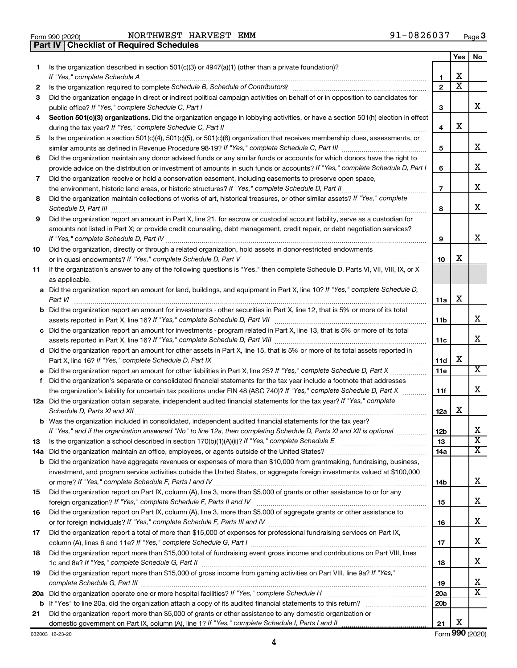**Part IV Checklist of Required Schedules**

 $\frac{1}{100}$   $\frac{1}{2020}$   $\frac{1}{200}$   $\frac{1}{200}$   $\frac{1}{200}$   $\frac{1}{200}$   $\frac{1}{200}$   $\frac{1}{200}$   $\frac{1}{200}$   $\frac{1}{200}$   $\frac{1}{200}$   $\frac{1}{200}$   $\frac{1}{200}$   $\frac{1}{200}$   $\frac{1}{200}$   $\frac{1}{200}$   $\frac{1}{200}$   $\frac{1}{200}$   $\frac{$ NORTHWEST HARVEST EMM 91-0826037

|    |                                                                                                                                                                                                                                                                |                          | Yes | No                      |
|----|----------------------------------------------------------------------------------------------------------------------------------------------------------------------------------------------------------------------------------------------------------------|--------------------------|-----|-------------------------|
| 1. | Is the organization described in section 501(c)(3) or 4947(a)(1) (other than a private foundation)?                                                                                                                                                            | 1                        | х   |                         |
| 2  | Is the organization required to complete Schedule B, Schedule of Contributors? [1111] [12] the organization required to complete Schedule B, Schedule of Contributors?                                                                                         | $\mathbf{2}$             | х   |                         |
| 3  | Did the organization engage in direct or indirect political campaign activities on behalf of or in opposition to candidates for                                                                                                                                |                          |     |                         |
|    | public office? If "Yes," complete Schedule C, Part I                                                                                                                                                                                                           | 3                        |     | x.                      |
| 4  | Section 501(c)(3) organizations. Did the organization engage in lobbying activities, or have a section 501(h) election in effect                                                                                                                               |                          |     |                         |
|    |                                                                                                                                                                                                                                                                | 4                        | x   |                         |
| 5  | Is the organization a section 501(c)(4), 501(c)(5), or 501(c)(6) organization that receives membership dues, assessments, or                                                                                                                                   |                          |     |                         |
|    |                                                                                                                                                                                                                                                                | 5                        |     | x                       |
| 6  | Did the organization maintain any donor advised funds or any similar funds or accounts for which donors have the right to                                                                                                                                      |                          |     |                         |
|    | provide advice on the distribution or investment of amounts in such funds or accounts? If "Yes," complete Schedule D, Part I                                                                                                                                   | 6                        |     | х                       |
| 7  | Did the organization receive or hold a conservation easement, including easements to preserve open space,                                                                                                                                                      |                          |     |                         |
|    |                                                                                                                                                                                                                                                                | $\overline{\phantom{a}}$ |     | x                       |
| 8  | Did the organization maintain collections of works of art, historical treasures, or other similar assets? If "Yes," complete                                                                                                                                   |                          |     |                         |
|    |                                                                                                                                                                                                                                                                | 8                        |     | x                       |
| 9  | Did the organization report an amount in Part X, line 21, for escrow or custodial account liability, serve as a custodian for                                                                                                                                  |                          |     |                         |
|    | amounts not listed in Part X; or provide credit counseling, debt management, credit repair, or debt negotiation services?                                                                                                                                      |                          |     |                         |
|    |                                                                                                                                                                                                                                                                | 9                        |     | x                       |
| 10 | Did the organization, directly or through a related organization, hold assets in donor-restricted endowments                                                                                                                                                   |                          |     |                         |
|    |                                                                                                                                                                                                                                                                | 10                       | х   |                         |
| 11 | If the organization's answer to any of the following questions is "Yes," then complete Schedule D, Parts VI, VII, VIII, IX, or X                                                                                                                               |                          |     |                         |
|    | as applicable.                                                                                                                                                                                                                                                 |                          |     |                         |
|    | a Did the organization report an amount for land, buildings, and equipment in Part X, line 10? If "Yes," complete Schedule D,                                                                                                                                  |                          | X   |                         |
|    |                                                                                                                                                                                                                                                                | 11a                      |     |                         |
|    | <b>b</b> Did the organization report an amount for investments - other securities in Part X, line 12, that is 5% or more of its total                                                                                                                          |                          |     | х                       |
|    |                                                                                                                                                                                                                                                                | 11b                      |     |                         |
|    | c Did the organization report an amount for investments - program related in Part X, line 13, that is 5% or more of its total                                                                                                                                  | 11c                      |     | x                       |
|    | d Did the organization report an amount for other assets in Part X, line 15, that is 5% or more of its total assets reported in                                                                                                                                |                          |     |                         |
|    |                                                                                                                                                                                                                                                                | 11d                      | х   |                         |
|    |                                                                                                                                                                                                                                                                | 11e                      |     | x                       |
| f  | Did the organization's separate or consolidated financial statements for the tax year include a footnote that addresses                                                                                                                                        |                          |     |                         |
|    | the organization's liability for uncertain tax positions under FIN 48 (ASC 740)? If "Yes," complete Schedule D, Part X                                                                                                                                         | 11f                      |     | x                       |
|    | 12a Did the organization obtain separate, independent audited financial statements for the tax year? If "Yes," complete                                                                                                                                        |                          |     |                         |
|    |                                                                                                                                                                                                                                                                | 12a                      | х   |                         |
|    | <b>b</b> Was the organization included in consolidated, independent audited financial statements for the tax year?                                                                                                                                             |                          |     |                         |
|    | If "Yes," and if the organization answered "No" to line 12a, then completing Schedule D, Parts XI and XII is optional                                                                                                                                          | 12 <sub>b</sub>          |     | х                       |
| 13 |                                                                                                                                                                                                                                                                | 13                       |     | $\overline{\mathbf{X}}$ |
|    |                                                                                                                                                                                                                                                                | 14a                      |     | x                       |
|    | <b>b</b> Did the organization have aggregate revenues or expenses of more than \$10,000 from grantmaking, fundraising, business,<br>investment, and program service activities outside the United States, or aggregate foreign investments valued at \$100,000 |                          |     |                         |
|    |                                                                                                                                                                                                                                                                | 14b                      |     | х                       |
| 15 | Did the organization report on Part IX, column (A), line 3, more than \$5,000 of grants or other assistance to or for any                                                                                                                                      |                          |     |                         |
|    |                                                                                                                                                                                                                                                                | 15                       |     | х                       |
| 16 | Did the organization report on Part IX, column (A), line 3, more than \$5,000 of aggregate grants or other assistance to                                                                                                                                       |                          |     |                         |
|    |                                                                                                                                                                                                                                                                | 16                       |     | х                       |
| 17 | Did the organization report a total of more than \$15,000 of expenses for professional fundraising services on Part IX,                                                                                                                                        |                          |     |                         |
|    |                                                                                                                                                                                                                                                                | 17                       |     | х                       |
| 18 | Did the organization report more than \$15,000 total of fundraising event gross income and contributions on Part VIII, lines                                                                                                                                   |                          |     |                         |
|    |                                                                                                                                                                                                                                                                | 18                       |     | х                       |
| 19 | Did the organization report more than \$15,000 of gross income from gaming activities on Part VIII, line 9a? If "Yes,"                                                                                                                                         |                          |     |                         |
|    |                                                                                                                                                                                                                                                                | 19                       |     | x                       |
|    |                                                                                                                                                                                                                                                                | 20a                      |     | x                       |
|    |                                                                                                                                                                                                                                                                | 20 <sub>b</sub>          |     |                         |
| 21 | Did the organization report more than \$5,000 of grants or other assistance to any domestic organization or                                                                                                                                                    |                          |     |                         |
|    |                                                                                                                                                                                                                                                                | 21                       | х   |                         |

4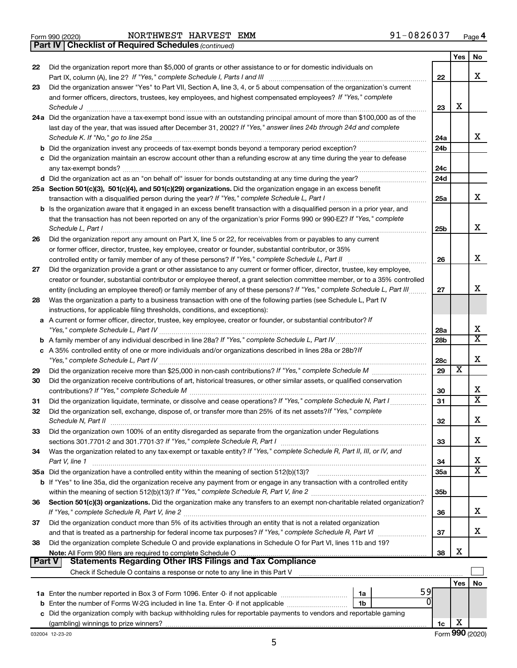Form 990 (2020) Page NORTHWEST HARVEST EMM 91-0826037

*(continued)* **Part IV Checklist of Required Schedules**

|               |                                                                                                                                                                                                                                                                                                                                                                                                                                        |                 | Yes | No                      |
|---------------|----------------------------------------------------------------------------------------------------------------------------------------------------------------------------------------------------------------------------------------------------------------------------------------------------------------------------------------------------------------------------------------------------------------------------------------|-----------------|-----|-------------------------|
| 22            | Did the organization report more than \$5,000 of grants or other assistance to or for domestic individuals on                                                                                                                                                                                                                                                                                                                          |                 |     |                         |
|               |                                                                                                                                                                                                                                                                                                                                                                                                                                        | 22              |     | x                       |
| 23            | Did the organization answer "Yes" to Part VII, Section A, line 3, 4, or 5 about compensation of the organization's current                                                                                                                                                                                                                                                                                                             |                 |     |                         |
|               | and former officers, directors, trustees, key employees, and highest compensated employees? If "Yes," complete                                                                                                                                                                                                                                                                                                                         |                 |     |                         |
|               | $\textit{Schedule J} \textit{ \textbf{} } \textit{ \textbf{} } \textit{ \textbf{} } \textit{ \textbf{} } \textit{ \textbf{} } \textit{ \textbf{} } \textit{ \textbf{} } \textit{ \textbf{} } \textit{ \textbf{} } \textit{ \textbf{} } \textit{ \textbf{} } \textit{ \textbf{} } \textit{ \textbf{} } \textit{ \textbf{} } \textit{ \textbf{} } \textit{ \textbf{} } \textit{ \textbf{} } \textit{ \textbf{} } \textit{ \textbf{} } \$ | 23              | x   |                         |
|               | 24a Did the organization have a tax-exempt bond issue with an outstanding principal amount of more than \$100,000 as of the                                                                                                                                                                                                                                                                                                            |                 |     |                         |
|               | last day of the year, that was issued after December 31, 2002? If "Yes," answer lines 24b through 24d and complete                                                                                                                                                                                                                                                                                                                     |                 |     |                         |
|               |                                                                                                                                                                                                                                                                                                                                                                                                                                        | 24a             |     | x                       |
|               |                                                                                                                                                                                                                                                                                                                                                                                                                                        | 24 <sub>b</sub> |     |                         |
|               | c Did the organization maintain an escrow account other than a refunding escrow at any time during the year to defease                                                                                                                                                                                                                                                                                                                 |                 |     |                         |
|               |                                                                                                                                                                                                                                                                                                                                                                                                                                        | 24c             |     |                         |
|               |                                                                                                                                                                                                                                                                                                                                                                                                                                        | 24d             |     |                         |
|               | 25a Section 501(c)(3), 501(c)(4), and 501(c)(29) organizations. Did the organization engage in an excess benefit                                                                                                                                                                                                                                                                                                                       |                 |     |                         |
|               |                                                                                                                                                                                                                                                                                                                                                                                                                                        | 25a             |     | x                       |
|               | <b>b</b> Is the organization aware that it engaged in an excess benefit transaction with a disqualified person in a prior year, and                                                                                                                                                                                                                                                                                                    |                 |     |                         |
|               | that the transaction has not been reported on any of the organization's prior Forms 990 or 990-EZ? If "Yes," complete                                                                                                                                                                                                                                                                                                                  |                 |     |                         |
|               | Schedule L, Part I                                                                                                                                                                                                                                                                                                                                                                                                                     | 25b             |     | x                       |
| 26            | Did the organization report any amount on Part X, line 5 or 22, for receivables from or payables to any current                                                                                                                                                                                                                                                                                                                        |                 |     |                         |
|               | or former officer, director, trustee, key employee, creator or founder, substantial contributor, or 35%                                                                                                                                                                                                                                                                                                                                |                 |     |                         |
|               |                                                                                                                                                                                                                                                                                                                                                                                                                                        | 26              |     | х                       |
| 27            | Did the organization provide a grant or other assistance to any current or former officer, director, trustee, key employee,                                                                                                                                                                                                                                                                                                            |                 |     |                         |
|               | creator or founder, substantial contributor or employee thereof, a grant selection committee member, or to a 35% controlled                                                                                                                                                                                                                                                                                                            |                 |     |                         |
|               | entity (including an employee thereof) or family member of any of these persons? If "Yes," complete Schedule L, Part III                                                                                                                                                                                                                                                                                                               | 27              |     | x                       |
| 28            | Was the organization a party to a business transaction with one of the following parties (see Schedule L, Part IV                                                                                                                                                                                                                                                                                                                      |                 |     |                         |
|               | instructions, for applicable filing thresholds, conditions, and exceptions):                                                                                                                                                                                                                                                                                                                                                           |                 |     |                         |
|               | a A current or former officer, director, trustee, key employee, creator or founder, or substantial contributor? If                                                                                                                                                                                                                                                                                                                     |                 |     |                         |
|               | "Yes," complete Schedule L, Part IV [111] [12] www.marrows.communications.communications.communications.communications.com                                                                                                                                                                                                                                                                                                             | 28a             |     | x                       |
|               |                                                                                                                                                                                                                                                                                                                                                                                                                                        | 28 <sub>b</sub> |     | $\overline{\texttt{x}}$ |
|               | c A 35% controlled entity of one or more individuals and/or organizations described in lines 28a or 28b?If                                                                                                                                                                                                                                                                                                                             |                 |     |                         |
|               |                                                                                                                                                                                                                                                                                                                                                                                                                                        | 28c             |     | х                       |
| 29            |                                                                                                                                                                                                                                                                                                                                                                                                                                        | 29              | х   |                         |
| 30            | Did the organization receive contributions of art, historical treasures, or other similar assets, or qualified conservation                                                                                                                                                                                                                                                                                                            |                 |     |                         |
|               |                                                                                                                                                                                                                                                                                                                                                                                                                                        | 30              |     | x                       |
| 31            | Did the organization liquidate, terminate, or dissolve and cease operations? If "Yes," complete Schedule N, Part I                                                                                                                                                                                                                                                                                                                     | 31              |     | X                       |
| 32            | Did the organization sell, exchange, dispose of, or transfer more than 25% of its net assets? If "Yes," complete                                                                                                                                                                                                                                                                                                                       |                 |     |                         |
|               |                                                                                                                                                                                                                                                                                                                                                                                                                                        | 32              |     | х                       |
| 33            | Did the organization own 100% of an entity disregarded as separate from the organization under Regulations                                                                                                                                                                                                                                                                                                                             |                 |     |                         |
|               |                                                                                                                                                                                                                                                                                                                                                                                                                                        | 33              |     | х                       |
| 34            | Was the organization related to any tax-exempt or taxable entity? If "Yes," complete Schedule R, Part II, III, or IV, and                                                                                                                                                                                                                                                                                                              |                 |     |                         |
|               | Part V, line 1                                                                                                                                                                                                                                                                                                                                                                                                                         | 34              |     | х                       |
|               | 35a Did the organization have a controlled entity within the meaning of section 512(b)(13)?                                                                                                                                                                                                                                                                                                                                            | 35a             |     | х                       |
|               | b If "Yes" to line 35a, did the organization receive any payment from or engage in any transaction with a controlled entity                                                                                                                                                                                                                                                                                                            |                 |     |                         |
|               |                                                                                                                                                                                                                                                                                                                                                                                                                                        | 35b             |     |                         |
| 36            | Section 501(c)(3) organizations. Did the organization make any transfers to an exempt non-charitable related organization?                                                                                                                                                                                                                                                                                                             |                 |     |                         |
|               |                                                                                                                                                                                                                                                                                                                                                                                                                                        | 36              |     | x                       |
| 37            | Did the organization conduct more than 5% of its activities through an entity that is not a related organization                                                                                                                                                                                                                                                                                                                       |                 |     | х                       |
|               |                                                                                                                                                                                                                                                                                                                                                                                                                                        | 37              |     |                         |
| 38            | Did the organization complete Schedule O and provide explanations in Schedule O for Part VI, lines 11b and 19?                                                                                                                                                                                                                                                                                                                         |                 | х   |                         |
| <b>Part V</b> | <b>Statements Regarding Other IRS Filings and Tax Compliance</b>                                                                                                                                                                                                                                                                                                                                                                       | 38              |     |                         |
|               |                                                                                                                                                                                                                                                                                                                                                                                                                                        |                 |     |                         |
|               |                                                                                                                                                                                                                                                                                                                                                                                                                                        |                 |     |                         |
|               | 59                                                                                                                                                                                                                                                                                                                                                                                                                                     |                 | Yes | No                      |
|               | 1a Enter the number reported in Box 3 of Form 1096. Enter -0- if not applicable <i>manumeraness</i><br>1a<br>0                                                                                                                                                                                                                                                                                                                         |                 |     |                         |
| b             | Enter the number of Forms W-2G included in line 1a. Enter -0- if not applicable<br>1b                                                                                                                                                                                                                                                                                                                                                  |                 |     |                         |
|               | c Did the organization comply with backup withholding rules for reportable payments to vendors and reportable gaming                                                                                                                                                                                                                                                                                                                   |                 | x   |                         |
|               |                                                                                                                                                                                                                                                                                                                                                                                                                                        | 1c              |     |                         |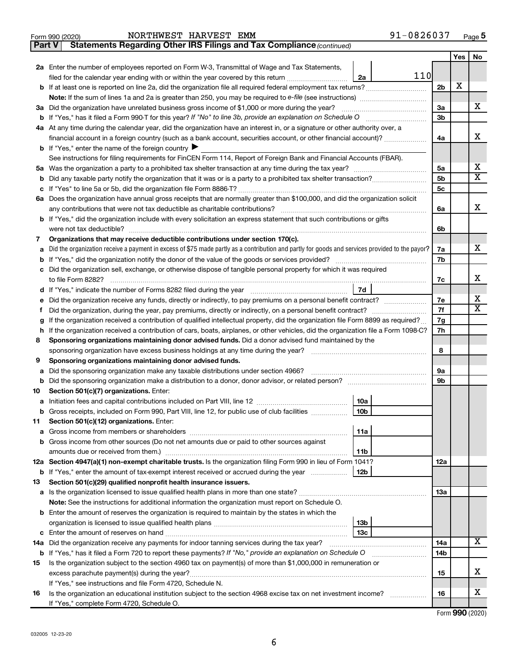|        | 91-0826037<br>NORTHWEST HARVEST EMM<br>Form 990 (2020)                                                                                                                                                                      |                 |     | Page 5                  |  |  |  |  |  |  |
|--------|-----------------------------------------------------------------------------------------------------------------------------------------------------------------------------------------------------------------------------|-----------------|-----|-------------------------|--|--|--|--|--|--|
| Part V | Statements Regarding Other IRS Filings and Tax Compliance (continued)                                                                                                                                                       |                 |     |                         |  |  |  |  |  |  |
|        |                                                                                                                                                                                                                             |                 | Yes | No                      |  |  |  |  |  |  |
|        | 2a Enter the number of employees reported on Form W-3, Transmittal of Wage and Tax Statements,                                                                                                                              |                 |     |                         |  |  |  |  |  |  |
|        | 110<br>filed for the calendar year ending with or within the year covered by this return<br>2a                                                                                                                              |                 |     |                         |  |  |  |  |  |  |
| b      | If at least one is reported on line 2a, did the organization file all required federal employment tax returns?                                                                                                              | 2 <sub>b</sub>  | X   |                         |  |  |  |  |  |  |
|        |                                                                                                                                                                                                                             |                 |     |                         |  |  |  |  |  |  |
| За     | Did the organization have unrelated business gross income of \$1,000 or more during the year?                                                                                                                               |                 |     |                         |  |  |  |  |  |  |
|        |                                                                                                                                                                                                                             | 3 <sub>b</sub>  |     |                         |  |  |  |  |  |  |
|        | 4a At any time during the calendar year, did the organization have an interest in, or a signature or other authority over, a                                                                                                |                 |     |                         |  |  |  |  |  |  |
|        | financial account in a foreign country (such as a bank account, securities account, or other financial account)?                                                                                                            | 4a              |     | х                       |  |  |  |  |  |  |
|        | <b>b</b> If "Yes," enter the name of the foreign country $\blacktriangleright$                                                                                                                                              |                 |     |                         |  |  |  |  |  |  |
|        | See instructions for filing requirements for FinCEN Form 114, Report of Foreign Bank and Financial Accounts (FBAR).                                                                                                         |                 |     |                         |  |  |  |  |  |  |
|        |                                                                                                                                                                                                                             | 5a              |     | х                       |  |  |  |  |  |  |
| b      |                                                                                                                                                                                                                             | 5 <sub>b</sub>  |     | $\overline{\mathbf{x}}$ |  |  |  |  |  |  |
| с      |                                                                                                                                                                                                                             | 5 <sub>c</sub>  |     |                         |  |  |  |  |  |  |
|        | 6a Does the organization have annual gross receipts that are normally greater than \$100,000, and did the organization solicit                                                                                              |                 |     |                         |  |  |  |  |  |  |
|        | any contributions that were not tax deductible as charitable contributions?                                                                                                                                                 | 6а              |     | x                       |  |  |  |  |  |  |
| b      | If "Yes," did the organization include with every solicitation an express statement that such contributions or gifts                                                                                                        |                 |     |                         |  |  |  |  |  |  |
|        | were not tax deductible?                                                                                                                                                                                                    | 6b              |     |                         |  |  |  |  |  |  |
| 7      | Organizations that may receive deductible contributions under section 170(c).                                                                                                                                               |                 |     |                         |  |  |  |  |  |  |
| а      | Did the organization receive a payment in excess of \$75 made partly as a contribution and partly for goods and services provided to the payor?                                                                             | 7а              |     | х                       |  |  |  |  |  |  |
|        |                                                                                                                                                                                                                             | 7b              |     |                         |  |  |  |  |  |  |
| с      | Did the organization sell, exchange, or otherwise dispose of tangible personal property for which it was required                                                                                                           |                 |     |                         |  |  |  |  |  |  |
|        |                                                                                                                                                                                                                             | 7c              |     | x                       |  |  |  |  |  |  |
| d      | 7d<br>If "Yes," indicate the number of Forms 8282 filed during the year manufacture intervent in the number                                                                                                                 |                 |     |                         |  |  |  |  |  |  |
| е      | Did the organization receive any funds, directly or indirectly, to pay premiums on a personal benefit contract?                                                                                                             | 7е<br>7f        |     | х<br>$\overline{X}$     |  |  |  |  |  |  |
|        | Did the organization, during the year, pay premiums, directly or indirectly, on a personal benefit contract?                                                                                                                |                 |     |                         |  |  |  |  |  |  |
| g      | If the organization received a contribution of qualified intellectual property, did the organization file Form 8899 as required?                                                                                            |                 |     |                         |  |  |  |  |  |  |
|        | If the organization received a contribution of cars, boats, airplanes, or other vehicles, did the organization file a Form 1098-C?                                                                                          | 7h              |     |                         |  |  |  |  |  |  |
| 8      | Sponsoring organizations maintaining donor advised funds. Did a donor advised fund maintained by the                                                                                                                        |                 |     |                         |  |  |  |  |  |  |
|        | sponsoring organization have excess business holdings at any time during the year?                                                                                                                                          | 8               |     |                         |  |  |  |  |  |  |
| 9      | Sponsoring organizations maintaining donor advised funds.                                                                                                                                                                   |                 |     |                         |  |  |  |  |  |  |
| а      | Did the sponsoring organization make any taxable distributions under section 4966?                                                                                                                                          | 9a              |     |                         |  |  |  |  |  |  |
| b      |                                                                                                                                                                                                                             | 9 <sub>b</sub>  |     |                         |  |  |  |  |  |  |
| 10     | Section 501(c)(7) organizations. Enter:                                                                                                                                                                                     |                 |     |                         |  |  |  |  |  |  |
| а      | <b>10a</b><br>Initiation fees and capital contributions included on Part VIII, line 12 [100] [100] [100] [100] [100] [100] [<br>Gross receipts, included on Form 990, Part VIII, line 12, for public use of club facilities |                 |     |                         |  |  |  |  |  |  |
|        | 10b                                                                                                                                                                                                                         |                 |     |                         |  |  |  |  |  |  |
| 11     | Section 501(c)(12) organizations. Enter:<br>11a                                                                                                                                                                             |                 |     |                         |  |  |  |  |  |  |
| а      | Gross income from other sources (Do not net amounts due or paid to other sources against                                                                                                                                    |                 |     |                         |  |  |  |  |  |  |
| b      | amounts due or received from them.)<br>11b                                                                                                                                                                                  |                 |     |                         |  |  |  |  |  |  |
|        | 12a Section 4947(a)(1) non-exempt charitable trusts. Is the organization filing Form 990 in lieu of Form 1041?                                                                                                              | <b>12a</b>      |     |                         |  |  |  |  |  |  |
|        | <b>b</b> If "Yes," enter the amount of tax-exempt interest received or accrued during the year<br>12b                                                                                                                       |                 |     |                         |  |  |  |  |  |  |
| 13     | Section 501(c)(29) qualified nonprofit health insurance issuers.                                                                                                                                                            |                 |     |                         |  |  |  |  |  |  |
| а      | Is the organization licensed to issue qualified health plans in more than one state?                                                                                                                                        | 1За             |     |                         |  |  |  |  |  |  |
|        | Note: See the instructions for additional information the organization must report on Schedule O.                                                                                                                           |                 |     |                         |  |  |  |  |  |  |
| b      | Enter the amount of reserves the organization is required to maintain by the states in which the                                                                                                                            |                 |     |                         |  |  |  |  |  |  |
|        | 13 <sub>b</sub>                                                                                                                                                                                                             |                 |     |                         |  |  |  |  |  |  |
| с      | 13 <sub>c</sub>                                                                                                                                                                                                             |                 |     |                         |  |  |  |  |  |  |
| 14a    | Did the organization receive any payments for indoor tanning services during the tax year?                                                                                                                                  | 14a             |     | $\overline{\mathbf{X}}$ |  |  |  |  |  |  |
|        | b If "Yes," has it filed a Form 720 to report these payments? If "No," provide an explanation on Schedule O                                                                                                                 | 14 <sub>b</sub> |     |                         |  |  |  |  |  |  |
| 15     | Is the organization subject to the section 4960 tax on payment(s) of more than \$1,000,000 in remuneration or                                                                                                               |                 |     |                         |  |  |  |  |  |  |
|        |                                                                                                                                                                                                                             | 15              |     | x                       |  |  |  |  |  |  |
|        | If "Yes," see instructions and file Form 4720, Schedule N.                                                                                                                                                                  |                 |     |                         |  |  |  |  |  |  |
| 16     | Is the organization an educational institution subject to the section 4968 excise tax on net investment income?                                                                                                             | 16              |     | х                       |  |  |  |  |  |  |
|        | If "Yes," complete Form 4720, Schedule O.                                                                                                                                                                                   |                 |     |                         |  |  |  |  |  |  |

Form (2020) **990**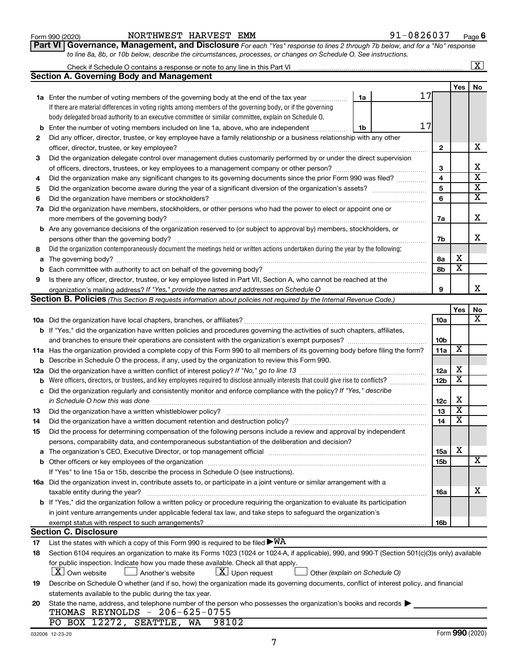| Form 990 (2020) |  |
|-----------------|--|
|-----------------|--|

#### Form 990 (2020) Page NORTHWEST HARVEST EMM 91-0826037

**Part VI** Governance, Management, and Disclosure For each "Yes" response to lines 2 through 7b below, and for a "No" response *to line 8a, 8b, or 10b below, describe the circumstances, processes, or changes on Schedule O. See instructions.*

|     |                                                                                                                                                  |                 |                         | $\mathbf{X}$            |
|-----|--------------------------------------------------------------------------------------------------------------------------------------------------|-----------------|-------------------------|-------------------------|
|     | <b>Section A. Governing Body and Management</b>                                                                                                  |                 |                         |                         |
|     |                                                                                                                                                  |                 | Yes                     | No                      |
|     | 17<br><b>1a</b> Enter the number of voting members of the governing body at the end of the tax year<br>1a                                        |                 |                         |                         |
|     | If there are material differences in voting rights among members of the governing body, or if the governing                                      |                 |                         |                         |
|     | body delegated broad authority to an executive committee or similar committee, explain on Schedule O.                                            |                 |                         |                         |
| b   | 17<br>Enter the number of voting members included on line 1a, above, who are independent<br>1b                                                   |                 |                         |                         |
| 2   | Did any officer, director, trustee, or key employee have a family relationship or a business relationship with any other                         |                 |                         |                         |
|     | officer, director, trustee, or key employee?                                                                                                     | $\mathbf{2}$    |                         | х                       |
| 3   | Did the organization delegate control over management duties customarily performed by or under the direct supervision                            |                 |                         |                         |
|     |                                                                                                                                                  | 3               |                         | x                       |
| 4   | Did the organization make any significant changes to its governing documents since the prior Form 990 was filed?                                 | 4               |                         | $\overline{\textbf{x}}$ |
| 5   |                                                                                                                                                  | 5               |                         | $\overline{\mathbf{x}}$ |
| 6   | Did the organization have members or stockholders?                                                                                               | 6               |                         | $\overline{\textbf{x}}$ |
| 7a  | Did the organization have members, stockholders, or other persons who had the power to elect or appoint one or                                   |                 |                         |                         |
|     |                                                                                                                                                  | 7a              |                         | х                       |
|     | <b>b</b> Are any governance decisions of the organization reserved to (or subject to approval by) members, stockholders, or                      |                 |                         |                         |
|     | persons other than the governing body?                                                                                                           | 7b              |                         | x                       |
| 8   | Did the organization contemporaneously document the meetings held or written actions undertaken during the year by the following:                |                 |                         |                         |
| a   |                                                                                                                                                  | 8а              | х                       |                         |
| b   |                                                                                                                                                  | 8b              | $\overline{\textbf{x}}$ |                         |
| 9   | Is there any officer, director, trustee, or key employee listed in Part VII, Section A, who cannot be reached at the                             |                 |                         |                         |
|     |                                                                                                                                                  | 9               |                         | x                       |
|     | <b>Section B. Policies</b> (This Section B requests information about policies not required by the Internal Revenue Code.)                       |                 |                         |                         |
|     |                                                                                                                                                  |                 | Yes                     | No                      |
|     |                                                                                                                                                  | 10a             |                         | х                       |
|     | <b>b</b> If "Yes," did the organization have written policies and procedures governing the activities of such chapters, affiliates,              |                 |                         |                         |
|     |                                                                                                                                                  | 10 <sub>b</sub> |                         |                         |
|     | 11a Has the organization provided a complete copy of this Form 990 to all members of its governing body before filing the form?                  | 11a             | х                       |                         |
| b   | Describe in Schedule O the process, if any, used by the organization to review this Form 990.                                                    |                 |                         |                         |
| 12a |                                                                                                                                                  | 12a             | х                       |                         |
| b   | Were officers, directors, or trustees, and key employees required to disclose annually interests that could give rise to conflicts?              | 12 <sub>b</sub> | $\overline{\mathbf{x}}$ |                         |
| с   | Did the organization regularly and consistently monitor and enforce compliance with the policy? If "Yes," describe                               |                 |                         |                         |
|     | in Schedule O how this was done                                                                                                                  | 12c             | х                       |                         |
| 13  | Did the organization have a written whistleblower policy?                                                                                        | 13              | $\overline{\mathbf{x}}$ |                         |
| 14  |                                                                                                                                                  | 14              | X                       |                         |
| 15  | Did the process for determining compensation of the following persons include a review and approval by independent                               |                 |                         |                         |
|     | persons, comparability data, and contemporaneous substantiation of the deliberation and decision?                                                |                 |                         |                         |
| а   |                                                                                                                                                  | 15a             | х                       |                         |
|     |                                                                                                                                                  | 15b             |                         | X                       |
|     | If "Yes" to line 15a or 15b, describe the process in Schedule O (see instructions).                                                              |                 |                         |                         |
|     | 16a Did the organization invest in, contribute assets to, or participate in a joint venture or similar arrangement with a                        |                 |                         |                         |
|     | taxable entity during the year?                                                                                                                  | 16a             |                         | x                       |
|     | b If "Yes," did the organization follow a written policy or procedure requiring the organization to evaluate its participation                   |                 |                         |                         |
|     | in joint venture arrangements under applicable federal tax law, and take steps to safeguard the organization's                                   |                 |                         |                         |
|     | exempt status with respect to such arrangements?                                                                                                 | 16b             |                         |                         |
|     | <b>Section C. Disclosure</b>                                                                                                                     |                 |                         |                         |
| 17  | List the states with which a copy of this Form 990 is required to be filed $\blacktriangleright\text{WA}$                                        |                 |                         |                         |
| 18  | Section 6104 requires an organization to make its Forms 1023 (1024 or 1024-A, if applicable), 990, and 990-T (Section 501(c)(3)s only) available |                 |                         |                         |
|     | for public inspection. Indicate how you made these available. Check all that apply.                                                              |                 |                         |                         |
|     | $ \mathbf{X} $ Own website<br>$\lfloor \underline{X} \rfloor$ Upon request<br>Another's website<br>Other (explain on Schedule O)                 |                 |                         |                         |
| 19  | Describe on Schedule O whether (and if so, how) the organization made its governing documents, conflict of interest policy, and financial        |                 |                         |                         |
|     | statements available to the public during the tax year.                                                                                          |                 |                         |                         |
| 20  | State the name, address, and telephone number of the person who possesses the organization's books and records                                   |                 |                         |                         |
|     | THOMAS REYNOLDS - 206-625-0755                                                                                                                   |                 |                         |                         |
|     | PO BOX 12272, SEATTLE, WA<br>98102                                                                                                               |                 |                         |                         |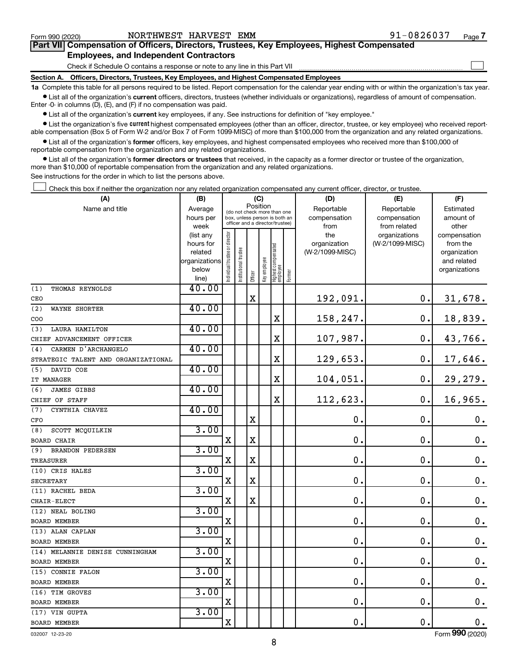$\Box$ 

| Part VII Compensation of Officers, Directors, Trustees, Key Employees, Highest Compensated |  |  |
|--------------------------------------------------------------------------------------------|--|--|
| <b>Employees, and Independent Contractors</b>                                              |  |  |

Check if Schedule O contains a response or note to any line in this Part VII

**Section A. Officers, Directors, Trustees, Key Employees, and Highest Compensated Employees**

**1a**  Complete this table for all persons required to be listed. Report compensation for the calendar year ending with or within the organization's tax year.  $\bullet$  List all of the organization's current officers, directors, trustees (whether individuals or organizations), regardless of amount of compensation.

Enter -0- in columns (D), (E), and (F) if no compensation was paid.

**•** List all of the organization's current key employees, if any. See instructions for definition of "key employee."

• List the organization's five *current* highest compensated employees (other than an officer, director, trustee, or key employee) who received reportable compensation (Box 5 of Form W-2 and/or Box 7 of Form 1099-MISC) of more than \$100,000 from the organization and any related organizations.

 $\bullet$  List all of the organization's former officers, key employees, and highest compensated employees who received more than \$100,000 of reportable compensation from the organization and any related organizations.

**•** List all of the organization's former directors or trustees that received, in the capacity as a former director or trustee of the organization, more than \$10,000 of reportable compensation from the organization and any related organizations.

See instructions for the order in which to list the persons above.

Check this box if neither the organization nor any related organization compensated any current officer, director, or trustee.  $\Box$ 

| (A)                                 | (B)                  |                                                                          |                                 | (C)         |              |                                   |        | (D)                        | (E)                        | (F)                    |
|-------------------------------------|----------------------|--------------------------------------------------------------------------|---------------------------------|-------------|--------------|-----------------------------------|--------|----------------------------|----------------------------|------------------------|
| Name and title                      | Average<br>hours per | Position<br>(do not check more than one<br>box, unless person is both an |                                 |             |              |                                   |        | Reportable<br>compensation | Reportable<br>compensation | Estimated<br>amount of |
|                                     | week                 |                                                                          | officer and a director/trustee) |             |              |                                   |        | from                       | from related               | other                  |
|                                     | (list any            |                                                                          |                                 |             |              |                                   |        | the                        | organizations              | compensation           |
|                                     | hours for            |                                                                          |                                 |             |              |                                   |        | organization               | (W-2/1099-MISC)            | from the               |
|                                     | related              |                                                                          | trustee                         |             |              |                                   |        | (W-2/1099-MISC)            |                            | organization           |
|                                     | organizations        |                                                                          |                                 |             |              |                                   |        |                            |                            | and related            |
|                                     | below                | Individual trustee or director                                           | Institutional t                 | Officer     | Key employee | Highest compensated<br>  employee | Former |                            |                            | organizations          |
| (1)<br>THOMAS REYNOLDS              | line)<br>40.00       |                                                                          |                                 |             |              |                                   |        |                            |                            |                        |
| CEO                                 |                      |                                                                          |                                 | $\mathbf X$ |              |                                   |        | 192,091.                   | 0.                         | 31,678.                |
| (2)<br>WAYNE SHORTER                | 40.00                |                                                                          |                                 |             |              |                                   |        |                            |                            |                        |
| COO                                 |                      |                                                                          |                                 |             |              | X                                 |        | 158,247.                   | 0.                         | 18,839.                |
| LAURA HAMILTON<br>(3)               | 40.00                |                                                                          |                                 |             |              |                                   |        |                            |                            |                        |
| CHIEF ADVANCEMENT OFFICER           |                      |                                                                          |                                 |             |              | $\rm X$                           |        | 107,987.                   | 0.                         | 43,766.                |
| CARMEN D'ARCHANGELO<br>(4)          | 40.00                |                                                                          |                                 |             |              |                                   |        |                            |                            |                        |
| STRATEGIC TALENT AND ORGANIZATIONAL |                      |                                                                          |                                 |             |              | X                                 |        | 129,653.                   | 0.                         | 17,646.                |
| DAVID COE<br>(5)                    | 40.00                |                                                                          |                                 |             |              |                                   |        |                            |                            |                        |
| IT MANAGER                          |                      |                                                                          |                                 |             |              | $\mathbf X$                       |        | 104,051.                   | 0.                         | 29,279.                |
| (6)<br><b>JAMES GIBBS</b>           | 40.00                |                                                                          |                                 |             |              |                                   |        |                            |                            |                        |
| CHIEF OF STAFF                      |                      |                                                                          |                                 |             |              | X                                 |        | 112,623.                   | 0.                         | 16,965.                |
| (7)<br>CYNTHIA CHAVEZ               | 40.00                |                                                                          |                                 |             |              |                                   |        |                            |                            |                        |
| CFO                                 |                      |                                                                          |                                 | $\mathbf X$ |              |                                   |        | $\mathbf 0$ .              | 0.                         | $\mathbf 0$ .          |
| (8)<br>SCOTT MCQUILKIN              | 3.00                 |                                                                          |                                 |             |              |                                   |        |                            |                            |                        |
| <b>BOARD CHAIR</b>                  |                      | X                                                                        |                                 | X           |              |                                   |        | $\mathbf 0$ .              | $\mathbf 0$ .              | $\mathbf 0$ .          |
| <b>BRANDON PEDERSEN</b><br>(9)      | 3.00                 |                                                                          |                                 |             |              |                                   |        |                            |                            |                        |
| TREASURER                           |                      | X                                                                        |                                 | X           |              |                                   |        | $\mathbf 0$ .              | $\mathbf 0$ .              | $\boldsymbol{0}$ .     |
| (10) CRIS HALES                     | 3.00                 |                                                                          |                                 |             |              |                                   |        |                            |                            |                        |
| SECRETARY                           |                      | X                                                                        |                                 | X           |              |                                   |        | $\mathbf 0$ .              | $\mathbf 0$ .              | $\boldsymbol{0}$ .     |
| (11) RACHEL BEDA                    | 3.00                 |                                                                          |                                 |             |              |                                   |        |                            |                            |                        |
| CHAIR-ELECT                         |                      | X                                                                        |                                 | $\mathbf X$ |              |                                   |        | $\mathbf 0$ .              | $\mathbf 0$ .              | $\mathbf 0$ .          |
| (12) NEAL BOLING                    | 3.00                 |                                                                          |                                 |             |              |                                   |        |                            |                            |                        |
| BOARD MEMBER                        |                      | X                                                                        |                                 |             |              |                                   |        | $\mathbf 0$ .              | $\mathbf 0$ .              | $\mathbf 0$ .          |
| (13) ALAN CAPLAN                    | 3.00                 |                                                                          |                                 |             |              |                                   |        |                            |                            |                        |
| <b>BOARD MEMBER</b>                 |                      | X                                                                        |                                 |             |              |                                   |        | $\mathbf 0$ .              | $\mathbf 0$ .              | $\boldsymbol{0}$ .     |
| (14) MELANNIE DENISE CUNNINGHAM     | 3.00                 |                                                                          |                                 |             |              |                                   |        |                            |                            |                        |
| <b>BOARD MEMBER</b>                 |                      | X                                                                        |                                 |             |              |                                   |        | $\mathbf 0$                | $\mathbf 0$ .              | $\mathbf 0$ .          |
| (15) CONNIE FALON                   | 3.00                 |                                                                          |                                 |             |              |                                   |        |                            |                            |                        |
| <b>BOARD MEMBER</b>                 |                      | X                                                                        |                                 |             |              |                                   |        | $\mathbf 0$ .              | $\mathbf 0$ .              | $\mathbf 0$ .          |
| (16) TIM GROVES                     | 3.00                 |                                                                          |                                 |             |              |                                   |        |                            |                            |                        |
| <b>BOARD MEMBER</b>                 |                      | X                                                                        |                                 |             |              |                                   |        | $\mathbf 0$                | 0.                         | $\mathbf 0$ .          |
| (17) VIN GUPTA                      | 3.00                 |                                                                          |                                 |             |              |                                   |        |                            |                            |                        |
| <b>BOARD MEMBER</b>                 |                      | $\mathbf X$                                                              |                                 |             |              |                                   |        | 0.                         | $\mathbf 0$ .              | 0.                     |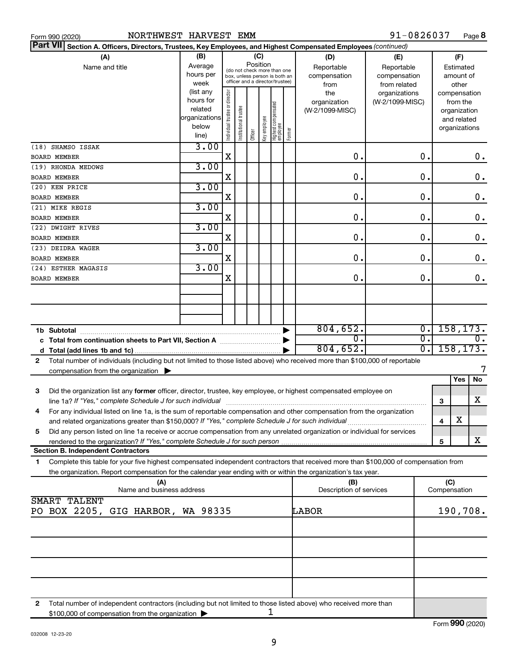|  | Form 990 (2020) |
|--|-----------------|
|  |                 |

| ו טוווט שטט וווט ו<br>Part VII Section A. Officers, Directors, Trustees, Key Employees, and Highest Compensated Employees (continued)      |                   |                                         |                       |                                 |              |                                   |        |                                |                                  |                  |              | . ugu                    |
|--------------------------------------------------------------------------------------------------------------------------------------------|-------------------|-----------------------------------------|-----------------------|---------------------------------|--------------|-----------------------------------|--------|--------------------------------|----------------------------------|------------------|--------------|--------------------------|
| (B)<br>(A)                                                                                                                                 |                   |                                         |                       | (C)                             |              |                                   |        | (D)                            | (E)                              |                  |              | (F)                      |
| Name and title                                                                                                                             | Average           | Position<br>(do not check more than one |                       |                                 |              |                                   |        | Reportable                     | Reportable                       |                  |              | Estimated                |
|                                                                                                                                            | hours per         |                                         |                       | box, unless person is both an   |              |                                   |        | compensation                   | compensation                     |                  |              | amount of                |
|                                                                                                                                            | week<br>(list any |                                         |                       | officer and a director/trustee) |              |                                   |        | from                           | from related                     |                  |              | other                    |
|                                                                                                                                            | hours for         |                                         |                       |                                 |              |                                   |        | the<br>organization            | organizations<br>(W-2/1099-MISC) |                  |              | compensation<br>from the |
|                                                                                                                                            | related           |                                         |                       |                                 |              |                                   |        | (W-2/1099-MISC)                |                                  |                  |              | organization             |
|                                                                                                                                            | organizations     |                                         |                       |                                 |              |                                   |        |                                |                                  |                  |              | and related              |
|                                                                                                                                            | below             | Individual trustee or director          | Institutional trustee |                                 | Key employee |                                   |        |                                |                                  |                  |              | organizations            |
|                                                                                                                                            | line)             |                                         |                       | Officer                         |              | Highest compensated<br>  employee | Former |                                |                                  |                  |              |                          |
| (18) SHAMSO ISSAK                                                                                                                          | 3.00              |                                         |                       |                                 |              |                                   |        |                                |                                  |                  |              |                          |
| <b>BOARD MEMBER</b>                                                                                                                        |                   | X                                       |                       |                                 |              |                                   |        | 0.                             |                                  | О.               |              | 0.                       |
| (19) RHONDA MEDOWS                                                                                                                         | 3.00              |                                         |                       |                                 |              |                                   |        |                                |                                  |                  |              |                          |
| <b>BOARD MEMBER</b>                                                                                                                        |                   | X                                       |                       |                                 |              |                                   |        | о.                             |                                  | О.               |              | 0.                       |
| (20) KEN PRICE                                                                                                                             | 3.00              |                                         |                       |                                 |              |                                   |        |                                |                                  |                  |              |                          |
| <b>BOARD MEMBER</b>                                                                                                                        |                   | X                                       |                       |                                 |              |                                   |        | 0.                             |                                  | О.               |              | 0.                       |
| (21) MIKE REGIS                                                                                                                            | 3.00              |                                         |                       |                                 |              |                                   |        |                                |                                  |                  |              |                          |
| <b>BOARD MEMBER</b>                                                                                                                        |                   | X                                       |                       |                                 |              |                                   |        | 0.                             |                                  | О.               |              | 0.                       |
| (22) DWIGHT RIVES                                                                                                                          | 3.00              |                                         |                       |                                 |              |                                   |        |                                |                                  |                  |              |                          |
| <b>BOARD MEMBER</b>                                                                                                                        |                   | X                                       |                       |                                 |              |                                   |        | 0.                             |                                  | О.               |              | 0.                       |
| (23) DEIDRA WAGER                                                                                                                          | 3.00              | X                                       |                       |                                 |              |                                   |        | 0.                             |                                  | О.               |              | 0.                       |
| <b>BOARD MEMBER</b>                                                                                                                        | 3.00              |                                         |                       |                                 |              |                                   |        |                                |                                  |                  |              |                          |
| (24) ESTHER MAGASIS<br><b>BOARD MEMBER</b>                                                                                                 |                   | X                                       |                       |                                 |              |                                   |        | о.                             |                                  | О.               |              | 0.                       |
|                                                                                                                                            |                   |                                         |                       |                                 |              |                                   |        |                                |                                  |                  |              |                          |
|                                                                                                                                            |                   |                                         |                       |                                 |              |                                   |        |                                |                                  |                  |              |                          |
|                                                                                                                                            |                   |                                         |                       |                                 |              |                                   |        |                                |                                  |                  |              |                          |
|                                                                                                                                            |                   |                                         |                       |                                 |              |                                   |        |                                |                                  |                  |              |                          |
| 1b Subtotal                                                                                                                                |                   |                                         |                       |                                 |              |                                   |        | 804,652.                       |                                  | $\overline{0}$ . |              | 158, 173.                |
| c Total from continuation sheets to Part VII, Section A manufactured by                                                                    |                   |                                         |                       |                                 |              |                                   |        | о.                             |                                  | σ.               |              | Ο.                       |
|                                                                                                                                            |                   |                                         |                       |                                 |              |                                   |        | 804,652.                       |                                  | σ.               |              | 158, 173.                |
| Total number of individuals (including but not limited to those listed above) who received more than \$100,000 of reportable<br>2          |                   |                                         |                       |                                 |              |                                   |        |                                |                                  |                  |              |                          |
| compensation from the organization $\blacktriangleright$                                                                                   |                   |                                         |                       |                                 |              |                                   |        |                                |                                  |                  |              |                          |
|                                                                                                                                            |                   |                                         |                       |                                 |              |                                   |        |                                |                                  |                  |              | No<br>Yes                |
| Did the organization list any former officer, director, trustee, key employee, or highest compensated employee on<br>3                     |                   |                                         |                       |                                 |              |                                   |        |                                |                                  |                  |              |                          |
| line 1a? If "Yes," complete Schedule J for such individual                                                                                 |                   |                                         |                       |                                 |              |                                   |        |                                |                                  |                  | 3            | x                        |
| For any individual listed on line 1a, is the sum of reportable compensation and other compensation from the organization<br>4              |                   |                                         |                       |                                 |              |                                   |        |                                |                                  |                  |              |                          |
| and related organizations greater than \$150,000? If "Yes," complete Schedule J for such individual                                        |                   |                                         |                       |                                 |              |                                   |        |                                |                                  |                  | 4            | х                        |
| Did any person listed on line 1a receive or accrue compensation from any unrelated organization or individual for services<br>5            |                   |                                         |                       |                                 |              |                                   |        |                                |                                  |                  |              |                          |
|                                                                                                                                            |                   |                                         |                       |                                 |              |                                   |        |                                |                                  |                  | 5            | x                        |
| <b>Section B. Independent Contractors</b>                                                                                                  |                   |                                         |                       |                                 |              |                                   |        |                                |                                  |                  |              |                          |
| Complete this table for your five highest compensated independent contractors that received more than \$100,000 of compensation from<br>1. |                   |                                         |                       |                                 |              |                                   |        |                                |                                  |                  |              |                          |
| the organization. Report compensation for the calendar year ending with or within the organization's tax year.                             |                   |                                         |                       |                                 |              |                                   |        |                                |                                  |                  |              |                          |
| (A)<br>Name and business address                                                                                                           |                   |                                         |                       |                                 |              |                                   |        | (B)<br>Description of services |                                  |                  | (C)          |                          |
| SMART TALENT                                                                                                                               |                   |                                         |                       |                                 |              |                                   |        |                                |                                  |                  | Compensation |                          |
| PO BOX 2205, GIG HARBOR, WA 98335                                                                                                          |                   |                                         |                       |                                 |              |                                   |        | LABOR                          |                                  | 190,708.         |              |                          |
|                                                                                                                                            |                   |                                         |                       |                                 |              |                                   |        |                                |                                  |                  |              |                          |
|                                                                                                                                            |                   |                                         |                       |                                 |              |                                   |        |                                |                                  |                  |              |                          |
|                                                                                                                                            |                   |                                         |                       |                                 |              |                                   |        |                                |                                  |                  |              |                          |
|                                                                                                                                            |                   |                                         |                       |                                 |              |                                   |        |                                |                                  |                  |              |                          |
|                                                                                                                                            |                   |                                         |                       |                                 |              |                                   |        |                                |                                  |                  |              |                          |
|                                                                                                                                            |                   |                                         |                       |                                 |              |                                   |        |                                |                                  |                  |              |                          |
|                                                                                                                                            |                   |                                         |                       |                                 |              |                                   |        |                                |                                  |                  |              |                          |
|                                                                                                                                            |                   |                                         |                       |                                 |              |                                   |        |                                |                                  |                  |              |                          |
| Total number of independent contractors (including but not limited to those listed above) who received more than<br>2                      |                   |                                         |                       |                                 |              |                                   |        |                                |                                  |                  |              |                          |
| \$100,000 of compensation from the organization                                                                                            |                   |                                         |                       |                                 |              | 1                                 |        |                                |                                  |                  |              |                          |

\$100,000 of compensation from the organization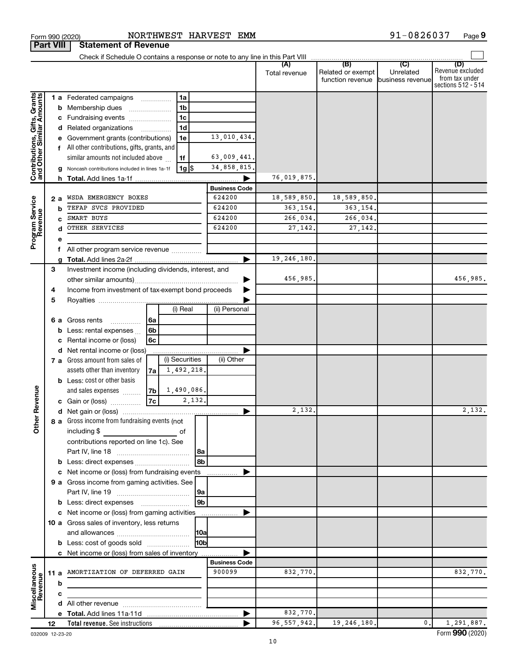| <b>Part VIII</b>                                          |    |           | <b>Statement of Revenue</b>                                                                                                                                                                                                    |        |                                                          |                |                                           |                      |                                                               |                             |                                           |
|-----------------------------------------------------------|----|-----------|--------------------------------------------------------------------------------------------------------------------------------------------------------------------------------------------------------------------------------|--------|----------------------------------------------------------|----------------|-------------------------------------------|----------------------|---------------------------------------------------------------|-----------------------------|-------------------------------------------|
|                                                           |    |           |                                                                                                                                                                                                                                |        |                                                          |                |                                           |                      |                                                               |                             |                                           |
|                                                           |    |           |                                                                                                                                                                                                                                |        |                                                          |                |                                           | (A)<br>Total revenue | (B)<br>Related or exempt<br>function revenue business revenue | $\overline{C}$<br>Unrelated | (D)<br>Revenue excluded<br>from tax under |
|                                                           |    | b         | <b>1 a</b> Federated campaigns<br>Membership dues<br>c Fundraising events<br>d Related organizations                                                                                                                           | .<br>. | 1a<br>1 <sub>b</sub><br>1 <sub>c</sub><br>1 <sub>d</sub> |                |                                           |                      |                                                               |                             | sections 512 - 514                        |
| Contributions, Gifts, Grants<br>and Other Similar Amounts |    |           | Government grants (contributions)<br>All other contributions, gifts, grants, and<br>similar amounts not included above<br>Noncash contributions included in lines 1a-1f                                                        |        | 1e<br>1f<br>$1g$ \$                                      |                | 13,010,434.<br>63,009,441.<br>34,858,815. |                      |                                                               |                             |                                           |
|                                                           |    | h.        |                                                                                                                                                                                                                                |        |                                                          |                |                                           | 76,019,875.          |                                                               |                             |                                           |
|                                                           |    |           |                                                                                                                                                                                                                                |        |                                                          |                | <b>Business Code</b>                      |                      |                                                               |                             |                                           |
|                                                           |    | 2 a       | WSDA EMERGENCY BOXES                                                                                                                                                                                                           |        |                                                          |                | 624200                                    | 18,589,850.          | 18,589,850.                                                   |                             |                                           |
|                                                           |    | b         | TEFAP SVCS PROVIDED                                                                                                                                                                                                            |        |                                                          |                | 624200                                    | 363,154.             | 363,154.                                                      |                             |                                           |
|                                                           |    | C         | SMART BUYS                                                                                                                                                                                                                     |        |                                                          |                | 624200                                    | 266,034.             | 266,034.                                                      |                             |                                           |
|                                                           |    | d         | OTHER SERVICES                                                                                                                                                                                                                 |        |                                                          |                | 624200                                    | 27,142.              | 27, 142.                                                      |                             |                                           |
| Program Service<br>Revenue                                |    | е         |                                                                                                                                                                                                                                |        |                                                          |                |                                           |                      |                                                               |                             |                                           |
|                                                           |    | f         | All other program service revenue                                                                                                                                                                                              |        |                                                          |                |                                           |                      |                                                               |                             |                                           |
|                                                           |    |           |                                                                                                                                                                                                                                |        |                                                          |                |                                           | 19,246,180           |                                                               |                             |                                           |
|                                                           | 3  |           | Investment income (including dividends, interest, and                                                                                                                                                                          |        |                                                          |                |                                           |                      |                                                               |                             |                                           |
|                                                           |    |           |                                                                                                                                                                                                                                |        |                                                          |                |                                           | 456,985.             |                                                               |                             | 456,985.                                  |
|                                                           | 4  |           | Income from investment of tax-exempt bond proceeds                                                                                                                                                                             |        |                                                          |                |                                           |                      |                                                               |                             |                                           |
|                                                           | 5  |           |                                                                                                                                                                                                                                |        |                                                          |                |                                           |                      |                                                               |                             |                                           |
|                                                           |    |           |                                                                                                                                                                                                                                |        | (i) Real                                                 |                | (ii) Personal                             |                      |                                                               |                             |                                           |
|                                                           |    | 6а        | Gross rents<br>.                                                                                                                                                                                                               | 6a     |                                                          |                |                                           |                      |                                                               |                             |                                           |
|                                                           |    | b         | Less: rental expenses                                                                                                                                                                                                          | 6b     |                                                          |                |                                           |                      |                                                               |                             |                                           |
|                                                           |    |           | Rental income or (loss)                                                                                                                                                                                                        | 6c     |                                                          |                |                                           |                      |                                                               |                             |                                           |
|                                                           |    |           | d Net rental income or (loss)                                                                                                                                                                                                  |        |                                                          |                |                                           |                      |                                                               |                             |                                           |
|                                                           |    |           | 7 a Gross amount from sales of                                                                                                                                                                                                 |        | (i) Securities                                           |                | (ii) Other                                |                      |                                                               |                             |                                           |
|                                                           |    |           | assets other than inventory                                                                                                                                                                                                    | 7a     | 1,492,218.                                               |                |                                           |                      |                                                               |                             |                                           |
|                                                           |    |           | <b>b</b> Less: cost or other basis                                                                                                                                                                                             |        |                                                          |                |                                           |                      |                                                               |                             |                                           |
| Revenue                                                   |    |           | and sales expenses                                                                                                                                                                                                             | 7b     | 1,490,086.                                               |                |                                           |                      |                                                               |                             |                                           |
|                                                           |    |           | c Gain or (loss)                                                                                                                                                                                                               | 7c     |                                                          | 2,132.         |                                           |                      |                                                               |                             |                                           |
| ৯                                                         |    |           |                                                                                                                                                                                                                                |        |                                                          |                |                                           | 2,132.               |                                                               |                             | 2,132.                                    |
| Ĕ                                                         |    |           | 8 a Gross income from fundraising events (not<br>including \$                                                                                                                                                                  |        | оf                                                       |                |                                           |                      |                                                               |                             |                                           |
|                                                           |    |           | contributions reported on line 1c). See                                                                                                                                                                                        |        |                                                          |                |                                           |                      |                                                               |                             |                                           |
|                                                           |    |           | b Less: direct expenses                                                                                                                                                                                                        |        |                                                          | l 8a<br>8b     |                                           |                      |                                                               |                             |                                           |
|                                                           |    |           | c Net income or (loss) from fundraising events                                                                                                                                                                                 |        |                                                          |                |                                           |                      |                                                               |                             |                                           |
|                                                           |    |           | 9 a Gross income from gaming activities. See                                                                                                                                                                                   |        |                                                          |                | .                                         |                      |                                                               |                             |                                           |
|                                                           |    |           |                                                                                                                                                                                                                                |        |                                                          | 9a             |                                           |                      |                                                               |                             |                                           |
|                                                           |    |           | <b>b</b> Less: direct expenses <b>manually</b>                                                                                                                                                                                 |        |                                                          | 9 <sub>b</sub> |                                           |                      |                                                               |                             |                                           |
|                                                           |    |           | c Net income or (loss) from gaming activities                                                                                                                                                                                  |        |                                                          |                |                                           |                      |                                                               |                             |                                           |
|                                                           |    |           | 10 a Gross sales of inventory, less returns                                                                                                                                                                                    |        |                                                          |                |                                           |                      |                                                               |                             |                                           |
|                                                           |    |           |                                                                                                                                                                                                                                |        |                                                          | 10a            |                                           |                      |                                                               |                             |                                           |
|                                                           |    |           | <b>b</b> Less: cost of goods sold                                                                                                                                                                                              |        |                                                          | l10bl          |                                           |                      |                                                               |                             |                                           |
|                                                           |    |           | c Net income or (loss) from sales of inventory                                                                                                                                                                                 |        |                                                          |                |                                           |                      |                                                               |                             |                                           |
|                                                           |    |           |                                                                                                                                                                                                                                |        |                                                          |                | <b>Business Code</b>                      |                      |                                                               |                             |                                           |
| Miscellaneous<br>Revenue                                  |    | 11 a<br>b | AMORTIZATION OF DEFERRED GAIN                                                                                                                                                                                                  |        |                                                          |                | 900099                                    | 832,770.             |                                                               |                             | 832,770.                                  |
|                                                           |    | с         | the control of the control of the control of the control of the control of                                                                                                                                                     |        |                                                          |                |                                           |                      |                                                               |                             |                                           |
|                                                           |    |           |                                                                                                                                                                                                                                |        |                                                          |                |                                           |                      |                                                               |                             |                                           |
|                                                           |    |           |                                                                                                                                                                                                                                |        |                                                          |                |                                           | 832,770.             |                                                               |                             |                                           |
|                                                           | 12 |           | Total revenue. See instructions [101] [101] Total revenue. See instructions [101] [101] [101] [101] [101] [101] [101] [101] [101] [101] [101] [101] [101] [101] [101] [101] [101] [101] [101] [101] [101] [101] [101] [101] [1 |        |                                                          |                |                                           | 96, 557, 942.        | 19,246,180.                                                   | 0.                          | 1,291,887.                                |
|                                                           |    |           |                                                                                                                                                                                                                                |        |                                                          |                |                                           |                      |                                                               |                             |                                           |

Form 990 (2020) Page NORTHWEST HARVEST EMM 91-0826037

**9**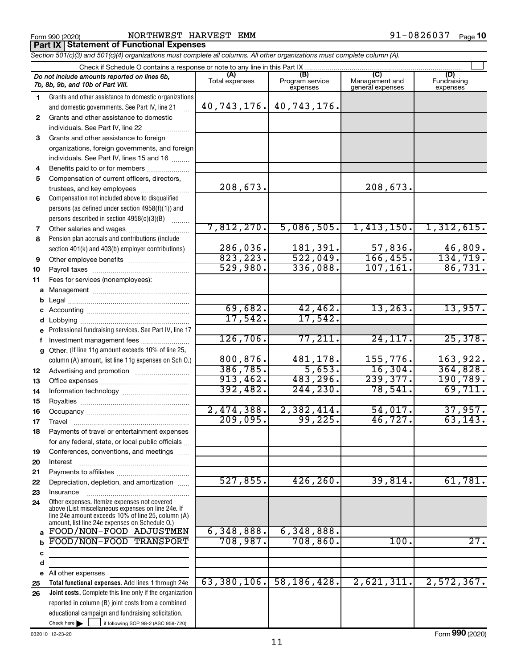### 032010 12-23-20

| Form 990 (2020) |  |
|-----------------|--|
|-----------------|--|

|              | Check if Schedule O contains a response or note to any line in this Part IX                                                                                                                                |                       |                                    |                                           |                                |  |  |  |  |  |
|--------------|------------------------------------------------------------------------------------------------------------------------------------------------------------------------------------------------------------|-----------------------|------------------------------------|-------------------------------------------|--------------------------------|--|--|--|--|--|
|              | Do not include amounts reported on lines 6b,<br>7b, 8b, 9b, and 10b of Part VIII.                                                                                                                          | (A)<br>Total expenses | (B)<br>Program service<br>expenses | (C)<br>Management and<br>general expenses | (D)<br>Fundraising<br>expenses |  |  |  |  |  |
| 1.           | Grants and other assistance to domestic organizations                                                                                                                                                      |                       |                                    |                                           |                                |  |  |  |  |  |
|              | and domestic governments. See Part IV, line 21                                                                                                                                                             | 40,743,176.           | 40,743,176.                        |                                           |                                |  |  |  |  |  |
| $\mathbf{2}$ | Grants and other assistance to domestic                                                                                                                                                                    |                       |                                    |                                           |                                |  |  |  |  |  |
|              | individuals. See Part IV, line 22                                                                                                                                                                          |                       |                                    |                                           |                                |  |  |  |  |  |
| 3            | Grants and other assistance to foreign                                                                                                                                                                     |                       |                                    |                                           |                                |  |  |  |  |  |
|              | organizations, foreign governments, and foreign                                                                                                                                                            |                       |                                    |                                           |                                |  |  |  |  |  |
|              | individuals. See Part IV, lines 15 and 16                                                                                                                                                                  |                       |                                    |                                           |                                |  |  |  |  |  |
| 4            | Benefits paid to or for members                                                                                                                                                                            |                       |                                    |                                           |                                |  |  |  |  |  |
| 5            | Compensation of current officers, directors,                                                                                                                                                               |                       |                                    |                                           |                                |  |  |  |  |  |
|              | trustees, and key employees                                                                                                                                                                                | 208,673.              |                                    | 208,673.                                  |                                |  |  |  |  |  |
| 6            | Compensation not included above to disqualified                                                                                                                                                            |                       |                                    |                                           |                                |  |  |  |  |  |
|              | persons (as defined under section 4958(f)(1)) and                                                                                                                                                          |                       |                                    |                                           |                                |  |  |  |  |  |
|              | persons described in section 4958(c)(3)(B)                                                                                                                                                                 |                       |                                    |                                           |                                |  |  |  |  |  |
| 7            | Other salaries and wages                                                                                                                                                                                   | 7,812,270.            | 5,086,505.                         | 1,413,150.                                | 1,312,615.                     |  |  |  |  |  |
| 8            | Pension plan accruals and contributions (include                                                                                                                                                           |                       |                                    |                                           |                                |  |  |  |  |  |
|              | section 401(k) and 403(b) employer contributions)                                                                                                                                                          | 286,036.              | 181,391.                           | 57,836.                                   | 46,809.                        |  |  |  |  |  |
| 9            | Other employee benefits                                                                                                                                                                                    | 823, 223.             | 522,049.                           | 166, 455.                                 | 134, 719.                      |  |  |  |  |  |
| 10           |                                                                                                                                                                                                            | 529,980.              | 336,088.                           | 107, 161.                                 | 86,731.                        |  |  |  |  |  |
| 11           | Fees for services (nonemployees):                                                                                                                                                                          |                       |                                    |                                           |                                |  |  |  |  |  |
| a            |                                                                                                                                                                                                            |                       |                                    |                                           |                                |  |  |  |  |  |
| b            |                                                                                                                                                                                                            |                       |                                    |                                           |                                |  |  |  |  |  |
| с            |                                                                                                                                                                                                            | 69,682.               | 42,462.                            | 13, 263.                                  | 13,957.                        |  |  |  |  |  |
| d            |                                                                                                                                                                                                            | 17,542.               | 17,542.                            |                                           |                                |  |  |  |  |  |
| e            | Professional fundraising services. See Part IV, line 17                                                                                                                                                    |                       |                                    |                                           |                                |  |  |  |  |  |
| f            | Investment management fees                                                                                                                                                                                 | 126, 706.             | 77,211.                            | 24, 117.                                  | 25,378.                        |  |  |  |  |  |
| a            | Other. (If line 11g amount exceeds 10% of line 25,                                                                                                                                                         |                       |                                    |                                           |                                |  |  |  |  |  |
|              | column (A) amount, list line 11g expenses on Sch O.)                                                                                                                                                       | 800,876.              | 481,178.                           | 155,776.                                  | 163,922.                       |  |  |  |  |  |
| 12           |                                                                                                                                                                                                            | 386,785.              | 5,653.                             | 16, 304.                                  | 364,828.                       |  |  |  |  |  |
| 13           |                                                                                                                                                                                                            | 913,462.              | 483,296.                           | 239,377.                                  | 190, 789.                      |  |  |  |  |  |
| 14           |                                                                                                                                                                                                            | 392,482.              | 244, 230.                          | 78,541.                                   | 69,711.                        |  |  |  |  |  |
| 15           |                                                                                                                                                                                                            |                       |                                    |                                           |                                |  |  |  |  |  |
| 16           |                                                                                                                                                                                                            | 2,474,388.            | 2,382,414.                         | 54,017.                                   | 37,957.                        |  |  |  |  |  |
| 17           | Travel                                                                                                                                                                                                     | 209,095.              | 99,225.                            | 46,727.                                   | 63, 143.                       |  |  |  |  |  |
| 18           | Payments of travel or entertainment expenses                                                                                                                                                               |                       |                                    |                                           |                                |  |  |  |  |  |
|              | for any federal, state, or local public officials                                                                                                                                                          |                       |                                    |                                           |                                |  |  |  |  |  |
| 19           | Conferences, conventions, and meetings                                                                                                                                                                     |                       |                                    |                                           |                                |  |  |  |  |  |
| 20           | Interest                                                                                                                                                                                                   |                       |                                    |                                           |                                |  |  |  |  |  |
| 21           |                                                                                                                                                                                                            |                       |                                    |                                           |                                |  |  |  |  |  |
| 22           | Depreciation, depletion, and amortization                                                                                                                                                                  | 527,855.              | 426, 260.                          | 39,814.                                   | 61,781.                        |  |  |  |  |  |
| 23           | Insurance                                                                                                                                                                                                  |                       |                                    |                                           |                                |  |  |  |  |  |
| 24           | Other expenses. Itemize expenses not covered<br>above (List miscellaneous expenses on line 24e. If<br>line 24e amount exceeds 10% of line 25, column (A)<br>amount, list line 24e expenses on Schedule O.) |                       |                                    |                                           |                                |  |  |  |  |  |
| a            | FOOD/NON-FOOD ADJUSTMEN                                                                                                                                                                                    | 6,348,888.            | 6,348,888.                         |                                           |                                |  |  |  |  |  |
| b            | FOOD/NON-FOOD TRANSPORT                                                                                                                                                                                    | 708,987.              | 708, 860.                          | 100.                                      | 27.                            |  |  |  |  |  |
| c            |                                                                                                                                                                                                            |                       |                                    |                                           |                                |  |  |  |  |  |
| d            |                                                                                                                                                                                                            |                       |                                    |                                           |                                |  |  |  |  |  |
| е            | All other expenses                                                                                                                                                                                         |                       |                                    |                                           |                                |  |  |  |  |  |
| 25           | Total functional expenses. Add lines 1 through 24e                                                                                                                                                         | 63,380,106.           | 58, 186, 428.                      | 2,621,311.                                | 2,572,367.                     |  |  |  |  |  |
| 26           | <b>Joint costs.</b> Complete this line only if the organization                                                                                                                                            |                       |                                    |                                           |                                |  |  |  |  |  |
|              | reported in column (B) joint costs from a combined                                                                                                                                                         |                       |                                    |                                           |                                |  |  |  |  |  |
|              | educational campaign and fundraising solicitation.                                                                                                                                                         |                       |                                    |                                           |                                |  |  |  |  |  |
|              | Check here $\blacktriangleright$<br>if following SOP 98-2 (ASC 958-720)                                                                                                                                    |                       |                                    |                                           |                                |  |  |  |  |  |

*Section 501(c)(3) and 501(c)(4) organizations must complete all columns. All other organizations must complete column (A).*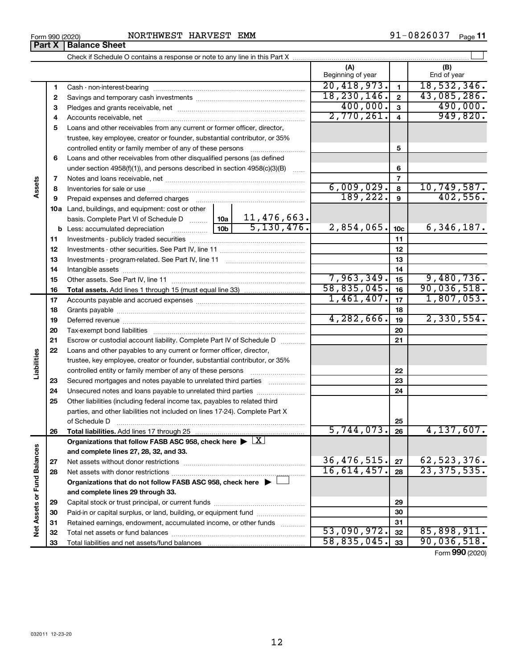|             | Part X | <b>Balance Sheet</b>                                                       |          |                |                   |                         |               |
|-------------|--------|----------------------------------------------------------------------------|----------|----------------|-------------------|-------------------------|---------------|
|             |        |                                                                            |          |                |                   |                         |               |
|             |        |                                                                            |          |                | (A)               |                         | (B)           |
|             |        |                                                                            |          |                | Beginning of year |                         | End of year   |
|             | 1      | Cash - non-interest-bearing                                                |          |                | 20,418,973.       | $\mathbf{1}$            | 18,532,346.   |
|             | 2      |                                                                            |          |                | 18, 230, 146.     | $\mathbf{2}$            | 43,085,286.   |
|             | 3      |                                                                            | 400,000. | $\mathbf{3}$   | 490,000.          |                         |               |
|             | 4      |                                                                            |          |                | 2,770,261.        | $\overline{\mathbf{4}}$ | 949,820.      |
|             | 5      | Loans and other receivables from any current or former officer, director,  |          |                |                   |                         |               |
|             |        | trustee, key employee, creator or founder, substantial contributor, or 35% |          |                |                   |                         |               |
|             |        | controlled entity or family member of any of these persons                 |          | 5              |                   |                         |               |
|             | 6      | Loans and other receivables from other disqualified persons (as defined    |          |                |                   |                         |               |
|             |        | under section 4958(f)(1)), and persons described in section 4958(c)(3)(B)  |          | 6              |                   |                         |               |
|             | 7      |                                                                            |          | $\overline{7}$ |                   |                         |               |
| Assets      | 8      |                                                                            |          |                | 6,009,029.        | 8                       | 10, 749, 587. |
|             | 9      | Prepaid expenses and deferred charges                                      |          |                | 189,222.          | $\mathbf{9}$            | 402,556.      |
|             |        | 10a Land, buildings, and equipment: cost or other                          |          |                |                   |                         |               |
|             |        | basis. Complete Part VI of Schedule D $\ldots$   10a                       |          | 11,476,663.    |                   |                         |               |
|             | b      |                                                                            |          | 5,130,476.     | 2,854,065.        | 10 <sub>c</sub>         | 6,346,187.    |
|             | 11     |                                                                            |          |                |                   | 11                      |               |
|             | 12     |                                                                            |          |                |                   | 12                      |               |
|             | 13     |                                                                            |          |                |                   | 13                      |               |
|             | 14     |                                                                            |          |                |                   | 14                      |               |
|             | 15     |                                                                            |          |                | 7,963,349.        | 15                      | 9,480,736.    |
|             | 16     |                                                                            |          |                | 58,835,045.       | 16                      | 90,036,518.   |
|             | 17     |                                                                            |          |                | 1,461,407.        | 17                      | 1,807,053.    |
|             | 18     |                                                                            |          |                |                   | 18                      |               |
|             | 19     |                                                                            |          |                | 4, 282, 666.      | 19                      | 2,330,554.    |
|             | 20     |                                                                            |          |                | 20                |                         |               |
|             | 21     | Escrow or custodial account liability. Complete Part IV of Schedule D      |          |                |                   | 21                      |               |
|             | 22     | Loans and other payables to any current or former officer, director,       |          |                |                   |                         |               |
|             |        | trustee, key employee, creator or founder, substantial contributor, or 35% |          |                |                   |                         |               |
| Liabilities |        | controlled entity or family member of any of these persons                 |          |                |                   | 22                      |               |
|             | 23     | Secured mortgages and notes payable to unrelated third parties             |          | .              |                   | 23                      |               |

|                        | 22 | Loans and other payables to any current or former officer, director,                                   |               |    |               |
|------------------------|----|--------------------------------------------------------------------------------------------------------|---------------|----|---------------|
|                        |    | trustee, key employee, creator or founder, substantial contributor, or 35%                             |               |    |               |
| Liabilities            |    | controlled entity or family member of any of these persons                                             |               | 22 |               |
|                        | 23 | Secured mortgages and notes payable to unrelated third parties                                         |               | 23 |               |
|                        | 24 | Unsecured notes and loans payable to unrelated third parties                                           |               | 24 |               |
|                        | 25 | Other liabilities (including federal income tax, payables to related third                             |               |    |               |
|                        |    | parties, and other liabilities not included on lines 17-24). Complete Part X                           |               |    |               |
|                        |    | of Schedule D                                                                                          |               | 25 |               |
|                        | 26 |                                                                                                        | 5,744,073.    | 26 | 4,137,607.    |
|                        |    | Organizations that follow FASB ASC 958, check here $\blacktriangleright \lfloor \underline{X} \rfloor$ |               |    |               |
|                        |    | and complete lines 27, 28, 32, and 33.                                                                 |               |    |               |
|                        | 27 |                                                                                                        | 36,476,515.   | 27 | 62, 523, 376. |
| und Balances           | 28 |                                                                                                        | 16,614,457.   | 28 | 23, 375, 535. |
|                        |    | Organizations that do not follow FASB ASC 958, check here $\blacktriangleright \sqsubset$              |               |    |               |
|                        |    | and complete lines 29 through 33.                                                                      |               |    |               |
|                        | 29 |                                                                                                        |               | 29 |               |
| <b>Vet Assets or F</b> | 30 | Paid-in or capital surplus, or land, building, or equipment fund                                       |               | 30 |               |
|                        | 31 | Retained earnings, endowment, accumulated income, or other funds                                       |               | 31 |               |
|                        | 32 |                                                                                                        | 53,090,972.   | 32 | 85,898,911.   |
|                        | 33 | Total liabilities and net assets/fund balances                                                         | 58, 835, 045. | 33 | 90,036,518.   |

Form (2020) **990**

**Assets**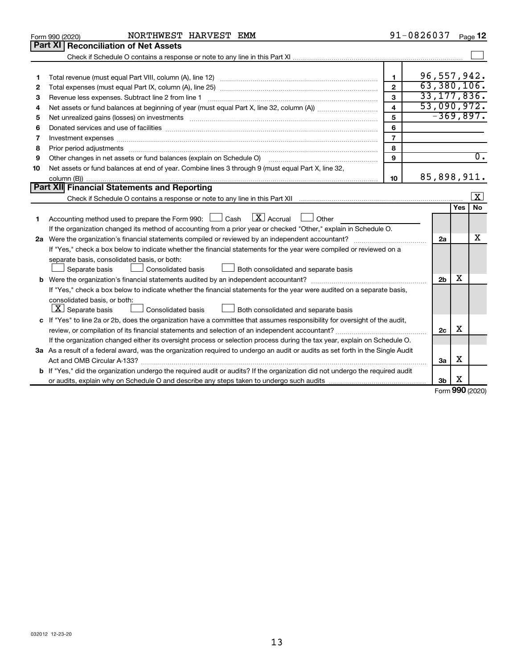|    | NORTHWEST HARVEST EMM<br>Form 990 (2020)                                                                                        |                         | 91-0826037     |     | Page 12                 |
|----|---------------------------------------------------------------------------------------------------------------------------------|-------------------------|----------------|-----|-------------------------|
|    | Part XI<br><b>Reconciliation of Net Assets</b>                                                                                  |                         |                |     |                         |
|    |                                                                                                                                 |                         |                |     |                         |
|    |                                                                                                                                 |                         |                |     |                         |
| 1  |                                                                                                                                 | 1.                      |                |     | 96,557,942.             |
| 2  |                                                                                                                                 | $\overline{2}$          |                |     | 63,380,106.             |
| 3  | Revenue less expenses. Subtract line 2 from line 1                                                                              | 3                       |                |     | 33, 177, 836.           |
| 4  |                                                                                                                                 | $\overline{\mathbf{A}}$ |                |     | 53,090,972.             |
| 5  |                                                                                                                                 | 5                       |                |     | $-369,897.$             |
| 6  |                                                                                                                                 | 6                       |                |     |                         |
| 7  | Investment expenses www.communication.com/www.communication.com/www.communication.com/www.com                                   | $\overline{7}$          |                |     |                         |
| 8  | Prior period adjustments manufactured and content and content and all the manufactured adjustments manufacture                  | 8                       |                |     |                         |
| 9  | Other changes in net assets or fund balances (explain on Schedule O)                                                            | 9                       |                |     | $\overline{0}$ .        |
| 10 | Net assets or fund balances at end of year. Combine lines 3 through 9 (must equal Part X, line 32,                              |                         |                |     |                         |
|    |                                                                                                                                 | 10                      |                |     | 85,898,911.             |
|    | Part XII Financial Statements and Reporting                                                                                     |                         |                |     |                         |
|    |                                                                                                                                 |                         |                |     | $\overline{\mathbf{x}}$ |
|    |                                                                                                                                 |                         |                | Yes | <b>No</b>               |
| 1  | $\boxed{\mathbf{X}}$ Accrual<br>Accounting method used to prepare the Form 990: [130] Cash<br>$\Box$ Other                      |                         |                |     |                         |
|    | If the organization changed its method of accounting from a prior year or checked "Other," explain in Schedule O.               |                         |                |     |                         |
|    |                                                                                                                                 |                         | 2a             |     | x                       |
|    | If "Yes," check a box below to indicate whether the financial statements for the year were compiled or reviewed on a            |                         |                |     |                         |
|    | separate basis, consolidated basis, or both:                                                                                    |                         |                |     |                         |
|    | Separate basis<br>Consolidated basis<br>Both consolidated and separate basis                                                    |                         |                |     |                         |
|    |                                                                                                                                 |                         | 2 <sub>b</sub> | х   |                         |
|    | If "Yes," check a box below to indicate whether the financial statements for the year were audited on a separate basis,         |                         |                |     |                         |
|    | consolidated basis, or both:                                                                                                    |                         |                |     |                         |
|    | $ \mathbf{X} $ Separate basis<br><b>Consolidated basis</b><br>Both consolidated and separate basis                              |                         |                |     |                         |
|    | c If "Yes" to line 2a or 2b, does the organization have a committee that assumes responsibility for oversight of the audit,     |                         |                |     |                         |
|    | review, or compilation of its financial statements and selection of an independent accountant?                                  |                         | 2c             | х   |                         |
|    | If the organization changed either its oversight process or selection process during the tax year, explain on Schedule O.       |                         |                |     |                         |
|    | 3a As a result of a federal award, was the organization required to undergo an audit or audits as set forth in the Single Audit |                         |                |     |                         |
|    |                                                                                                                                 |                         | За             | X   |                         |
|    | b If "Yes," did the organization undergo the required audit or audits? If the organization did not undergo the required audit   |                         |                |     |                         |
|    |                                                                                                                                 |                         | 3 <sub>b</sub> | х   |                         |

Form (2020) **990**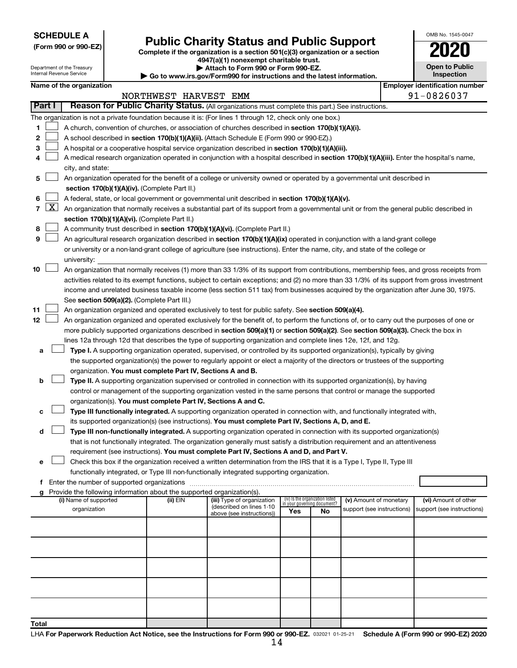**SCHEDULE A**

| (Form 990 or 990-EZ) |  |  |  |  |
|----------------------|--|--|--|--|
|----------------------|--|--|--|--|

#### Department of the Treasury Internal Revenue Service

# Form 990 or 990-EZ) **Public Charity Status and Public Support**<br>
Complete if the organization is a section 501(c)(3) organization or a section<br> **2020**

**4947(a)(1) nonexempt charitable trust.**

**| Attach to Form 990 or Form 990-EZ.** 

**| Go to www.irs.gov/Form990 for instructions and the latest information.**

|   | <b>Open to Public</b><br>Inspection |
|---|-------------------------------------|
| r | entification nu                     |

OMB No. 1545-0047

|        | Name of the organization                                                                         | Employer identification number |  |  |  |  |  |  |  |
|--------|--------------------------------------------------------------------------------------------------|--------------------------------|--|--|--|--|--|--|--|
|        | NORTHWEST HARVEST EMM                                                                            | 91-0826037                     |  |  |  |  |  |  |  |
| Part I | Reason for Public Charity Status. (All organizations must complete this part.) See instructions. |                                |  |  |  |  |  |  |  |
|        |                                                                                                  |                                |  |  |  |  |  |  |  |

|                | Part I                                                                                                    | <b>Reason for Public Charity Status.</b> (All organizations must complete this part.) See instructions.                                      |          |                                                       |                                                                |    |                            |                            |  |  |
|----------------|-----------------------------------------------------------------------------------------------------------|----------------------------------------------------------------------------------------------------------------------------------------------|----------|-------------------------------------------------------|----------------------------------------------------------------|----|----------------------------|----------------------------|--|--|
|                | The organization is not a private foundation because it is: (For lines 1 through 12, check only one box.) |                                                                                                                                              |          |                                                       |                                                                |    |                            |                            |  |  |
| 1.             |                                                                                                           | A church, convention of churches, or association of churches described in section 170(b)(1)(A)(i).                                           |          |                                                       |                                                                |    |                            |                            |  |  |
| 2              |                                                                                                           | A school described in section 170(b)(1)(A)(ii). (Attach Schedule E (Form 990 or 990-EZ).)                                                    |          |                                                       |                                                                |    |                            |                            |  |  |
| з              |                                                                                                           | A hospital or a cooperative hospital service organization described in section 170(b)(1)(A)(iii).                                            |          |                                                       |                                                                |    |                            |                            |  |  |
| 4              |                                                                                                           | A medical research organization operated in conjunction with a hospital described in section 170(b)(1)(A)(iii). Enter the hospital's name,   |          |                                                       |                                                                |    |                            |                            |  |  |
|                |                                                                                                           | city, and state:                                                                                                                             |          |                                                       |                                                                |    |                            |                            |  |  |
| 5              |                                                                                                           | An organization operated for the benefit of a college or university owned or operated by a governmental unit described in                    |          |                                                       |                                                                |    |                            |                            |  |  |
|                |                                                                                                           | section 170(b)(1)(A)(iv). (Complete Part II.)                                                                                                |          |                                                       |                                                                |    |                            |                            |  |  |
| 6              |                                                                                                           | A federal, state, or local government or governmental unit described in section 170(b)(1)(A)(v).                                             |          |                                                       |                                                                |    |                            |                            |  |  |
| $\overline{7}$ | $\lfloor x \rfloor$                                                                                       | An organization that normally receives a substantial part of its support from a governmental unit or from the general public described in    |          |                                                       |                                                                |    |                            |                            |  |  |
|                |                                                                                                           | section 170(b)(1)(A)(vi). (Complete Part II.)                                                                                                |          |                                                       |                                                                |    |                            |                            |  |  |
| 8              |                                                                                                           | A community trust described in section 170(b)(1)(A)(vi). (Complete Part II.)                                                                 |          |                                                       |                                                                |    |                            |                            |  |  |
| 9              |                                                                                                           | An agricultural research organization described in section 170(b)(1)(A)(ix) operated in conjunction with a land-grant college                |          |                                                       |                                                                |    |                            |                            |  |  |
|                |                                                                                                           | or university or a non-land-grant college of agriculture (see instructions). Enter the name, city, and state of the college or               |          |                                                       |                                                                |    |                            |                            |  |  |
|                |                                                                                                           | university:                                                                                                                                  |          |                                                       |                                                                |    |                            |                            |  |  |
| 10             |                                                                                                           | An organization that normally receives (1) more than 33 1/3% of its support from contributions, membership fees, and gross receipts from     |          |                                                       |                                                                |    |                            |                            |  |  |
|                |                                                                                                           | activities related to its exempt functions, subject to certain exceptions; and (2) no more than 33 1/3% of its support from gross investment |          |                                                       |                                                                |    |                            |                            |  |  |
|                |                                                                                                           | income and unrelated business taxable income (less section 511 tax) from businesses acquired by the organization after June 30, 1975.        |          |                                                       |                                                                |    |                            |                            |  |  |
|                |                                                                                                           | See section 509(a)(2). (Complete Part III.)                                                                                                  |          |                                                       |                                                                |    |                            |                            |  |  |
| 11             |                                                                                                           | An organization organized and operated exclusively to test for public safety. See section 509(a)(4).                                         |          |                                                       |                                                                |    |                            |                            |  |  |
| 12             |                                                                                                           | An organization organized and operated exclusively for the benefit of, to perform the functions of, or to carry out the purposes of one or   |          |                                                       |                                                                |    |                            |                            |  |  |
|                |                                                                                                           | more publicly supported organizations described in section 509(a)(1) or section 509(a)(2). See section 509(a)(3). Check the box in           |          |                                                       |                                                                |    |                            |                            |  |  |
|                |                                                                                                           | lines 12a through 12d that describes the type of supporting organization and complete lines 12e, 12f, and 12g.                               |          |                                                       |                                                                |    |                            |                            |  |  |
| а              |                                                                                                           | Type I. A supporting organization operated, supervised, or controlled by its supported organization(s), typically by giving                  |          |                                                       |                                                                |    |                            |                            |  |  |
|                |                                                                                                           | the supported organization(s) the power to regularly appoint or elect a majority of the directors or trustees of the supporting              |          |                                                       |                                                                |    |                            |                            |  |  |
|                |                                                                                                           | organization. You must complete Part IV, Sections A and B.                                                                                   |          |                                                       |                                                                |    |                            |                            |  |  |
| b              |                                                                                                           | Type II. A supporting organization supervised or controlled in connection with its supported organization(s), by having                      |          |                                                       |                                                                |    |                            |                            |  |  |
|                |                                                                                                           | control or management of the supporting organization vested in the same persons that control or manage the supported                         |          |                                                       |                                                                |    |                            |                            |  |  |
|                |                                                                                                           | organization(s). You must complete Part IV, Sections A and C.                                                                                |          |                                                       |                                                                |    |                            |                            |  |  |
| с              |                                                                                                           | Type III functionally integrated. A supporting organization operated in connection with, and functionally integrated with,                   |          |                                                       |                                                                |    |                            |                            |  |  |
|                |                                                                                                           | its supported organization(s) (see instructions). You must complete Part IV, Sections A, D, and E.                                           |          |                                                       |                                                                |    |                            |                            |  |  |
| d              |                                                                                                           | Type III non-functionally integrated. A supporting organization operated in connection with its supported organization(s)                    |          |                                                       |                                                                |    |                            |                            |  |  |
|                |                                                                                                           | that is not functionally integrated. The organization generally must satisfy a distribution requirement and an attentiveness                 |          |                                                       |                                                                |    |                            |                            |  |  |
|                |                                                                                                           | requirement (see instructions). You must complete Part IV, Sections A and D, and Part V.                                                     |          |                                                       |                                                                |    |                            |                            |  |  |
| е              |                                                                                                           | Check this box if the organization received a written determination from the IRS that it is a Type I, Type II, Type III                      |          |                                                       |                                                                |    |                            |                            |  |  |
|                |                                                                                                           | functionally integrated, or Type III non-functionally integrated supporting organization.                                                    |          |                                                       |                                                                |    |                            |                            |  |  |
|                |                                                                                                           | Enter the number of supported organizations                                                                                                  |          |                                                       |                                                                |    |                            |                            |  |  |
|                |                                                                                                           | g Provide the following information about the supported organization(s).                                                                     |          |                                                       |                                                                |    |                            |                            |  |  |
|                |                                                                                                           | (i) Name of supported                                                                                                                        | (ii) EIN | (iii) Type of organization                            | (iv) Is the organization listed<br>in your governing document? |    | (v) Amount of monetary     | (vi) Amount of other       |  |  |
|                |                                                                                                           | organization                                                                                                                                 |          | (described on lines 1-10<br>above (see instructions)) | Yes                                                            | No | support (see instructions) | support (see instructions) |  |  |
|                |                                                                                                           |                                                                                                                                              |          |                                                       |                                                                |    |                            |                            |  |  |
|                |                                                                                                           |                                                                                                                                              |          |                                                       |                                                                |    |                            |                            |  |  |
|                |                                                                                                           |                                                                                                                                              |          |                                                       |                                                                |    |                            |                            |  |  |
|                |                                                                                                           |                                                                                                                                              |          |                                                       |                                                                |    |                            |                            |  |  |
|                |                                                                                                           |                                                                                                                                              |          |                                                       |                                                                |    |                            |                            |  |  |
|                |                                                                                                           |                                                                                                                                              |          |                                                       |                                                                |    |                            |                            |  |  |
|                |                                                                                                           |                                                                                                                                              |          |                                                       |                                                                |    |                            |                            |  |  |
|                |                                                                                                           |                                                                                                                                              |          |                                                       |                                                                |    |                            |                            |  |  |
|                |                                                                                                           |                                                                                                                                              |          |                                                       |                                                                |    |                            |                            |  |  |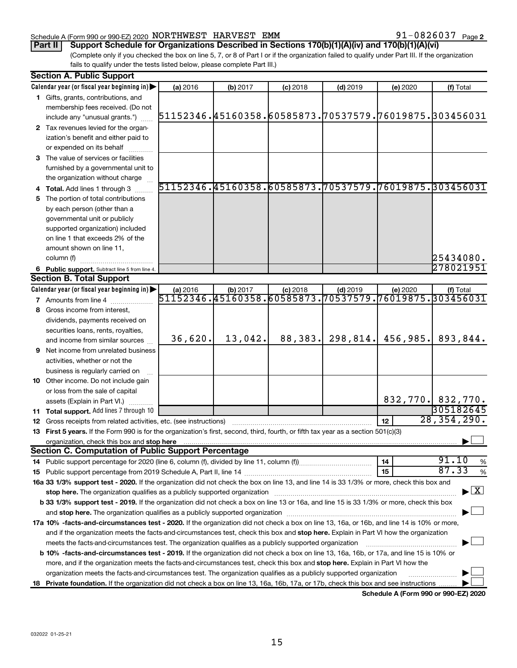#### Schedule A (Form 990 or 990-EZ) 2020 NORTHWEST HARVEST EMM  $91-0826037$  Page

(Complete only if you checked the box on line 5, 7, or 8 of Part I or if the organization failed to qualify under Part III. If the organization **Part II Support Schedule for Organizations Described in Sections 170(b)(1)(A)(iv) and 170(b)(1)(A)(vi)**

fails to qualify under the tests listed below, please complete Part III.)

|    | <b>Section A. Public Support</b>                                                                                                                                                                                                    |                             |          |            |            |                                      |                                                        |
|----|-------------------------------------------------------------------------------------------------------------------------------------------------------------------------------------------------------------------------------------|-----------------------------|----------|------------|------------|--------------------------------------|--------------------------------------------------------|
|    | Calendar year (or fiscal year beginning in)                                                                                                                                                                                         | (a) 2016                    | (b) 2017 | $(c)$ 2018 | $(d)$ 2019 | (e) 2020                             | (f) Total                                              |
|    | 1 Gifts, grants, contributions, and                                                                                                                                                                                                 |                             |          |            |            |                                      |                                                        |
|    | membership fees received. (Do not                                                                                                                                                                                                   |                             |          |            |            |                                      |                                                        |
|    | include any "unusual grants.")                                                                                                                                                                                                      |                             |          |            |            |                                      | 51152346.45160358.60585873.70537579.76019875.303456031 |
|    | 2 Tax revenues levied for the organ-                                                                                                                                                                                                |                             |          |            |            |                                      |                                                        |
|    | ization's benefit and either paid to                                                                                                                                                                                                |                             |          |            |            |                                      |                                                        |
|    | or expended on its behalf                                                                                                                                                                                                           |                             |          |            |            |                                      |                                                        |
|    | 3 The value of services or facilities                                                                                                                                                                                               |                             |          |            |            |                                      |                                                        |
|    | furnished by a governmental unit to                                                                                                                                                                                                 |                             |          |            |            |                                      |                                                        |
|    | the organization without charge                                                                                                                                                                                                     |                             |          |            |            |                                      |                                                        |
|    | 4 Total. Add lines 1 through 3                                                                                                                                                                                                      |                             |          |            |            |                                      | 51152346.45160358.60585873.70537579.76019875.303456031 |
| 5. | The portion of total contributions                                                                                                                                                                                                  |                             |          |            |            |                                      |                                                        |
|    | by each person (other than a                                                                                                                                                                                                        |                             |          |            |            |                                      |                                                        |
|    | governmental unit or publicly                                                                                                                                                                                                       |                             |          |            |            |                                      |                                                        |
|    | supported organization) included                                                                                                                                                                                                    |                             |          |            |            |                                      |                                                        |
|    | on line 1 that exceeds 2% of the                                                                                                                                                                                                    |                             |          |            |            |                                      |                                                        |
|    | amount shown on line 11,                                                                                                                                                                                                            |                             |          |            |            |                                      |                                                        |
|    | column (f)                                                                                                                                                                                                                          |                             |          |            |            |                                      | 25434080.                                              |
|    | 6 Public support. Subtract line 5 from line 4.                                                                                                                                                                                      |                             |          |            |            |                                      | 278021951                                              |
|    | <b>Section B. Total Support</b>                                                                                                                                                                                                     |                             |          |            |            |                                      |                                                        |
|    | Calendar year (or fiscal year beginning in)                                                                                                                                                                                         | (a) 2016                    | (b) 2017 | $(c)$ 2018 | $(d)$ 2019 | (e) 2020                             |                                                        |
|    | <b>7</b> Amounts from line 4                                                                                                                                                                                                        | 51152346.45160358.60585873. |          |            |            |                                      | (f) Total<br>70537579.76019875.303456031               |
|    | 8 Gross income from interest,                                                                                                                                                                                                       |                             |          |            |            |                                      |                                                        |
|    |                                                                                                                                                                                                                                     |                             |          |            |            |                                      |                                                        |
|    | dividends, payments received on                                                                                                                                                                                                     |                             |          |            |            |                                      |                                                        |
|    | securities loans, rents, royalties,                                                                                                                                                                                                 | 36,620.                     | 13,042.  | 88, 383.   | 298,814.   | 456,985.                             | 893,844.                                               |
|    | and income from similar sources                                                                                                                                                                                                     |                             |          |            |            |                                      |                                                        |
| 9  | Net income from unrelated business                                                                                                                                                                                                  |                             |          |            |            |                                      |                                                        |
|    | activities, whether or not the                                                                                                                                                                                                      |                             |          |            |            |                                      |                                                        |
|    | business is regularly carried on                                                                                                                                                                                                    |                             |          |            |            |                                      |                                                        |
|    | 10 Other income. Do not include gain                                                                                                                                                                                                |                             |          |            |            |                                      |                                                        |
|    | or loss from the sale of capital                                                                                                                                                                                                    |                             |          |            |            |                                      |                                                        |
|    | assets (Explain in Part VI.)                                                                                                                                                                                                        |                             |          |            |            |                                      | 832,770. 832,770.                                      |
|    | 11 Total support. Add lines 7 through 10                                                                                                                                                                                            |                             |          |            |            |                                      | 305182645                                              |
|    | <b>12</b> Gross receipts from related activities, etc. (see instructions)                                                                                                                                                           |                             |          |            |            | 12                                   | 28, 354, 290.                                          |
|    | 13 First 5 years. If the Form 990 is for the organization's first, second, third, fourth, or fifth tax year as a section 501(c)(3)                                                                                                  |                             |          |            |            |                                      |                                                        |
|    | organization, check this box and stop here <b>construction and construction</b> construction of the state of the state of the state of the state of the state of the state of the state of the state of the state of the state of t |                             |          |            |            |                                      |                                                        |
|    | <b>Section C. Computation of Public Support Percentage</b>                                                                                                                                                                          |                             |          |            |            |                                      |                                                        |
|    |                                                                                                                                                                                                                                     |                             |          |            |            | 14                                   | 91.10<br>%                                             |
|    |                                                                                                                                                                                                                                     |                             |          |            |            | 15                                   | 87.33<br>$\%$                                          |
|    | 16a 33 1/3% support test - 2020. If the organization did not check the box on line 13, and line 14 is 33 1/3% or more, check this box and                                                                                           |                             |          |            |            |                                      |                                                        |
|    | stop here. The organization qualifies as a publicly supported organization manufaction manufacture or the organization manufacture or the organization manufacture or the organization of the state of the state of the state       |                             |          |            |            |                                      | $\blacktriangleright$ $\mathbf{X}$                     |
|    | b 33 1/3% support test - 2019. If the organization did not check a box on line 13 or 16a, and line 15 is 33 1/3% or more, check this box                                                                                            |                             |          |            |            |                                      |                                                        |
|    |                                                                                                                                                                                                                                     |                             |          |            |            |                                      |                                                        |
|    | 17a 10% -facts-and-circumstances test - 2020. If the organization did not check a box on line 13, 16a, or 16b, and line 14 is 10% or more,                                                                                          |                             |          |            |            |                                      |                                                        |
|    | and if the organization meets the facts-and-circumstances test, check this box and stop here. Explain in Part VI how the organization                                                                                               |                             |          |            |            |                                      |                                                        |
|    | meets the facts-and-circumstances test. The organization qualifies as a publicly supported organization                                                                                                                             |                             |          |            |            |                                      |                                                        |
|    | b 10% -facts-and-circumstances test - 2019. If the organization did not check a box on line 13, 16a, 16b, or 17a, and line 15 is 10% or                                                                                             |                             |          |            |            |                                      |                                                        |
|    | more, and if the organization meets the facts-and-circumstances test, check this box and stop here. Explain in Part VI how the                                                                                                      |                             |          |            |            |                                      |                                                        |
|    | organization meets the facts-and-circumstances test. The organization qualifies as a publicly supported organization                                                                                                                |                             |          |            |            |                                      |                                                        |
|    | 18 Private foundation. If the organization did not check a box on line 13, 16a, 16b, 17a, or 17b, check this box and see instructions                                                                                               |                             |          |            |            |                                      |                                                        |
|    |                                                                                                                                                                                                                                     |                             |          |            |            | Schodule A (Form 000 or 000 EZ) 2020 |                                                        |

**Schedule A (Form 990 or 990-EZ) 2020**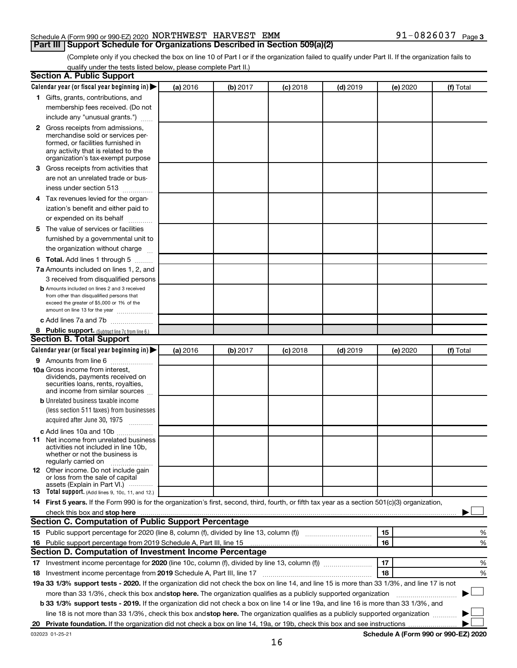#### Schedule A (Form 990 or 990-EZ) 2020 NORTHWEST HARVEST EMM  $91-0826037$  Page

**Part III Support Schedule for Organizations Described in Section 509(a)(2)** 

(Complete only if you checked the box on line 10 of Part I or if the organization failed to qualify under Part II. If the organization fails to qualify under the tests listed below, please complete Part II.)

| <b>Section A. Public Support</b>                                                                                                                                                                                               |          |          |            |            |          |                                      |
|--------------------------------------------------------------------------------------------------------------------------------------------------------------------------------------------------------------------------------|----------|----------|------------|------------|----------|--------------------------------------|
| Calendar year (or fiscal year beginning in)                                                                                                                                                                                    | (a) 2016 | (b) 2017 | $(c)$ 2018 | $(d)$ 2019 | (e) 2020 | (f) Total                            |
| 1 Gifts, grants, contributions, and                                                                                                                                                                                            |          |          |            |            |          |                                      |
| membership fees received. (Do not                                                                                                                                                                                              |          |          |            |            |          |                                      |
| include any "unusual grants.")                                                                                                                                                                                                 |          |          |            |            |          |                                      |
| <b>2</b> Gross receipts from admissions,<br>merchandise sold or services per-<br>formed, or facilities furnished in<br>any activity that is related to the<br>organization's tax-exempt purpose                                |          |          |            |            |          |                                      |
| 3 Gross receipts from activities that                                                                                                                                                                                          |          |          |            |            |          |                                      |
| are not an unrelated trade or bus-                                                                                                                                                                                             |          |          |            |            |          |                                      |
| iness under section 513                                                                                                                                                                                                        |          |          |            |            |          |                                      |
| 4 Tax revenues levied for the organ-                                                                                                                                                                                           |          |          |            |            |          |                                      |
| ization's benefit and either paid to                                                                                                                                                                                           |          |          |            |            |          |                                      |
| or expended on its behalf                                                                                                                                                                                                      |          |          |            |            |          |                                      |
| 5 The value of services or facilities                                                                                                                                                                                          |          |          |            |            |          |                                      |
| furnished by a governmental unit to                                                                                                                                                                                            |          |          |            |            |          |                                      |
| the organization without charge                                                                                                                                                                                                |          |          |            |            |          |                                      |
| 6 Total. Add lines 1 through 5                                                                                                                                                                                                 |          |          |            |            |          |                                      |
| 7a Amounts included on lines 1, 2, and                                                                                                                                                                                         |          |          |            |            |          |                                      |
| 3 received from disqualified persons                                                                                                                                                                                           |          |          |            |            |          |                                      |
| <b>b</b> Amounts included on lines 2 and 3 received<br>from other than disqualified persons that<br>exceed the greater of \$5,000 or 1% of the<br>amount on line 13 for the year                                               |          |          |            |            |          |                                      |
| c Add lines 7a and 7b                                                                                                                                                                                                          |          |          |            |            |          |                                      |
| 8 Public support. (Subtract line 7c from line 6.)                                                                                                                                                                              |          |          |            |            |          |                                      |
| <b>Section B. Total Support</b>                                                                                                                                                                                                |          |          |            |            |          |                                      |
| Calendar year (or fiscal year beginning in)                                                                                                                                                                                    | (a) 2016 | (b) 2017 | $(c)$ 2018 | $(d)$ 2019 | (e) 2020 | (f) Total                            |
| 9 Amounts from line 6                                                                                                                                                                                                          |          |          |            |            |          |                                      |
| <b>10a</b> Gross income from interest,<br>dividends, payments received on<br>securities loans, rents, royalties,<br>and income from similar sources                                                                            |          |          |            |            |          |                                      |
| <b>b</b> Unrelated business taxable income                                                                                                                                                                                     |          |          |            |            |          |                                      |
| (less section 511 taxes) from businesses                                                                                                                                                                                       |          |          |            |            |          |                                      |
| acquired after June 30, 1975<br>$\overline{\phantom{a}}$                                                                                                                                                                       |          |          |            |            |          |                                      |
| c Add lines 10a and 10b                                                                                                                                                                                                        |          |          |            |            |          |                                      |
| <b>11</b> Net income from unrelated business<br>activities not included in line 10b.<br>whether or not the business is<br>regularly carried on                                                                                 |          |          |            |            |          |                                      |
| 12 Other income. Do not include gain<br>or loss from the sale of capital<br>assets (Explain in Part VI.)                                                                                                                       |          |          |            |            |          |                                      |
| <b>13</b> Total support. (Add lines 9, 10c, 11, and 12.)                                                                                                                                                                       |          |          |            |            |          |                                      |
| 14 First 5 years. If the Form 990 is for the organization's first, second, third, fourth, or fifth tax year as a section 501(c)(3) organization,                                                                               |          |          |            |            |          |                                      |
| check this box and stop here manufactured and and stop here and stop here are manufactured and stop here manufactured and stop here and stop here and stop here and stop here and stop here are all the stop of the state of t |          |          |            |            |          |                                      |
| Section C. Computation of Public Support Percentage                                                                                                                                                                            |          |          |            |            |          |                                      |
|                                                                                                                                                                                                                                |          |          |            |            | 15       | %                                    |
|                                                                                                                                                                                                                                |          |          |            |            | 16       | %                                    |
| Section D. Computation of Investment Income Percentage                                                                                                                                                                         |          |          |            |            |          |                                      |
| 17 Investment income percentage for 2020 (line 10c, column (f), divided by line 13, column (f) <i>marrouum</i> marrow                                                                                                          |          |          |            |            | 17       | %                                    |
| 18 Investment income percentage from 2019 Schedule A, Part III, line 17                                                                                                                                                        |          |          |            |            | 18       | %                                    |
| 19a 33 1/3% support tests - 2020. If the organization did not check the box on line 14, and line 15 is more than 33 1/3%, and line 17 is not                                                                                   |          |          |            |            |          |                                      |
| more than 33 1/3%, check this box and stop here. The organization qualifies as a publicly supported organization                                                                                                               |          |          |            |            |          |                                      |
| b 33 1/3% support tests - 2019. If the organization did not check a box on line 14 or line 19a, and line 16 is more than 33 1/3%, and                                                                                          |          |          |            |            |          |                                      |
| line 18 is not more than 33 1/3%, check this box and stop here. The organization qualifies as a publicly supported organization                                                                                                |          |          |            |            |          |                                      |
|                                                                                                                                                                                                                                |          |          |            |            |          |                                      |
| 032023 01-25-21                                                                                                                                                                                                                |          |          |            |            |          | Schedule A (Form 990 or 990-EZ) 2020 |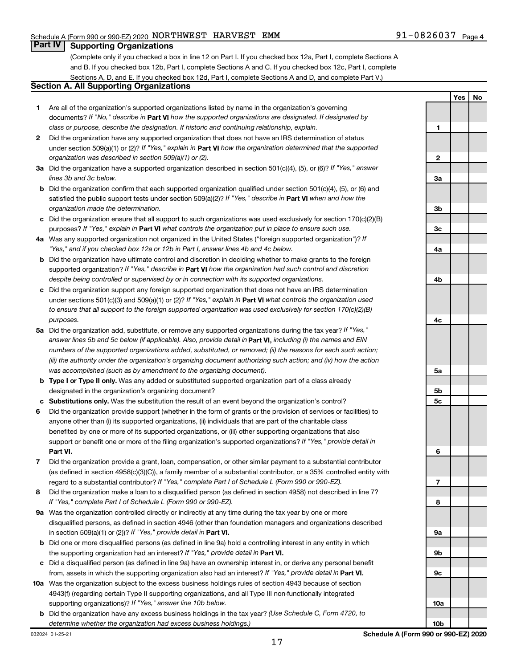**Yes No**

#### **Part IV Supporting Organizations**

(Complete only if you checked a box in line 12 on Part I. If you checked box 12a, Part I, complete Sections A and B. If you checked box 12b, Part I, complete Sections A and C. If you checked box 12c, Part I, complete Sections A, D, and E. If you checked box 12d, Part I, complete Sections A and D, and complete Part V.)

#### **Section A. All Supporting Organizations**

- **1** Are all of the organization's supported organizations listed by name in the organization's governing documents? If "No," describe in Part VI how the supported organizations are designated. If designated by *class or purpose, describe the designation. If historic and continuing relationship, explain.*
- **2** Did the organization have any supported organization that does not have an IRS determination of status under section 509(a)(1) or (2)? If "Yes," explain in Part **VI** how the organization determined that the supported *organization was described in section 509(a)(1) or (2).*
- **3a** Did the organization have a supported organization described in section 501(c)(4), (5), or (6)? If "Yes," answer *lines 3b and 3c below.*
- **b** Did the organization confirm that each supported organization qualified under section 501(c)(4), (5), or (6) and satisfied the public support tests under section 509(a)(2)? If "Yes," describe in Part VI when and how the *organization made the determination.*
- **c** Did the organization ensure that all support to such organizations was used exclusively for section 170(c)(2)(B) purposes? If "Yes," explain in Part VI what controls the organization put in place to ensure such use.
- **4 a** *If* Was any supported organization not organized in the United States ("foreign supported organization")? *"Yes," and if you checked box 12a or 12b in Part I, answer lines 4b and 4c below.*
- **b** Did the organization have ultimate control and discretion in deciding whether to make grants to the foreign supported organization? If "Yes," describe in Part VI how the organization had such control and discretion *despite being controlled or supervised by or in connection with its supported organizations.*
- **c** Did the organization support any foreign supported organization that does not have an IRS determination under sections 501(c)(3) and 509(a)(1) or (2)? If "Yes," explain in Part VI what controls the organization used *to ensure that all support to the foreign supported organization was used exclusively for section 170(c)(2)(B) purposes.*
- **5a** Did the organization add, substitute, or remove any supported organizations during the tax year? If "Yes," answer lines 5b and 5c below (if applicable). Also, provide detail in **Part VI,** including (i) the names and EIN *numbers of the supported organizations added, substituted, or removed; (ii) the reasons for each such action; (iii) the authority under the organization's organizing document authorizing such action; and (iv) how the action was accomplished (such as by amendment to the organizing document).*
- **b Type I or Type II only.** Was any added or substituted supported organization part of a class already designated in the organization's organizing document?
- **c Substitutions only.**  Was the substitution the result of an event beyond the organization's control?
- **6** Did the organization provide support (whether in the form of grants or the provision of services or facilities) to **Part VI.** support or benefit one or more of the filing organization's supported organizations? If "Yes," provide detail in anyone other than (i) its supported organizations, (ii) individuals that are part of the charitable class benefited by one or more of its supported organizations, or (iii) other supporting organizations that also
- **7** Did the organization provide a grant, loan, compensation, or other similar payment to a substantial contributor regard to a substantial contributor? If "Yes," complete Part I of Schedule L (Form 990 or 990-EZ). (as defined in section 4958(c)(3)(C)), a family member of a substantial contributor, or a 35% controlled entity with
- **8** Did the organization make a loan to a disqualified person (as defined in section 4958) not described in line 7? *If "Yes," complete Part I of Schedule L (Form 990 or 990-EZ).*
- **9 a** Was the organization controlled directly or indirectly at any time during the tax year by one or more in section 509(a)(1) or (2))? If "Yes," provide detail in **Part VI.** disqualified persons, as defined in section 4946 (other than foundation managers and organizations described
- **b** Did one or more disqualified persons (as defined in line 9a) hold a controlling interest in any entity in which the supporting organization had an interest? If "Yes," provide detail in Part VI.
- **c** Did a disqualified person (as defined in line 9a) have an ownership interest in, or derive any personal benefit from, assets in which the supporting organization also had an interest? If "Yes," provide detail in Part VI.
- **10 a** Was the organization subject to the excess business holdings rules of section 4943 because of section supporting organizations)? If "Yes," answer line 10b below. 4943(f) (regarding certain Type II supporting organizations, and all Type III non-functionally integrated
- **b** Did the organization have any excess business holdings in the tax year? (Use Schedule C, Form 4720, to *determine whether the organization had excess business holdings.)*

**1 2 3a 3b 3c 4a 4b 4c 5a 5b 5c 6 7 8 9a 9b 9c 10a**

**10b**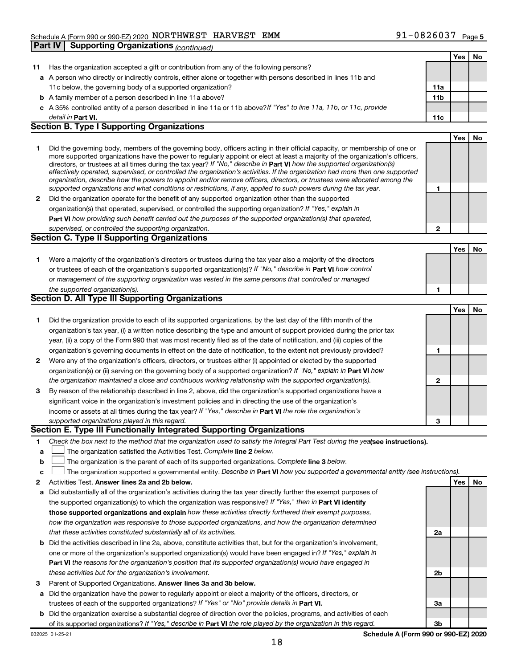|              | Part IV   Supporting Organizations (continued)                                                                                                                                                                                                                                                                                                                                                                                                                                                                                                                                                                                                                                                                                                                           |                 |     |    |
|--------------|--------------------------------------------------------------------------------------------------------------------------------------------------------------------------------------------------------------------------------------------------------------------------------------------------------------------------------------------------------------------------------------------------------------------------------------------------------------------------------------------------------------------------------------------------------------------------------------------------------------------------------------------------------------------------------------------------------------------------------------------------------------------------|-----------------|-----|----|
|              |                                                                                                                                                                                                                                                                                                                                                                                                                                                                                                                                                                                                                                                                                                                                                                          |                 | Yes | No |
| 11           | Has the organization accepted a gift or contribution from any of the following persons?                                                                                                                                                                                                                                                                                                                                                                                                                                                                                                                                                                                                                                                                                  |                 |     |    |
|              | a A person who directly or indirectly controls, either alone or together with persons described in lines 11b and                                                                                                                                                                                                                                                                                                                                                                                                                                                                                                                                                                                                                                                         |                 |     |    |
|              | 11c below, the governing body of a supported organization?                                                                                                                                                                                                                                                                                                                                                                                                                                                                                                                                                                                                                                                                                                               | 11a             |     |    |
|              | <b>b</b> A family member of a person described in line 11a above?                                                                                                                                                                                                                                                                                                                                                                                                                                                                                                                                                                                                                                                                                                        | 11 <sub>b</sub> |     |    |
|              | c A 35% controlled entity of a person described in line 11a or 11b above?If "Yes" to line 11a, 11b, or 11c, provide                                                                                                                                                                                                                                                                                                                                                                                                                                                                                                                                                                                                                                                      |                 |     |    |
|              | detail in Part VI.                                                                                                                                                                                                                                                                                                                                                                                                                                                                                                                                                                                                                                                                                                                                                       | 11c             |     |    |
|              | <b>Section B. Type I Supporting Organizations</b>                                                                                                                                                                                                                                                                                                                                                                                                                                                                                                                                                                                                                                                                                                                        |                 |     |    |
|              |                                                                                                                                                                                                                                                                                                                                                                                                                                                                                                                                                                                                                                                                                                                                                                          |                 | Yes | No |
| 1            | Did the governing body, members of the governing body, officers acting in their official capacity, or membership of one or<br>more supported organizations have the power to regularly appoint or elect at least a majority of the organization's officers,<br>directors, or trustees at all times during the tax year? If "No," describe in Part VI how the supported organization(s)<br>effectively operated, supervised, or controlled the organization's activities. If the organization had more than one supported<br>organization, describe how the powers to appoint and/or remove officers, directors, or trustees were allocated among the<br>supported organizations and what conditions or restrictions, if any, applied to such powers during the tax year. | 1               |     |    |
| $\mathbf{2}$ | Did the organization operate for the benefit of any supported organization other than the supported                                                                                                                                                                                                                                                                                                                                                                                                                                                                                                                                                                                                                                                                      |                 |     |    |
|              | organization(s) that operated, supervised, or controlled the supporting organization? If "Yes," explain in                                                                                                                                                                                                                                                                                                                                                                                                                                                                                                                                                                                                                                                               |                 |     |    |
|              | Part VI how providing such benefit carried out the purposes of the supported organization(s) that operated,                                                                                                                                                                                                                                                                                                                                                                                                                                                                                                                                                                                                                                                              |                 |     |    |
|              | supervised, or controlled the supporting organization.                                                                                                                                                                                                                                                                                                                                                                                                                                                                                                                                                                                                                                                                                                                   | $\mathbf{2}$    |     |    |
|              | <b>Section C. Type II Supporting Organizations</b>                                                                                                                                                                                                                                                                                                                                                                                                                                                                                                                                                                                                                                                                                                                       |                 |     |    |
|              |                                                                                                                                                                                                                                                                                                                                                                                                                                                                                                                                                                                                                                                                                                                                                                          |                 | Yes | No |
| 1.           | Were a majority of the organization's directors or trustees during the tax year also a majority of the directors                                                                                                                                                                                                                                                                                                                                                                                                                                                                                                                                                                                                                                                         |                 |     |    |
|              | or trustees of each of the organization's supported organization(s)? If "No," describe in Part VI how control                                                                                                                                                                                                                                                                                                                                                                                                                                                                                                                                                                                                                                                            |                 |     |    |
|              | or management of the supporting organization was vested in the same persons that controlled or managed                                                                                                                                                                                                                                                                                                                                                                                                                                                                                                                                                                                                                                                                   |                 |     |    |
|              | the supported organization(s).                                                                                                                                                                                                                                                                                                                                                                                                                                                                                                                                                                                                                                                                                                                                           | 1               |     |    |
|              | <b>Section D. All Type III Supporting Organizations</b>                                                                                                                                                                                                                                                                                                                                                                                                                                                                                                                                                                                                                                                                                                                  |                 |     |    |
|              |                                                                                                                                                                                                                                                                                                                                                                                                                                                                                                                                                                                                                                                                                                                                                                          |                 | Yes | No |
| 1            | Did the organization provide to each of its supported organizations, by the last day of the fifth month of the                                                                                                                                                                                                                                                                                                                                                                                                                                                                                                                                                                                                                                                           |                 |     |    |
|              | organization's tax year, (i) a written notice describing the type and amount of support provided during the prior tax                                                                                                                                                                                                                                                                                                                                                                                                                                                                                                                                                                                                                                                    |                 |     |    |
|              | year, (ii) a copy of the Form 990 that was most recently filed as of the date of notification, and (iii) copies of the                                                                                                                                                                                                                                                                                                                                                                                                                                                                                                                                                                                                                                                   |                 |     |    |
|              | organization's governing documents in effect on the date of notification, to the extent not previously provided?                                                                                                                                                                                                                                                                                                                                                                                                                                                                                                                                                                                                                                                         | 1               |     |    |
| $\mathbf{2}$ | Were any of the organization's officers, directors, or trustees either (i) appointed or elected by the supported                                                                                                                                                                                                                                                                                                                                                                                                                                                                                                                                                                                                                                                         |                 |     |    |
|              | organization(s) or (ii) serving on the governing body of a supported organization? If "No," explain in Part VI how                                                                                                                                                                                                                                                                                                                                                                                                                                                                                                                                                                                                                                                       |                 |     |    |
|              | the organization maintained a close and continuous working relationship with the supported organization(s).                                                                                                                                                                                                                                                                                                                                                                                                                                                                                                                                                                                                                                                              | $\mathbf{2}$    |     |    |
| 3            | By reason of the relationship described in line 2, above, did the organization's supported organizations have a                                                                                                                                                                                                                                                                                                                                                                                                                                                                                                                                                                                                                                                          |                 |     |    |
|              | significant voice in the organization's investment policies and in directing the use of the organization's                                                                                                                                                                                                                                                                                                                                                                                                                                                                                                                                                                                                                                                               |                 |     |    |
|              | income or assets at all times during the tax year? If "Yes," describe in Part VI the role the organization's                                                                                                                                                                                                                                                                                                                                                                                                                                                                                                                                                                                                                                                             |                 |     |    |
|              | supported organizations played in this regard.<br>Section E. Type III Functionally Integrated Supporting Organizations                                                                                                                                                                                                                                                                                                                                                                                                                                                                                                                                                                                                                                                   | 3               |     |    |
| 1            | Check the box next to the method that the organization used to satisfy the Integral Part Test during the yealsee instructions).                                                                                                                                                                                                                                                                                                                                                                                                                                                                                                                                                                                                                                          |                 |     |    |
| a            | The organization satisfied the Activities Test. Complete line 2 below.                                                                                                                                                                                                                                                                                                                                                                                                                                                                                                                                                                                                                                                                                                   |                 |     |    |
| b            | The organization is the parent of each of its supported organizations. Complete line 3 below.                                                                                                                                                                                                                                                                                                                                                                                                                                                                                                                                                                                                                                                                            |                 |     |    |
| c            | The organization supported a governmental entity. Describe in Part VI how you supported a governmental entity (see instructions).                                                                                                                                                                                                                                                                                                                                                                                                                                                                                                                                                                                                                                        |                 |     |    |
| 2            | Activities Test. Answer lines 2a and 2b below.                                                                                                                                                                                                                                                                                                                                                                                                                                                                                                                                                                                                                                                                                                                           |                 | Yes | No |
| а            | Did substantially all of the organization's activities during the tax year directly further the exempt purposes of                                                                                                                                                                                                                                                                                                                                                                                                                                                                                                                                                                                                                                                       |                 |     |    |
|              | the supported organization(s) to which the organization was responsive? If "Yes," then in Part VI identify                                                                                                                                                                                                                                                                                                                                                                                                                                                                                                                                                                                                                                                               |                 |     |    |
|              | those supported organizations and explain how these activities directly furthered their exempt purposes,                                                                                                                                                                                                                                                                                                                                                                                                                                                                                                                                                                                                                                                                 |                 |     |    |
|              | how the organization was responsive to those supported organizations, and how the organization determined                                                                                                                                                                                                                                                                                                                                                                                                                                                                                                                                                                                                                                                                |                 |     |    |
|              | that these activities constituted substantially all of its activities.                                                                                                                                                                                                                                                                                                                                                                                                                                                                                                                                                                                                                                                                                                   | 2a              |     |    |
| b            | Did the activities described in line 2a, above, constitute activities that, but for the organization's involvement,                                                                                                                                                                                                                                                                                                                                                                                                                                                                                                                                                                                                                                                      |                 |     |    |
|              | one or more of the organization's supported organization(s) would have been engaged in? If "Yes," explain in                                                                                                                                                                                                                                                                                                                                                                                                                                                                                                                                                                                                                                                             |                 |     |    |
|              | Part VI the reasons for the organization's position that its supported organization(s) would have engaged in                                                                                                                                                                                                                                                                                                                                                                                                                                                                                                                                                                                                                                                             |                 |     |    |
|              | these activities but for the organization's involvement.                                                                                                                                                                                                                                                                                                                                                                                                                                                                                                                                                                                                                                                                                                                 | 2b              |     |    |

- 3 Parent of Supported Organizations. Answer lines 3a and 3b below.
- **a** Did the organization have the power to regularly appoint or elect a majority of the officers, directors, or trustees of each of the supported organizations? If "Yes" or "No" provide details in Part VI.
- **b** Did the organization exercise a substantial degree of direction over the policies, programs, and activities of each of its supported organizations? If "Yes," describe in Part VI the role played by the organization in this regard.

**3a**

**3b**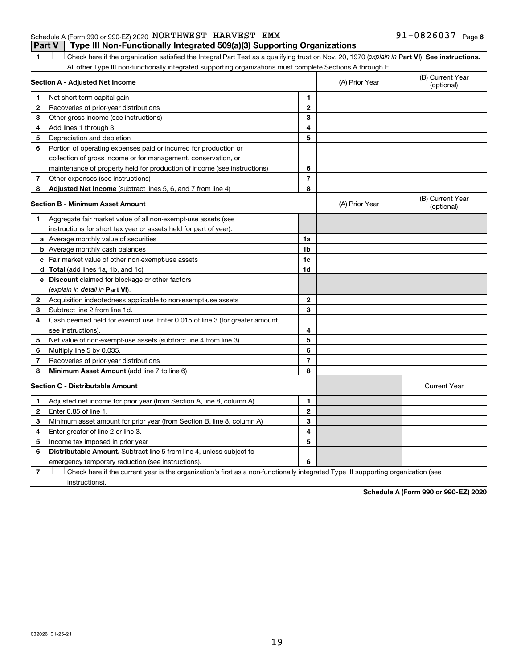#### Schedule A (Form 990 or 990-EZ) 2020 NORTHWEST HARVEST EMM  $91-0826037$  Page **Part V Type III Non-Functionally Integrated 509(a)(3) Supporting Organizations**

1 **Letter See instructions.** Check here if the organization satisfied the Integral Part Test as a qualifying trust on Nov. 20, 1970 (*explain in* Part **VI**). See instructions. All other Type III non-functionally integrated supporting organizations must complete Sections A through E.

|              | Section A - Adjusted Net Income                                             |                | (A) Prior Year | (B) Current Year<br>(optional) |
|--------------|-----------------------------------------------------------------------------|----------------|----------------|--------------------------------|
| 1            | Net short-term capital gain                                                 | 1              |                |                                |
| 2            | Recoveries of prior-year distributions                                      | $\mathbf{2}$   |                |                                |
| 3            | Other gross income (see instructions)                                       | 3              |                |                                |
| 4            | Add lines 1 through 3.                                                      | 4              |                |                                |
| 5            | Depreciation and depletion                                                  | 5              |                |                                |
| 6            | Portion of operating expenses paid or incurred for production or            |                |                |                                |
|              | collection of gross income or for management, conservation, or              |                |                |                                |
|              | maintenance of property held for production of income (see instructions)    | 6              |                |                                |
| 7            | Other expenses (see instructions)                                           | $\overline{7}$ |                |                                |
| 8            | Adjusted Net Income (subtract lines 5, 6, and 7 from line 4)                | 8              |                |                                |
|              | Section B - Minimum Asset Amount                                            |                | (A) Prior Year | (B) Current Year<br>(optional) |
| 1.           | Aggregate fair market value of all non-exempt-use assets (see               |                |                |                                |
|              | instructions for short tax year or assets held for part of year):           |                |                |                                |
|              | a Average monthly value of securities                                       | 1a             |                |                                |
|              | <b>b</b> Average monthly cash balances                                      | 1 <sub>b</sub> |                |                                |
|              | c Fair market value of other non-exempt-use assets                          | 1c             |                |                                |
|              | <b>d</b> Total (add lines 1a, 1b, and 1c)                                   | 1d             |                |                                |
|              | e Discount claimed for blockage or other factors                            |                |                |                                |
|              | (explain in detail in <b>Part VI</b> ):                                     |                |                |                                |
| $\mathbf{2}$ | Acquisition indebtedness applicable to non-exempt-use assets                | $\mathbf{2}$   |                |                                |
| 3            | Subtract line 2 from line 1d.                                               | 3              |                |                                |
| 4            | Cash deemed held for exempt use. Enter 0.015 of line 3 (for greater amount, |                |                |                                |
|              | see instructions).                                                          | 4              |                |                                |
| 5            | Net value of non-exempt-use assets (subtract line 4 from line 3)            | 5              |                |                                |
| 6            | Multiply line 5 by 0.035.                                                   | 6              |                |                                |
| 7            | Recoveries of prior-year distributions                                      | 7              |                |                                |
| 8            | Minimum Asset Amount (add line 7 to line 6)                                 | 8              |                |                                |
|              | <b>Section C - Distributable Amount</b>                                     |                |                | <b>Current Year</b>            |
| 1            | Adjusted net income for prior year (from Section A, line 8, column A)       | 1              |                |                                |
| $\mathbf{2}$ | Enter 0.85 of line 1.                                                       | $\mathbf{2}$   |                |                                |
| 3            | Minimum asset amount for prior year (from Section B, line 8, column A)      | 3              |                |                                |
| 4            | Enter greater of line 2 or line 3.                                          | 4              |                |                                |
| 5            | Income tax imposed in prior year                                            | 5              |                |                                |
| 6            | Distributable Amount. Subtract line 5 from line 4, unless subject to        |                |                |                                |
|              | emergency temporary reduction (see instructions).                           | 6              |                |                                |
|              |                                                                             |                |                |                                |

**7** Let Check here if the current year is the organization's first as a non-functionally integrated Type III supporting organization (see instructions).

**Schedule A (Form 990 or 990-EZ) 2020**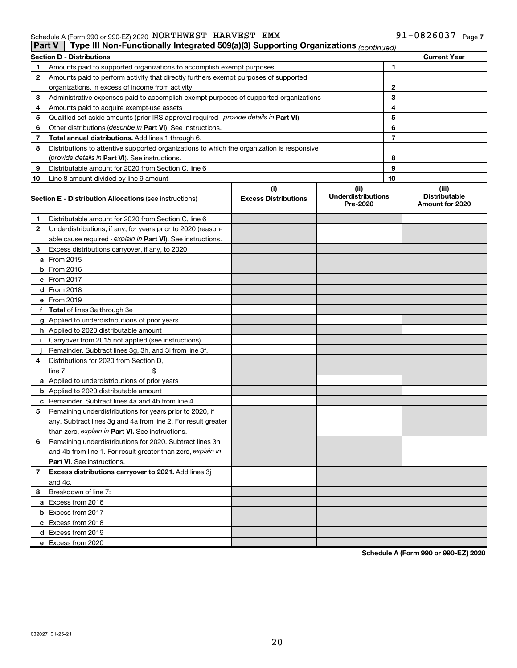#### $S$ chedule A (Form 990 or 990-EZ) 2020  $N$ OR'I HWES'I' HARVES'I' EMM NORTHWEST HARVEST EMM  $91-0826037$

|    | Type III Non-Functionally Integrated 509(a)(3) Supporting Organizations (continued)<br><b>Part V</b> |                             |                                       |    |                                         |  |
|----|------------------------------------------------------------------------------------------------------|-----------------------------|---------------------------------------|----|-----------------------------------------|--|
|    | <b>Section D - Distributions</b>                                                                     |                             |                                       |    | <b>Current Year</b>                     |  |
| 1  | Amounts paid to supported organizations to accomplish exempt purposes                                |                             |                                       |    |                                         |  |
| 2  | Amounts paid to perform activity that directly furthers exempt purposes of supported                 |                             |                                       |    |                                         |  |
|    | organizations, in excess of income from activity                                                     | 2                           |                                       |    |                                         |  |
| 3  | Administrative expenses paid to accomplish exempt purposes of supported organizations                |                             |                                       | 3  |                                         |  |
| 4  | Amounts paid to acquire exempt-use assets                                                            |                             |                                       | 4  |                                         |  |
| 5  | Qualified set-aside amounts (prior IRS approval required - provide details in Part VI)               |                             |                                       | 5  |                                         |  |
| 6  | Other distributions ( <i>describe in Part VI</i> ). See instructions.                                |                             |                                       | 6  |                                         |  |
| 7  | Total annual distributions. Add lines 1 through 6.                                                   |                             |                                       | 7  |                                         |  |
| 8  | Distributions to attentive supported organizations to which the organization is responsive           |                             |                                       |    |                                         |  |
|    | (provide details in Part VI). See instructions.                                                      |                             |                                       | 8  |                                         |  |
| 9  | Distributable amount for 2020 from Section C, line 6                                                 |                             |                                       | 9  |                                         |  |
| 10 | Line 8 amount divided by line 9 amount                                                               |                             |                                       | 10 |                                         |  |
|    |                                                                                                      | (i)                         | (ii)                                  |    | (iii)                                   |  |
|    | <b>Section E - Distribution Allocations (see instructions)</b>                                       | <b>Excess Distributions</b> | <b>Underdistributions</b><br>Pre-2020 |    | <b>Distributable</b><br>Amount for 2020 |  |
| 1  | Distributable amount for 2020 from Section C, line 6                                                 |                             |                                       |    |                                         |  |
| 2  | Underdistributions, if any, for years prior to 2020 (reason-                                         |                             |                                       |    |                                         |  |
|    | able cause required - explain in Part VI). See instructions.                                         |                             |                                       |    |                                         |  |
| 3  | Excess distributions carryover, if any, to 2020                                                      |                             |                                       |    |                                         |  |
|    | a From 2015                                                                                          |                             |                                       |    |                                         |  |
|    | <b>b</b> From 2016                                                                                   |                             |                                       |    |                                         |  |
|    | c From 2017                                                                                          |                             |                                       |    |                                         |  |
|    | d From 2018                                                                                          |                             |                                       |    |                                         |  |
|    | e From 2019                                                                                          |                             |                                       |    |                                         |  |
|    | f Total of lines 3a through 3e                                                                       |                             |                                       |    |                                         |  |
|    | g Applied to underdistributions of prior years                                                       |                             |                                       |    |                                         |  |
|    | <b>h</b> Applied to 2020 distributable amount                                                        |                             |                                       |    |                                         |  |
| Ť. | Carryover from 2015 not applied (see instructions)                                                   |                             |                                       |    |                                         |  |
|    | Remainder. Subtract lines 3g, 3h, and 3i from line 3f.                                               |                             |                                       |    |                                         |  |
| 4  | Distributions for 2020 from Section D,                                                               |                             |                                       |    |                                         |  |
|    | line $7:$                                                                                            |                             |                                       |    |                                         |  |
|    | a Applied to underdistributions of prior years                                                       |                             |                                       |    |                                         |  |
|    | <b>b</b> Applied to 2020 distributable amount                                                        |                             |                                       |    |                                         |  |
|    | c Remainder. Subtract lines 4a and 4b from line 4.                                                   |                             |                                       |    |                                         |  |
| 5  | Remaining underdistributions for years prior to 2020, if                                             |                             |                                       |    |                                         |  |
|    | any. Subtract lines 3g and 4a from line 2. For result greater                                        |                             |                                       |    |                                         |  |
|    | than zero, explain in Part VI. See instructions.                                                     |                             |                                       |    |                                         |  |
| 6  | Remaining underdistributions for 2020. Subtract lines 3h                                             |                             |                                       |    |                                         |  |
|    | and 4b from line 1. For result greater than zero, explain in                                         |                             |                                       |    |                                         |  |
|    | <b>Part VI.</b> See instructions.                                                                    |                             |                                       |    |                                         |  |
| 7  | Excess distributions carryover to 2021. Add lines 3j                                                 |                             |                                       |    |                                         |  |
|    | and 4c.                                                                                              |                             |                                       |    |                                         |  |
| 8  | Breakdown of line 7:                                                                                 |                             |                                       |    |                                         |  |
|    | a Excess from 2016                                                                                   |                             |                                       |    |                                         |  |
|    | <b>b</b> Excess from 2017                                                                            |                             |                                       |    |                                         |  |
|    | c Excess from 2018                                                                                   |                             |                                       |    |                                         |  |
|    | d Excess from 2019                                                                                   |                             |                                       |    |                                         |  |
|    | e Excess from 2020                                                                                   |                             |                                       |    |                                         |  |

**Schedule A (Form 990 or 990-EZ) 2020**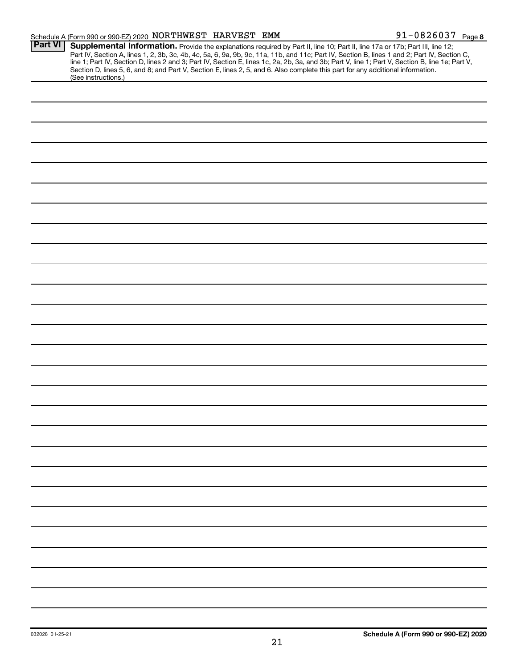|                | SCIEDING HOME AND THE SOLUTION OF SCIENCE AND THE SCIENCE OF SCIENCE AND THE SCIENCE OF SCIENCE AND THE SCIENCE<br><u>Ji doliddi rayed</u>                                                                                                                                                                                                                                                                                                                                                                                                                           |  |  |  |
|----------------|----------------------------------------------------------------------------------------------------------------------------------------------------------------------------------------------------------------------------------------------------------------------------------------------------------------------------------------------------------------------------------------------------------------------------------------------------------------------------------------------------------------------------------------------------------------------|--|--|--|
| <b>Part VI</b> | Supplemental Information. Provide the explanations required by Part II, line 10; Part II, line 17a or 17b; Part III, line 12;<br>Part IV, Section A, lines 1, 2, 3b, 3c, 4b, 4c, 5a, 6, 9a, 9b, 9c, 11a, 11b, and 11c; Part IV, Section B, lines 1 and 2; Part IV, Section C,<br>line 1; Part IV, Section D, lines 2 and 3; Part IV, Section E, lines 1c, 2a, 2b, 3a, and 3b; Part V, line 1; Part V, Section B, line 1e; Part V,<br>Section D, lines 5, 6, and 8; and Part V, Section E, lines 2, 5, and 6. Also complete this part for any additional information. |  |  |  |
|                | (See instructions.)                                                                                                                                                                                                                                                                                                                                                                                                                                                                                                                                                  |  |  |  |
|                |                                                                                                                                                                                                                                                                                                                                                                                                                                                                                                                                                                      |  |  |  |
|                |                                                                                                                                                                                                                                                                                                                                                                                                                                                                                                                                                                      |  |  |  |
|                |                                                                                                                                                                                                                                                                                                                                                                                                                                                                                                                                                                      |  |  |  |
|                |                                                                                                                                                                                                                                                                                                                                                                                                                                                                                                                                                                      |  |  |  |
|                |                                                                                                                                                                                                                                                                                                                                                                                                                                                                                                                                                                      |  |  |  |
|                |                                                                                                                                                                                                                                                                                                                                                                                                                                                                                                                                                                      |  |  |  |
|                |                                                                                                                                                                                                                                                                                                                                                                                                                                                                                                                                                                      |  |  |  |
|                |                                                                                                                                                                                                                                                                                                                                                                                                                                                                                                                                                                      |  |  |  |
|                |                                                                                                                                                                                                                                                                                                                                                                                                                                                                                                                                                                      |  |  |  |
|                |                                                                                                                                                                                                                                                                                                                                                                                                                                                                                                                                                                      |  |  |  |
|                |                                                                                                                                                                                                                                                                                                                                                                                                                                                                                                                                                                      |  |  |  |
|                |                                                                                                                                                                                                                                                                                                                                                                                                                                                                                                                                                                      |  |  |  |
|                |                                                                                                                                                                                                                                                                                                                                                                                                                                                                                                                                                                      |  |  |  |
|                |                                                                                                                                                                                                                                                                                                                                                                                                                                                                                                                                                                      |  |  |  |
|                |                                                                                                                                                                                                                                                                                                                                                                                                                                                                                                                                                                      |  |  |  |
|                |                                                                                                                                                                                                                                                                                                                                                                                                                                                                                                                                                                      |  |  |  |
|                |                                                                                                                                                                                                                                                                                                                                                                                                                                                                                                                                                                      |  |  |  |
|                |                                                                                                                                                                                                                                                                                                                                                                                                                                                                                                                                                                      |  |  |  |
|                |                                                                                                                                                                                                                                                                                                                                                                                                                                                                                                                                                                      |  |  |  |
|                |                                                                                                                                                                                                                                                                                                                                                                                                                                                                                                                                                                      |  |  |  |
|                |                                                                                                                                                                                                                                                                                                                                                                                                                                                                                                                                                                      |  |  |  |
|                |                                                                                                                                                                                                                                                                                                                                                                                                                                                                                                                                                                      |  |  |  |
|                |                                                                                                                                                                                                                                                                                                                                                                                                                                                                                                                                                                      |  |  |  |
|                |                                                                                                                                                                                                                                                                                                                                                                                                                                                                                                                                                                      |  |  |  |
|                |                                                                                                                                                                                                                                                                                                                                                                                                                                                                                                                                                                      |  |  |  |
|                |                                                                                                                                                                                                                                                                                                                                                                                                                                                                                                                                                                      |  |  |  |
|                |                                                                                                                                                                                                                                                                                                                                                                                                                                                                                                                                                                      |  |  |  |
|                |                                                                                                                                                                                                                                                                                                                                                                                                                                                                                                                                                                      |  |  |  |
|                |                                                                                                                                                                                                                                                                                                                                                                                                                                                                                                                                                                      |  |  |  |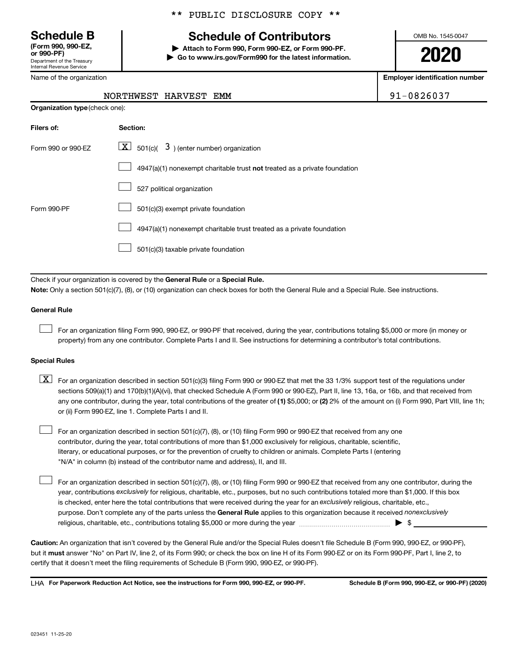Department of the Treasury Internal Revenue Service **(Form 990, 990-EZ,**

Name of the organization

#### \*\* PUBLIC DISCLOSURE COPY \*\*

# **Schedule B Schedule of Contributors**

**or 990-PF) | Attach to Form 990, Form 990-EZ, or Form 990-PF. | Go to www.irs.gov/Form990 for the latest information.** OMB No. 1545-0047

**2020**

**Employer identification number**

|  | 1-0826037 |
|--|-----------|
|  |           |

| NORTHWEST HARVEST EMM |  | 91-0826037 |
|-----------------------|--|------------|
|                       |  |            |

| <b>Organization type (check one):</b> |                                                                           |  |  |  |  |
|---------------------------------------|---------------------------------------------------------------------------|--|--|--|--|
| Filers of:                            | Section:                                                                  |  |  |  |  |
| Form 990 or 990-EZ                    | $ \mathbf{X} $ 501(c)( 3) (enter number) organization                     |  |  |  |  |
|                                       | 4947(a)(1) nonexempt charitable trust not treated as a private foundation |  |  |  |  |
|                                       | 527 political organization                                                |  |  |  |  |
| Form 990-PF                           | 501(c)(3) exempt private foundation                                       |  |  |  |  |
|                                       | 4947(a)(1) nonexempt charitable trust treated as a private foundation     |  |  |  |  |
|                                       | 501(c)(3) taxable private foundation                                      |  |  |  |  |

Check if your organization is covered by the General Rule or a Special Rule.

**Note:**  Only a section 501(c)(7), (8), or (10) organization can check boxes for both the General Rule and a Special Rule. See instructions.

#### **General Rule**

 $\Box$ 

 $\Box$ 

For an organization filing Form 990, 990-EZ, or 990-PF that received, during the year, contributions totaling \$5,000 or more (in money or property) from any one contributor. Complete Parts I and II. See instructions for determining a contributor's total contributions.

#### **Special Rules**

any one contributor, during the year, total contributions of the greater of (1) \$5,000; or (2) 2% of the amount on (i) Form 990, Part VIII, line 1h;  $\boxed{\text{X}}$  For an organization described in section 501(c)(3) filing Form 990 or 990-EZ that met the 33 1/3% support test of the regulations under sections 509(a)(1) and 170(b)(1)(A)(vi), that checked Schedule A (Form 990 or 990-EZ), Part II, line 13, 16a, or 16b, and that received from or (ii) Form 990-EZ, line 1. Complete Parts I and II.

For an organization described in section 501(c)(7), (8), or (10) filing Form 990 or 990-EZ that received from any one contributor, during the year, total contributions of more than \$1,000 exclusively for religious, charitable, scientific, literary, or educational purposes, or for the prevention of cruelty to children or animals. Complete Parts I (entering "N/A" in column (b) instead of the contributor name and address), II, and III.  $\Box$ 

purpose. Don't complete any of the parts unless the General Rule applies to this organization because it received nonexclusively year, contributions exclusively for religious, charitable, etc., purposes, but no such contributions totaled more than \$1,000. If this box is checked, enter here the total contributions that were received during the year for an exclusively religious, charitable, etc., For an organization described in section 501(c)(7), (8), or (10) filing Form 990 or 990-EZ that received from any one contributor, during the religious, charitable, etc., contributions totaling \$5,000 or more during the year  $~\ldots\ldots\ldots\ldots\ldots\ldots\ldots\ldots\blacktriangleright~$ \$

**Caution:**  An organization that isn't covered by the General Rule and/or the Special Rules doesn't file Schedule B (Form 990, 990-EZ, or 990-PF),  **must** but it answer "No" on Part IV, line 2, of its Form 990; or check the box on line H of its Form 990-EZ or on its Form 990-PF, Part I, line 2, to certify that it doesn't meet the filing requirements of Schedule B (Form 990, 990-EZ, or 990-PF).

**For Paperwork Reduction Act Notice, see the instructions for Form 990, 990-EZ, or 990-PF. Schedule B (Form 990, 990-EZ, or 990-PF) (2020)** LHA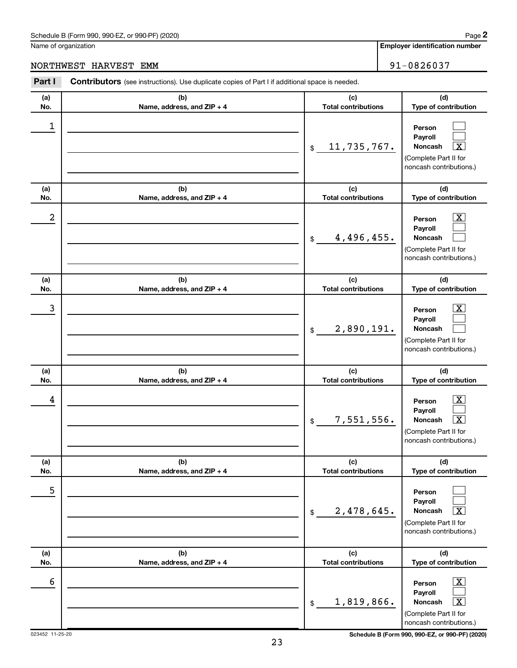#### Schedule B (Form 990, 990-EZ, or 990-PF) (2020)

Name of organization

**Employer identification number 2**

# NORTHWEST HARVEST EMM 31-0826037

| Part I     | <b>Contributors</b> (see instructions). Use duplicate copies of Part I if additional space is needed. |                                                  |                                                                                                                                                                       |  |  |
|------------|-------------------------------------------------------------------------------------------------------|--------------------------------------------------|-----------------------------------------------------------------------------------------------------------------------------------------------------------------------|--|--|
| (a)        | (b)                                                                                                   | (c)                                              | (d)                                                                                                                                                                   |  |  |
| No.        | Name, address, and ZIP + 4                                                                            | <b>Total contributions</b>                       | Type of contribution                                                                                                                                                  |  |  |
| 1          |                                                                                                       | 11,735,767.<br>$\$\$                             | Person<br>Payroll<br>Noncash<br>х<br>(Complete Part II for<br>noncash contributions.)                                                                                 |  |  |
| (a)        | (b)                                                                                                   | (c)<br><b>Total contributions</b>                | (d)                                                                                                                                                                   |  |  |
| No.        | Name, address, and ZIP + 4                                                                            |                                                  | Type of contribution                                                                                                                                                  |  |  |
| 2          |                                                                                                       | 4,496,455.<br>$\$\$                              | $\overline{\mathbf{x}}$<br>Person<br>Payroll<br>Noncash<br>(Complete Part II for<br>noncash contributions.)                                                           |  |  |
| (a)        | (b)                                                                                                   | (c)                                              | (d)                                                                                                                                                                   |  |  |
| No.        | Name, address, and ZIP + 4                                                                            | <b>Total contributions</b>                       | Type of contribution                                                                                                                                                  |  |  |
| 3          |                                                                                                       | 2,890,191.<br>$\$\$                              | $\overline{\text{X}}$<br>Person<br>Payroll<br>Noncash<br>(Complete Part II for<br>noncash contributions.)                                                             |  |  |
| (a)        | (b)                                                                                                   | (c)                                              | (d)                                                                                                                                                                   |  |  |
| No.<br>4   | Name, address, and ZIP + 4                                                                            | <b>Total contributions</b><br>7,551,556.<br>$\$$ | Type of contribution<br>$\overline{\mathbf{X}}$<br>Person<br>Payroll<br>$\overline{\mathbf{x}}$<br><b>Noncash</b><br>(Complete Part II for<br>noncash contributions.) |  |  |
| (a)<br>No. | (b)<br>Name, address, and ZIP + 4                                                                     | (c)<br><b>Total contributions</b>                | (d)<br>Type of contribution                                                                                                                                           |  |  |
| 5          |                                                                                                       | 2,478,645.<br>\$                                 | Person<br>Payroll<br>Noncash<br>х<br>(Complete Part II for<br>noncash contributions.)                                                                                 |  |  |
| (a)        | (b)<br>Name, address, and ZIP + 4                                                                     | (c)<br><b>Total contributions</b>                | (d)<br>Type of contribution                                                                                                                                           |  |  |
| No.<br>6   |                                                                                                       | 1,819,866.<br>\$                                 | $\overline{\mathbf{X}}$<br>Person<br>Payroll<br>$\overline{\textbf{X}}$<br>Noncash<br>(Complete Part II for<br>noncash contributions.)                                |  |  |

023452 11-25-20 **Schedule B (Form 990, 990-EZ, or 990-PF) (2020)**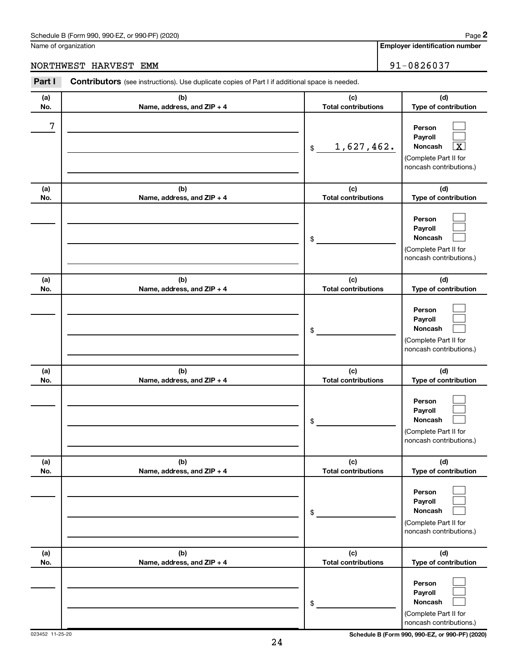#### Schedule B (Form 990, 990-EZ, or 990-PF) (2020)

Name of organization

**Employer identification number**

# NORTHWEST HARVEST EMM 31-0826037

| Part I     | <b>Contributors</b> (see instructions). Use duplicate copies of Part I if additional space is needed. |                                   |                                                                                                             |
|------------|-------------------------------------------------------------------------------------------------------|-----------------------------------|-------------------------------------------------------------------------------------------------------------|
| (a)<br>No. | (b)<br>Name, address, and ZIP + 4                                                                     | (c)<br><b>Total contributions</b> | (d)<br>Type of contribution                                                                                 |
| 7          |                                                                                                       | 1,627,462.<br>\$                  | Person<br>Payroll<br>$\overline{\textbf{x}}$<br>Noncash<br>(Complete Part II for<br>noncash contributions.) |
| (a)<br>No. | (b)<br>Name, address, and ZIP + 4                                                                     | (c)<br><b>Total contributions</b> | (d)<br>Type of contribution                                                                                 |
|            |                                                                                                       | \$                                | Person<br>Payroll<br>Noncash<br>(Complete Part II for<br>noncash contributions.)                            |
| (a)<br>No. | (b)<br>Name, address, and ZIP + 4                                                                     | (c)<br><b>Total contributions</b> | (d)<br>Type of contribution                                                                                 |
|            |                                                                                                       | \$                                | Person<br>Payroll<br>Noncash<br>(Complete Part II for<br>noncash contributions.)                            |
| (a)<br>No. | (b)<br>Name, address, and ZIP + 4                                                                     | (c)<br><b>Total contributions</b> | (d)<br>Type of contribution                                                                                 |
|            |                                                                                                       | \$                                | Person<br>Payroll<br>Noncash<br>(Complete Part II for<br>noncash contributions.)                            |
| (a)<br>No. | (b)<br>Name, address, and ZIP + 4                                                                     | (c)<br><b>Total contributions</b> | (d)<br>Type of contribution                                                                                 |
|            |                                                                                                       | \$                                | Person<br>Payroll<br>Noncash<br>(Complete Part II for<br>noncash contributions.)                            |
| (a)<br>No. | (b)<br>Name, address, and ZIP + 4                                                                     | (c)<br><b>Total contributions</b> | (d)<br>Type of contribution                                                                                 |
|            |                                                                                                       | \$                                | Person<br>Payroll<br>Noncash<br>(Complete Part II for<br>noncash contributions.)                            |

023452 11-25-20 **Schedule B (Form 990, 990-EZ, or 990-PF) (2020)**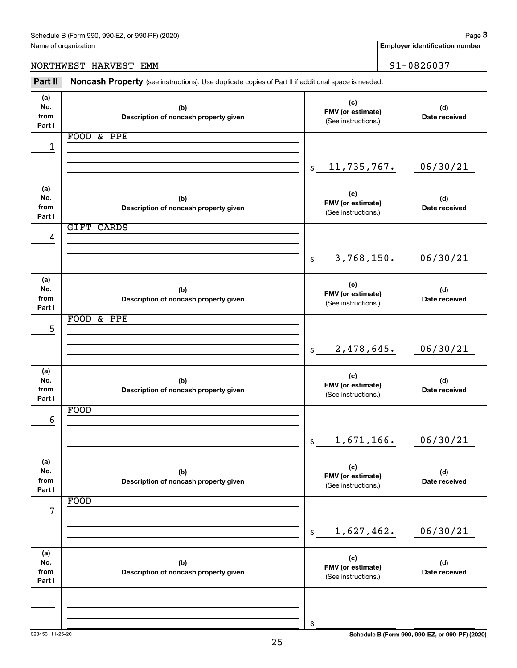| Schedule B (Form 990, 990-EZ, or 990-PF) (2020) | Paɑe |
|-------------------------------------------------|------|
|-------------------------------------------------|------|

Name of organization

**Employer identification number**

NORTHWEST HARVEST EMM 91-0826037

Part II Noncash Property (see instructions). Use duplicate copies of Part II if additional space is needed.

| (a)<br>No.<br>from<br>Part I | (b)<br>Description of noncash property given | (c)<br>FMV (or estimate)<br>(See instructions.) | (d)<br>Date received |
|------------------------------|----------------------------------------------|-------------------------------------------------|----------------------|
|                              | FOOD & PPE                                   |                                                 |                      |
| 1                            |                                              |                                                 |                      |
|                              |                                              |                                                 |                      |
|                              |                                              | 11,735,767.<br>\$                               | 06/30/21             |
|                              |                                              |                                                 |                      |
|                              |                                              |                                                 |                      |
| (a)                          |                                              | (c)                                             |                      |
| No.                          | (b)                                          | FMV (or estimate)                               | (d)                  |
| from                         | Description of noncash property given        | (See instructions.)                             | Date received        |
| Part I                       |                                              |                                                 |                      |
|                              | <b>GIFT CARDS</b>                            |                                                 |                      |
| 4                            |                                              |                                                 |                      |
|                              |                                              |                                                 |                      |
|                              |                                              | 3,768,150.<br>$\frac{1}{2}$                     | 06/30/21             |
|                              |                                              |                                                 |                      |
|                              |                                              |                                                 |                      |
| (a)                          |                                              | (c)                                             |                      |
| No.                          | (b)                                          | FMV (or estimate)                               | (d)                  |
| from                         | Description of noncash property given        | (See instructions.)                             | Date received        |
| Part I                       |                                              |                                                 |                      |
|                              | FOOD & PPE                                   |                                                 |                      |
| 5                            |                                              |                                                 |                      |
|                              |                                              |                                                 |                      |
|                              |                                              | 2,478,645.<br>\$                                | 06/30/21             |
|                              |                                              |                                                 |                      |
|                              |                                              |                                                 |                      |
| (a)<br>No.                   |                                              | (c)                                             |                      |
|                              | (b)                                          | FMV (or estimate)                               | (d)                  |
| from                         | Description of noncash property given        | (See instructions.)                             | Date received        |
| Part I                       |                                              |                                                 |                      |
|                              | FOOD                                         |                                                 |                      |
| 6                            |                                              |                                                 |                      |
|                              |                                              |                                                 |                      |
|                              |                                              | 1,671,166.<br>$\mathfrak{S}$                    | 06/30/21             |
|                              |                                              |                                                 |                      |
| (a)                          |                                              |                                                 |                      |
| No.                          | (b)                                          | (c)                                             | (d)                  |
| from                         | Description of noncash property given        | FMV (or estimate)                               | Date received        |
| Part I                       |                                              | (See instructions.)                             |                      |
|                              | FOOD                                         |                                                 |                      |
| 7                            |                                              |                                                 |                      |
|                              |                                              |                                                 |                      |
|                              |                                              |                                                 |                      |
|                              |                                              | 1,627,462.<br>\$                                | 06/30/21             |
|                              |                                              |                                                 |                      |
| (a)                          |                                              |                                                 |                      |
| No.                          | (b)                                          | (c)                                             | (d)                  |
| from                         | Description of noncash property given        | FMV (or estimate)                               | Date received        |
| Part I                       |                                              | (See instructions.)                             |                      |
|                              |                                              |                                                 |                      |
|                              |                                              |                                                 |                      |
|                              |                                              |                                                 |                      |
|                              |                                              | \$                                              |                      |
|                              |                                              |                                                 |                      |

023453 11-25-20 **Schedule B (Form 990, 990-EZ, or 990-PF) (2020)**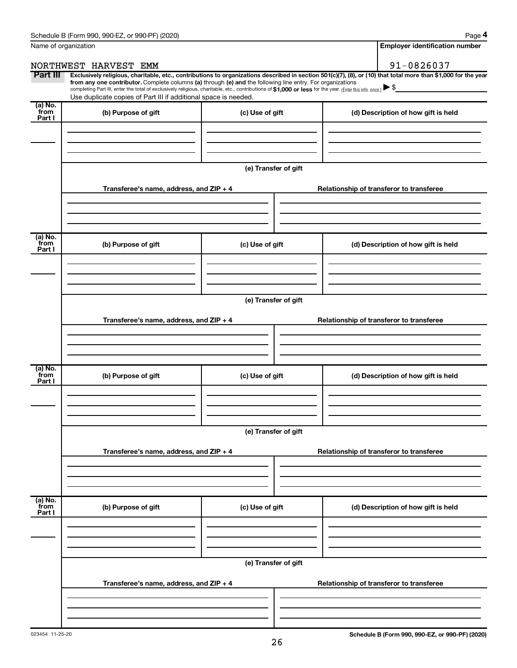| Name of organization        |                                                                                                                                                                                                                                                                                                                                                                    |                      | <b>Employer identification number</b>                                                                                                                          |  |  |  |
|-----------------------------|--------------------------------------------------------------------------------------------------------------------------------------------------------------------------------------------------------------------------------------------------------------------------------------------------------------------------------------------------------------------|----------------------|----------------------------------------------------------------------------------------------------------------------------------------------------------------|--|--|--|
|                             | NORTHWEST HARVEST EMM                                                                                                                                                                                                                                                                                                                                              |                      | 91-0826037                                                                                                                                                     |  |  |  |
| Part III                    | from any one contributor. Complete columns (a) through (e) and the following line entry. For organizations<br>completing Part III, enter the total of exclusively religious, charitable, etc., contributions of \$1,000 or less for the year. (Enter this info. once.) $\blacktriangleright$ \$<br>Use duplicate copies of Part III if additional space is needed. |                      | Exclusively religious, charitable, etc., contributions to organizations described in section 501(c)(7), (8), or (10) that total more than \$1,000 for the year |  |  |  |
| (a) No.<br>from<br>Part I   | (b) Purpose of gift                                                                                                                                                                                                                                                                                                                                                | (c) Use of gift      | (d) Description of how gift is held                                                                                                                            |  |  |  |
|                             |                                                                                                                                                                                                                                                                                                                                                                    | (e) Transfer of gift |                                                                                                                                                                |  |  |  |
|                             | Transferee's name, address, and $ZIP + 4$                                                                                                                                                                                                                                                                                                                          |                      | Relationship of transferor to transferee                                                                                                                       |  |  |  |
| (a) No.<br>from<br>Part I   | (b) Purpose of gift                                                                                                                                                                                                                                                                                                                                                | (c) Use of gift      | (d) Description of how gift is held                                                                                                                            |  |  |  |
|                             | Transferee's name, address, and $ZIP + 4$                                                                                                                                                                                                                                                                                                                          | (e) Transfer of gift | Relationship of transferor to transferee                                                                                                                       |  |  |  |
| $(a)$ No.<br>from<br>Part I | (b) Purpose of gift                                                                                                                                                                                                                                                                                                                                                | (c) Use of gift      | (d) Description of how gift is held                                                                                                                            |  |  |  |
|                             |                                                                                                                                                                                                                                                                                                                                                                    |                      |                                                                                                                                                                |  |  |  |
|                             | Transferee's name, address, and $ZIP + 4$                                                                                                                                                                                                                                                                                                                          | (e) Transfer of gift | Relationship of transferor to transferee                                                                                                                       |  |  |  |
|                             |                                                                                                                                                                                                                                                                                                                                                                    |                      |                                                                                                                                                                |  |  |  |
| (a) No.<br>from<br>Part I   | (b) Purpose of gift                                                                                                                                                                                                                                                                                                                                                | (c) Use of gift      | (d) Description of how gift is held                                                                                                                            |  |  |  |
|                             |                                                                                                                                                                                                                                                                                                                                                                    |                      |                                                                                                                                                                |  |  |  |
|                             | (e) Transfer of gift                                                                                                                                                                                                                                                                                                                                               |                      |                                                                                                                                                                |  |  |  |
|                             | Transferee's name, address, and ZIP + 4                                                                                                                                                                                                                                                                                                                            |                      | Relationship of transferor to transferee                                                                                                                       |  |  |  |
|                             |                                                                                                                                                                                                                                                                                                                                                                    |                      |                                                                                                                                                                |  |  |  |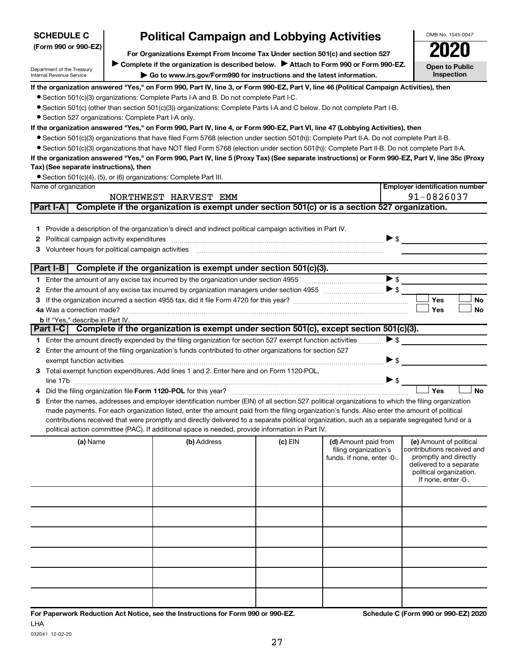| (Form 990 or 990-EZ)<br>For Organizations Exempt From Income Tax Under section 501(c) and section 527                                   |                                                                                                                                         |                                                                                                                                                                                                                                                                                               |           |                            |                          |                                                    |  |  |
|-----------------------------------------------------------------------------------------------------------------------------------------|-----------------------------------------------------------------------------------------------------------------------------------------|-----------------------------------------------------------------------------------------------------------------------------------------------------------------------------------------------------------------------------------------------------------------------------------------------|-----------|----------------------------|--------------------------|----------------------------------------------------|--|--|
| Complete if the organization is described below.<br>Attach to Form 990 or Form 990-EZ.                                                  |                                                                                                                                         |                                                                                                                                                                                                                                                                                               |           |                            |                          | Open to Public                                     |  |  |
| Department of the Treasury<br>Go to www.irs.gov/Form990 for instructions and the latest information.<br><b>Internal Revenue Service</b> |                                                                                                                                         |                                                                                                                                                                                                                                                                                               |           |                            |                          | Inspection                                         |  |  |
|                                                                                                                                         | If the organization answered "Yes," on Form 990, Part IV, line 3, or Form 990-EZ, Part V, line 46 (Political Campaign Activities), then |                                                                                                                                                                                                                                                                                               |           |                            |                          |                                                    |  |  |
|                                                                                                                                         |                                                                                                                                         | • Section 501(c)(3) organizations: Complete Parts I-A and B. Do not complete Part I-C.                                                                                                                                                                                                        |           |                            |                          |                                                    |  |  |
|                                                                                                                                         |                                                                                                                                         | ● Section 501(c) (other than section 501(c)(3)) organizations: Complete Parts I-A and C below. Do not complete Part I-B.                                                                                                                                                                      |           |                            |                          |                                                    |  |  |
| • Section 527 organizations: Complete Part I-A only.                                                                                    |                                                                                                                                         |                                                                                                                                                                                                                                                                                               |           |                            |                          |                                                    |  |  |
|                                                                                                                                         |                                                                                                                                         | If the organization answered "Yes," on Form 990, Part IV, line 4, or Form 990-EZ, Part VI, line 47 (Lobbying Activities), then                                                                                                                                                                |           |                            |                          |                                                    |  |  |
|                                                                                                                                         |                                                                                                                                         | ● Section 501(c)(3) organizations that have filed Form 5768 (election under section 501(h)): Complete Part II-A. Do not complete Part II-B.                                                                                                                                                   |           |                            |                          |                                                    |  |  |
|                                                                                                                                         |                                                                                                                                         | • Section 501(c)(3) organizations that have NOT filed Form 5768 (election under section 501(h)): Complete Part II-B. Do not complete Part II-A.                                                                                                                                               |           |                            |                          |                                                    |  |  |
|                                                                                                                                         |                                                                                                                                         | If the organization answered "Yes," on Form 990, Part IV, line 5 (Proxy Tax) (See separate instructions) or Form 990-EZ, Part V, line 35c (Proxy                                                                                                                                              |           |                            |                          |                                                    |  |  |
| Tax) (See separate instructions), then                                                                                                  |                                                                                                                                         |                                                                                                                                                                                                                                                                                               |           |                            |                          |                                                    |  |  |
|                                                                                                                                         |                                                                                                                                         | • Section 501(c)(4), (5), or (6) organizations: Complete Part III.                                                                                                                                                                                                                            |           |                            |                          |                                                    |  |  |
| Name of organization                                                                                                                    |                                                                                                                                         |                                                                                                                                                                                                                                                                                               |           |                            |                          | <b>Employer identification number</b>              |  |  |
|                                                                                                                                         |                                                                                                                                         | NORTHWEST HARVEST EMM                                                                                                                                                                                                                                                                         |           |                            |                          | 91-0826037                                         |  |  |
| Part I-A                                                                                                                                |                                                                                                                                         | Complete if the organization is exempt under section 501(c) or is a section 527 organization.                                                                                                                                                                                                 |           |                            |                          |                                                    |  |  |
|                                                                                                                                         |                                                                                                                                         |                                                                                                                                                                                                                                                                                               |           |                            |                          |                                                    |  |  |
|                                                                                                                                         |                                                                                                                                         | 1 Provide a description of the organization's direct and indirect political campaign activities in Part IV.                                                                                                                                                                                   |           |                            |                          |                                                    |  |  |
| 2                                                                                                                                       |                                                                                                                                         | Political campaign activity expenditures [11] matter contract to the contract of the contract of the contract of the contract of the contract of the contract of the contract of the contract of the contract of the contract                                                                 |           |                            | $\triangleright$ \$      |                                                    |  |  |
| З                                                                                                                                       |                                                                                                                                         | Volunteer hours for political campaign activities [11] [12] Martin Martin Martin Martin Martin Martin Martin Martin Martin Martin Martin Martin Martin Martin Martin Martin Martin Martin Martin Martin Martin Martin Martin M                                                                |           |                            |                          |                                                    |  |  |
| Part I-B                                                                                                                                |                                                                                                                                         | Complete if the organization is exempt under section 501(c)(3).                                                                                                                                                                                                                               |           |                            |                          |                                                    |  |  |
|                                                                                                                                         |                                                                                                                                         |                                                                                                                                                                                                                                                                                               |           |                            | $\triangleright$ s       |                                                    |  |  |
| 2                                                                                                                                       |                                                                                                                                         | Enter the amount of any excise tax incurred by organization managers under section 4955 [1001] [1001] \$                                                                                                                                                                                      |           |                            |                          |                                                    |  |  |
| З                                                                                                                                       |                                                                                                                                         |                                                                                                                                                                                                                                                                                               |           |                            |                          | Yes<br><b>No</b>                                   |  |  |
|                                                                                                                                         |                                                                                                                                         |                                                                                                                                                                                                                                                                                               |           |                            |                          | Yes<br><b>No</b>                                   |  |  |
| <b>b</b> If "Yes," describe in Part IV.                                                                                                 |                                                                                                                                         |                                                                                                                                                                                                                                                                                               |           |                            |                          |                                                    |  |  |
| Part I-C                                                                                                                                |                                                                                                                                         | Complete if the organization is exempt under section 501(c), except section 501(c)(3).                                                                                                                                                                                                        |           |                            |                          |                                                    |  |  |
|                                                                                                                                         |                                                                                                                                         | 1 Enter the amount directly expended by the filing organization for section 527 exempt function activities                                                                                                                                                                                    |           |                            | $\blacktriangleright$ \$ |                                                    |  |  |
|                                                                                                                                         |                                                                                                                                         | 2 Enter the amount of the filing organization's funds contributed to other organizations for section 527                                                                                                                                                                                      |           |                            |                          |                                                    |  |  |
|                                                                                                                                         |                                                                                                                                         | exempt function activities with the content of the content of the content of the content of the content of the                                                                                                                                                                                |           |                            | $\blacktriangleright$ \$ |                                                    |  |  |
|                                                                                                                                         |                                                                                                                                         | 3 Total exempt function expenditures. Add lines 1 and 2. Enter here and on Form 1120-POL,                                                                                                                                                                                                     |           |                            |                          |                                                    |  |  |
|                                                                                                                                         |                                                                                                                                         |                                                                                                                                                                                                                                                                                               |           |                            | $\blacktriangleright$ \$ |                                                    |  |  |
| 4                                                                                                                                       |                                                                                                                                         |                                                                                                                                                                                                                                                                                               |           |                            |                          | Yes<br><b>No</b>                                   |  |  |
| 5                                                                                                                                       |                                                                                                                                         | Enter the names, addresses and employer identification number (EIN) of all section 527 political organizations to which the filing organization                                                                                                                                               |           |                            |                          |                                                    |  |  |
|                                                                                                                                         |                                                                                                                                         | made payments. For each organization listed, enter the amount paid from the filing organization's funds. Also enter the amount of political<br>contributions received that were promptly and directly delivered to a separate political organization, such as a separate segregated fund or a |           |                            |                          |                                                    |  |  |
|                                                                                                                                         |                                                                                                                                         | political action committee (PAC). If additional space is needed, provide information in Part IV.                                                                                                                                                                                              |           |                            |                          |                                                    |  |  |
| (a) Name                                                                                                                                |                                                                                                                                         | (b) Address                                                                                                                                                                                                                                                                                   | $(c)$ EIN | (d) Amount paid from       |                          | (e) Amount of political                            |  |  |
|                                                                                                                                         |                                                                                                                                         |                                                                                                                                                                                                                                                                                               |           | filing organization's      |                          | contributions received and                         |  |  |
|                                                                                                                                         |                                                                                                                                         |                                                                                                                                                                                                                                                                                               |           | funds. If none, enter -0-. |                          | promptly and directly                              |  |  |
|                                                                                                                                         |                                                                                                                                         |                                                                                                                                                                                                                                                                                               |           |                            |                          | delivered to a separate<br>political organization. |  |  |
|                                                                                                                                         |                                                                                                                                         |                                                                                                                                                                                                                                                                                               |           |                            |                          | If none, enter -0-.                                |  |  |
|                                                                                                                                         |                                                                                                                                         |                                                                                                                                                                                                                                                                                               |           |                            |                          |                                                    |  |  |
|                                                                                                                                         |                                                                                                                                         |                                                                                                                                                                                                                                                                                               |           |                            |                          |                                                    |  |  |
|                                                                                                                                         |                                                                                                                                         |                                                                                                                                                                                                                                                                                               |           |                            |                          |                                                    |  |  |
|                                                                                                                                         |                                                                                                                                         |                                                                                                                                                                                                                                                                                               |           |                            |                          |                                                    |  |  |
|                                                                                                                                         |                                                                                                                                         |                                                                                                                                                                                                                                                                                               |           |                            |                          |                                                    |  |  |
|                                                                                                                                         |                                                                                                                                         |                                                                                                                                                                                                                                                                                               |           |                            |                          |                                                    |  |  |
|                                                                                                                                         |                                                                                                                                         |                                                                                                                                                                                                                                                                                               |           |                            |                          |                                                    |  |  |
|                                                                                                                                         |                                                                                                                                         |                                                                                                                                                                                                                                                                                               |           |                            |                          |                                                    |  |  |
|                                                                                                                                         |                                                                                                                                         |                                                                                                                                                                                                                                                                                               |           |                            |                          |                                                    |  |  |
|                                                                                                                                         |                                                                                                                                         |                                                                                                                                                                                                                                                                                               |           |                            |                          |                                                    |  |  |
|                                                                                                                                         |                                                                                                                                         |                                                                                                                                                                                                                                                                                               |           |                            |                          |                                                    |  |  |

| For Paperwork Reduction Act Notice, see the Instructions for Form 990 or 990-EZ. |  |  |
|----------------------------------------------------------------------------------|--|--|
| I HA                                                                             |  |  |
| 022041 12.02.20                                                                  |  |  |

OMB No. 1545-0047 **Political Campaign and Lobbying Activities** 

| <b>SCHEDULE C</b>    |  |
|----------------------|--|
| (Form 990 or 990-EZ) |  |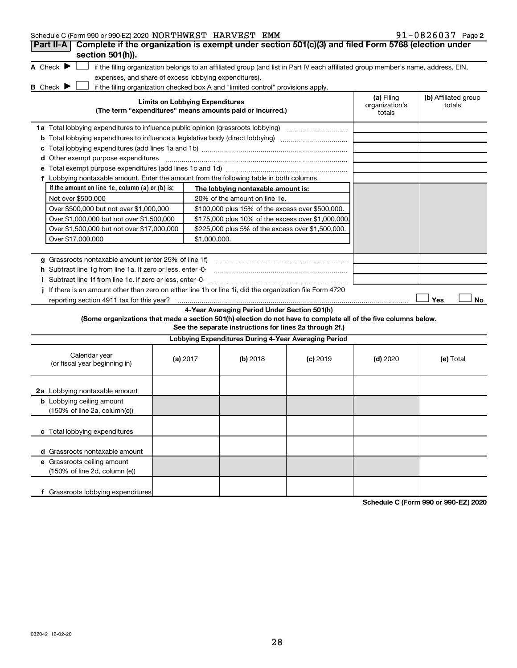| Schedule C (Form 990 or 990-EZ) 2020 NORTHWEST HARVEST EMM |  | $91 - 0826037$ Page 2 |
|------------------------------------------------------------|--|-----------------------|
|------------------------------------------------------------|--|-----------------------|

| Complete if the organization is exempt under section 501(c)(3) and filed Form 5768 (election under<br>Part II-A<br>section 501(h)). |                                                       |                                                                                                         |                                                                                                                                   |                                        |                                |
|-------------------------------------------------------------------------------------------------------------------------------------|-------------------------------------------------------|---------------------------------------------------------------------------------------------------------|-----------------------------------------------------------------------------------------------------------------------------------|----------------------------------------|--------------------------------|
| A Check $\blacktriangleright$                                                                                                       |                                                       |                                                                                                         | if the filing organization belongs to an affiliated group (and list in Part IV each affiliated group member's name, address, EIN, |                                        |                                |
|                                                                                                                                     | expenses, and share of excess lobbying expenditures). |                                                                                                         |                                                                                                                                   |                                        |                                |
| <b>B</b> Check $\blacktriangleright$                                                                                                |                                                       | if the filing organization checked box A and "limited control" provisions apply.                        |                                                                                                                                   |                                        |                                |
|                                                                                                                                     | <b>Limits on Lobbying Expenditures</b>                | (The term "expenditures" means amounts paid or incurred.)                                               |                                                                                                                                   | (a) Filing<br>organization's<br>totals | (b) Affiliated group<br>totals |
| <b>1a</b> Total lobbying expenditures to influence public opinion (grassroots lobbying)                                             |                                                       |                                                                                                         |                                                                                                                                   |                                        |                                |
| <b>b</b> Total lobbying expenditures to influence a legislative body (direct lobbying) <i>manamanananana</i>                        |                                                       |                                                                                                         |                                                                                                                                   |                                        |                                |
|                                                                                                                                     |                                                       |                                                                                                         |                                                                                                                                   |                                        |                                |
| d Other exempt purpose expenditures                                                                                                 |                                                       |                                                                                                         |                                                                                                                                   |                                        |                                |
|                                                                                                                                     |                                                       |                                                                                                         |                                                                                                                                   |                                        |                                |
| f Lobbying nontaxable amount. Enter the amount from the following table in both columns.                                            |                                                       |                                                                                                         |                                                                                                                                   |                                        |                                |
| If the amount on line 1e, column $(a)$ or $(b)$ is:                                                                                 |                                                       | The lobbying nontaxable amount is:                                                                      |                                                                                                                                   |                                        |                                |
| Not over \$500,000                                                                                                                  |                                                       | 20% of the amount on line 1e.                                                                           |                                                                                                                                   |                                        |                                |
| Over \$500,000 but not over \$1,000,000                                                                                             |                                                       | \$100,000 plus 15% of the excess over \$500,000.                                                        |                                                                                                                                   |                                        |                                |
| Over \$1,000,000 but not over \$1,500,000                                                                                           |                                                       |                                                                                                         | \$175,000 plus 10% of the excess over \$1,000,000                                                                                 |                                        |                                |
| Over \$1,500,000 but not over \$17,000,000                                                                                          |                                                       | \$225,000 plus 5% of the excess over \$1,500,000.                                                       |                                                                                                                                   |                                        |                                |
| Over \$17,000,000                                                                                                                   | \$1,000,000.                                          |                                                                                                         |                                                                                                                                   |                                        |                                |
|                                                                                                                                     |                                                       |                                                                                                         |                                                                                                                                   |                                        |                                |
| <b>g</b> Grassroots nontaxable amount (enter 25% of line 1f)                                                                        |                                                       |                                                                                                         |                                                                                                                                   |                                        |                                |
| h Subtract line 1g from line 1a. If zero or less, enter -0-                                                                         |                                                       |                                                                                                         |                                                                                                                                   |                                        |                                |
| i Subtract line 1f from line 1c. If zero or less, enter 0-                                                                          |                                                       |                                                                                                         |                                                                                                                                   |                                        |                                |
| j If there is an amount other than zero on either line 1h or line 1i, did the organization file Form 4720                           |                                                       |                                                                                                         |                                                                                                                                   |                                        |                                |
| reporting section 4911 tax for this year?                                                                                           |                                                       |                                                                                                         |                                                                                                                                   |                                        | Yes<br>No                      |
| (Some organizations that made a section 501(h) election do not have to complete all of the five columns below.                      |                                                       | 4-Year Averaging Period Under Section 501(h)<br>See the separate instructions for lines 2a through 2f.) |                                                                                                                                   |                                        |                                |
|                                                                                                                                     |                                                       |                                                                                                         | Lobbying Expenditures During 4-Year Averaging Period                                                                              |                                        |                                |
| Calendar year<br>(or fiscal year beginning in)                                                                                      | (a) 2017                                              | (b) 2018                                                                                                | $(c)$ 2019                                                                                                                        | $(d)$ 2020                             | (e) Total                      |
| 2a Lobbying nontaxable amount                                                                                                       |                                                       |                                                                                                         |                                                                                                                                   |                                        |                                |
| <b>b</b> Lobbying ceiling amount<br>(150% of line 2a, column(e))                                                                    |                                                       |                                                                                                         |                                                                                                                                   |                                        |                                |
| c Total lobbying expenditures                                                                                                       |                                                       |                                                                                                         |                                                                                                                                   |                                        |                                |
| d Grassroots nontaxable amount                                                                                                      |                                                       |                                                                                                         |                                                                                                                                   |                                        |                                |
| e Grassroots ceiling amount<br>(150% of line 2d, column (e))                                                                        |                                                       |                                                                                                         |                                                                                                                                   |                                        |                                |
| f Grassroots lobbying expenditures                                                                                                  |                                                       |                                                                                                         |                                                                                                                                   |                                        |                                |

**Schedule C (Form 990 or 990-EZ) 2020**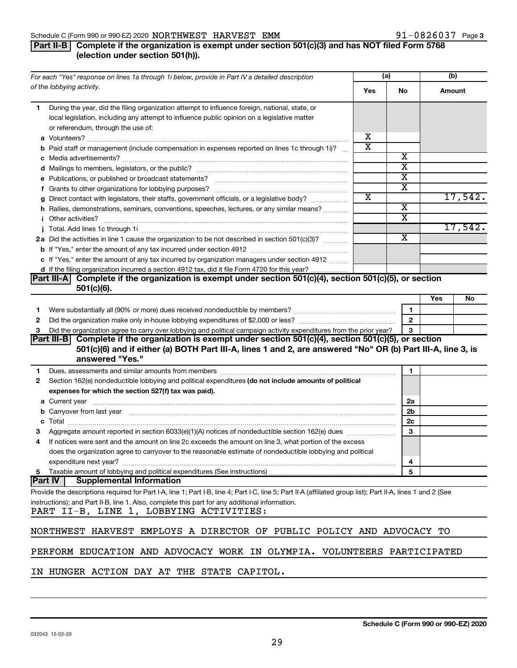#### Schedule C (Form 990 or 990-EZ) 2020 Page NORTHWEST HARVEST EMM 91-0826037

### **Part II-B Complete if the organization is exempt under section 501(c)(3) and has NOT filed Form 5768 (election under section 501(h)).**

| For each "Yes" response on lines 1a through 1i below, provide in Part IV a detailed description |                                                                                                                                                                                                                                | (a)                   |                         | (b) |         |
|-------------------------------------------------------------------------------------------------|--------------------------------------------------------------------------------------------------------------------------------------------------------------------------------------------------------------------------------|-----------------------|-------------------------|-----|---------|
|                                                                                                 | of the lobbying activity.                                                                                                                                                                                                      | Yes                   | No                      |     | Amount  |
| 1                                                                                               | During the year, did the filing organization attempt to influence foreign, national, state, or                                                                                                                                 |                       |                         |     |         |
|                                                                                                 | local legislation, including any attempt to influence public opinion on a legislative matter                                                                                                                                   |                       |                         |     |         |
|                                                                                                 | or referendum, through the use of:                                                                                                                                                                                             |                       |                         |     |         |
|                                                                                                 |                                                                                                                                                                                                                                | х                     |                         |     |         |
|                                                                                                 | <b>b</b> Paid staff or management (include compensation in expenses reported on lines 1c through 1i)?                                                                                                                          | $\overline{\text{x}}$ |                         |     |         |
|                                                                                                 |                                                                                                                                                                                                                                |                       | х                       |     |         |
|                                                                                                 |                                                                                                                                                                                                                                |                       | X                       |     |         |
|                                                                                                 |                                                                                                                                                                                                                                |                       | $\overline{\textbf{x}}$ |     |         |
|                                                                                                 |                                                                                                                                                                                                                                |                       | $\overline{\textbf{x}}$ |     |         |
|                                                                                                 | g Direct contact with legislators, their staffs, government officials, or a legislative body?                                                                                                                                  | X                     |                         |     | 17,542. |
|                                                                                                 | h Rallies, demonstrations, seminars, conventions, speeches, lectures, or any similar means?                                                                                                                                    |                       | $\overline{\textbf{x}}$ |     |         |
|                                                                                                 | <b>i</b> Other activities?                                                                                                                                                                                                     |                       | $\overline{\textbf{x}}$ |     |         |
|                                                                                                 |                                                                                                                                                                                                                                |                       |                         |     | 17,542. |
|                                                                                                 | 2a Did the activities in line 1 cause the organization to be not described in section 501(c)(3)?                                                                                                                               |                       | $\overline{\mathbf{X}}$ |     |         |
|                                                                                                 |                                                                                                                                                                                                                                |                       |                         |     |         |
|                                                                                                 | c If "Yes," enter the amount of any tax incurred by organization managers under section 4912                                                                                                                                   |                       |                         |     |         |
|                                                                                                 | d If the filing organization incurred a section 4912 tax, did it file Form 4720 for this year?                                                                                                                                 |                       |                         |     |         |
|                                                                                                 | Complete if the organization is exempt under section 501(c)(4), section 501(c)(5), or section<br> Part III-A                                                                                                                   |                       |                         |     |         |
|                                                                                                 | $501(c)(6)$ .                                                                                                                                                                                                                  |                       |                         |     |         |
|                                                                                                 |                                                                                                                                                                                                                                |                       |                         | Yes | No      |
| 1.                                                                                              |                                                                                                                                                                                                                                |                       | 1                       |     |         |
| 2                                                                                               |                                                                                                                                                                                                                                |                       | $\mathbf{2}$            |     |         |
| 3                                                                                               | Did the organization agree to carry over lobbying and political campaign activity expenditures from the prior year?                                                                                                            |                       | 3                       |     |         |
|                                                                                                 | Part III-B Complete if the organization is exempt under section 501(c)(4), section 501(c)(5), or section<br>501(c)(6) and if either (a) BOTH Part III-A, lines 1 and 2, are answered "No" OR (b) Part III-A, line 3, is        |                       |                         |     |         |
|                                                                                                 | answered "Yes."                                                                                                                                                                                                                |                       |                         |     |         |
| 1                                                                                               | Dues, assessments and similar amounts from members [111] Dues, assessments and similar amounts and similar amounts from members [111] Dues, assessments and similar amounts from members [11] Dues and Supply and Supply and S |                       | 1                       |     |         |
| $\mathbf{2}$                                                                                    | Section 162(e) nondeductible lobbying and political expenditures (do not include amounts of political                                                                                                                          |                       |                         |     |         |
|                                                                                                 | expenses for which the section 527(f) tax was paid).                                                                                                                                                                           |                       |                         |     |         |
|                                                                                                 |                                                                                                                                                                                                                                |                       | 2a                      |     |         |
|                                                                                                 | b Carryover from last year manufactured and continuum contracts and contracts and contracts and contracts and contracts and contracts and contracts and contracts and contracts and contracts and contracts and contracts and  |                       | 2 <sub>b</sub>          |     |         |
|                                                                                                 |                                                                                                                                                                                                                                |                       | 2 <sub>c</sub>          |     |         |
|                                                                                                 |                                                                                                                                                                                                                                |                       | 3                       |     |         |
| 4                                                                                               | If notices were sent and the amount on line 2c exceeds the amount on line 3, what portion of the excess                                                                                                                        |                       |                         |     |         |
|                                                                                                 | does the organization agree to carryover to the reasonable estimate of nondeductible lobbying and political                                                                                                                    |                       |                         |     |         |
|                                                                                                 | expenditure next year?                                                                                                                                                                                                         |                       | 4                       |     |         |
| 5                                                                                               | Taxable amount of lobbying and political expenditures (See instructions)                                                                                                                                                       |                       | 5                       |     |         |
|                                                                                                 | <b>Part IV</b><br><b>Supplemental Information</b>                                                                                                                                                                              |                       |                         |     |         |
|                                                                                                 | Provide the descriptions required for Part I-A, line 1; Part I-B, line 4; Part I-C, line 5; Part II-A (affiliated group list); Part II-A, lines 1 and 2 (See                                                                   |                       |                         |     |         |
|                                                                                                 | instructions); and Part II-B, line 1. Also, complete this part for any additional information.<br>PART II-B, LINE 1, LOBBYING ACTIVITIES:                                                                                      |                       |                         |     |         |
|                                                                                                 | NORTHWEST HARVEST EMPLOYS A DIRECTOR OF PUBLIC POLICY AND ADVOCACY TO                                                                                                                                                          |                       |                         |     |         |
|                                                                                                 | PERFORM EDUCATION AND ADVOCACY WORK IN OLYMPIA. VOLUNTEERS PARTICIPATED                                                                                                                                                        |                       |                         |     |         |
|                                                                                                 |                                                                                                                                                                                                                                |                       |                         |     |         |

IN HUNGER ACTION DAY AT THE STATE CAPITOL.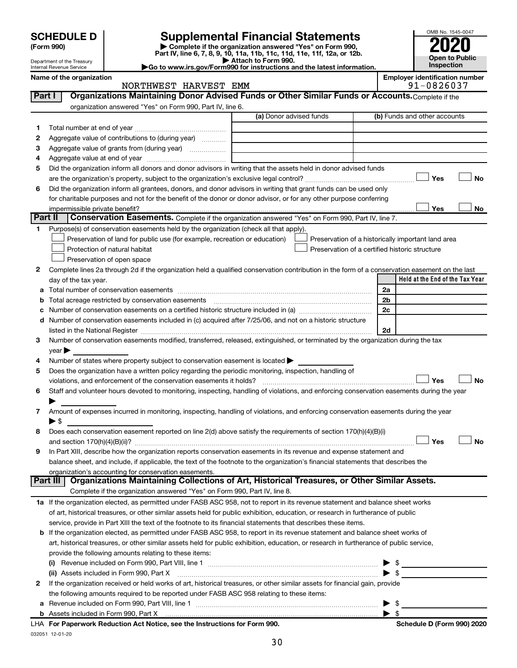| <b>SCHEDULE D</b> |  |
|-------------------|--|
|-------------------|--|

| (Form 990) |  |
|------------|--|
|------------|--|

# **SCHEDULE D Supplemental Financial Statements**<br> **Form 990 2020**<br> **Part IV** line 6.7.8.9.10, 11a, 11b, 11d, 11d, 11d, 11d, 11d, 12a, 0r, 12b

**(Form 990) | Complete if the organization answered "Yes" on Form 990, Part IV, line 6, 7, 8, 9, 10, 11a, 11b, 11c, 11d, 11e, 11f, 12a, or 12b.**

**| Attach to Form 990. |Go to www.irs.gov/Form990 for instructions and the latest information.**



Department of the Treasury Internal Revenue Service **Name of the organization <b>Employer is a set of the organization Employer in the organization Employer is a set of the organization Employer in the organization Employer is a set of the organization Employer in t** 

|            | nployer identification number |
|------------|-------------------------------|
| 01 000COOT |                               |

|         | NORTHWEST HARVEST EMM                                                                                                                          | 91-0826037                                         |
|---------|------------------------------------------------------------------------------------------------------------------------------------------------|----------------------------------------------------|
| Part I  | Organizations Maintaining Donor Advised Funds or Other Similar Funds or Accounts. Complete if the                                              |                                                    |
|         | organization answered "Yes" on Form 990, Part IV, line 6.                                                                                      |                                                    |
|         | (a) Donor advised funds                                                                                                                        | (b) Funds and other accounts                       |
| 1.      |                                                                                                                                                |                                                    |
| 2       | Aggregate value of contributions to (during year)                                                                                              |                                                    |
| з       |                                                                                                                                                |                                                    |
| 4       |                                                                                                                                                |                                                    |
| 5       | Did the organization inform all donors and donor advisors in writing that the assets held in donor advised funds                               |                                                    |
|         |                                                                                                                                                | Yes<br>No                                          |
| 6       | Did the organization inform all grantees, donors, and donor advisors in writing that grant funds can be used only                              |                                                    |
|         | for charitable purposes and not for the benefit of the donor or donor advisor, or for any other purpose conferring                             |                                                    |
|         | impermissible private benefit?                                                                                                                 | Yes<br>No                                          |
| Part II | <b>Conservation Easements.</b> Complete if the organization answered "Yes" on Form 990, Part IV, line 7.                                       |                                                    |
|         | Purpose(s) of conservation easements held by the organization (check all that apply).                                                          |                                                    |
|         | Preservation of land for public use (for example, recreation or education)                                                                     | Preservation of a historically important land area |
|         | Protection of natural habitat                                                                                                                  | Preservation of a certified historic structure     |
|         | Preservation of open space                                                                                                                     |                                                    |
| 2       | Complete lines 2a through 2d if the organization held a qualified conservation contribution in the form of a conservation easement on the last |                                                    |
|         | day of the tax year.                                                                                                                           | Held at the End of the Tax Year                    |
| а       |                                                                                                                                                | 2a                                                 |
|         | Total acreage restricted by conservation easements                                                                                             | 2 <sub>b</sub>                                     |
|         | Number of conservation easements on a certified historic structure included in (a) manufacture included in (a)                                 | 2 <sub>c</sub>                                     |
| d       | Number of conservation easements included in (c) acquired after 7/25/06, and not on a historic structure                                       |                                                    |
|         |                                                                                                                                                | 2d                                                 |
| 3       | Number of conservation easements modified, transferred, released, extinguished, or terminated by the organization during the tax               |                                                    |
|         | year                                                                                                                                           |                                                    |
| 4       | Number of states where property subject to conservation easement is located >                                                                  |                                                    |
| 5       | Does the organization have a written policy regarding the periodic monitoring, inspection, handling of                                         |                                                    |
|         | violations, and enforcement of the conservation easements it holds?                                                                            | Yes<br><b>No</b>                                   |
| 6       | Staff and volunteer hours devoted to monitoring, inspecting, handling of violations, and enforcing conservation easements during the year      |                                                    |
|         |                                                                                                                                                |                                                    |
| 7       | Amount of expenses incurred in monitoring, inspecting, handling of violations, and enforcing conservation easements during the year            |                                                    |
|         | $\blacktriangleright$ S                                                                                                                        |                                                    |
| 8       | Does each conservation easement reported on line 2(d) above satisfy the requirements of section 170(h)(4)(B)(i)                                |                                                    |
|         |                                                                                                                                                | Yes<br>No                                          |
| 9       | In Part XIII, describe how the organization reports conservation easements in its revenue and expense statement and                            |                                                    |
|         | balance sheet, and include, if applicable, the text of the footnote to the organization's financial statements that describes the              |                                                    |
|         | organization's accounting for conservation easements.                                                                                          |                                                    |
|         | Organizations Maintaining Collections of Art, Historical Treasures, or Other Similar Assets.<br>Part III                                       |                                                    |
|         | Complete if the organization answered "Yes" on Form 990, Part IV, line 8.                                                                      |                                                    |
|         | 1a If the organization elected, as permitted under FASB ASC 958, not to report in its revenue statement and balance sheet works                |                                                    |
|         | of art, historical treasures, or other similar assets held for public exhibition, education, or research in furtherance of public              |                                                    |
|         | service, provide in Part XIII the text of the footnote to its financial statements that describes these items.                                 |                                                    |
|         | b If the organization elected, as permitted under FASB ASC 958, to report in its revenue statement and balance sheet works of                  |                                                    |
|         | art, historical treasures, or other similar assets held for public exhibition, education, or research in furtherance of public service,        |                                                    |
|         | provide the following amounts relating to these items:                                                                                         |                                                    |
|         | (i)                                                                                                                                            | - SF                                               |
|         | (ii) Assets included in Form 990, Part X                                                                                                       | $\blacktriangleright$ \$                           |
| 2       | If the organization received or held works of art, historical treasures, or other similar assets for financial gain, provide                   |                                                    |
|         | the following amounts required to be reported under FASB ASC 958 relating to these items:                                                      |                                                    |
| а       |                                                                                                                                                | - \$                                               |
|         | b Assets included in Form 990, Part X [11] Marshall Marson Marshall Marson Marson Marson Marson Marson Marson                                  | $\blacktriangleright$ s                            |

032051 12-01-20 **For Paperwork Reduction Act Notice, see the Instructions for Form 990. Schedule D (Form 990) 2020** LHA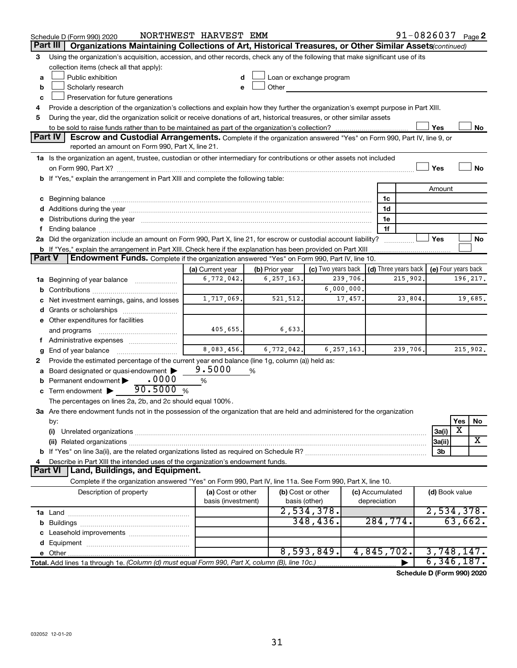|        | Schedule D (Form 990) 2020                                                                                                                                                                                                     | NORTHWEST HARVEST EMM                   |                |                                    |                                      | $91 - 0826037$ Page 2 |
|--------|--------------------------------------------------------------------------------------------------------------------------------------------------------------------------------------------------------------------------------|-----------------------------------------|----------------|------------------------------------|--------------------------------------|-----------------------|
|        | Part III<br>Organizations Maintaining Collections of Art, Historical Treasures, or Other Similar Assets (continued)                                                                                                            |                                         |                |                                    |                                      |                       |
| 3      | Using the organization's acquisition, accession, and other records, check any of the following that make significant use of its                                                                                                |                                         |                |                                    |                                      |                       |
|        | collection items (check all that apply):                                                                                                                                                                                       |                                         |                |                                    |                                      |                       |
| a      | Public exhibition                                                                                                                                                                                                              |                                         |                | Loan or exchange program           |                                      |                       |
| b      | Scholarly research                                                                                                                                                                                                             |                                         | Other          |                                    |                                      |                       |
| c      | Preservation for future generations                                                                                                                                                                                            |                                         |                |                                    |                                      |                       |
| 4      | Provide a description of the organization's collections and explain how they further the organization's exempt purpose in Part XIII.                                                                                           |                                         |                |                                    |                                      |                       |
| 5      | During the year, did the organization solicit or receive donations of art, historical treasures, or other similar assets                                                                                                       |                                         |                |                                    |                                      |                       |
|        |                                                                                                                                                                                                                                |                                         |                |                                    |                                      | Yes<br>No             |
|        | Part IV<br><b>Escrow and Custodial Arrangements.</b> Complete if the organization answered "Yes" on Form 990, Part IV, line 9, or                                                                                              |                                         |                |                                    |                                      |                       |
|        | reported an amount on Form 990, Part X, line 21.                                                                                                                                                                               |                                         |                |                                    |                                      |                       |
|        | 1a Is the organization an agent, trustee, custodian or other intermediary for contributions or other assets not included                                                                                                       |                                         |                |                                    |                                      |                       |
|        | on Form 990, Part X? [11] matter contracts and contracts and contracts are contracted and contracts are contracted and contract of the set of the set of the set of the set of the set of the set of the set of the set of the |                                         |                |                                    |                                      | Yes<br>No             |
|        | b If "Yes," explain the arrangement in Part XIII and complete the following table:                                                                                                                                             |                                         |                |                                    |                                      |                       |
|        |                                                                                                                                                                                                                                |                                         |                |                                    |                                      | Amount                |
|        |                                                                                                                                                                                                                                |                                         |                |                                    | 1c                                   |                       |
|        |                                                                                                                                                                                                                                |                                         |                |                                    | 1d                                   |                       |
|        |                                                                                                                                                                                                                                |                                         |                |                                    | 1e                                   |                       |
|        | 2a Did the organization include an amount on Form 990, Part X, line 21, for escrow or custodial account liability?                                                                                                             |                                         |                |                                    | 1f                                   |                       |
|        | <b>b</b> If "Yes," explain the arrangement in Part XIII. Check here if the explanation has been provided on Part XIII                                                                                                          |                                         |                |                                    | .                                    | Yes<br>No             |
| Part V | Endowment Funds. Complete if the organization answered "Yes" on Form 990, Part IV, line 10.                                                                                                                                    |                                         |                |                                    |                                      |                       |
|        |                                                                                                                                                                                                                                | (a) Current year                        | (b) Prior year | (c) Two years back                 | $\vert$ (d) Three years back $\vert$ | (e) Four years back   |
| ٦а     | Beginning of year balance                                                                                                                                                                                                      | 6,772,042.                              | 6,257,163.     | 239,706.                           | 215,902.                             | 196,217.              |
| b      |                                                                                                                                                                                                                                |                                         |                | 6,000,000.                         |                                      |                       |
|        | Net investment earnings, gains, and losses                                                                                                                                                                                     | 1,717,069.                              | 521, 512.      | 17,457.                            | 23,804.                              | 19,685.               |
|        |                                                                                                                                                                                                                                |                                         |                |                                    |                                      |                       |
|        | e Other expenditures for facilities                                                                                                                                                                                            |                                         |                |                                    |                                      |                       |
|        | and programs                                                                                                                                                                                                                   | 405,655.                                | 6,633.         |                                    |                                      |                       |
|        | f Administrative expenses                                                                                                                                                                                                      |                                         |                |                                    |                                      |                       |
| g      | End of year balance                                                                                                                                                                                                            | 8,083,456.                              | 6,772,042.     | 6, 257, 163.                       | 239,706.                             | 215,902.              |
| 2      | Provide the estimated percentage of the current year end balance (line 1g, column (a)) held as:                                                                                                                                |                                         |                |                                    |                                      |                       |
|        | Board designated or quasi-endowment                                                                                                                                                                                            | 9.5000                                  | %              |                                    |                                      |                       |
|        | .0000<br>Permanent endowment                                                                                                                                                                                                   | $\%$                                    |                |                                    |                                      |                       |
|        | 90.5000%<br>Term endowment $\blacktriangleright$                                                                                                                                                                               |                                         |                |                                    |                                      |                       |
|        | The percentages on lines 2a, 2b, and 2c should equal 100%.                                                                                                                                                                     |                                         |                |                                    |                                      |                       |
|        | 3a Are there endowment funds not in the possession of the organization that are held and administered for the organization                                                                                                     |                                         |                |                                    |                                      |                       |
|        | by:                                                                                                                                                                                                                            |                                         |                |                                    |                                      | Yes<br>No.            |
|        | (i)                                                                                                                                                                                                                            |                                         |                |                                    |                                      | х<br>3a(i)            |
|        |                                                                                                                                                                                                                                |                                         |                |                                    |                                      | х<br>3a(ii)           |
|        |                                                                                                                                                                                                                                |                                         |                |                                    |                                      | 3b                    |
|        | Describe in Part XIII the intended uses of the organization's endowment funds.                                                                                                                                                 |                                         |                |                                    |                                      |                       |
|        | Land, Buildings, and Equipment.<br>Part VI                                                                                                                                                                                     |                                         |                |                                    |                                      |                       |
|        | Complete if the organization answered "Yes" on Form 990, Part IV, line 11a. See Form 990, Part X, line 10.                                                                                                                     |                                         |                |                                    |                                      |                       |
|        | Description of property                                                                                                                                                                                                        | (a) Cost or other<br>basis (investment) |                | (b) Cost or other<br>basis (other) | (c) Accumulated<br>depreciation      | (d) Book value        |
|        |                                                                                                                                                                                                                                |                                         |                | 2,534,378.                         |                                      | 2,534,378.            |
|        |                                                                                                                                                                                                                                |                                         |                | 348,436.                           | 284,774.                             | 63,662.               |
| b      | c Leasehold improvements                                                                                                                                                                                                       |                                         |                |                                    |                                      |                       |
|        |                                                                                                                                                                                                                                |                                         |                |                                    |                                      |                       |
|        |                                                                                                                                                                                                                                |                                         |                | 8,593,849.                         | 4,845,702.                           | 3,748,147.            |
|        | Total. Add lines 1a through 1e. (Column (d) must equal Form 990, Part X, column (B), line 10c.)                                                                                                                                |                                         |                |                                    |                                      | 6, 346, 187.          |
|        |                                                                                                                                                                                                                                |                                         |                |                                    |                                      |                       |

**Schedule D (Form 990) 2020**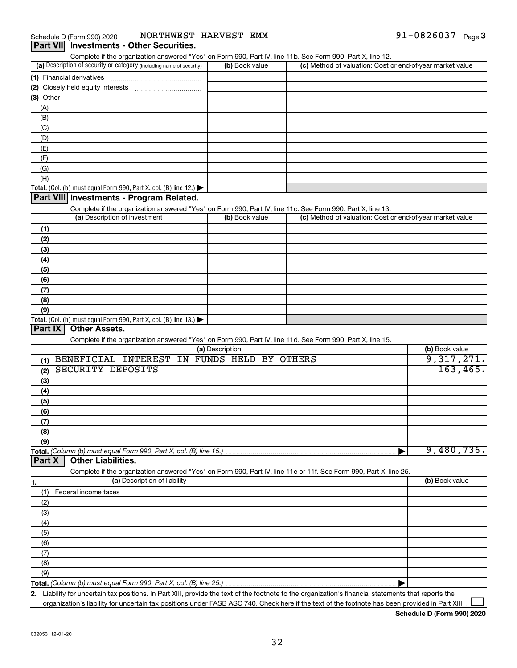| Complete if the organization answered "Yes" on Form 990, Part IV, line 11b. See Form 990, Part X, line 12. |                |                                                           |
|------------------------------------------------------------------------------------------------------------|----------------|-----------------------------------------------------------|
| (a) Description of security or category (including name of security)                                       | (b) Book value | (c) Method of valuation: Cost or end-of-year market value |
| (1) Financial derivatives                                                                                  |                |                                                           |
| (2) Closely held equity interests                                                                          |                |                                                           |
| (3) Other                                                                                                  |                |                                                           |
| (A)                                                                                                        |                |                                                           |
| (B)                                                                                                        |                |                                                           |
| (C)                                                                                                        |                |                                                           |
| (D)                                                                                                        |                |                                                           |
| (E)                                                                                                        |                |                                                           |
| (F)                                                                                                        |                |                                                           |
| (G)                                                                                                        |                |                                                           |
| (H)                                                                                                        |                |                                                           |
| Total. (Col. (b) must equal Form 990, Part X, col. (B) line 12.) $\blacktriangleright$                     |                |                                                           |
| Part VIII Investments - Program Related.                                                                   |                |                                                           |
| Complete if the organization answered "Yes" on Form 990, Part IV, line 11c. See Form 990, Part X, line 13. |                |                                                           |

| (a) Description of investment                                                           | (b) Book value | (c) Method of valuation: Cost or end-of-year market value |
|-----------------------------------------------------------------------------------------|----------------|-----------------------------------------------------------|
| (1)                                                                                     |                |                                                           |
| (2)                                                                                     |                |                                                           |
| (3)                                                                                     |                |                                                           |
| (4)                                                                                     |                |                                                           |
| (5)                                                                                     |                |                                                           |
| (6)                                                                                     |                |                                                           |
| (7)                                                                                     |                |                                                           |
| (8)                                                                                     |                |                                                           |
| (9)                                                                                     |                |                                                           |
| Total. (Col. (b) must equal Form 990, Part X, col. (B) line $13.$ $\blacktriangleright$ |                |                                                           |

#### **Part IX Other Assets.**

Complete if the organization answered "Yes" on Form 990, Part IV, line 11d. See Form 990, Part X, line 15.

| (a) Description                                                                                                   | (b) Book value |
|-------------------------------------------------------------------------------------------------------------------|----------------|
| <b>FUNDS HELD</b><br>BENEFICIAL INTEREST<br>IN<br>BY OTHERS<br>(1)                                                | 9,317,271.     |
| SECURITY DEPOSITS<br>(2)                                                                                          | 163, 465.      |
| (3)                                                                                                               |                |
| (4)                                                                                                               |                |
| (5)                                                                                                               |                |
| (6)                                                                                                               |                |
| (7)                                                                                                               |                |
| (8)                                                                                                               |                |
| (9)                                                                                                               |                |
|                                                                                                                   | 9,480,736.     |
| <b>Other Liabilities.</b><br>Part X                                                                               |                |
|                                                                                                                   |                |
| Complete if the organization answered "Yes" on Form 990, Part IV, line 11e or 11f. See Form 990, Part X, line 25. |                |
| (a) Description of liability<br>1.                                                                                | (b) Book value |
| Federal income taxes<br>(1)                                                                                       |                |
| (2)                                                                                                               |                |
| (3)                                                                                                               |                |
| (4)                                                                                                               |                |
| (5)                                                                                                               |                |
| (6)                                                                                                               |                |
| (7)                                                                                                               |                |
| (8)                                                                                                               |                |
| (9)                                                                                                               |                |

**2.** Liability for uncertain tax positions. In Part XIII, provide the text of the footnote to the organization's financial statements that reports the organization's liability for uncertain tax positions under FASB ASC 740. Check here if the text of the footnote has been provided in Part XIII.  $\perp$ 

**Schedule D (Form 990) 2020**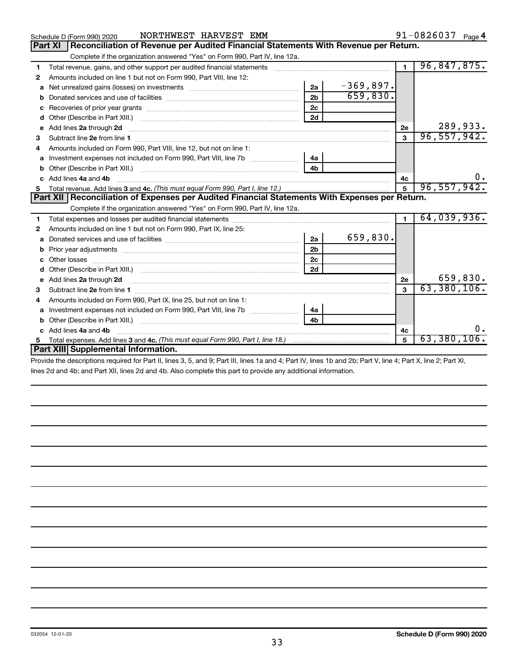|    | Reconciliation of Revenue per Audited Financial Statements With Revenue per Return.<br>Part XI                                                                                                                                     |                |             |    |               |
|----|------------------------------------------------------------------------------------------------------------------------------------------------------------------------------------------------------------------------------------|----------------|-------------|----|---------------|
|    | Complete if the organization answered "Yes" on Form 990, Part IV, line 12a.                                                                                                                                                        |                |             |    |               |
| 1  | Total revenue, gains, and other support per audited financial statements                                                                                                                                                           |                |             | 1. | 96,847,875.   |
| 2  | Amounts included on line 1 but not on Form 990, Part VIII, line 12:                                                                                                                                                                |                |             |    |               |
| a  |                                                                                                                                                                                                                                    | 2a             | $-369,897.$ |    |               |
|    |                                                                                                                                                                                                                                    | 2 <sub>b</sub> | 659,830.    |    |               |
| с  |                                                                                                                                                                                                                                    | 2 <sub>c</sub> |             |    |               |
| d  |                                                                                                                                                                                                                                    | 2d             |             |    |               |
| е  | Add lines 2a through 2d <b>contract and a contract and a contract a</b> contract a contract and a contract a contract a                                                                                                            |                |             | 2e | 289,933.      |
| з  |                                                                                                                                                                                                                                    |                |             | 3  | 96,557,942.   |
|    | Amounts included on Form 990. Part VIII. line 12, but not on line 1:                                                                                                                                                               |                |             |    |               |
| а  |                                                                                                                                                                                                                                    | 4a             |             |    |               |
| b  | Other (Describe in Part XIII.) [100] [100] [100] [100] [100] [100] [100] [100] [100] [100] [100] [100] [100] [                                                                                                                     | 4 <sub>b</sub> |             |    |               |
| c  | Add lines 4a and 4b                                                                                                                                                                                                                |                |             | 4с | ο.            |
| 5. |                                                                                                                                                                                                                                    |                |             | 5  | 96, 557, 942. |
|    | Part XII Reconciliation of Expenses per Audited Financial Statements With Expenses per Return.                                                                                                                                     |                |             |    |               |
|    |                                                                                                                                                                                                                                    |                |             |    |               |
|    | Complete if the organization answered "Yes" on Form 990, Part IV, line 12a.                                                                                                                                                        |                |             |    |               |
|    |                                                                                                                                                                                                                                    |                |             |    | 64,039,936.   |
| 2  | Amounts included on line 1 but not on Form 990, Part IX, line 25:                                                                                                                                                                  |                |             |    |               |
| a  |                                                                                                                                                                                                                                    | 2a             | 659,830.    |    |               |
|    | Prior year adjustments [11,111] Prior year adjustments [11,111] All material contracts and the contracts and t                                                                                                                     | 2 <sub>b</sub> |             |    |               |
| с  |                                                                                                                                                                                                                                    | 2 <sub>c</sub> |             |    |               |
| d  |                                                                                                                                                                                                                                    | 2d             |             |    |               |
| е  | Add lines 2a through 2d <b>contained a contained a contained a contained a</b> contained a contained a contained a contained a contact a contact a contact a contact a contact a contact a contact a contact a contact a contact a |                |             | 2e | 659,830.      |
| з  |                                                                                                                                                                                                                                    |                |             | 3  | 63,380,106.   |
|    | Amounts included on Form 990, Part IX, line 25, but not on line 1:                                                                                                                                                                 |                |             |    |               |
| а  |                                                                                                                                                                                                                                    | 4a             |             |    |               |
| b  |                                                                                                                                                                                                                                    | 4b.            |             |    |               |
| c  | Add lines 4a and 4b                                                                                                                                                                                                                |                |             | 4c | ο.            |
|    | Part XIII Supplemental Information.                                                                                                                                                                                                |                |             | 5  | 63,380,106.   |

Provide the descriptions required for Part II, lines 3, 5, and 9; Part III, lines 1a and 4; Part IV, lines 1b and 2b; Part V, line 4; Part X, line 2; Part XI, lines 2d and 4b; and Part XII, lines 2d and 4b. Also complete this part to provide any additional information.

# Schedule D (Form 990) 2020 MORTHWEST HARVEST EMM 91-0826037 Page

|                            |  |  | NC |
|----------------------------|--|--|----|
| Schedule D (Form 990) 2020 |  |  |    |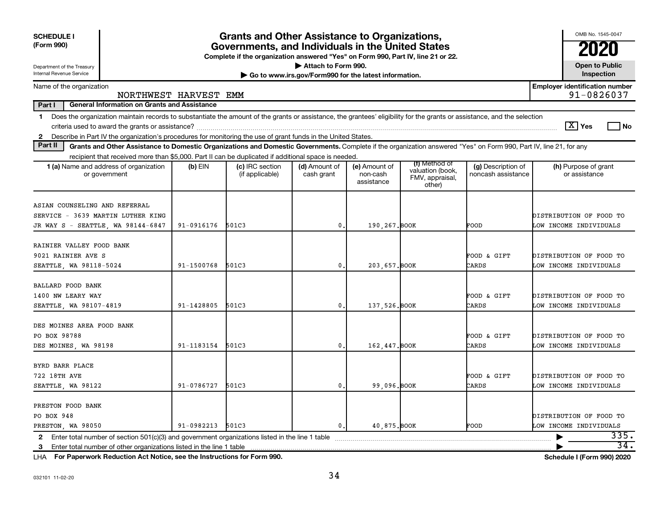| <b>SCHEDULE I</b><br>(Form 990)                                                                                                                                                                                                                                                                                          |            | <b>Grants and Other Assistance to Organizations,</b><br>Governments, and Individuals in the United States<br>Complete if the organization answered "Yes" on Form 990, Part IV, line 21 or 22. |                                                                              |                                         |                                                                |                                          | OMB No. 1545-0047                                         |
|--------------------------------------------------------------------------------------------------------------------------------------------------------------------------------------------------------------------------------------------------------------------------------------------------------------------------|------------|-----------------------------------------------------------------------------------------------------------------------------------------------------------------------------------------------|------------------------------------------------------------------------------|-----------------------------------------|----------------------------------------------------------------|------------------------------------------|-----------------------------------------------------------|
| Department of the Treasury<br>Internal Revenue Service                                                                                                                                                                                                                                                                   |            |                                                                                                                                                                                               | Attach to Form 990.<br>Go to www.irs.gov/Form990 for the latest information. |                                         |                                                                |                                          | <b>Open to Public</b><br><b>Inspection</b>                |
| Name of the organization<br>NORTHWEST HARVEST EMM                                                                                                                                                                                                                                                                        |            |                                                                                                                                                                                               |                                                                              |                                         |                                                                |                                          | <b>Employer identification number</b><br>91-0826037       |
| Part I<br><b>General Information on Grants and Assistance</b>                                                                                                                                                                                                                                                            |            |                                                                                                                                                                                               |                                                                              |                                         |                                                                |                                          |                                                           |
| Does the organization maintain records to substantiate the amount of the grants or assistance, the grantees' eligibility for the grants or assistance, and the selection<br>$\mathbf 1$<br>Describe in Part IV the organization's procedures for monitoring the use of grant funds in the United States.<br>$\mathbf{2}$ |            |                                                                                                                                                                                               |                                                                              |                                         |                                                                |                                          | $\sqrt{X}$ Yes<br>l No                                    |
| Part II<br>Grants and Other Assistance to Domestic Organizations and Domestic Governments. Complete if the organization answered "Yes" on Form 990, Part IV, line 21, for any                                                                                                                                            |            |                                                                                                                                                                                               |                                                                              |                                         |                                                                |                                          |                                                           |
| recipient that received more than \$5,000. Part II can be duplicated if additional space is needed.<br>1 (a) Name and address of organization<br>or government                                                                                                                                                           | $(b)$ EIN  | (c) IRC section<br>(if applicable)                                                                                                                                                            | (d) Amount of<br>cash grant                                                  | (e) Amount of<br>non-cash<br>assistance | (f) Method of<br>valuation (book,<br>FMV, appraisal,<br>other) | (g) Description of<br>noncash assistance | (h) Purpose of grant<br>or assistance                     |
| ASIAN COUNSELING AND REFERRAL<br>SERVICE - 3639 MARTIN LUTHER KING<br>JR WAY S - SEATTLE, WA 98144-6847                                                                                                                                                                                                                  | 91-0916176 | 501C3                                                                                                                                                                                         | $\mathbf 0$ .                                                                | 190, 267. BOOK                          |                                                                | FOOD                                     | DISTRIBUTION OF FOOD TO<br>LOW INCOME INDIVIDUALS         |
| RAINIER VALLEY FOOD BANK<br>9021 RAINIER AVE S<br>SEATTLE, WA 98118-5024                                                                                                                                                                                                                                                 | 91-1500768 | 501C3                                                                                                                                                                                         | $\mathbf{0}$                                                                 | 203,657. BOOK                           |                                                                | FOOD & GIFT<br>CARDS                     | DISTRIBUTION OF FOOD TO<br>LOW INCOME INDIVIDUALS         |
| BALLARD FOOD BANK<br>1400 NW LEARY WAY<br>SEATTLE, WA 98107-4819                                                                                                                                                                                                                                                         | 91-1428805 | 501C3                                                                                                                                                                                         | 0.                                                                           | 137,526. BOOK                           |                                                                | FOOD & GIFT<br>CARDS                     | DISTRIBUTION OF FOOD TO<br>LOW INCOME INDIVIDUALS         |
| DES MOINES AREA FOOD BANK<br>PO BOX 98788<br>DES MOINES, WA 98198                                                                                                                                                                                                                                                        | 91-1183154 | 501C3                                                                                                                                                                                         | 0.                                                                           | 162,447. BOOK                           |                                                                | FOOD & GIFT<br>CARDS                     | DISTRIBUTION OF FOOD TO<br>LOW INCOME INDIVIDUALS         |
| BYRD BARR PLACE<br>722 18TH AVE<br>SEATTLE, WA 98122                                                                                                                                                                                                                                                                     | 91-0786727 | 501C3                                                                                                                                                                                         | 0.                                                                           | 99,096. BOOK                            |                                                                | FOOD & GIFT<br>CARDS                     | DISTRIBUTION OF FOOD TO<br>LOW INCOME INDIVIDUALS         |
| PRESTON FOOD BANK<br>PO BOX 948<br>PRESTON, WA 98050                                                                                                                                                                                                                                                                     | 91-0982213 | 501C3                                                                                                                                                                                         | $\mathbf{0}$ .                                                               | 40.875.BOOK                             |                                                                | FOOD                                     | DISTRIBUTION OF FOOD TO<br>LOW INCOME INDIVIDUALS<br>335. |
| Enter total number of other organizations listed in the line 1 table<br>3                                                                                                                                                                                                                                                |            |                                                                                                                                                                                               |                                                                              |                                         |                                                                |                                          | 34.                                                       |

**For Paperwork Reduction Act Notice, see the Instructions for Form 990. Schedule I (Form 990) 2020** LHA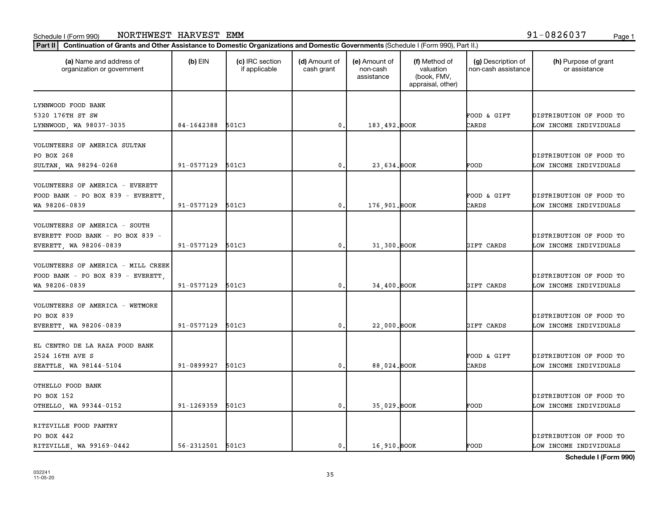#### Schedule I (Form 990) Page 1 NORTHWEST HARVEST EMM 91-0826037

| LYNNWOOD FOOD BANK<br>FOOD & GIFT<br>5320 176TH ST SW<br>0<br>183,492. BOOK<br>CARDS<br>84-1642388<br>501C3<br>LYNNWOOD, WA 98037-3035<br>VOLUNTEERS OF AMERICA SULTAN<br>PO BOX 268<br>91-0577129<br>501C3<br>$\mathbf 0$<br>23,634. BOOK<br>SULTAN, WA 98294-0268<br>FOOD<br>VOLUNTEERS OF AMERICA - EVERETT<br>FOOD BANK - PO BOX 839 - EVERETT,<br>FOOD & GIFT<br>176,901. BOOK<br>91-0577129<br>501C3<br>$\mathbf 0$ .<br>CARDS<br>WA 98206-0839<br>VOLUNTEERS OF AMERICA - SOUTH<br>EVERETT FOOD BANK - PO BOX 839 -<br>91-0577129<br>501C3<br>0<br>31,300. BOOK<br>GIFT CARDS<br>EVERETT, WA 98206-0839<br>VOLUNTEERS OF AMERICA - MILL CREEK<br>FOOD BANK - PO BOX 839 - EVERETT,<br>91-0577129<br>501C3<br>$\mathbf{0}$<br>34,400. BOOK<br>GIFT CARDS<br>WA 98206-0839<br>VOLUNTEERS OF AMERICA - WETMORE<br>PO BOX 839<br>0<br>22,000. BOOK<br>EVERETT, WA 98206-0839<br>91-0577129<br>501C3<br>GIFT CARDS<br>EL CENTRO DE LA RAZA FOOD BANK<br>2524 16TH AVE S<br>FOOD & GIFT<br>91-0899927<br>501C3<br>0<br>88,024. BOOK<br>CARDS<br>SEATTLE, WA 98144-5104<br>OTHELLO FOOD BANK<br>PO BOX 152<br>91-1269359<br>501C3<br>35,029. BOOK<br>OTHELLO, WA 99344-0152<br>0<br>FOOD<br>RITZVILLE FOOD PANTRY | (g) Description of<br>non-cash assistance | (h) Purpose of grant<br>or assistance             |
|-------------------------------------------------------------------------------------------------------------------------------------------------------------------------------------------------------------------------------------------------------------------------------------------------------------------------------------------------------------------------------------------------------------------------------------------------------------------------------------------------------------------------------------------------------------------------------------------------------------------------------------------------------------------------------------------------------------------------------------------------------------------------------------------------------------------------------------------------------------------------------------------------------------------------------------------------------------------------------------------------------------------------------------------------------------------------------------------------------------------------------------------------------------------------------------------------------------------|-------------------------------------------|---------------------------------------------------|
|                                                                                                                                                                                                                                                                                                                                                                                                                                                                                                                                                                                                                                                                                                                                                                                                                                                                                                                                                                                                                                                                                                                                                                                                                   |                                           |                                                   |
|                                                                                                                                                                                                                                                                                                                                                                                                                                                                                                                                                                                                                                                                                                                                                                                                                                                                                                                                                                                                                                                                                                                                                                                                                   |                                           | DISTRIBUTION OF FOOD TO                           |
|                                                                                                                                                                                                                                                                                                                                                                                                                                                                                                                                                                                                                                                                                                                                                                                                                                                                                                                                                                                                                                                                                                                                                                                                                   |                                           | LOW INCOME INDIVIDUALS                            |
|                                                                                                                                                                                                                                                                                                                                                                                                                                                                                                                                                                                                                                                                                                                                                                                                                                                                                                                                                                                                                                                                                                                                                                                                                   |                                           |                                                   |
|                                                                                                                                                                                                                                                                                                                                                                                                                                                                                                                                                                                                                                                                                                                                                                                                                                                                                                                                                                                                                                                                                                                                                                                                                   |                                           | DISTRIBUTION OF FOOD TO                           |
|                                                                                                                                                                                                                                                                                                                                                                                                                                                                                                                                                                                                                                                                                                                                                                                                                                                                                                                                                                                                                                                                                                                                                                                                                   |                                           | LOW INCOME INDIVIDUALS                            |
|                                                                                                                                                                                                                                                                                                                                                                                                                                                                                                                                                                                                                                                                                                                                                                                                                                                                                                                                                                                                                                                                                                                                                                                                                   |                                           |                                                   |
|                                                                                                                                                                                                                                                                                                                                                                                                                                                                                                                                                                                                                                                                                                                                                                                                                                                                                                                                                                                                                                                                                                                                                                                                                   |                                           |                                                   |
|                                                                                                                                                                                                                                                                                                                                                                                                                                                                                                                                                                                                                                                                                                                                                                                                                                                                                                                                                                                                                                                                                                                                                                                                                   |                                           | DISTRIBUTION OF FOOD TO                           |
|                                                                                                                                                                                                                                                                                                                                                                                                                                                                                                                                                                                                                                                                                                                                                                                                                                                                                                                                                                                                                                                                                                                                                                                                                   |                                           | LOW INCOME INDIVIDUALS                            |
|                                                                                                                                                                                                                                                                                                                                                                                                                                                                                                                                                                                                                                                                                                                                                                                                                                                                                                                                                                                                                                                                                                                                                                                                                   |                                           |                                                   |
|                                                                                                                                                                                                                                                                                                                                                                                                                                                                                                                                                                                                                                                                                                                                                                                                                                                                                                                                                                                                                                                                                                                                                                                                                   |                                           | DISTRIBUTION OF FOOD TO                           |
|                                                                                                                                                                                                                                                                                                                                                                                                                                                                                                                                                                                                                                                                                                                                                                                                                                                                                                                                                                                                                                                                                                                                                                                                                   |                                           | LOW INCOME INDIVIDUALS                            |
|                                                                                                                                                                                                                                                                                                                                                                                                                                                                                                                                                                                                                                                                                                                                                                                                                                                                                                                                                                                                                                                                                                                                                                                                                   |                                           |                                                   |
|                                                                                                                                                                                                                                                                                                                                                                                                                                                                                                                                                                                                                                                                                                                                                                                                                                                                                                                                                                                                                                                                                                                                                                                                                   |                                           |                                                   |
|                                                                                                                                                                                                                                                                                                                                                                                                                                                                                                                                                                                                                                                                                                                                                                                                                                                                                                                                                                                                                                                                                                                                                                                                                   |                                           | DISTRIBUTION OF FOOD TO                           |
|                                                                                                                                                                                                                                                                                                                                                                                                                                                                                                                                                                                                                                                                                                                                                                                                                                                                                                                                                                                                                                                                                                                                                                                                                   |                                           | LOW INCOME INDIVIDUALS                            |
|                                                                                                                                                                                                                                                                                                                                                                                                                                                                                                                                                                                                                                                                                                                                                                                                                                                                                                                                                                                                                                                                                                                                                                                                                   |                                           |                                                   |
|                                                                                                                                                                                                                                                                                                                                                                                                                                                                                                                                                                                                                                                                                                                                                                                                                                                                                                                                                                                                                                                                                                                                                                                                                   |                                           |                                                   |
|                                                                                                                                                                                                                                                                                                                                                                                                                                                                                                                                                                                                                                                                                                                                                                                                                                                                                                                                                                                                                                                                                                                                                                                                                   |                                           | DISTRIBUTION OF FOOD TO<br>LOW INCOME INDIVIDUALS |
|                                                                                                                                                                                                                                                                                                                                                                                                                                                                                                                                                                                                                                                                                                                                                                                                                                                                                                                                                                                                                                                                                                                                                                                                                   |                                           |                                                   |
|                                                                                                                                                                                                                                                                                                                                                                                                                                                                                                                                                                                                                                                                                                                                                                                                                                                                                                                                                                                                                                                                                                                                                                                                                   |                                           |                                                   |
|                                                                                                                                                                                                                                                                                                                                                                                                                                                                                                                                                                                                                                                                                                                                                                                                                                                                                                                                                                                                                                                                                                                                                                                                                   |                                           | DISTRIBUTION OF FOOD TO                           |
|                                                                                                                                                                                                                                                                                                                                                                                                                                                                                                                                                                                                                                                                                                                                                                                                                                                                                                                                                                                                                                                                                                                                                                                                                   |                                           | LOW INCOME INDIVIDUALS                            |
|                                                                                                                                                                                                                                                                                                                                                                                                                                                                                                                                                                                                                                                                                                                                                                                                                                                                                                                                                                                                                                                                                                                                                                                                                   |                                           |                                                   |
|                                                                                                                                                                                                                                                                                                                                                                                                                                                                                                                                                                                                                                                                                                                                                                                                                                                                                                                                                                                                                                                                                                                                                                                                                   |                                           |                                                   |
|                                                                                                                                                                                                                                                                                                                                                                                                                                                                                                                                                                                                                                                                                                                                                                                                                                                                                                                                                                                                                                                                                                                                                                                                                   |                                           | DISTRIBUTION OF FOOD TO                           |
|                                                                                                                                                                                                                                                                                                                                                                                                                                                                                                                                                                                                                                                                                                                                                                                                                                                                                                                                                                                                                                                                                                                                                                                                                   |                                           | LOW INCOME INDIVIDUALS                            |
|                                                                                                                                                                                                                                                                                                                                                                                                                                                                                                                                                                                                                                                                                                                                                                                                                                                                                                                                                                                                                                                                                                                                                                                                                   |                                           |                                                   |
| PO BOX 442                                                                                                                                                                                                                                                                                                                                                                                                                                                                                                                                                                                                                                                                                                                                                                                                                                                                                                                                                                                                                                                                                                                                                                                                        |                                           | DISTRIBUTION OF FOOD TO                           |
| 16,910. BOOK<br>56-2312501 501C3<br>$\mathbf{0}$ .<br>FOOD<br>RITZVILLE, WA 99169-0442                                                                                                                                                                                                                                                                                                                                                                                                                                                                                                                                                                                                                                                                                                                                                                                                                                                                                                                                                                                                                                                                                                                            |                                           | LOW INCOME INDIVIDUALS                            |

**Schedule I (Form 990)**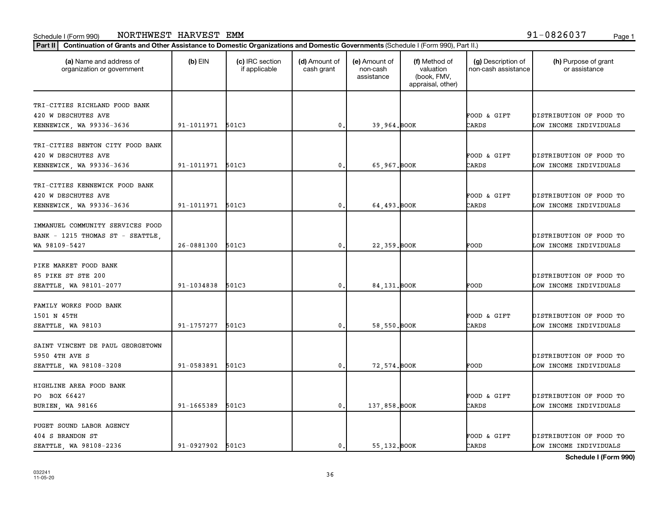#### Schedule I (Form 990) Page 1 NORTHWEST HARVEST EMM 91-0826037

| Part II   Continuation of Grants and Other Assistance to Domestic Organizations and Domestic Governments (Schedule I (Form 990), Part II.) |                  |                                  |                             |                                         |                                                                |                                           |                                       |
|--------------------------------------------------------------------------------------------------------------------------------------------|------------------|----------------------------------|-----------------------------|-----------------------------------------|----------------------------------------------------------------|-------------------------------------------|---------------------------------------|
| (a) Name and address of<br>organization or government                                                                                      | $(b)$ EIN        | (c) IRC section<br>if applicable | (d) Amount of<br>cash grant | (e) Amount of<br>non-cash<br>assistance | (f) Method of<br>valuation<br>(book, FMV,<br>appraisal, other) | (g) Description of<br>non-cash assistance | (h) Purpose of grant<br>or assistance |
|                                                                                                                                            |                  |                                  |                             |                                         |                                                                |                                           |                                       |
| TRI-CITIES RICHLAND FOOD BANK<br>420 W DESCHUTES AVE                                                                                       |                  |                                  |                             |                                         |                                                                | FOOD & GIFT                               | DISTRIBUTION OF FOOD TO               |
| KENNEWICK, WA 99336-3636                                                                                                                   | 91-1011971 501C3 |                                  | $\mathbf 0$ .               | 39,964. BOOK                            |                                                                | CARDS                                     | LOW INCOME INDIVIDUALS                |
|                                                                                                                                            |                  |                                  |                             |                                         |                                                                |                                           |                                       |
| TRI-CITIES BENTON CITY FOOD BANK                                                                                                           |                  |                                  |                             |                                         |                                                                |                                           |                                       |
| 420 W DESCHUTES AVE                                                                                                                        |                  |                                  |                             |                                         |                                                                | FOOD & GIFT                               | DISTRIBUTION OF FOOD TO               |
| KENNEWICK, WA 99336-3636                                                                                                                   | 91-1011971       | 501C3                            | $\mathbf{0}$ .              | 65,967. BOOK                            |                                                                | CARDS                                     | LOW INCOME INDIVIDUALS                |
|                                                                                                                                            |                  |                                  |                             |                                         |                                                                |                                           |                                       |
| TRI-CITIES KENNEWICK FOOD BANK                                                                                                             |                  |                                  |                             |                                         |                                                                |                                           |                                       |
| 420 W DESCHUTES AVE                                                                                                                        |                  |                                  |                             |                                         |                                                                | FOOD & GIFT                               | DISTRIBUTION OF FOOD TO               |
| KENNEWICK, WA 99336-3636                                                                                                                   | 91-1011971       | 501C3                            | 0.                          | 64,493. BOOK                            |                                                                | CARDS                                     | LOW INCOME INDIVIDUALS                |
|                                                                                                                                            |                  |                                  |                             |                                         |                                                                |                                           |                                       |
| IMMANUEL COMMUNITY SERVICES FOOD                                                                                                           |                  |                                  |                             |                                         |                                                                |                                           |                                       |
| BANK - 1215 THOMAS ST - SEATTLE,                                                                                                           |                  |                                  |                             |                                         |                                                                |                                           | DISTRIBUTION OF FOOD TO               |
| WA 98109-5427                                                                                                                              | 26-0881300       | 501C3                            | $\mathbf 0$                 | 22,359. BOOK                            |                                                                | FOOD                                      | LOW INCOME INDIVIDUALS                |
|                                                                                                                                            |                  |                                  |                             |                                         |                                                                |                                           |                                       |
| PIKE MARKET FOOD BANK                                                                                                                      |                  |                                  |                             |                                         |                                                                |                                           |                                       |
| 85 PIKE ST STE 200                                                                                                                         |                  |                                  |                             |                                         |                                                                |                                           | DISTRIBUTION OF FOOD TO               |
| SEATTLE, WA 98101-2077                                                                                                                     | 91-1034838       | 501C3                            | 0.                          | 84, 131. BOOK                           |                                                                | FOOD                                      | LOW INCOME INDIVIDUALS                |
| FAMILY WORKS FOOD BANK                                                                                                                     |                  |                                  |                             |                                         |                                                                |                                           |                                       |
| 1501 N 45TH                                                                                                                                |                  |                                  |                             |                                         |                                                                | FOOD & GIFT                               | DISTRIBUTION OF FOOD TO               |
| SEATTLE, WA 98103                                                                                                                          | 91-1757277       | 501C3                            | 0.                          | 58,550. BOOK                            |                                                                | CARDS                                     | LOW INCOME INDIVIDUALS                |
|                                                                                                                                            |                  |                                  |                             |                                         |                                                                |                                           |                                       |
| SAINT VINCENT DE PAUL GEORGETOWN                                                                                                           |                  |                                  |                             |                                         |                                                                |                                           |                                       |
| 5950 4TH AVE S                                                                                                                             |                  |                                  |                             |                                         |                                                                |                                           | DISTRIBUTION OF FOOD TO               |
| SEATTLE, WA 98108-3208                                                                                                                     | 91-0583891 501C3 |                                  | $\mathbf 0$                 | 72,574. BOOK                            |                                                                | FOOD                                      | LOW INCOME INDIVIDUALS                |
|                                                                                                                                            |                  |                                  |                             |                                         |                                                                |                                           |                                       |
| HIGHLINE AREA FOOD BANK                                                                                                                    |                  |                                  |                             |                                         |                                                                |                                           |                                       |
| PO BOX 66427                                                                                                                               |                  |                                  |                             |                                         |                                                                | FOOD & GIFT                               | DISTRIBUTION OF FOOD TO               |
| BURIEN, WA 98166                                                                                                                           | 91-1665389       | 501C3                            | 0.                          | 137,858. BOOK                           |                                                                | CARDS                                     | LOW INCOME INDIVIDUALS                |
|                                                                                                                                            |                  |                                  |                             |                                         |                                                                |                                           |                                       |
| PUGET SOUND LABOR AGENCY                                                                                                                   |                  |                                  |                             |                                         |                                                                |                                           |                                       |
| 404 S BRANDON ST                                                                                                                           |                  |                                  |                             |                                         |                                                                | FOOD & GIFT                               | DISTRIBUTION OF FOOD TO               |
| SEATTLE, WA 98108-2236                                                                                                                     | 91-0927902 501C3 |                                  | 0.                          | 55, 132. BOOK                           |                                                                | CARDS                                     | LOW INCOME INDIVIDUALS                |

**Schedule I (Form 990)**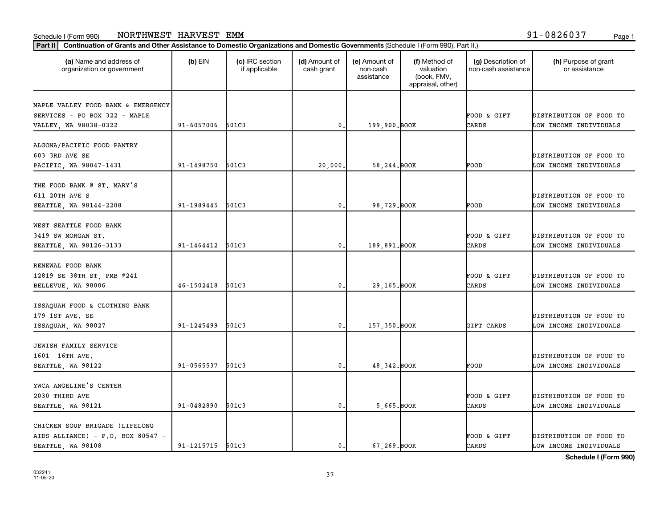#### Schedule I (Form 990) Page 1 NORTHWEST HARVEST EMM 91-0826037

| Part II   Continuation of Grants and Other Assistance to Domestic Organizations and Domestic Governments (Schedule I (Form 990), Part II.) |                  |                                  |                             |                                         |                                                                |                                           |                                       |
|--------------------------------------------------------------------------------------------------------------------------------------------|------------------|----------------------------------|-----------------------------|-----------------------------------------|----------------------------------------------------------------|-------------------------------------------|---------------------------------------|
| (a) Name and address of<br>organization or government                                                                                      | $(b)$ EIN        | (c) IRC section<br>if applicable | (d) Amount of<br>cash grant | (e) Amount of<br>non-cash<br>assistance | (f) Method of<br>valuation<br>(book, FMV,<br>appraisal, other) | (g) Description of<br>non-cash assistance | (h) Purpose of grant<br>or assistance |
| MAPLE VALLEY FOOD BANK & EMERGENCY                                                                                                         |                  |                                  |                             |                                         |                                                                |                                           |                                       |
| SERVICES - PO BOX 322 - MAPLE                                                                                                              |                  |                                  |                             |                                         |                                                                | FOOD & GIFT                               | DISTRIBUTION OF FOOD TO               |
| VALLEY, WA 98038-0322                                                                                                                      | 91-6057006       | 501C3                            | $\mathbf 0$                 | 199,900. BOOK                           |                                                                | CARDS                                     | LOW INCOME INDIVIDUALS                |
|                                                                                                                                            |                  |                                  |                             |                                         |                                                                |                                           |                                       |
| ALGONA/PACIFIC FOOD PANTRY                                                                                                                 |                  |                                  |                             |                                         |                                                                |                                           |                                       |
| 603 3RD AVE SE                                                                                                                             |                  |                                  |                             |                                         |                                                                |                                           | DISTRIBUTION OF FOOD TO               |
| PACIFIC, WA 98047-1431                                                                                                                     | 91-1498750       | 501C3                            | 20,000                      | 58, 244. BOOK                           |                                                                | FOOD                                      | LOW INCOME INDIVIDUALS                |
| THE FOOD BANK @ ST. MARY'S                                                                                                                 |                  |                                  |                             |                                         |                                                                |                                           |                                       |
| 611 20TH AVE S                                                                                                                             |                  |                                  |                             |                                         |                                                                |                                           | DISTRIBUTION OF FOOD TO               |
| SEATTLE, WA 98144-2208                                                                                                                     | 91-1989445       | 501C3                            | $\mathbf{0}$ .              | 98.729. BOOK                            |                                                                | FOOD                                      | LOW INCOME INDIVIDUALS                |
|                                                                                                                                            |                  |                                  |                             |                                         |                                                                |                                           |                                       |
| WEST SEATTLE FOOD BANK                                                                                                                     |                  |                                  |                             |                                         |                                                                |                                           |                                       |
| 3419 SW MORGAN ST.                                                                                                                         |                  |                                  |                             |                                         |                                                                | FOOD & GIFT                               | DISTRIBUTION OF FOOD TO               |
| SEATTLE, WA 98126-3133                                                                                                                     | 91-1464412       | 501C3                            | 0                           | 189,891. BOOK                           |                                                                | CARDS                                     | LOW INCOME INDIVIDUALS                |
| RENEWAL FOOD BANK                                                                                                                          |                  |                                  |                             |                                         |                                                                |                                           |                                       |
| 12819 SE 38TH ST, PMB #241                                                                                                                 |                  |                                  |                             |                                         |                                                                | FOOD & GIFT                               | DISTRIBUTION OF FOOD TO               |
| BELLEVUE, WA 98006                                                                                                                         | 46-1502418       | 501C3                            | 0                           | 29,165. BOOK                            |                                                                | CARDS                                     | LOW INCOME INDIVIDUALS                |
|                                                                                                                                            |                  |                                  |                             |                                         |                                                                |                                           |                                       |
| ISSAQUAH FOOD & CLOTHING BANK                                                                                                              |                  |                                  |                             |                                         |                                                                |                                           |                                       |
| 179 1ST AVE. SE                                                                                                                            |                  |                                  |                             |                                         |                                                                |                                           | DISTRIBUTION OF FOOD TO               |
| ISSAQUAH, WA 98027                                                                                                                         | 91-1245499       | 501C3                            | 0.                          | 157, 350. ВООК                          |                                                                | GIFT CARDS                                | LOW INCOME INDIVIDUALS                |
| JEWISH FAMILY SERVICE                                                                                                                      |                  |                                  |                             |                                         |                                                                |                                           |                                       |
| 1601 16TH AVE.                                                                                                                             |                  |                                  |                             |                                         |                                                                |                                           | DISTRIBUTION OF FOOD TO               |
| SEATTLE, WA 98122                                                                                                                          | 91-0565537       | 501C3                            | 0                           | 48, 342. BOOK                           |                                                                | FOOD                                      | LOW INCOME INDIVIDUALS                |
|                                                                                                                                            |                  |                                  |                             |                                         |                                                                |                                           |                                       |
| YWCA ANGELINE'S CENTER                                                                                                                     |                  |                                  |                             |                                         |                                                                |                                           |                                       |
| 2030 THIRD AVE                                                                                                                             |                  |                                  |                             |                                         |                                                                | FOOD & GIFT                               | DISTRIBUTION OF FOOD TO               |
| SEATTLE, WA 98121                                                                                                                          | 91-0482890       | 501C3                            | $\mathbf{0}$ .              | 5,665. BOOK                             |                                                                | CARDS                                     | LOW INCOME INDIVIDUALS                |
| CHICKEN SOUP BRIGADE (LIFELONG                                                                                                             |                  |                                  |                             |                                         |                                                                |                                           |                                       |
| AIDS ALLIANCE) - P.O. BOX 80547 -                                                                                                          |                  |                                  |                             |                                         |                                                                | FOOD & GIFT                               | DISTRIBUTION OF FOOD TO               |
| SEATTLE, WA 98108                                                                                                                          | 91-1215715 501C3 |                                  | $\mathbf{0}$ .              | 67.269. BOOK                            |                                                                | CARDS                                     | LOW INCOME INDIVIDUALS                |

**Schedule I (Form 990)**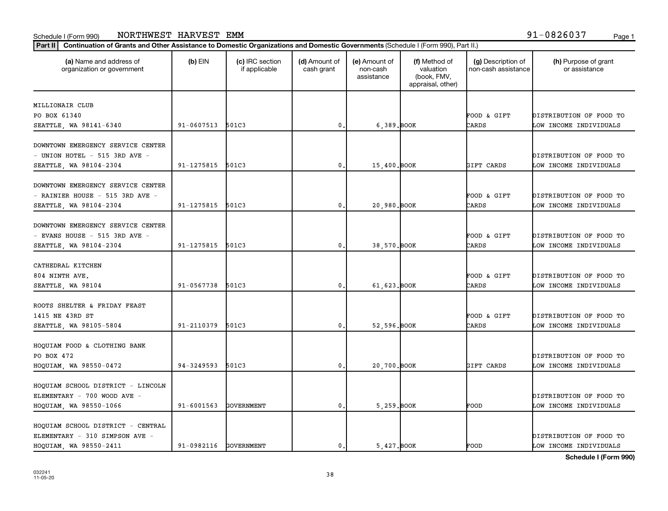| (a) Name and address of<br>organization or government              | $(b)$ EIN      | (c) IRC section<br>if applicable | (d) Amount of<br>cash grant | (e) Amount of<br>non-cash<br>assistance | (f) Method of<br>valuation<br>(book, FMV,<br>appraisal, other) | (g) Description of<br>non-cash assistance | (h) Purpose of grant<br>or assistance             |
|--------------------------------------------------------------------|----------------|----------------------------------|-----------------------------|-----------------------------------------|----------------------------------------------------------------|-------------------------------------------|---------------------------------------------------|
| MILLIONAIR CLUB                                                    |                |                                  |                             |                                         |                                                                |                                           |                                                   |
| PO BOX 61340                                                       |                |                                  |                             |                                         |                                                                | FOOD & GIFT                               | DISTRIBUTION OF FOOD TO                           |
| SEATTLE, WA 98141-6340                                             | 91-0607513     | 501C3                            | 0.                          | 6,389. BOOK                             |                                                                | CARDS                                     | LOW INCOME INDIVIDUALS                            |
| DOWNTOWN EMERGENCY SERVICE CENTER                                  |                |                                  |                             |                                         |                                                                |                                           |                                                   |
| - UNION HOTEL - 515 3RD AVE -                                      |                |                                  |                             |                                         |                                                                |                                           | DISTRIBUTION OF FOOD TO                           |
| SEATTLE, WA 98104-2304                                             | 91-1275815     | 501C3                            | 0.                          | 15,400. BOOK                            |                                                                | GIFT CARDS                                | LOW INCOME INDIVIDUALS                            |
|                                                                    |                |                                  |                             |                                         |                                                                |                                           |                                                   |
| DOWNTOWN EMERGENCY SERVICE CENTER                                  |                |                                  |                             |                                         |                                                                |                                           |                                                   |
| - RAINIER HOUSE - 515 3RD AVE -                                    |                |                                  |                             |                                         |                                                                | FOOD & GIFT                               | DISTRIBUTION OF FOOD TO                           |
| SEATTLE, WA 98104-2304                                             | 91-1275815     | 501C3                            | 0.                          | 20,980. BOOK                            |                                                                | CARDS                                     | LOW INCOME INDIVIDUALS                            |
|                                                                    |                |                                  |                             |                                         |                                                                |                                           |                                                   |
| DOWNTOWN EMERGENCY SERVICE CENTER<br>- EVANS HOUSE - 515 3RD AVE - |                |                                  |                             |                                         |                                                                |                                           |                                                   |
| SEATTLE, WA 98104-2304                                             | 91-1275815     | 501C3                            | $\mathbf{0}$ .              | 38,570. BOOK                            |                                                                | FOOD & GIFT<br>CARDS                      | DISTRIBUTION OF FOOD TO<br>LOW INCOME INDIVIDUALS |
|                                                                    |                |                                  |                             |                                         |                                                                |                                           |                                                   |
| CATHEDRAL KITCHEN                                                  |                |                                  |                             |                                         |                                                                |                                           |                                                   |
| 804 NINTH AVE.                                                     |                |                                  |                             |                                         |                                                                | FOOD & GIFT                               | DISTRIBUTION OF FOOD TO                           |
| SEATTLE, WA 98104                                                  | 91-0567738     | 501C3                            | $\mathbf{0}$ .              | 61,623. BOOK                            |                                                                | CARDS                                     | LOW INCOME INDIVIDUALS                            |
|                                                                    |                |                                  |                             |                                         |                                                                |                                           |                                                   |
| ROOTS SHELTER & FRIDAY FEAST                                       |                |                                  |                             |                                         |                                                                |                                           |                                                   |
| 1415 NE 43RD ST                                                    | $91 - 2110379$ | 501C3                            |                             |                                         |                                                                | FOOD & GIFT                               | DISTRIBUTION OF FOOD TO                           |
| SEATTLE, WA 98105-5804                                             |                |                                  | 0.                          | 52,596. BOOK                            |                                                                | CARDS                                     | LOW INCOME INDIVIDUALS                            |
| HOQUIAM FOOD & CLOTHING BANK                                       |                |                                  |                             |                                         |                                                                |                                           |                                                   |
| PO BOX 472                                                         |                |                                  |                             |                                         |                                                                |                                           | DISTRIBUTION OF FOOD TO                           |
| HOQUIAM, WA 98550-0472                                             | 94-3249593     | 501C3                            | $\mathbf{0}$ .              | 20,700. BOOK                            |                                                                | GIFT CARDS                                | LOW INCOME INDIVIDUALS                            |
|                                                                    |                |                                  |                             |                                         |                                                                |                                           |                                                   |
| HOQUIAM SCHOOL DISTRICT - LINCOLN                                  |                |                                  |                             |                                         |                                                                |                                           |                                                   |
| ELEMENTARY - 700 WOOD AVE -                                        |                |                                  |                             |                                         |                                                                |                                           | DISTRIBUTION OF FOOD TO                           |
| HOQUIAM, WA 98550-1066                                             | 91-6001563     | <b>GOVERNMENT</b>                | 0.                          | 5,259. BOOK                             |                                                                | FOOD                                      | LOW INCOME INDIVIDUALS                            |
| HOQUIAM SCHOOL DISTRICT - CENTRAL                                  |                |                                  |                             |                                         |                                                                |                                           |                                                   |
| ELEMENTARY - 310 SIMPSON AVE -                                     |                |                                  |                             |                                         |                                                                |                                           | DISTRIBUTION OF FOOD TO                           |
| HOQUIAM, WA 98550-2411                                             | 91-0982116     | GOVERNMENT                       | 0.                          | 5,427. BOOK                             |                                                                | FOOD                                      | LOW INCOME INDIVIDUALS                            |
|                                                                    |                |                                  |                             |                                         |                                                                |                                           | Schedule I (Form 990)                             |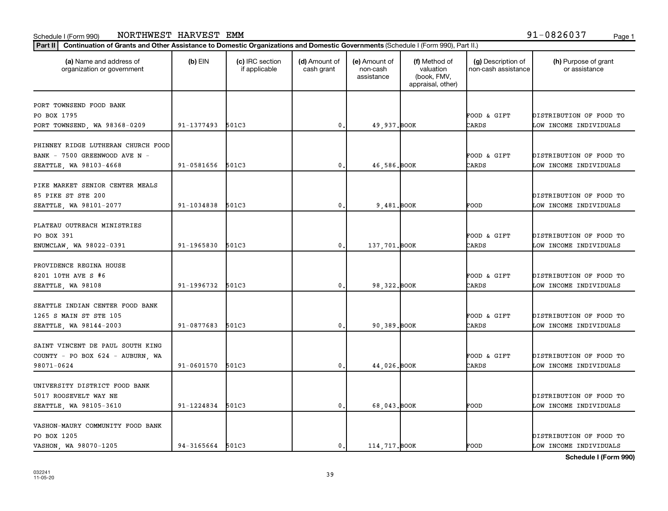| Continuation of Grants and Other Assistance to Domestic Organizations and Domestic Governments (Schedule I (Form 990), Part II.)<br>  Part II |                  |                                  |                             |                                         |                                                                |                                           |                                                   |
|-----------------------------------------------------------------------------------------------------------------------------------------------|------------------|----------------------------------|-----------------------------|-----------------------------------------|----------------------------------------------------------------|-------------------------------------------|---------------------------------------------------|
| (a) Name and address of<br>organization or government                                                                                         | $(b)$ EIN        | (c) IRC section<br>if applicable | (d) Amount of<br>cash grant | (e) Amount of<br>non-cash<br>assistance | (f) Method of<br>valuation<br>(book, FMV,<br>appraisal, other) | (g) Description of<br>non-cash assistance | (h) Purpose of grant<br>or assistance             |
| PORT TOWNSEND FOOD BANK                                                                                                                       |                  |                                  |                             |                                         |                                                                |                                           |                                                   |
| PO BOX 1795                                                                                                                                   |                  |                                  |                             |                                         |                                                                | FOOD & GIFT                               | DISTRIBUTION OF FOOD TO                           |
| PORT TOWNSEND, WA 98368-0209                                                                                                                  | 91-1377493       | 501C3                            | $\pmb{0}$                   | 49,937. BOOK                            |                                                                | CARDS                                     | LOW INCOME INDIVIDUALS                            |
|                                                                                                                                               |                  |                                  |                             |                                         |                                                                |                                           |                                                   |
| PHINNEY RIDGE LUTHERAN CHURCH FOOD                                                                                                            |                  |                                  |                             |                                         |                                                                |                                           |                                                   |
| BANK - 7500 GREENWOOD AVE N -                                                                                                                 |                  |                                  |                             |                                         |                                                                | FOOD & GIFT                               | DISTRIBUTION OF FOOD TO                           |
| SEATTLE, WA 98103-4668                                                                                                                        | 91-0581656       | 501C3                            | 0.                          | 46,586. BOOK                            |                                                                | CARDS                                     | LOW INCOME INDIVIDUALS                            |
| PIKE MARKET SENIOR CENTER MEALS                                                                                                               |                  |                                  |                             |                                         |                                                                |                                           |                                                   |
| 85 PIKE ST STE 200                                                                                                                            |                  |                                  |                             |                                         |                                                                |                                           | DISTRIBUTION OF FOOD TO                           |
| SEATTLE, WA 98101-2077                                                                                                                        | 91-1034838       | 501C3                            | $\mathbf{0}$ .              | 9,481. BOOK                             |                                                                | FOOD                                      | LOW INCOME INDIVIDUALS                            |
|                                                                                                                                               |                  |                                  |                             |                                         |                                                                |                                           |                                                   |
| PLATEAU OUTREACH MINISTRIES                                                                                                                   |                  |                                  |                             |                                         |                                                                |                                           |                                                   |
| PO BOX 391                                                                                                                                    | 91-1965830       | 501C3                            | $\mathbf 0$                 | 137,701. BOOK                           |                                                                | FOOD & GIFT<br>CARDS                      | DISTRIBUTION OF FOOD TO                           |
| ENUMCLAW, WA 98022-0391                                                                                                                       |                  |                                  |                             |                                         |                                                                |                                           | LOW INCOME INDIVIDUALS                            |
| PROVIDENCE REGINA HOUSE                                                                                                                       |                  |                                  |                             |                                         |                                                                |                                           |                                                   |
| 8201 10TH AVE S #6                                                                                                                            |                  |                                  |                             |                                         |                                                                | FOOD & GIFT                               | DISTRIBUTION OF FOOD TO                           |
| SEATTLE, WA 98108                                                                                                                             | 91-1996732       | 501C3                            | 0.                          | 98, 322. BOOK                           |                                                                | CARDS                                     | LOW INCOME INDIVIDUALS                            |
|                                                                                                                                               |                  |                                  |                             |                                         |                                                                |                                           |                                                   |
| SEATTLE INDIAN CENTER FOOD BANK                                                                                                               |                  |                                  |                             |                                         |                                                                |                                           |                                                   |
| 1265 S MAIN ST STE 105                                                                                                                        |                  |                                  |                             |                                         |                                                                | FOOD & GIFT                               | DISTRIBUTION OF FOOD TO                           |
| SEATTLE, WA 98144-2003                                                                                                                        | 91-0877683       | 501C3                            | 0.                          | 90,389. BOOK                            |                                                                | CARDS                                     | LOW INCOME INDIVIDUALS                            |
| SAINT VINCENT DE PAUL SOUTH KING                                                                                                              |                  |                                  |                             |                                         |                                                                |                                           |                                                   |
| COUNTY - PO BOX 624 - AUBURN, WA                                                                                                              |                  |                                  |                             |                                         |                                                                | FOOD & GIFT                               | DISTRIBUTION OF FOOD TO                           |
| 98071-0624                                                                                                                                    | 91-0601570       | 501C3                            | $\mathbf 0$                 | 44,026. BOOK                            |                                                                | CARDS                                     | LOW INCOME INDIVIDUALS                            |
|                                                                                                                                               |                  |                                  |                             |                                         |                                                                |                                           |                                                   |
| UNIVERSITY DISTRICT FOOD BANK                                                                                                                 |                  |                                  |                             |                                         |                                                                |                                           |                                                   |
| 5017 ROOSEVELT WAY NE                                                                                                                         |                  |                                  |                             |                                         |                                                                |                                           | DISTRIBUTION OF FOOD TO                           |
| SEATTLE, WA 98105-3610                                                                                                                        | 91-1224834       | 501C3                            | 0.                          | 68,043. BOOK                            |                                                                | FOOD                                      | LOW INCOME INDIVIDUALS                            |
|                                                                                                                                               |                  |                                  |                             |                                         |                                                                |                                           |                                                   |
| VASHON-MAURY COMMUNITY FOOD BANK<br>PO BOX 1205                                                                                               |                  |                                  |                             |                                         |                                                                |                                           |                                                   |
| VASHON, WA 98070-1205                                                                                                                         | 94-3165664 501C3 |                                  | 0.                          | 114,717. BOOK                           |                                                                | FOOD                                      | DISTRIBUTION OF FOOD TO<br>LOW INCOME INDIVIDUALS |
|                                                                                                                                               |                  |                                  |                             |                                         |                                                                |                                           |                                                   |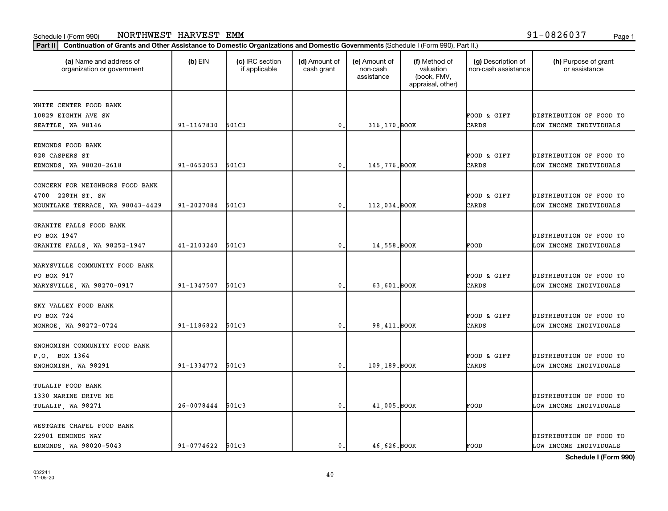|                                                       | Part II   Continuation of Grants and Other Assistance to Domestic Organizations and Domestic Governments (Schedule I (Form 990), Part II.) |                                  |                             |                                         |                                                                |                                           |                                       |  |  |  |
|-------------------------------------------------------|--------------------------------------------------------------------------------------------------------------------------------------------|----------------------------------|-----------------------------|-----------------------------------------|----------------------------------------------------------------|-------------------------------------------|---------------------------------------|--|--|--|
| (a) Name and address of<br>organization or government | $(b)$ EIN                                                                                                                                  | (c) IRC section<br>if applicable | (d) Amount of<br>cash grant | (e) Amount of<br>non-cash<br>assistance | (f) Method of<br>valuation<br>(book, FMV,<br>appraisal, other) | (g) Description of<br>non-cash assistance | (h) Purpose of grant<br>or assistance |  |  |  |
| WHITE CENTER FOOD BANK                                |                                                                                                                                            |                                  |                             |                                         |                                                                |                                           |                                       |  |  |  |
| 10829 EIGHTH AVE SW                                   |                                                                                                                                            |                                  |                             |                                         |                                                                | FOOD & GIFT                               | DISTRIBUTION OF FOOD TO               |  |  |  |
| SEATTLE, WA 98146                                     | 91-1167830                                                                                                                                 | 501C3                            | 0                           | 316,170. BOOK                           |                                                                | CARDS                                     | LOW INCOME INDIVIDUALS                |  |  |  |
| EDMONDS FOOD BANK                                     |                                                                                                                                            |                                  |                             |                                         |                                                                |                                           |                                       |  |  |  |
| 828 CASPERS ST                                        |                                                                                                                                            |                                  |                             |                                         |                                                                | FOOD & GIFT                               | DISTRIBUTION OF FOOD TO               |  |  |  |
| EDMONDS, WA 98020-2618                                | 91-0652053                                                                                                                                 | 501C3                            | $\mathbf{0}$                | 145,776. BOOK                           |                                                                | CARDS                                     | LOW INCOME INDIVIDUALS                |  |  |  |
|                                                       |                                                                                                                                            |                                  |                             |                                         |                                                                |                                           |                                       |  |  |  |
| CONCERN FOR NEIGHBORS FOOD BANK                       |                                                                                                                                            |                                  |                             |                                         |                                                                |                                           |                                       |  |  |  |
| 4700 228TH ST. SW                                     |                                                                                                                                            |                                  |                             |                                         |                                                                | FOOD & GIFT                               | DISTRIBUTION OF FOOD TO               |  |  |  |
| MOUNTLAKE TERRACE, WA 98043-4429                      | 91-2027084                                                                                                                                 | 501C3                            | 0.                          | 112,034. BOOK                           |                                                                | CARDS                                     | LOW INCOME INDIVIDUALS                |  |  |  |
|                                                       |                                                                                                                                            |                                  |                             |                                         |                                                                |                                           |                                       |  |  |  |
| GRANITE FALLS FOOD BANK                               |                                                                                                                                            |                                  |                             |                                         |                                                                |                                           |                                       |  |  |  |
| PO BOX 1947                                           |                                                                                                                                            |                                  |                             |                                         |                                                                |                                           | DISTRIBUTION OF FOOD TO               |  |  |  |
| GRANITE FALLS, WA 98252-1947                          | 41-2103240                                                                                                                                 | 501C3                            | 0                           | 14,558. BOOK                            |                                                                | FOOD                                      | LOW INCOME INDIVIDUALS                |  |  |  |
| MARYSVILLE COMMUNITY FOOD BANK                        |                                                                                                                                            |                                  |                             |                                         |                                                                |                                           |                                       |  |  |  |
| PO BOX 917                                            |                                                                                                                                            |                                  |                             |                                         |                                                                | FOOD & GIFT                               | DISTRIBUTION OF FOOD TO               |  |  |  |
| MARYSVILLE, WA 98270-0917                             | 91-1347507                                                                                                                                 | 501C3                            | 0                           | 63,601. BOOK                            |                                                                | CARDS                                     | LOW INCOME INDIVIDUALS                |  |  |  |
|                                                       |                                                                                                                                            |                                  |                             |                                         |                                                                |                                           |                                       |  |  |  |
| SKY VALLEY FOOD BANK                                  |                                                                                                                                            |                                  |                             |                                         |                                                                |                                           |                                       |  |  |  |
| PO BOX 724                                            |                                                                                                                                            |                                  |                             |                                         |                                                                | FOOD & GIFT                               | DISTRIBUTION OF FOOD TO               |  |  |  |
| MONROE, WA 98272-0724                                 | 91-1186822                                                                                                                                 | 501C3                            | $\mathbf{0}$                | 98.411. BOOK                            |                                                                | CARDS                                     | LOW INCOME INDIVIDUALS                |  |  |  |
|                                                       |                                                                                                                                            |                                  |                             |                                         |                                                                |                                           |                                       |  |  |  |
| SNOHOMISH COMMUNITY FOOD BANK                         |                                                                                                                                            |                                  |                             |                                         |                                                                |                                           |                                       |  |  |  |
| P.O. BOX 1364                                         |                                                                                                                                            |                                  |                             |                                         |                                                                | FOOD & GIFT                               | DISTRIBUTION OF FOOD TO               |  |  |  |
| SNOHOMISH, WA 98291                                   | 91-1334772                                                                                                                                 | 501C3                            | 0                           | 109,189. BOOK                           |                                                                | CARDS                                     | LOW INCOME INDIVIDUALS                |  |  |  |
| TULALIP FOOD BANK                                     |                                                                                                                                            |                                  |                             |                                         |                                                                |                                           |                                       |  |  |  |
| 1330 MARINE DRIVE NE                                  |                                                                                                                                            |                                  |                             |                                         |                                                                |                                           | DISTRIBUTION OF FOOD TO               |  |  |  |
| TULALIP, WA 98271                                     | 26-0078444                                                                                                                                 | 501C3                            | $\mathbf 0$ .               | 41,005. BOOK                            |                                                                | FOOD                                      | LOW INCOME INDIVIDUALS                |  |  |  |
|                                                       |                                                                                                                                            |                                  |                             |                                         |                                                                |                                           |                                       |  |  |  |
| WESTGATE CHAPEL FOOD BANK                             |                                                                                                                                            |                                  |                             |                                         |                                                                |                                           |                                       |  |  |  |
| 22901 EDMONDS WAY                                     |                                                                                                                                            |                                  |                             |                                         |                                                                |                                           | DISTRIBUTION OF FOOD TO               |  |  |  |
| EDMONDS, WA 98020-5043                                | 91-0774622 501C3                                                                                                                           |                                  | $\mathbf{0}$ .              | 46.626. BOOK                            |                                                                | FOOD                                      | LOW INCOME INDIVIDUALS                |  |  |  |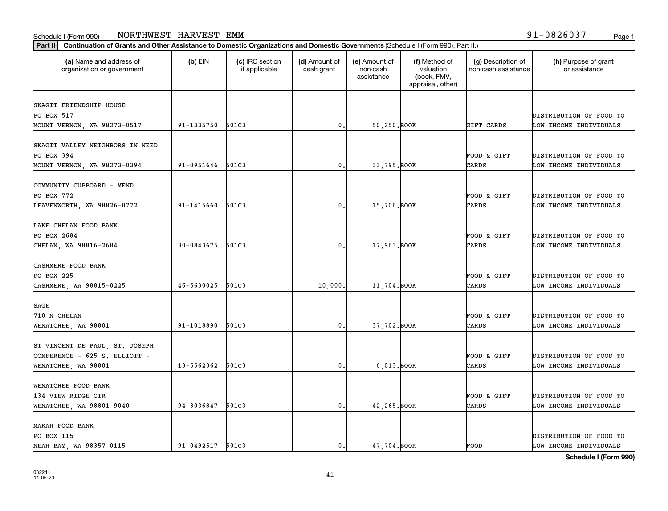| Part II   Continuation of Grants and Other Assistance to Domestic Organizations and Domestic Governments (Schedule I (Form 990), Part II.) |                  |                                  |                             |                                         |                                                                |                                           |                                                   |
|--------------------------------------------------------------------------------------------------------------------------------------------|------------------|----------------------------------|-----------------------------|-----------------------------------------|----------------------------------------------------------------|-------------------------------------------|---------------------------------------------------|
| (a) Name and address of<br>organization or government                                                                                      | $(b)$ EIN        | (c) IRC section<br>if applicable | (d) Amount of<br>cash grant | (e) Amount of<br>non-cash<br>assistance | (f) Method of<br>valuation<br>(book, FMV,<br>appraisal, other) | (g) Description of<br>non-cash assistance | (h) Purpose of grant<br>or assistance             |
|                                                                                                                                            |                  |                                  |                             |                                         |                                                                |                                           |                                                   |
| SKAGIT FRIENDSHIP HOUSE<br>PO BOX 517                                                                                                      |                  |                                  |                             |                                         |                                                                |                                           |                                                   |
| MOUNT VERNON, WA 98273-0517                                                                                                                | $91 - 1335750$   | 501C3                            | 0.                          | 50,250. BOOK                            |                                                                | GIFT CARDS                                | DISTRIBUTION OF FOOD TO<br>LOW INCOME INDIVIDUALS |
|                                                                                                                                            |                  |                                  |                             |                                         |                                                                |                                           |                                                   |
| SKAGIT VALLEY NEIGHBORS IN NEED                                                                                                            |                  |                                  |                             |                                         |                                                                |                                           |                                                   |
| PO BOX 394                                                                                                                                 |                  |                                  |                             |                                         |                                                                | FOOD & GIFT                               | DISTRIBUTION OF FOOD TO                           |
| MOUNT VERNON, WA 98273-0394                                                                                                                | 91-0951646       | 501C3                            | 0.                          | 33,795. BOOK                            |                                                                | CARDS                                     | LOW INCOME INDIVIDUALS                            |
|                                                                                                                                            |                  |                                  |                             |                                         |                                                                |                                           |                                                   |
| COMMUNITY CUPBOARD - MEND                                                                                                                  |                  |                                  |                             |                                         |                                                                |                                           |                                                   |
| PO BOX 772                                                                                                                                 |                  |                                  |                             |                                         |                                                                | FOOD & GIFT                               | DISTRIBUTION OF FOOD TO                           |
| LEAVENWORTH, WA 98826-0772                                                                                                                 | 91-1415660       | 501C3                            | 0.                          | 15,706. BOOK                            |                                                                | CARDS                                     | LOW INCOME INDIVIDUALS                            |
|                                                                                                                                            |                  |                                  |                             |                                         |                                                                |                                           |                                                   |
| LAKE CHELAN FOOD BANK                                                                                                                      |                  |                                  |                             |                                         |                                                                |                                           |                                                   |
| PO BOX 2684                                                                                                                                |                  |                                  |                             |                                         |                                                                | FOOD & GIFT                               | DISTRIBUTION OF FOOD TO                           |
| CHELAN, WA 98816-2684                                                                                                                      | 30-0843675       | 501C3                            | $\mathbf 0$ .               | 17,963. BOOK                            |                                                                | CARDS                                     | LOW INCOME INDIVIDUALS                            |
|                                                                                                                                            |                  |                                  |                             |                                         |                                                                |                                           |                                                   |
| CASHMERE FOOD BANK                                                                                                                         |                  |                                  |                             |                                         |                                                                |                                           |                                                   |
| PO BOX 225                                                                                                                                 |                  |                                  |                             |                                         |                                                                | FOOD & GIFT                               | DISTRIBUTION OF FOOD TO                           |
| CASHMERE, WA 98815-0225                                                                                                                    | 46-5630025       | 501C3                            | 10,000                      | 11,704. BOOK                            |                                                                | CARDS                                     | LOW INCOME INDIVIDUALS                            |
| SAGE                                                                                                                                       |                  |                                  |                             |                                         |                                                                |                                           |                                                   |
| 710 N CHELAN                                                                                                                               |                  |                                  |                             |                                         |                                                                | FOOD & GIFT                               | DISTRIBUTION OF FOOD TO                           |
| WENATCHEE, WA 98801                                                                                                                        | 91-1018890       | 501C3                            | 0.                          | 37,702. BOOK                            |                                                                | CARDS                                     | LOW INCOME INDIVIDUALS                            |
|                                                                                                                                            |                  |                                  |                             |                                         |                                                                |                                           |                                                   |
| ST VINCENT DE PAUL, ST. JOSEPH                                                                                                             |                  |                                  |                             |                                         |                                                                |                                           |                                                   |
| CONFERENCE - 625 S. ELLIOTT -                                                                                                              |                  |                                  |                             |                                         |                                                                | FOOD & GIFT                               | DISTRIBUTION OF FOOD TO                           |
| WENATCHEE, WA 98801                                                                                                                        | 13-5562362       | 501C3                            | $\pmb{0}$                   | 6,013. BOOK                             |                                                                | CARDS                                     | LOW INCOME INDIVIDUALS                            |
|                                                                                                                                            |                  |                                  |                             |                                         |                                                                |                                           |                                                   |
| WENATCHEE FOOD BANK                                                                                                                        |                  |                                  |                             |                                         |                                                                |                                           |                                                   |
| 134 VIEW RIDGE CIR                                                                                                                         |                  |                                  |                             |                                         |                                                                | FOOD & GIFT                               | DISTRIBUTION OF FOOD TO                           |
| WENATCHEE, WA 98801-9040                                                                                                                   | 94-3036847       | 501C3                            | 0.                          | 42, 265. BOOK                           |                                                                | CARDS                                     | LOW INCOME INDIVIDUALS                            |
|                                                                                                                                            |                  |                                  |                             |                                         |                                                                |                                           |                                                   |
| MAKAH FOOD BANK                                                                                                                            |                  |                                  |                             |                                         |                                                                |                                           |                                                   |
| PO BOX 115                                                                                                                                 |                  |                                  |                             |                                         |                                                                |                                           | DISTRIBUTION OF FOOD TO                           |
| NEAH BAY, WA 98357-0115                                                                                                                    | 91-0492517 501C3 |                                  | $0$ .                       | 47,704. BOOK                            |                                                                | FOOD                                      | LOW INCOME INDIVIDUALS                            |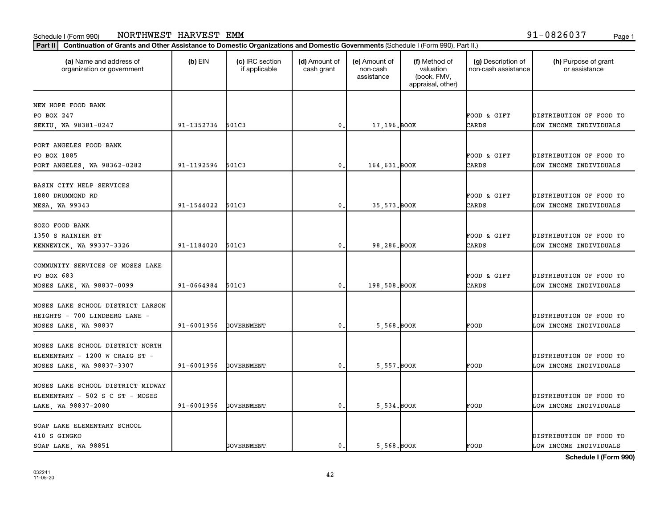# Schedule I (Form 990) NORTHWEST HARVEST EMM 91-0826037 <sub>Page 1</sub>

| Schedule I (Form 990) |  |
|-----------------------|--|
|                       |  |

| (a) Name and address of<br>organization or government                                           | $(b)$ EIN  | (c) IRC section<br>if applicable | (d) Amount of<br>cash grant | (e) Amount of<br>non-cash<br>assistance | (f) Method of<br>valuation<br>(book, FMV,<br>appraisal, other) | (g) Description of<br>non-cash assistance | (h) Purpose of grant<br>or assistance             |
|-------------------------------------------------------------------------------------------------|------------|----------------------------------|-----------------------------|-----------------------------------------|----------------------------------------------------------------|-------------------------------------------|---------------------------------------------------|
| NEW HOPE FOOD BANK<br>PO BOX 247<br>SEKIU, WA 98381-0247                                        | 91-1352736 | 501C3                            | 0.                          | 17,196.BOOK                             |                                                                | FOOD & GIFT<br>CARDS                      | DISTRIBUTION OF FOOD TO<br>LOW INCOME INDIVIDUALS |
| PORT ANGELES FOOD BANK<br>PO BOX 1885<br>PORT ANGELES, WA 98362-0282                            | 91-1192596 | 501C3                            | 0                           | 164,631. BOOK                           |                                                                | FOOD & GIFT<br>CARDS                      | DISTRIBUTION OF FOOD TO<br>LOW INCOME INDIVIDUALS |
| BASIN CITY HELP SERVICES<br>1880 DRUMMOND RD<br>MESA, WA 99343                                  | 91-1544022 | 501C3                            | 0                           | 35, 573. BOOK                           |                                                                | FOOD & GIFT<br>CARDS                      | DISTRIBUTION OF FOOD TO<br>LOW INCOME INDIVIDUALS |
| SOZO FOOD BANK<br>1350 S RAINIER ST<br>KENNEWICK, WA 99337-3326                                 | 91-1184020 | 501C3                            | 0                           | 98,286. BOOK                            |                                                                | FOOD & GIFT<br>CARDS                      | DISTRIBUTION OF FOOD TO<br>LOW INCOME INDIVIDUALS |
| COMMUNITY SERVICES OF MOSES LAKE<br>PO BOX 683<br>MOSES LAKE, WA 98837-0099                     | 91-0664984 | 501C3                            | $\mathbf{0}$                | 198,508. BOOK                           |                                                                | FOOD & GIFT<br>CARDS                      | DISTRIBUTION OF FOOD TO<br>LOW INCOME INDIVIDUALS |
| MOSES LAKE SCHOOL DISTRICT LARSON<br>HEIGHTS - 700 LINDBERG LANE -<br>MOSES LAKE, WA 98837      | 91-6001956 | GOVERNMENT                       | 0                           | 5,568. BOOK                             |                                                                | FOOD                                      | DISTRIBUTION OF FOOD TO<br>LOW INCOME INDIVIDUALS |
| MOSES LAKE SCHOOL DISTRICT NORTH<br>ELEMENTARY - 1200 W CRAIG ST -<br>MOSES LAKE, WA 98837-3307 | 91-6001956 | <b>GOVERNMENT</b>                | 0.                          | 5,557. BOOK                             |                                                                | FOOD                                      | DISTRIBUTION OF FOOD TO<br>LOW INCOME INDIVIDUALS |
| MOSES LAKE SCHOOL DISTRICT MIDWAY<br>ELEMENTARY - 502 S C ST - MOSES<br>LAKE, WA 98837-2080     | 91-6001956 | GOVERNMENT                       | 0                           | 5,534. BOOK                             |                                                                | FOOD                                      | DISTRIBUTION OF FOOD TO<br>LOW INCOME INDIVIDUALS |
| SOAP LAKE ELEMENTARY SCHOOL<br>410 S GINGKO<br>SOAP LAKE, WA 98851                              |            | GOVERNMENT                       | 0.                          | 5,568. BOOK                             |                                                                | FOOD                                      | DISTRIBUTION OF FOOD TO<br>LOW INCOME INDIVIDUALS |

**Part II Continuation of Grants and Other Assistance to Domestic Organizations and Domestic Governments**  (Schedule I (Form 990), Part II.)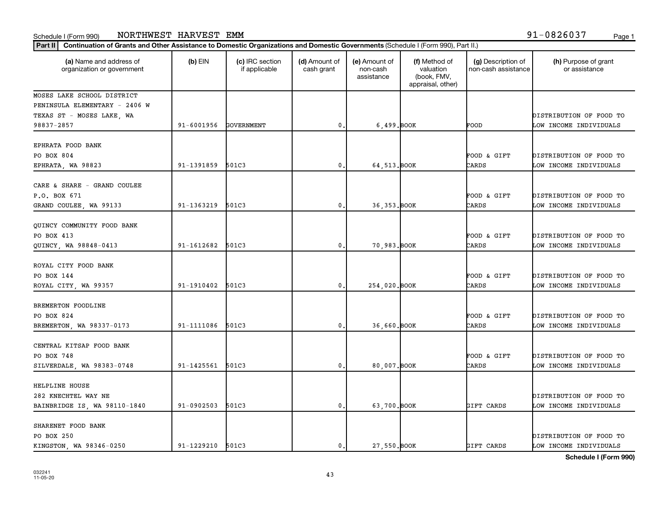| Continuation of Grants and Other Assistance to Domestic Organizations and Domestic Governments (Schedule I (Form 990), Part II.)<br>  Part II |                  |                                  |                             |                                         |                                                                |                                           |                                       |  |  |
|-----------------------------------------------------------------------------------------------------------------------------------------------|------------------|----------------------------------|-----------------------------|-----------------------------------------|----------------------------------------------------------------|-------------------------------------------|---------------------------------------|--|--|
| (a) Name and address of<br>organization or government                                                                                         | $(b)$ EIN        | (c) IRC section<br>if applicable | (d) Amount of<br>cash grant | (e) Amount of<br>non-cash<br>assistance | (f) Method of<br>valuation<br>(book, FMV,<br>appraisal, other) | (g) Description of<br>non-cash assistance | (h) Purpose of grant<br>or assistance |  |  |
| MOSES LAKE SCHOOL DISTRICT                                                                                                                    |                  |                                  |                             |                                         |                                                                |                                           |                                       |  |  |
| PENINSULA ELEMENTARY - 2406 W                                                                                                                 |                  |                                  |                             |                                         |                                                                |                                           |                                       |  |  |
| TEXAS ST - MOSES LAKE, WA                                                                                                                     |                  |                                  |                             |                                         |                                                                |                                           | DISTRIBUTION OF FOOD TO               |  |  |
| 98837-2857                                                                                                                                    | 91-6001956       | GOVERNMENT                       | $\mathbf 0$                 | 6,499. BOOK                             |                                                                | FOOD                                      | LOW INCOME INDIVIDUALS                |  |  |
| EPHRATA FOOD BANK                                                                                                                             |                  |                                  |                             |                                         |                                                                |                                           |                                       |  |  |
| PO BOX 804                                                                                                                                    |                  |                                  |                             |                                         |                                                                | FOOD & GIFT                               | DISTRIBUTION OF FOOD TO               |  |  |
| EPHRATA, WA 98823                                                                                                                             | 91-1391859       | 501C3                            | $\mathbf{0}$ .              | 64, 513. BOOK                           |                                                                | CARDS                                     | LOW INCOME INDIVIDUALS                |  |  |
|                                                                                                                                               |                  |                                  |                             |                                         |                                                                |                                           |                                       |  |  |
| CARE & SHARE - GRAND COULEE                                                                                                                   |                  |                                  |                             |                                         |                                                                |                                           |                                       |  |  |
| P.O. BOX 671                                                                                                                                  |                  |                                  |                             |                                         |                                                                | FOOD & GIFT                               | DISTRIBUTION OF FOOD TO               |  |  |
| GRAND COULEE, WA 99133                                                                                                                        | 91-1363219       | 501C3                            | 0.                          | 36, 353. BOOK                           |                                                                | CARDS                                     | LOW INCOME INDIVIDUALS                |  |  |
|                                                                                                                                               |                  |                                  |                             |                                         |                                                                |                                           |                                       |  |  |
| QUINCY COMMUNITY FOOD BANK                                                                                                                    |                  |                                  |                             |                                         |                                                                |                                           |                                       |  |  |
| PO BOX 413                                                                                                                                    |                  |                                  |                             |                                         |                                                                | FOOD & GIFT                               | DISTRIBUTION OF FOOD TO               |  |  |
| QUINCY, WA 98848-0413                                                                                                                         | $91 - 1612682$   | 501C3                            | 0                           | 70,983. BOOK                            |                                                                | CARDS                                     | LOW INCOME INDIVIDUALS                |  |  |
|                                                                                                                                               |                  |                                  |                             |                                         |                                                                |                                           |                                       |  |  |
| ROYAL CITY FOOD BANK                                                                                                                          |                  |                                  |                             |                                         |                                                                |                                           |                                       |  |  |
| PO BOX 144                                                                                                                                    |                  |                                  |                             |                                         |                                                                | FOOD & GIFT                               | DISTRIBUTION OF FOOD TO               |  |  |
| ROYAL CITY, WA 99357                                                                                                                          | 91-1910402       | 501C3                            | $\mathbf{0}$ .              | 254,020. BOOK                           |                                                                | CARDS                                     | LOW INCOME INDIVIDUALS                |  |  |
| BREMERTON FOODLINE                                                                                                                            |                  |                                  |                             |                                         |                                                                |                                           |                                       |  |  |
| PO BOX 824                                                                                                                                    |                  |                                  |                             |                                         |                                                                | FOOD & GIFT                               | DISTRIBUTION OF FOOD TO               |  |  |
| BREMERTON, WA 98337-0173                                                                                                                      | 91-1111086       | 501C3                            | 0.                          | 36,660. BOOK                            |                                                                | CARDS                                     | LOW INCOME INDIVIDUALS                |  |  |
|                                                                                                                                               |                  |                                  |                             |                                         |                                                                |                                           |                                       |  |  |
| CENTRAL KITSAP FOOD BANK                                                                                                                      |                  |                                  |                             |                                         |                                                                |                                           |                                       |  |  |
| PO BOX 748                                                                                                                                    |                  |                                  |                             |                                         |                                                                | FOOD & GIFT                               | DISTRIBUTION OF FOOD TO               |  |  |
| SILVERDALE, WA 98383-0748                                                                                                                     | 91-1425561       | 501C3                            | 0                           | 80,007. BOOK                            |                                                                | CARDS                                     | LOW INCOME INDIVIDUALS                |  |  |
|                                                                                                                                               |                  |                                  |                             |                                         |                                                                |                                           |                                       |  |  |
| HELPLINE HOUSE                                                                                                                                |                  |                                  |                             |                                         |                                                                |                                           |                                       |  |  |
| 282 KNECHTEL WAY NE                                                                                                                           |                  |                                  |                             |                                         |                                                                |                                           | DISTRIBUTION OF FOOD TO               |  |  |
| BAINBRIDGE IS, WA 98110-1840                                                                                                                  | 91-0902503       | 501C3                            | 0.                          | 63,700. BOOK                            |                                                                | GIFT CARDS                                | LOW INCOME INDIVIDUALS                |  |  |
|                                                                                                                                               |                  |                                  |                             |                                         |                                                                |                                           |                                       |  |  |
| SHARENET FOOD BANK                                                                                                                            |                  |                                  |                             |                                         |                                                                |                                           |                                       |  |  |
| PO BOX 250                                                                                                                                    |                  |                                  |                             |                                         |                                                                |                                           | DISTRIBUTION OF FOOD TO               |  |  |
| KINGSTON, WA 98346-0250                                                                                                                       | 91-1229210 501C3 |                                  | 0.                          | 27,550. BOOK                            |                                                                | GIFT CARDS                                | LOW INCOME INDIVIDUALS                |  |  |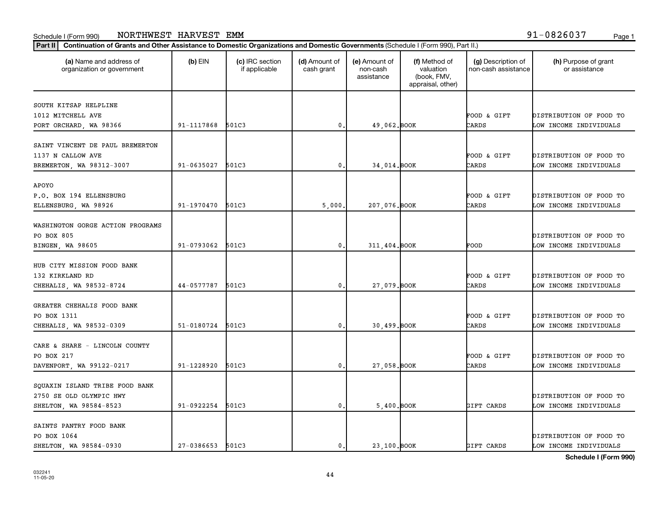| (a) Name and address of<br>organization or government | $(b)$ EIN  | (c) IRC section<br>if applicable | (d) Amount of<br>cash grant | (e) Amount of<br>non-cash<br>assistance | (f) Method of<br>valuation<br>(book, FMV,<br>appraisal, other) | (g) Description of<br>non-cash assistance | (h) Purpose of grant<br>or assistance |
|-------------------------------------------------------|------------|----------------------------------|-----------------------------|-----------------------------------------|----------------------------------------------------------------|-------------------------------------------|---------------------------------------|
|                                                       |            |                                  |                             |                                         |                                                                |                                           |                                       |
| SOUTH KITSAP HELPLINE                                 |            |                                  |                             |                                         |                                                                |                                           |                                       |
| 1012 MITCHELL AVE                                     | 91-1117868 | 501C3                            | $\pmb{0}$                   | 49,062. BOOK                            |                                                                | FOOD & GIFT<br>CARDS                      | DISTRIBUTION OF FOOD TO               |
| PORT ORCHARD, WA 98366                                |            |                                  |                             |                                         |                                                                |                                           | LOW INCOME INDIVIDUALS                |
| SAINT VINCENT DE PAUL BREMERTON                       |            |                                  |                             |                                         |                                                                |                                           |                                       |
| 1137 N CALLOW AVE                                     |            |                                  |                             |                                         |                                                                | FOOD & GIFT                               | DISTRIBUTION OF FOOD TO               |
| BREMERTON, WA 98312-3007                              | 91-0635027 | 501C3                            | 0                           | 34,014. BOOK                            |                                                                | CARDS                                     | LOW INCOME INDIVIDUALS                |
|                                                       |            |                                  |                             |                                         |                                                                |                                           |                                       |
| APOYO                                                 |            |                                  |                             |                                         |                                                                |                                           |                                       |
| P.O. BOX 194 ELLENSBURG                               |            |                                  |                             |                                         |                                                                | FOOD & GIFT                               | DISTRIBUTION OF FOOD TO               |
| ELLENSBURG, WA 98926                                  | 91-1970470 | 501C3                            | 5,000                       | 207,076. BOOK                           |                                                                | CARDS                                     | LOW INCOME INDIVIDUALS                |
|                                                       |            |                                  |                             |                                         |                                                                |                                           |                                       |
| WASHINGTON GORGE ACTION PROGRAMS                      |            |                                  |                             |                                         |                                                                |                                           |                                       |
| PO BOX 805                                            |            |                                  |                             |                                         |                                                                |                                           | DISTRIBUTION OF FOOD TO               |
| BINGEN, WA 98605                                      | 91-0793062 | 501C3                            | 0                           | 311,404. BOOK                           |                                                                | FOOD                                      | LOW INCOME INDIVIDUALS                |
|                                                       |            |                                  |                             |                                         |                                                                |                                           |                                       |
| HUB CITY MISSION FOOD BANK                            |            |                                  |                             |                                         |                                                                |                                           |                                       |
| 132 KIRKLAND RD                                       |            |                                  |                             |                                         |                                                                | FOOD & GIFT                               | DISTRIBUTION OF FOOD TO               |
| CHEHALIS, WA 98532-8724                               | 44-0577787 | 501C3                            | 0                           | 27,079. BOOK                            |                                                                | CARDS                                     | LOW INCOME INDIVIDUALS                |
| GREATER CHEHALIS FOOD BANK                            |            |                                  |                             |                                         |                                                                |                                           |                                       |
| PO BOX 1311                                           |            |                                  |                             |                                         |                                                                | FOOD & GIFT                               | DISTRIBUTION OF FOOD TO               |
| CHEHALIS, WA 98532-0309                               | 51-0180724 | 501C3                            | $\mathbf{0}$                | 30,499. BOOK                            |                                                                | CARDS                                     | LOW INCOME INDIVIDUALS                |
|                                                       |            |                                  |                             |                                         |                                                                |                                           |                                       |
| CARE & SHARE - LINCOLN COUNTY                         |            |                                  |                             |                                         |                                                                |                                           |                                       |
| PO BOX 217                                            |            |                                  |                             |                                         |                                                                | FOOD & GIFT                               | DISTRIBUTION OF FOOD TO               |
| DAVENPORT, WA 99122-0217                              | 91-1228920 | 501C3                            | 0                           | 27,058. BOOK                            |                                                                | CARDS                                     | LOW INCOME INDIVIDUALS                |
|                                                       |            |                                  |                             |                                         |                                                                |                                           |                                       |
| SQUAXIN ISLAND TRIBE FOOD BANK                        |            |                                  |                             |                                         |                                                                |                                           |                                       |
| 2750 SE OLD OLYMPIC HWY                               |            |                                  |                             |                                         |                                                                |                                           | DISTRIBUTION OF FOOD TO               |
| SHELTON, WA 98584-8523                                | 91-0922254 | 501C3                            | 0.                          | 5,400. BOOK                             |                                                                | GIFT CARDS                                | LOW INCOME INDIVIDUALS                |
|                                                       |            |                                  |                             |                                         |                                                                |                                           |                                       |
| SAINTS PANTRY FOOD BANK                               |            |                                  |                             |                                         |                                                                |                                           |                                       |
| PO BOX 1064                                           |            |                                  |                             |                                         |                                                                |                                           | DISTRIBUTION OF FOOD TO               |
| SHELTON, WA 98584-0930                                | 27-0386653 | 501C3                            | 0.                          | 23,100. BOOK                            |                                                                | <b>GIFT CARDS</b>                         | LOW INCOME INDIVIDUALS                |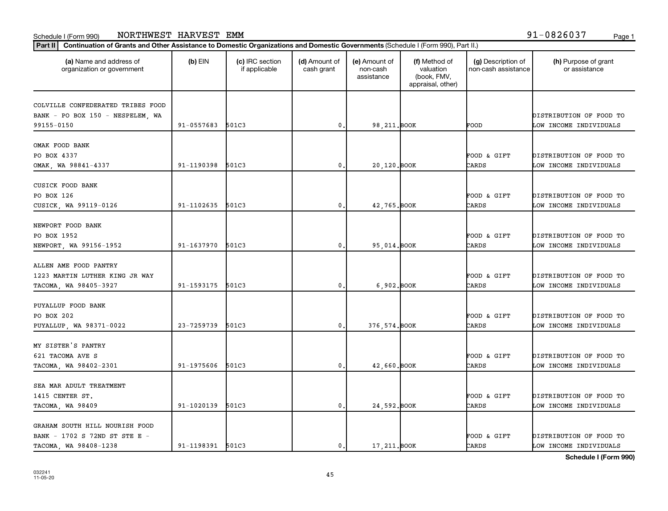|                                                       | Part II   Continuation of Grants and Other Assistance to Domestic Organizations and Domestic Governments (Schedule I (Form 990), Part II.) |                                  |                             |                                         |                                                                |                                           |                                       |  |  |  |
|-------------------------------------------------------|--------------------------------------------------------------------------------------------------------------------------------------------|----------------------------------|-----------------------------|-----------------------------------------|----------------------------------------------------------------|-------------------------------------------|---------------------------------------|--|--|--|
| (a) Name and address of<br>organization or government | $(b)$ EIN                                                                                                                                  | (c) IRC section<br>if applicable | (d) Amount of<br>cash grant | (e) Amount of<br>non-cash<br>assistance | (f) Method of<br>valuation<br>(book, FMV,<br>appraisal, other) | (g) Description of<br>non-cash assistance | (h) Purpose of grant<br>or assistance |  |  |  |
| COLVILLE CONFEDERATED TRIBES FOOD                     |                                                                                                                                            |                                  |                             |                                         |                                                                |                                           |                                       |  |  |  |
| BANK - PO BOX 150 - NESPELEM, WA                      |                                                                                                                                            |                                  |                             |                                         |                                                                |                                           | DISTRIBUTION OF FOOD TO               |  |  |  |
| 99155-0150                                            | 91-0557683                                                                                                                                 | 501C3                            | $\pmb{0}$                   | 98, 211. BOOK                           |                                                                | FOOD                                      | LOW INCOME INDIVIDUALS                |  |  |  |
|                                                       |                                                                                                                                            |                                  |                             |                                         |                                                                |                                           |                                       |  |  |  |
| OMAK FOOD BANK                                        |                                                                                                                                            |                                  |                             |                                         |                                                                |                                           |                                       |  |  |  |
| PO BOX 4337                                           |                                                                                                                                            |                                  |                             |                                         |                                                                | FOOD & GIFT                               | DISTRIBUTION OF FOOD TO               |  |  |  |
| OMAK, WA 98841-4337                                   | 91-1190398                                                                                                                                 | 501C3                            | 0                           | 20,120. BOOK                            |                                                                | CARDS                                     | LOW INCOME INDIVIDUALS                |  |  |  |
| <b>CUSICK FOOD BANK</b>                               |                                                                                                                                            |                                  |                             |                                         |                                                                |                                           |                                       |  |  |  |
| PO BOX 126                                            |                                                                                                                                            |                                  |                             |                                         |                                                                | FOOD & GIFT                               | DISTRIBUTION OF FOOD TO               |  |  |  |
| CUSICK, WA 99119-0126                                 | 91-1102635                                                                                                                                 | 501C3                            | 0.                          | 42,765. BOOK                            |                                                                | CARDS                                     | LOW INCOME INDIVIDUALS                |  |  |  |
|                                                       |                                                                                                                                            |                                  |                             |                                         |                                                                |                                           |                                       |  |  |  |
| NEWPORT FOOD BANK                                     |                                                                                                                                            |                                  |                             |                                         |                                                                |                                           |                                       |  |  |  |
| PO BOX 1952                                           |                                                                                                                                            |                                  |                             |                                         |                                                                | FOOD & GIFT                               | DISTRIBUTION OF FOOD TO               |  |  |  |
| NEWPORT, WA 99156-1952                                | 91-1637970                                                                                                                                 | 501C3                            | 0                           | 95,014. BOOK                            |                                                                | CARDS                                     | LOW INCOME INDIVIDUALS                |  |  |  |
|                                                       |                                                                                                                                            |                                  |                             |                                         |                                                                |                                           |                                       |  |  |  |
| ALLEN AME FOOD PANTRY                                 |                                                                                                                                            |                                  |                             |                                         |                                                                |                                           |                                       |  |  |  |
| 1223 MARTIN LUTHER KING JR WAY                        |                                                                                                                                            |                                  |                             |                                         |                                                                | FOOD & GIFT                               | DISTRIBUTION OF FOOD TO               |  |  |  |
| TACOMA, WA 98405-3927                                 | 91-1593175                                                                                                                                 | 501C3                            | 0                           | 6,902. BOOK                             |                                                                | CARDS                                     | LOW INCOME INDIVIDUALS                |  |  |  |
| PUYALLUP FOOD BANK                                    |                                                                                                                                            |                                  |                             |                                         |                                                                |                                           |                                       |  |  |  |
| PO BOX 202                                            |                                                                                                                                            |                                  |                             |                                         |                                                                | FOOD & GIFT                               | DISTRIBUTION OF FOOD TO               |  |  |  |
| PUYALLUP, WA 98371-0022                               | 23-7259739                                                                                                                                 | 501C3                            | 0.                          | 376, 574. BOOK                          |                                                                | CARDS                                     | LOW INCOME INDIVIDUALS                |  |  |  |
|                                                       |                                                                                                                                            |                                  |                             |                                         |                                                                |                                           |                                       |  |  |  |
| MY SISTER'S PANTRY                                    |                                                                                                                                            |                                  |                             |                                         |                                                                |                                           |                                       |  |  |  |
| 621 TACOMA AVE S                                      |                                                                                                                                            |                                  |                             |                                         |                                                                | FOOD & GIFT                               | DISTRIBUTION OF FOOD TO               |  |  |  |
| TACOMA, WA 98402-2301                                 | 91-1975606                                                                                                                                 | 501C3                            | 0                           | 42,660. BOOK                            |                                                                | CARDS                                     | LOW INCOME INDIVIDUALS                |  |  |  |
|                                                       |                                                                                                                                            |                                  |                             |                                         |                                                                |                                           |                                       |  |  |  |
| SEA MAR ADULT TREATMENT                               |                                                                                                                                            |                                  |                             |                                         |                                                                |                                           |                                       |  |  |  |
| 1415 CENTER ST.                                       |                                                                                                                                            |                                  |                             |                                         |                                                                | FOOD & GIFT                               | DISTRIBUTION OF FOOD TO               |  |  |  |
| TACOMA, WA 98409                                      | 91-1020139                                                                                                                                 | 501C3                            | $\mathbf 0$ .               | 24,592. BOOK                            |                                                                | CARDS                                     | LOW INCOME INDIVIDUALS                |  |  |  |
| GRAHAM SOUTH HILL NOURISH FOOD                        |                                                                                                                                            |                                  |                             |                                         |                                                                |                                           |                                       |  |  |  |
| BANK - 1702 S 72ND ST STE E -                         |                                                                                                                                            |                                  |                             |                                         |                                                                | FOOD & GIFT                               | DISTRIBUTION OF FOOD TO               |  |  |  |
| TACOMA, WA 98408-1238                                 | 91-1198391 501C3                                                                                                                           |                                  | 0.                          | 17,211. BOOK                            |                                                                | CARDS                                     | LOW INCOME INDIVIDUALS                |  |  |  |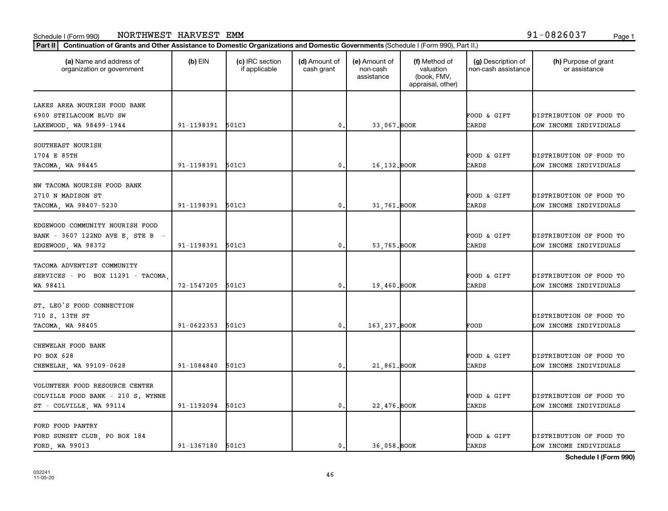| (a) Name and address of<br>organization or government | $(b)$ EIN        | (c) IRC section<br>if applicable | (d) Amount of<br>cash grant | (e) Amount of<br>non-cash<br>assistance | (f) Method of<br>valuation<br>(book, FMV,<br>appraisal, other) | (g) Description of<br>non-cash assistance | (h) Purpose of grant<br>or assistance |
|-------------------------------------------------------|------------------|----------------------------------|-----------------------------|-----------------------------------------|----------------------------------------------------------------|-------------------------------------------|---------------------------------------|
| LAKES AREA NOURISH FOOD BANK                          |                  |                                  |                             |                                         |                                                                |                                           |                                       |
| 6900 STEILACOOM BLVD SW                               |                  |                                  |                             |                                         |                                                                | FOOD & GIFT                               | DISTRIBUTION OF FOOD TO               |
| LAKEWOOD, WA 98499-1944                               | 91-1198391 501C3 |                                  | 0                           | 33,067. BOOK                            |                                                                | CARDS                                     | LOW INCOME INDIVIDUALS                |
|                                                       |                  |                                  |                             |                                         |                                                                |                                           |                                       |
| SOUTHEAST NOURISH                                     |                  |                                  |                             |                                         |                                                                |                                           |                                       |
| 1704 E 85TH                                           |                  |                                  |                             |                                         |                                                                | FOOD & GIFT                               | DISTRIBUTION OF FOOD TO               |
| TACOMA, WA 98445                                      | 91-1198391       | 501C3                            | 0.                          | 16,132. BOOK                            |                                                                | CARDS                                     | LOW INCOME INDIVIDUALS                |
| NW TACOMA NOURISH FOOD BANK                           |                  |                                  |                             |                                         |                                                                |                                           |                                       |
| 2710 N MADISON ST                                     |                  |                                  |                             |                                         |                                                                | FOOD & GIFT                               | DISTRIBUTION OF FOOD TO               |
| TACOMA, WA 98407-5230                                 | 91-1198391 501C3 |                                  | $\mathbf{0}$ .              | 31,761. BOOK                            |                                                                | CARDS                                     | LOW INCOME INDIVIDUALS                |
|                                                       |                  |                                  |                             |                                         |                                                                |                                           |                                       |
| EDGEWOOD COMMUNITY NOURISH FOOD                       |                  |                                  |                             |                                         |                                                                |                                           |                                       |
| BANK - 3607 122ND AVE E, STE B -                      |                  |                                  |                             |                                         |                                                                | FOOD & GIFT                               | DISTRIBUTION OF FOOD TO               |
| EDGEWOOD, WA 98372                                    | 91-1198391 501C3 |                                  | 0                           | 53,765. BOOK                            |                                                                | CARDS                                     | LOW INCOME INDIVIDUALS                |
| TACOMA ADVENTIST COMMUNITY                            |                  |                                  |                             |                                         |                                                                |                                           |                                       |
| SERVICES - PO BOX 11291 - TACOMA                      |                  |                                  |                             |                                         |                                                                | FOOD & GIFT                               | DISTRIBUTION OF FOOD TO               |
| WA 98411                                              | 72-1547205       | 501C3                            | 0.                          | 19,460. BOOK                            |                                                                | CARDS                                     | LOW INCOME INDIVIDUALS                |
|                                                       |                  |                                  |                             |                                         |                                                                |                                           |                                       |
| ST. LEO'S FOOD CONNECTION                             |                  |                                  |                             |                                         |                                                                |                                           |                                       |
| 710 S. 13TH ST                                        |                  |                                  |                             |                                         |                                                                |                                           | DISTRIBUTION OF FOOD TO               |
| TACOMA, WA 98405                                      | 91-0622353       | 501C3                            | 0.                          | 163.237. BOOK                           |                                                                | FOOD                                      | LOW INCOME INDIVIDUALS                |
| CHEWELAH FOOD BANK                                    |                  |                                  |                             |                                         |                                                                |                                           |                                       |
| PO BOX 628                                            |                  |                                  |                             |                                         |                                                                | FOOD & GIFT                               | DISTRIBUTION OF FOOD TO               |
|                                                       |                  | 501C3                            | 0                           |                                         |                                                                |                                           |                                       |
| CHEWELAH, WA 99109-0628                               | 91-1084840       |                                  |                             | 21,861. BOOK                            |                                                                | CARDS                                     | LOW INCOME INDIVIDUALS                |
| VOLUNTEER FOOD RESOURCE CENTER                        |                  |                                  |                             |                                         |                                                                |                                           |                                       |
| COLVILLE FOOD BANK - 210 S. WYNNE                     |                  |                                  |                             |                                         |                                                                | FOOD & GIFT                               | DISTRIBUTION OF FOOD TO               |
| ST - COLVILLE, WA 99114                               | 91-1192094 501C3 |                                  | 0.                          | 22,476. BOOK                            |                                                                | CARDS                                     | LOW INCOME INDIVIDUALS                |
|                                                       |                  |                                  |                             |                                         |                                                                |                                           |                                       |
| FORD FOOD PANTRY                                      |                  |                                  |                             |                                         |                                                                | FOOD & GIFT                               |                                       |
| FORD SUNSET CLUB, PO BOX 184                          |                  |                                  |                             |                                         |                                                                |                                           | DISTRIBUTION OF FOOD TO               |
| FORD, WA 99013                                        | 91-1367180 501C3 |                                  | 0.                          | 36,058. BOOK                            |                                                                | CARDS                                     | LOW INCOME INDIVIDUALS                |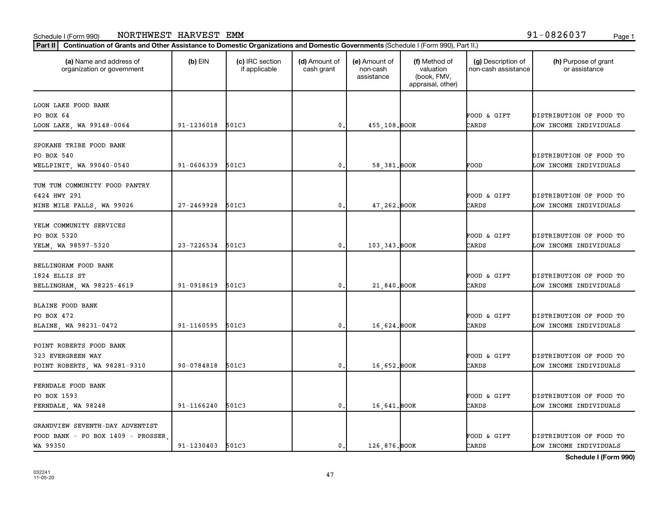|                                                       | Part II   Continuation of Grants and Other Assistance to Domestic Organizations and Domestic Governments (Schedule I (Form 990), Part II.) |                                  |                             |                                         |                                                                |                                           |                                       |  |  |  |
|-------------------------------------------------------|--------------------------------------------------------------------------------------------------------------------------------------------|----------------------------------|-----------------------------|-----------------------------------------|----------------------------------------------------------------|-------------------------------------------|---------------------------------------|--|--|--|
| (a) Name and address of<br>organization or government | $(b)$ EIN                                                                                                                                  | (c) IRC section<br>if applicable | (d) Amount of<br>cash grant | (e) Amount of<br>non-cash<br>assistance | (f) Method of<br>valuation<br>(book, FMV,<br>appraisal, other) | (g) Description of<br>non-cash assistance | (h) Purpose of grant<br>or assistance |  |  |  |
| LOON LAKE FOOD BANK                                   |                                                                                                                                            |                                  |                             |                                         |                                                                |                                           |                                       |  |  |  |
| PO BOX 64                                             |                                                                                                                                            |                                  |                             |                                         |                                                                | FOOD & GIFT                               | DISTRIBUTION OF FOOD TO               |  |  |  |
| LOON LAKE, WA 99148-0064                              | 91-1236018                                                                                                                                 | 501C3                            | $\mathsf{0}\,.$             | 455,108. BOOK                           |                                                                | CARDS                                     | LOW INCOME INDIVIDUALS                |  |  |  |
|                                                       |                                                                                                                                            |                                  |                             |                                         |                                                                |                                           |                                       |  |  |  |
| SPOKANE TRIBE FOOD BANK                               |                                                                                                                                            |                                  |                             |                                         |                                                                |                                           |                                       |  |  |  |
| PO BOX 540                                            |                                                                                                                                            |                                  |                             |                                         |                                                                |                                           | DISTRIBUTION OF FOOD TO               |  |  |  |
| WELLPINIT, WA 99040-0540                              | $91 - 0606339$                                                                                                                             | 501C3                            | 0.                          | 58, 381. BOOK                           |                                                                | FOOD                                      | LOW INCOME INDIVIDUALS                |  |  |  |
|                                                       |                                                                                                                                            |                                  |                             |                                         |                                                                |                                           |                                       |  |  |  |
| TUM TUM COMMUNITY FOOD PANTRY                         |                                                                                                                                            |                                  |                             |                                         |                                                                |                                           |                                       |  |  |  |
| 6424 HWY 291                                          |                                                                                                                                            |                                  |                             |                                         |                                                                | FOOD & GIFT                               | DISTRIBUTION OF FOOD TO               |  |  |  |
| NINE MILE FALLS, WA 99026                             | $27 - 2469928$                                                                                                                             | 501C3                            | 0.                          | 47, 262. BOOK                           |                                                                | CARDS                                     | LOW INCOME INDIVIDUALS                |  |  |  |
|                                                       |                                                                                                                                            |                                  |                             |                                         |                                                                |                                           |                                       |  |  |  |
| YELM COMMUNITY SERVICES                               |                                                                                                                                            |                                  |                             |                                         |                                                                |                                           |                                       |  |  |  |
| PO BOX 5320                                           |                                                                                                                                            |                                  |                             |                                         |                                                                | FOOD & GIFT                               | DISTRIBUTION OF FOOD TO               |  |  |  |
| YELM, WA 98597-5320                                   | 23-7226534                                                                                                                                 | 501C3                            | $\mathbf 0$                 | 103, 343. BOOK                          |                                                                | CARDS                                     | LOW INCOME INDIVIDUALS                |  |  |  |
|                                                       |                                                                                                                                            |                                  |                             |                                         |                                                                |                                           |                                       |  |  |  |
| BELLINGHAM FOOD BANK                                  |                                                                                                                                            |                                  |                             |                                         |                                                                |                                           |                                       |  |  |  |
| 1824 ELLIS ST                                         |                                                                                                                                            |                                  |                             |                                         |                                                                | FOOD & GIFT                               | DISTRIBUTION OF FOOD TO               |  |  |  |
| BELLINGHAM, WA 98225-4619                             | 91-0918619                                                                                                                                 | 501C3                            | 0.                          | 21,840. BOOK                            |                                                                | CARDS                                     | LOW INCOME INDIVIDUALS                |  |  |  |
| <b>BLAINE FOOD BANK</b>                               |                                                                                                                                            |                                  |                             |                                         |                                                                |                                           |                                       |  |  |  |
| PO BOX 472                                            |                                                                                                                                            |                                  |                             |                                         |                                                                | FOOD & GIFT                               | DISTRIBUTION OF FOOD TO               |  |  |  |
| BLAINE, WA 98231-0472                                 | 91-1160595                                                                                                                                 | 501C3                            | 0.                          | 16,624. BOOK                            |                                                                | CARDS                                     | LOW INCOME INDIVIDUALS                |  |  |  |
|                                                       |                                                                                                                                            |                                  |                             |                                         |                                                                |                                           |                                       |  |  |  |
| POINT ROBERTS FOOD BANK                               |                                                                                                                                            |                                  |                             |                                         |                                                                |                                           |                                       |  |  |  |
| 323 EVERGREEN WAY                                     |                                                                                                                                            |                                  |                             |                                         |                                                                | FOOD & GIFT                               | DISTRIBUTION OF FOOD TO               |  |  |  |
| POINT ROBERTS, WA 98281-9310                          | 90-0784818                                                                                                                                 | 501C3                            | $\mathbf 0$                 | 16,652.BOOK                             |                                                                | CARDS                                     | LOW INCOME INDIVIDUALS                |  |  |  |
|                                                       |                                                                                                                                            |                                  |                             |                                         |                                                                |                                           |                                       |  |  |  |
| FERNDALE FOOD BANK                                    |                                                                                                                                            |                                  |                             |                                         |                                                                |                                           |                                       |  |  |  |
| PO BOX 1593                                           |                                                                                                                                            |                                  |                             |                                         |                                                                | FOOD & GIFT                               | DISTRIBUTION OF FOOD TO               |  |  |  |
| FERNDALE, WA 98248                                    | 91-1166240                                                                                                                                 | 501C3                            | 0.                          | 16,641. BOOK                            |                                                                | CARDS                                     | LOW INCOME INDIVIDUALS                |  |  |  |
|                                                       |                                                                                                                                            |                                  |                             |                                         |                                                                |                                           |                                       |  |  |  |
| GRANDVIEW SEVENTH-DAY ADVENTIST                       |                                                                                                                                            |                                  |                             |                                         |                                                                |                                           |                                       |  |  |  |
| FOOD BANK - PO BOX $1409$ - PROSSER                   |                                                                                                                                            |                                  |                             |                                         |                                                                | FOOD & GIFT                               | DISTRIBUTION OF FOOD TO               |  |  |  |
| WA 99350                                              | 91-1230403                                                                                                                                 | 501C3                            | 0.                          | 126,876. BOOK                           |                                                                | CARDS                                     | LOW INCOME INDIVIDUALS                |  |  |  |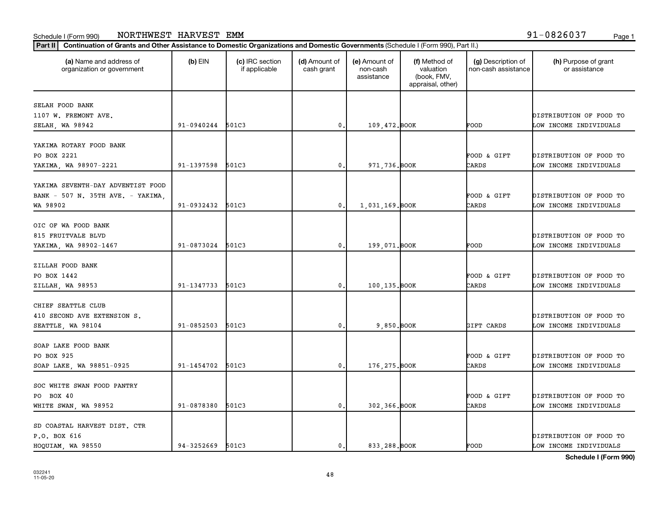| Part II   Continuation of Grants and Other Assistance to Domestic Organizations and Domestic Governments (Schedule I (Form 990), Part II.) |            |                                  |                             |                                         |                                                                |                                           |                                       |
|--------------------------------------------------------------------------------------------------------------------------------------------|------------|----------------------------------|-----------------------------|-----------------------------------------|----------------------------------------------------------------|-------------------------------------------|---------------------------------------|
| (a) Name and address of<br>organization or government                                                                                      | $(b)$ EIN  | (c) IRC section<br>if applicable | (d) Amount of<br>cash grant | (e) Amount of<br>non-cash<br>assistance | (f) Method of<br>valuation<br>(book, FMV,<br>appraisal, other) | (g) Description of<br>non-cash assistance | (h) Purpose of grant<br>or assistance |
|                                                                                                                                            |            |                                  |                             |                                         |                                                                |                                           |                                       |
| SELAH FOOD BANK<br>1107 W. FREMONT AVE.                                                                                                    |            |                                  |                             |                                         |                                                                |                                           | DISTRIBUTION OF FOOD TO               |
| SELAH, WA 98942                                                                                                                            | 91-0940244 | 501C3                            | 0                           | 109,472. BOOK                           |                                                                | FOOD                                      | LOW INCOME INDIVIDUALS                |
|                                                                                                                                            |            |                                  |                             |                                         |                                                                |                                           |                                       |
| YAKIMA ROTARY FOOD BANK                                                                                                                    |            |                                  |                             |                                         |                                                                |                                           |                                       |
| PO BOX 2221                                                                                                                                |            |                                  |                             |                                         |                                                                | FOOD & GIFT                               | DISTRIBUTION OF FOOD TO               |
| YAKIMA, WA 98907-2221                                                                                                                      | 91-1397598 | 501C3                            | 0                           | 971,736. BOOK                           |                                                                | CARDS                                     | LOW INCOME INDIVIDUALS                |
|                                                                                                                                            |            |                                  |                             |                                         |                                                                |                                           |                                       |
| YAKIMA SEVENTH-DAY ADVENTIST FOOD                                                                                                          |            |                                  |                             |                                         |                                                                |                                           |                                       |
| BANK - 507 N. 35TH AVE. - YAKIMA,                                                                                                          |            |                                  |                             |                                         |                                                                | FOOD & GIFT                               | DISTRIBUTION OF FOOD TO               |
| WA 98902                                                                                                                                   | 91-0932432 | 501C3                            | 0                           | 1,031,169. BOOK                         |                                                                | CARDS                                     | LOW INCOME INDIVIDUALS                |
|                                                                                                                                            |            |                                  |                             |                                         |                                                                |                                           |                                       |
| OIC OF WA FOOD BANK                                                                                                                        |            |                                  |                             |                                         |                                                                |                                           |                                       |
| 815 FRUITVALE BLVD                                                                                                                         |            |                                  |                             |                                         |                                                                |                                           | DISTRIBUTION OF FOOD TO               |
| YAKIMA, WA 98902-1467                                                                                                                      | 91-0873024 | 501C3                            | 0                           | 199,071. BOOK                           |                                                                | FOOD                                      | LOW INCOME INDIVIDUALS                |
|                                                                                                                                            |            |                                  |                             |                                         |                                                                |                                           |                                       |
| ZILLAH FOOD BANK                                                                                                                           |            |                                  |                             |                                         |                                                                |                                           |                                       |
| PO BOX 1442                                                                                                                                |            |                                  |                             |                                         |                                                                | FOOD & GIFT                               | DISTRIBUTION OF FOOD TO               |
| ZILLAH, WA 98953                                                                                                                           | 91-1347733 | 501C3                            | 0                           | 100,135. BOOK                           |                                                                | CARDS                                     | LOW INCOME INDIVIDUALS                |
|                                                                                                                                            |            |                                  |                             |                                         |                                                                |                                           |                                       |
| CHIEF SEATTLE CLUB                                                                                                                         |            |                                  |                             |                                         |                                                                |                                           |                                       |
| 410 SECOND AVE EXTENSION S.                                                                                                                |            |                                  |                             |                                         |                                                                |                                           | DISTRIBUTION OF FOOD TO               |
| SEATTLE, WA 98104                                                                                                                          | 91-0852503 | 501C3                            | 0                           | 9,850. BOOK                             |                                                                | GIFT CARDS                                | LOW INCOME INDIVIDUALS                |
|                                                                                                                                            |            |                                  |                             |                                         |                                                                |                                           |                                       |
| SOAP LAKE FOOD BANK                                                                                                                        |            |                                  |                             |                                         |                                                                |                                           |                                       |
| PO BOX 925                                                                                                                                 |            |                                  |                             |                                         |                                                                | FOOD & GIFT                               | DISTRIBUTION OF FOOD TO               |
| SOAP LAKE, WA 98851-0925                                                                                                                   | 91-1454702 | 501C3                            | 0                           | 176, 275. BOOK                          |                                                                | CARDS                                     | LOW INCOME INDIVIDUALS                |
|                                                                                                                                            |            |                                  |                             |                                         |                                                                |                                           |                                       |
| SOC WHITE SWAN FOOD PANTRY                                                                                                                 |            |                                  |                             |                                         |                                                                |                                           |                                       |
| PO BOX 40                                                                                                                                  |            |                                  |                             |                                         |                                                                | FOOD & GIFT                               | DISTRIBUTION OF FOOD TO               |
| WHITE SWAN, WA 98952                                                                                                                       | 91-0878380 | 501C3                            | 0.                          | 302,366. BOOK                           |                                                                | CARDS                                     | LOW INCOME INDIVIDUALS                |
|                                                                                                                                            |            |                                  |                             |                                         |                                                                |                                           |                                       |
| SD COASTAL HARVEST DIST. CTR                                                                                                               |            |                                  |                             |                                         |                                                                |                                           |                                       |
| P.O. BOX 616                                                                                                                               |            |                                  |                             |                                         |                                                                |                                           | DISTRIBUTION OF FOOD TO               |
| HOQUIAM, WA 98550                                                                                                                          | 94-3252669 | 501C3                            | $0$ .                       | 833, 288. BOOK                          |                                                                | FOOD                                      | LOW INCOME INDIVIDUALS                |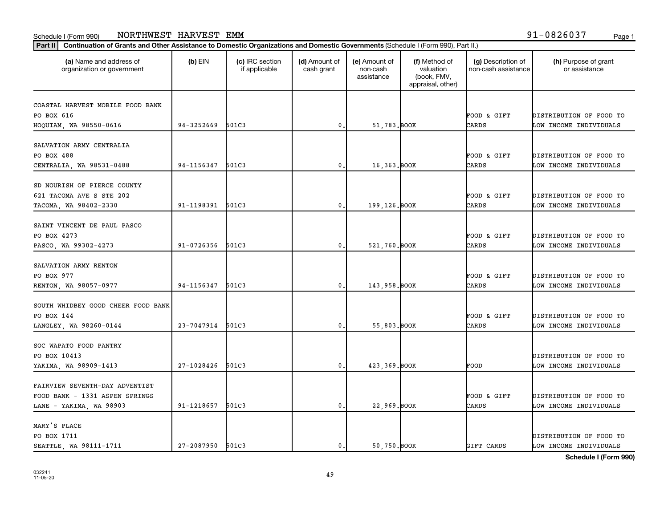# Schedule I (Form 990) NORTHWEST HARVEST EMM 91-0826037 <sub>Page 1</sub>

organization or government

**Part II Continuation of Grants and Other Assistance to Domestic Organizations and Domestic Governments**  (Schedule I (Form 990), Part II.)

if applicable

 $(b)$  EIN  $(c)$  IRC section

**(a) (b) (c) (d) (e) (f) (g) (h)** Name and address of

(d) Amount of cash grant

(e) Amount of non-cash

(f) Method of valuation

(g) Description of non-cash assistance

|                                    |                  |       |                | assistance     | (book, FMV,<br>appraisal, other) |             |                         |
|------------------------------------|------------------|-------|----------------|----------------|----------------------------------|-------------|-------------------------|
| COASTAL HARVEST MOBILE FOOD BANK   |                  |       |                |                |                                  |             |                         |
| PO BOX 616                         |                  |       |                |                |                                  | FOOD & GIFT | DISTRIBUTION OF FOOD TO |
| HOQUIAM, WA 98550-0616             | $94 - 3252669$   | 501C3 | 0.             | 51,783. BOOK   |                                  | CARDS       | LOW INCOME INDIVIDUALS  |
| SALVATION ARMY CENTRALIA           |                  |       |                |                |                                  |             |                         |
| PO BOX 488                         |                  |       |                |                |                                  | FOOD & GIFT | DISTRIBUTION OF FOOD TO |
| CENTRALIA, WA 98531-0488           | 94-1156347       | 501C3 | $\mathbf{0}$ . | 16,363. BOOK   |                                  | CARDS       | LOW INCOME INDIVIDUALS  |
| SD NOURISH OF PIERCE COUNTY        |                  |       |                |                |                                  |             |                         |
| 621 TACOMA AVE S STE 202           |                  |       |                |                |                                  | FOOD & GIFT | DISTRIBUTION OF FOOD TO |
| TACOMA, WA 98402-2330              | 91-1198391 501C3 |       | 0.             | 199,126. BOOK  |                                  | CARDS       | LOW INCOME INDIVIDUALS  |
|                                    |                  |       |                |                |                                  |             |                         |
| SAINT VINCENT DE PAUL PASCO        |                  |       |                |                |                                  |             |                         |
| PO BOX 4273                        |                  |       |                |                |                                  | FOOD & GIFT | DISTRIBUTION OF FOOD TO |
| PASCO, WA 99302-4273               | 91-0726356       | 501C3 | 0.1            | 521,760. BOOK  |                                  | CARDS       | LOW INCOME INDIVIDUALS  |
| SALVATION ARMY RENTON              |                  |       |                |                |                                  |             |                         |
| PO BOX 977                         |                  |       |                |                |                                  | FOOD & GIFT | DISTRIBUTION OF FOOD TO |
| RENTON, WA 98057-0977              | 94-1156347 501C3 |       | 0.             | 143,958. BOOK  |                                  | CARDS       | LOW INCOME INDIVIDUALS  |
|                                    |                  |       |                |                |                                  |             |                         |
| SOUTH WHIDBEY GOOD CHEER FOOD BANK |                  |       |                |                |                                  |             |                         |
| PO BOX 144                         |                  |       |                |                |                                  | FOOD & GIFT | DISTRIBUTION OF FOOD TO |
| LANGLEY, WA 98260-0144             | 23-7047914 501C3 |       | $\mathbf{0}$ . | 55,803. BOOK   |                                  | CARDS       | LOW INCOME INDIVIDUALS  |
| SOC WAPATO FOOD PANTRY             |                  |       |                |                |                                  |             |                         |
| PO BOX 10413                       |                  |       |                |                |                                  |             | DISTRIBUTION OF FOOD TO |
| YAKIMA, WA 98909-1413              | 27-1028426       | 501C3 | 0.             | 423, 369. BOOK |                                  | FOOD        | LOW INCOME INDIVIDUALS  |
|                                    |                  |       |                |                |                                  |             |                         |
| FAIRVIEW SEVENTH-DAY ADVENTIST     |                  |       |                |                |                                  |             |                         |
| FOOD BANK - 1331 ASPEN SPRINGS     |                  |       |                |                |                                  | FOOD & GIFT | DISTRIBUTION OF FOOD TO |
| LANE - YAKIMA, WA 98903            | 91-1218657       | 501C3 | 0              | 22,969. BOOK   |                                  | CARDS       | LOW INCOME INDIVIDUALS  |
| MARY'S PLACE                       |                  |       |                |                |                                  |             |                         |
| PO BOX 1711                        |                  |       |                |                |                                  |             | DISTRIBUTION OF FOOD TO |
| SEATTLE, WA 98111-1711             | 27-2087950 501C3 |       | 0.             | 50,750. BOOK   |                                  | GIFT CARDS  | LOW INCOME INDIVIDUALS  |
|                                    |                  |       |                |                |                                  |             | Schedule I (Form 990)   |

49

(h) Purpose of grant or assistance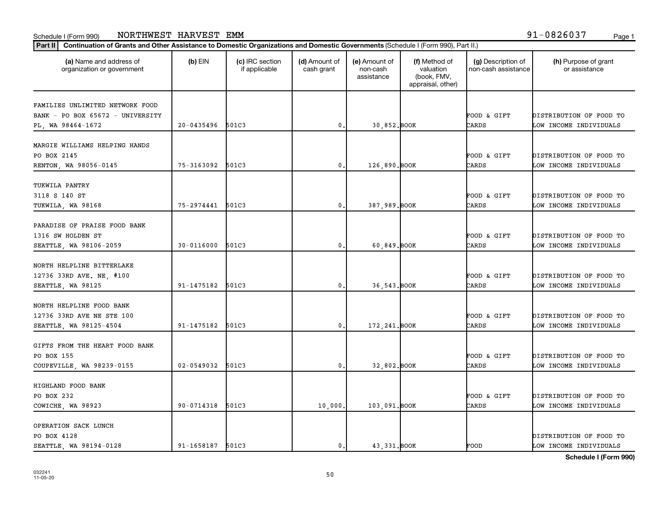| Part II   Continuation of Grants and Other Assistance to Domestic Organizations and Domestic Governments (Schedule I (Form 990), Part II.) |                  |                                  |                             |                                         |                                                                |                                           |                                       |
|--------------------------------------------------------------------------------------------------------------------------------------------|------------------|----------------------------------|-----------------------------|-----------------------------------------|----------------------------------------------------------------|-------------------------------------------|---------------------------------------|
| (a) Name and address of<br>organization or government                                                                                      | $(b)$ EIN        | (c) IRC section<br>if applicable | (d) Amount of<br>cash grant | (e) Amount of<br>non-cash<br>assistance | (f) Method of<br>valuation<br>(book, FMV,<br>appraisal, other) | (g) Description of<br>non-cash assistance | (h) Purpose of grant<br>or assistance |
|                                                                                                                                            |                  |                                  |                             |                                         |                                                                |                                           |                                       |
| FAMILIES UNLIMITED NETWORK FOOD<br>BANK - PO BOX 65672 - UNIVERSITY                                                                        |                  |                                  |                             |                                         |                                                                | FOOD & GIFT                               | DISTRIBUTION OF FOOD TO               |
| PL, WA 98464-1672                                                                                                                          | $20 - 0435496$   | 501C3                            | $\pmb{0}$                   | 30,852. BOOK                            |                                                                | CARDS                                     | LOW INCOME INDIVIDUALS                |
|                                                                                                                                            |                  |                                  |                             |                                         |                                                                |                                           |                                       |
| MARGIE WILLIAMS HELPING HANDS                                                                                                              |                  |                                  |                             |                                         |                                                                |                                           |                                       |
| PO BOX 2145                                                                                                                                |                  |                                  |                             |                                         |                                                                | FOOD & GIFT                               | DISTRIBUTION OF FOOD TO               |
| RENTON, WA 98056-0145                                                                                                                      | 75-3163092       | 501C3                            | 0                           | 126,890. BOOK                           |                                                                | CARDS                                     | LOW INCOME INDIVIDUALS                |
|                                                                                                                                            |                  |                                  |                             |                                         |                                                                |                                           |                                       |
| TUKWILA PANTRY                                                                                                                             |                  |                                  |                             |                                         |                                                                |                                           |                                       |
| 3118 S 140 ST                                                                                                                              |                  |                                  |                             |                                         |                                                                | FOOD & GIFT                               | DISTRIBUTION OF FOOD TO               |
| TUKWILA, WA 98168                                                                                                                          | 75-2974441 501C3 |                                  | 0.                          | 387,989. BOOK                           |                                                                | CARDS                                     | LOW INCOME INDIVIDUALS                |
|                                                                                                                                            |                  |                                  |                             |                                         |                                                                |                                           |                                       |
| PARADISE OF PRAISE FOOD BANK                                                                                                               |                  |                                  |                             |                                         |                                                                |                                           |                                       |
| 1316 SW HOLDEN ST                                                                                                                          |                  |                                  |                             |                                         |                                                                | FOOD & GIFT                               | DISTRIBUTION OF FOOD TO               |
| SEATTLE, WA 98106-2059                                                                                                                     | 30-0116000       | 501C3                            | 0                           | 60,849. BOOK                            |                                                                | CARDS                                     | LOW INCOME INDIVIDUALS                |
|                                                                                                                                            |                  |                                  |                             |                                         |                                                                |                                           |                                       |
| NORTH HELPLINE BITTERLAKE                                                                                                                  |                  |                                  |                             |                                         |                                                                |                                           |                                       |
| 12736 33RD AVE. NE, #100                                                                                                                   |                  |                                  |                             |                                         |                                                                | FOOD & GIFT                               | DISTRIBUTION OF FOOD TO               |
| SEATTLE, WA 98125                                                                                                                          | 91-1475182       | 501C3                            | 0                           | 36,543. BOOK                            |                                                                | CARDS                                     | LOW INCOME INDIVIDUALS                |
| NORTH HELPLINE FOOD BANK                                                                                                                   |                  |                                  |                             |                                         |                                                                |                                           |                                       |
| 12736 33RD AVE NE STE 100                                                                                                                  |                  |                                  |                             |                                         |                                                                | FOOD & GIFT                               | DISTRIBUTION OF FOOD TO               |
| SEATTLE, WA 98125-4504                                                                                                                     | 91-1475182       | 501C3                            | 0.                          | 172, 241. BOOK                          |                                                                | CARDS                                     | LOW INCOME INDIVIDUALS                |
|                                                                                                                                            |                  |                                  |                             |                                         |                                                                |                                           |                                       |
| GIFTS FROM THE HEART FOOD BANK                                                                                                             |                  |                                  |                             |                                         |                                                                |                                           |                                       |
| PO BOX 155                                                                                                                                 |                  |                                  |                             |                                         |                                                                | FOOD & GIFT                               | DISTRIBUTION OF FOOD TO               |
| COUPEVILLE, WA 98239-0155                                                                                                                  | 02-0549032       | 501C3                            | 0                           | 32,802. BOOK                            |                                                                | CARDS                                     | LOW INCOME INDIVIDUALS                |
|                                                                                                                                            |                  |                                  |                             |                                         |                                                                |                                           |                                       |
| HIGHLAND FOOD BANK                                                                                                                         |                  |                                  |                             |                                         |                                                                |                                           |                                       |
| PO BOX 232                                                                                                                                 |                  |                                  |                             |                                         |                                                                | FOOD & GIFT                               | DISTRIBUTION OF FOOD TO               |
| COWICHE, WA 98923                                                                                                                          | 90-0714318       | 501C3                            | 10,000                      | 103,091. BOOK                           |                                                                | CARDS                                     | LOW INCOME INDIVIDUALS                |
|                                                                                                                                            |                  |                                  |                             |                                         |                                                                |                                           |                                       |
| OPERATION SACK LUNCH                                                                                                                       |                  |                                  |                             |                                         |                                                                |                                           |                                       |
| PO BOX 4128                                                                                                                                |                  |                                  |                             |                                         |                                                                |                                           | DISTRIBUTION OF FOOD TO               |
| SEATTLE, WA 98194-0128                                                                                                                     | 91-1658187       | 501C3                            | 0.                          | 43.331. BOOK                            |                                                                | FOOD                                      | LOW INCOME INDIVIDUALS                |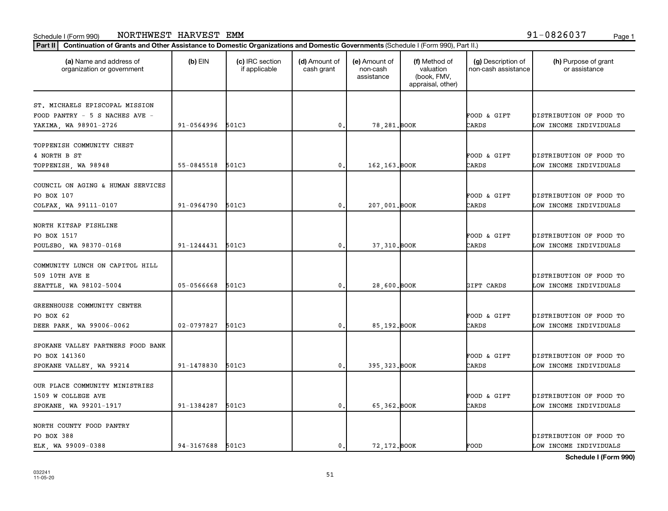| Part II                                               | Continuation of Grants and Other Assistance to Domestic Organizations and Domestic Governments (Schedule I (Form 990), Part II.) |                                  |                             |                                         |                                                                |                                           |                                       |  |
|-------------------------------------------------------|----------------------------------------------------------------------------------------------------------------------------------|----------------------------------|-----------------------------|-----------------------------------------|----------------------------------------------------------------|-------------------------------------------|---------------------------------------|--|
| (a) Name and address of<br>organization or government | $(b)$ EIN                                                                                                                        | (c) IRC section<br>if applicable | (d) Amount of<br>cash grant | (e) Amount of<br>non-cash<br>assistance | (f) Method of<br>valuation<br>(book, FMV,<br>appraisal, other) | (g) Description of<br>non-cash assistance | (h) Purpose of grant<br>or assistance |  |
| ST. MICHAELS EPISCOPAL MISSION                        |                                                                                                                                  |                                  |                             |                                         |                                                                |                                           |                                       |  |
| FOOD PANTRY - 5 S NACHES AVE -                        |                                                                                                                                  |                                  |                             |                                         |                                                                | FOOD & GIFT                               | DISTRIBUTION OF FOOD TO               |  |
| YAKIMA, WA 98901-2726                                 | 91-0564996                                                                                                                       | 501C3                            | 0                           | 78, 281. BOOK                           |                                                                | CARDS                                     | LOW INCOME INDIVIDUALS                |  |
|                                                       |                                                                                                                                  |                                  |                             |                                         |                                                                |                                           |                                       |  |
| TOPPENISH COMMUNITY CHEST                             |                                                                                                                                  |                                  |                             |                                         |                                                                |                                           |                                       |  |
| 4 NORTH B ST                                          |                                                                                                                                  |                                  |                             |                                         |                                                                | FOOD & GIFT                               | DISTRIBUTION OF FOOD TO               |  |
| TOPPENISH, WA 98948                                   | 55-0845518                                                                                                                       | 501C3                            | $\mathbf{0}$                | 162, 163. BOOK                          |                                                                | CARDS                                     | LOW INCOME INDIVIDUALS                |  |
| COUNCIL ON AGING & HUMAN SERVICES                     |                                                                                                                                  |                                  |                             |                                         |                                                                |                                           |                                       |  |
| PO BOX 107                                            |                                                                                                                                  |                                  |                             |                                         |                                                                | FOOD & GIFT                               | DISTRIBUTION OF FOOD TO               |  |
| COLFAX, WA 99111-0107                                 | 91-0964790                                                                                                                       | 501C3                            | $\mathbf{0}$ .              | 207,001. BOOK                           |                                                                | CARDS                                     | LOW INCOME INDIVIDUALS                |  |
|                                                       |                                                                                                                                  |                                  |                             |                                         |                                                                |                                           |                                       |  |
| NORTH KITSAP FISHLINE                                 |                                                                                                                                  |                                  |                             |                                         |                                                                |                                           |                                       |  |
| PO BOX 1517                                           |                                                                                                                                  |                                  |                             |                                         |                                                                | FOOD & GIFT                               | DISTRIBUTION OF FOOD TO               |  |
| POULSBO, WA 98370-0168                                | 91-1244431                                                                                                                       | 501C3                            | 0                           | 37, 310. BOOK                           |                                                                | CARDS                                     | LOW INCOME INDIVIDUALS                |  |
|                                                       |                                                                                                                                  |                                  |                             |                                         |                                                                |                                           |                                       |  |
| COMMUNITY LUNCH ON CAPITOL HILL                       |                                                                                                                                  |                                  |                             |                                         |                                                                |                                           |                                       |  |
| 509 10TH AVE E                                        |                                                                                                                                  |                                  |                             |                                         |                                                                |                                           | DISTRIBUTION OF FOOD TO               |  |
| SEATTLE, WA 98102-5004                                | 05-0566668                                                                                                                       | 501C3                            | 0                           | 28,600. BOOK                            |                                                                | <b>GIFT CARDS</b>                         | LOW INCOME INDIVIDUALS                |  |
| GREENHOUSE COMMUNITY CENTER                           |                                                                                                                                  |                                  |                             |                                         |                                                                |                                           |                                       |  |
| PO BOX 62                                             |                                                                                                                                  |                                  |                             |                                         |                                                                | FOOD & GIFT                               | DISTRIBUTION OF FOOD TO               |  |
| DEER PARK, WA 99006-0062                              | 02-0797827                                                                                                                       | 501C3                            | $\mathbf{0}$                | 85.192.BOOK                             |                                                                | CARDS                                     | LOW INCOME INDIVIDUALS                |  |
|                                                       |                                                                                                                                  |                                  |                             |                                         |                                                                |                                           |                                       |  |
| SPOKANE VALLEY PARTNERS FOOD BANK                     |                                                                                                                                  |                                  |                             |                                         |                                                                |                                           |                                       |  |
| PO BOX 141360                                         |                                                                                                                                  |                                  |                             |                                         |                                                                | FOOD & GIFT                               | DISTRIBUTION OF FOOD TO               |  |
| SPOKANE VALLEY, WA 99214                              | 91-1478830                                                                                                                       | 501C3                            | 0                           | 395, 323. BOOK                          |                                                                | CARDS                                     | LOW INCOME INDIVIDUALS                |  |
|                                                       |                                                                                                                                  |                                  |                             |                                         |                                                                |                                           |                                       |  |
| OUR PLACE COMMUNITY MINISTRIES                        |                                                                                                                                  |                                  |                             |                                         |                                                                |                                           |                                       |  |
| 1509 W COLLEGE AVE                                    |                                                                                                                                  |                                  |                             |                                         |                                                                | FOOD & GIFT                               | DISTRIBUTION OF FOOD TO               |  |
| SPOKANE, WA 99201-1917                                | 91-1384287                                                                                                                       | 501C3                            | $\mathbf 0$                 | 65,362. BOOK                            |                                                                | CARDS                                     | LOW INCOME INDIVIDUALS                |  |
| NORTH COUNTY FOOD PANTRY                              |                                                                                                                                  |                                  |                             |                                         |                                                                |                                           |                                       |  |
| PO BOX 388                                            |                                                                                                                                  |                                  |                             |                                         |                                                                |                                           | DISTRIBUTION OF FOOD TO               |  |
| ELK, WA 99009-0388                                    | 94-3167688 501C3                                                                                                                 |                                  | $\mathbf{0}$ .              | 72,172. BOOK                            |                                                                | FOOD                                      | LOW INCOME INDIVIDUALS                |  |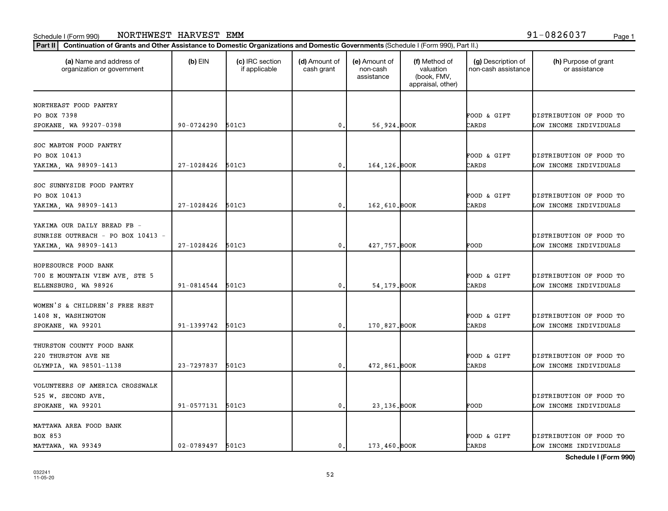| Part II   Continuation of Grants and Other Assistance to Domestic Organizations and Domestic Governments (Schedule I (Form 990), Part II.) |                  |                                  |                             |                                         |                                                                |                                           |                                       |
|--------------------------------------------------------------------------------------------------------------------------------------------|------------------|----------------------------------|-----------------------------|-----------------------------------------|----------------------------------------------------------------|-------------------------------------------|---------------------------------------|
| (a) Name and address of<br>organization or government                                                                                      | $(b)$ EIN        | (c) IRC section<br>if applicable | (d) Amount of<br>cash grant | (e) Amount of<br>non-cash<br>assistance | (f) Method of<br>valuation<br>(book, FMV,<br>appraisal, other) | (g) Description of<br>non-cash assistance | (h) Purpose of grant<br>or assistance |
| NORTHEAST FOOD PANTRY                                                                                                                      |                  |                                  |                             |                                         |                                                                |                                           |                                       |
| PO BOX 7398                                                                                                                                |                  |                                  |                             |                                         |                                                                | FOOD & GIFT                               | DISTRIBUTION OF FOOD TO               |
| SPOKANE, WA 99207-0398                                                                                                                     | 90-0724290       | 501C3                            | 0                           | 56,924. BOOK                            |                                                                | CARDS                                     | LOW INCOME INDIVIDUALS                |
| SOC MABTON FOOD PANTRY                                                                                                                     |                  |                                  |                             |                                         |                                                                |                                           |                                       |
| PO BOX 10413                                                                                                                               |                  |                                  |                             |                                         |                                                                | FOOD & GIFT                               | DISTRIBUTION OF FOOD TO               |
| YAKIMA, WA 98909-1413                                                                                                                      | 27-1028426       | 501C3                            | 0.                          | 164,126. BOOK                           |                                                                | CARDS                                     | LOW INCOME INDIVIDUALS                |
| SOC SUNNYSIDE FOOD PANTRY                                                                                                                  |                  |                                  |                             |                                         |                                                                |                                           |                                       |
| PO BOX 10413                                                                                                                               |                  |                                  |                             |                                         |                                                                | FOOD & GIFT                               | DISTRIBUTION OF FOOD TO               |
| YAKIMA, WA 98909-1413                                                                                                                      | 27-1028426       | 501C3                            | 0.                          | 162.610. BOOK                           |                                                                | CARDS                                     | LOW INCOME INDIVIDUALS                |
| YAKIMA OUR DAILY BREAD FB -                                                                                                                |                  |                                  |                             |                                         |                                                                |                                           |                                       |
| SUNRISE OUTREACH - PO BOX 10413 -                                                                                                          |                  |                                  |                             |                                         |                                                                |                                           | DISTRIBUTION OF FOOD TO               |
| YAKIMA, WA 98909-1413                                                                                                                      | 27-1028426       | 501C3                            | 0                           | 427, 757. BOOK                          |                                                                | FOOD                                      | LOW INCOME INDIVIDUALS                |
|                                                                                                                                            |                  |                                  |                             |                                         |                                                                |                                           |                                       |
| HOPESOURCE FOOD BANK                                                                                                                       |                  |                                  |                             |                                         |                                                                |                                           |                                       |
| 700 E MOUNTAIN VIEW AVE, STE 5                                                                                                             |                  |                                  |                             |                                         |                                                                | FOOD & GIFT                               | DISTRIBUTION OF FOOD TO               |
| ELLENSBURG, WA 98926                                                                                                                       | 91-0814544 501C3 |                                  | 0.                          | 54, 179. BOOK                           |                                                                | CARDS                                     | LOW INCOME INDIVIDUALS                |
| WOMEN'S & CHILDREN'S FREE REST                                                                                                             |                  |                                  |                             |                                         |                                                                |                                           |                                       |
| 1408 N. WASHINGTON                                                                                                                         |                  |                                  |                             |                                         |                                                                | FOOD & GIFT                               | DISTRIBUTION OF FOOD TO               |
| SPOKANE, WA 99201                                                                                                                          | 91-1399742       | 501C3                            | 0.                          | 170,827. BOOK                           |                                                                | CARDS                                     | LOW INCOME INDIVIDUALS                |
| THURSTON COUNTY FOOD BANK                                                                                                                  |                  |                                  |                             |                                         |                                                                |                                           |                                       |
| 220 THURSTON AVE NE                                                                                                                        |                  |                                  |                             |                                         |                                                                | FOOD & GIFT                               | DISTRIBUTION OF FOOD TO               |
| OLYMPIA, WA 98501-1138                                                                                                                     | 23-7297837 501C3 |                                  | 0.                          | 472,861. BOOK                           |                                                                | CARDS                                     | LOW INCOME INDIVIDUALS                |
|                                                                                                                                            |                  |                                  |                             |                                         |                                                                |                                           |                                       |
| VOLUNTEERS OF AMERICA CROSSWALK                                                                                                            |                  |                                  |                             |                                         |                                                                |                                           |                                       |
| 525 W. SECOND AVE.                                                                                                                         |                  |                                  |                             |                                         |                                                                |                                           | DISTRIBUTION OF FOOD TO               |
| SPOKANE, WA 99201                                                                                                                          | 91-0577131 501C3 |                                  | 0.                          | 23, 136. BOOK                           |                                                                | FOOD                                      | LOW INCOME INDIVIDUALS                |
| MATTAWA AREA FOOD BANK                                                                                                                     |                  |                                  |                             |                                         |                                                                |                                           |                                       |
| BOX 853                                                                                                                                    |                  |                                  |                             |                                         |                                                                | FOOD & GIFT                               | DISTRIBUTION OF FOOD TO               |
| MATTAWA, WA 99349                                                                                                                          | 02-0789497 501C3 |                                  | 0.                          | 173,460. BOOK                           |                                                                | CARDS                                     | LOW INCOME INDIVIDUALS                |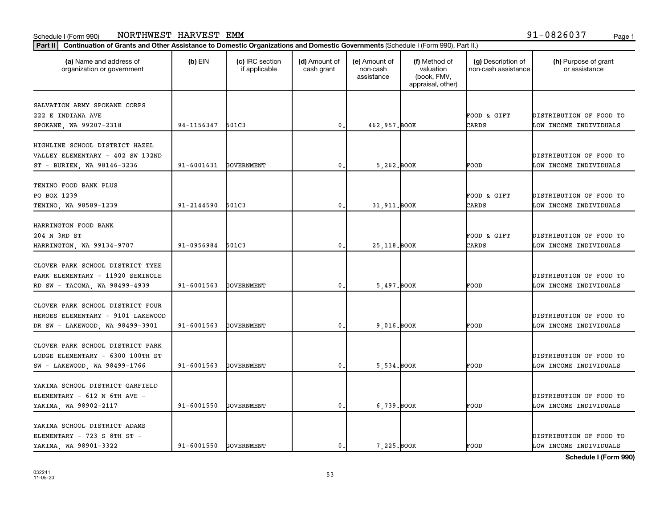# Schedule I (Form 990) NORTHWEST HARVEST EMM 91-0826037 <sub>Page 1</sub>

| Schedule I (Form 990) |  |  |
|-----------------------|--|--|
|-----------------------|--|--|

| (a) Name and address of<br>organization or government                | $(b)$ EIN      | (c) IRC section<br>if applicable | (d) Amount of<br>cash grant | (e) Amount of<br>non-cash<br>assistance | (f) Method of<br>valuation<br>(book, FMV,<br>appraisal, other) | (g) Description of<br>non-cash assistance | (h) Purpose of grant<br>or assistance |
|----------------------------------------------------------------------|----------------|----------------------------------|-----------------------------|-----------------------------------------|----------------------------------------------------------------|-------------------------------------------|---------------------------------------|
| SALVATION ARMY SPOKANE CORPS                                         |                |                                  |                             |                                         |                                                                |                                           |                                       |
| 222 E INDIANA AVE                                                    |                |                                  |                             |                                         |                                                                | FOOD & GIFT                               | DISTRIBUTION OF FOOD TO               |
| SPOKANE, WA 99207-2318                                               | 94-1156347     | 501C3                            | 0.                          | 462,957. BOOK                           |                                                                | CARDS                                     | LOW INCOME INDIVIDUALS                |
| HIGHLINE SCHOOL DISTRICT HAZEL<br>VALLEY ELEMENTARY - 402 SW 132ND   |                |                                  |                             |                                         |                                                                |                                           | DISTRIBUTION OF FOOD TO               |
| ST - BURIEN, WA 98146-3236                                           | $91 - 6001631$ | <b>GOVERNMENT</b>                | 0                           | 5,262. BOOK                             |                                                                | FOOD                                      | LOW INCOME INDIVIDUALS                |
|                                                                      |                |                                  |                             |                                         |                                                                |                                           |                                       |
| TENINO FOOD BANK PLUS                                                |                |                                  |                             |                                         |                                                                |                                           |                                       |
| PO BOX 1239                                                          |                |                                  |                             |                                         |                                                                | FOOD & GIFT                               | DISTRIBUTION OF FOOD TO               |
| TENINO, WA 98589-1239                                                | 91-2144590     | 501C3                            | 0                           | 31, 911. BOOK                           |                                                                | CARDS                                     | LOW INCOME INDIVIDUALS                |
| HARRINGTON FOOD BANK                                                 |                |                                  |                             |                                         |                                                                |                                           |                                       |
| 204 N 3RD ST                                                         |                |                                  |                             |                                         |                                                                | FOOD & GIFT                               | DISTRIBUTION OF FOOD TO               |
| HARRINGTON, WA 99134-9707                                            | 91-0956984     | 501C3                            | 0                           | 25, 118. BOOK                           |                                                                | CARDS                                     | LOW INCOME INDIVIDUALS                |
|                                                                      |                |                                  |                             |                                         |                                                                |                                           |                                       |
| CLOVER PARK SCHOOL DISTRICT TYEE                                     |                |                                  |                             |                                         |                                                                |                                           |                                       |
| PARK ELEMENTARY - 11920 SEMINOLE                                     |                |                                  |                             |                                         |                                                                |                                           | DISTRIBUTION OF FOOD TO               |
| RD SW - TACOMA, WA 98499-4939                                        | 91-6001563     | GOVERNMENT                       | 0.                          | 5,497. BOOK                             |                                                                | FOOD                                      | LOW INCOME INDIVIDUALS                |
| CLOVER PARK SCHOOL DISTRICT FOUR                                     |                |                                  |                             |                                         |                                                                |                                           |                                       |
| HEROES ELEMENTARY - 9101 LAKEWOOD                                    |                |                                  |                             |                                         |                                                                |                                           | DISTRIBUTION OF FOOD TO               |
| DR SW - LAKEWOOD, WA 98499-3901                                      | 91-6001563     | GOVERNMENT                       | 0                           | 9,016. BOOK                             |                                                                | FOOD                                      | LOW INCOME INDIVIDUALS                |
|                                                                      |                |                                  |                             |                                         |                                                                |                                           |                                       |
| CLOVER PARK SCHOOL DISTRICT PARK<br>LODGE ELEMENTARY - 6300 100TH ST |                |                                  |                             |                                         |                                                                |                                           | DISTRIBUTION OF FOOD TO               |
|                                                                      | 91-6001563     | GOVERNMENT                       | 0.                          |                                         |                                                                | FOOD                                      | LOW INCOME INDIVIDUALS                |
| SW - LAKEWOOD, WA 98499-1766                                         |                |                                  |                             | 5,534. BOOK                             |                                                                |                                           |                                       |
| YAKIMA SCHOOL DISTRICT GARFIELD                                      |                |                                  |                             |                                         |                                                                |                                           |                                       |
| ELEMENTARY - 612 N 6TH AVE -                                         |                |                                  |                             |                                         |                                                                |                                           | DISTRIBUTION OF FOOD TO               |
| YAKIMA, WA 98902-2117                                                | 91-6001550     | GOVERNMENT                       | 0.                          | 6,739. BOOK                             |                                                                | FOOD                                      | LOW INCOME INDIVIDUALS                |
|                                                                      |                |                                  |                             |                                         |                                                                |                                           |                                       |
| YAKIMA SCHOOL DISTRICT ADAMS                                         |                |                                  |                             |                                         |                                                                |                                           |                                       |
| ELEMENTARY - 723 S 8TH ST -                                          |                |                                  |                             |                                         |                                                                |                                           | DISTRIBUTION OF FOOD TO               |
| YAKIMA, WA 98901-3322                                                | 91-6001550     | GOVERNMENT                       | $\mathbf{0}$ .              | 7,225. BOOK                             |                                                                | FOOD                                      | LOW INCOME INDIVIDUALS                |

**Part II Continuation of Grants and Other Assistance to Domestic Organizations and Domestic Governments**  (Schedule I (Form 990), Part II.)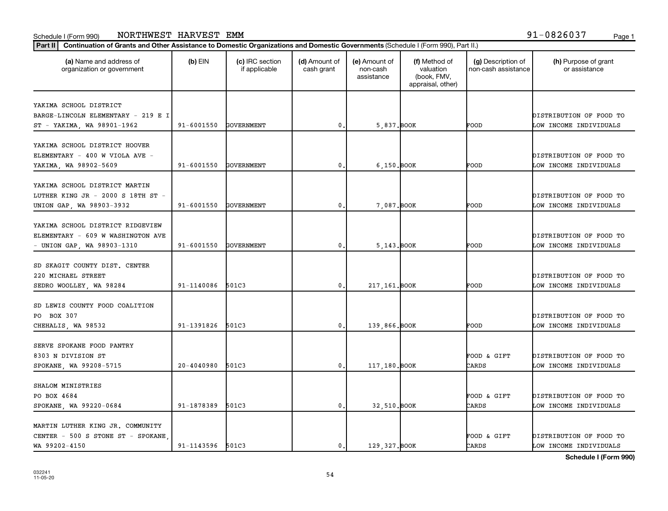| 91-0826037 |  |  | Page |
|------------|--|--|------|

**Schedule I (Form 990)**

| (a) Name and address of<br>organization or government | $(b)$ EIN      | (c) IRC section<br>if applicable | (d) Amount of<br>cash grant | (e) Amount of<br>non-cash<br>assistance | (f) Method of<br>valuation<br>(book, FMV,<br>appraisal, other) | (g) Description of<br>non-cash assistance | (h) Purpose of grant<br>or assistance |
|-------------------------------------------------------|----------------|----------------------------------|-----------------------------|-----------------------------------------|----------------------------------------------------------------|-------------------------------------------|---------------------------------------|
| YAKIMA SCHOOL DISTRICT                                |                |                                  |                             |                                         |                                                                |                                           |                                       |
| BARGE-LINCOLN ELEMENTARY - 219 E I                    |                |                                  |                             |                                         |                                                                |                                           | DISTRIBUTION OF FOOD TO               |
| ST - YAKIMA, WA 98901-1962                            | $91 - 6001550$ | GOVERNMENT                       | $\mathbf 0$ .               | 5.837. BOOK                             |                                                                | FOOD                                      | LOW INCOME INDIVIDUALS                |
|                                                       |                |                                  |                             |                                         |                                                                |                                           |                                       |
| YAKIMA SCHOOL DISTRICT HOOVER                         |                |                                  |                             |                                         |                                                                |                                           |                                       |
| ELEMENTARY - 400 W VIOLA AVE -                        |                |                                  |                             |                                         |                                                                |                                           | DISTRIBUTION OF FOOD TO               |
| YAKIMA, WA 98902-5609                                 | $91 - 6001550$ | GOVERNMENT                       | 0.                          | 6,150. BOOK                             |                                                                | FOOD                                      | LOW INCOME INDIVIDUALS                |
|                                                       |                |                                  |                             |                                         |                                                                |                                           |                                       |
| YAKIMA SCHOOL DISTRICT MARTIN                         |                |                                  |                             |                                         |                                                                |                                           |                                       |
| LUTHER KING JR - 2000 S 18TH ST -                     |                |                                  |                             |                                         |                                                                |                                           | DISTRIBUTION OF FOOD TO               |
| UNION GAP, WA 98903-3932                              | 91-6001550     | GOVERNMENT                       | $\mathfrak o$ .             | 7.087. BOOK                             |                                                                | FOOD                                      | LOW INCOME INDIVIDUALS                |
|                                                       |                |                                  |                             |                                         |                                                                |                                           |                                       |
| YAKIMA SCHOOL DISTRICT RIDGEVIEW                      |                |                                  |                             |                                         |                                                                |                                           |                                       |
| ELEMENTARY - 609 W WASHINGTON AVE                     |                |                                  |                             |                                         |                                                                |                                           | DISTRIBUTION OF FOOD TO               |
| - UNION GAP, WA 98903-1310                            | 91-6001550     | GOVERNMENT                       | 0.                          | 5,143. BOOK                             |                                                                | FOOD                                      | LOW INCOME INDIVIDUALS                |
|                                                       |                |                                  |                             |                                         |                                                                |                                           |                                       |
| SD SKAGIT COUNTY DIST. CENTER                         |                |                                  |                             |                                         |                                                                |                                           |                                       |
| 220 MICHAEL STREET                                    |                |                                  |                             |                                         |                                                                |                                           | DISTRIBUTION OF FOOD TO               |
| SEDRO WOOLLEY, WA 98284                               | 91-1140086     | 501C3                            | $\mathbf{0}$ .              | 217, 161. BOOK                          |                                                                | FOOD                                      | LOW INCOME INDIVIDUALS                |
|                                                       |                |                                  |                             |                                         |                                                                |                                           |                                       |
| SD LEWIS COUNTY FOOD COALITION                        |                |                                  |                             |                                         |                                                                |                                           |                                       |
| PO BOX 307                                            |                |                                  |                             |                                         |                                                                |                                           | DISTRIBUTION OF FOOD TO               |
| CHEHALIS, WA 98532                                    | 91-1391826     | 501C3                            | $\mathbf{0}$ .              | 139,866. BOOK                           |                                                                | FOOD                                      | LOW INCOME INDIVIDUALS                |
|                                                       |                |                                  |                             |                                         |                                                                |                                           |                                       |
| SERVE SPOKANE FOOD PANTRY                             |                |                                  |                             |                                         |                                                                |                                           |                                       |
| 8303 N DIVISION ST                                    |                |                                  |                             |                                         |                                                                | FOOD & GIFT                               | DISTRIBUTION OF FOOD TO               |
| SPOKANE, WA 99208-5715                                | $20 - 4040980$ | 501C3                            | 0.                          | 117,180. BOOK                           |                                                                | CARDS                                     | LOW INCOME INDIVIDUALS                |
|                                                       |                |                                  |                             |                                         |                                                                |                                           |                                       |
| SHALOM MINISTRIES                                     |                |                                  |                             |                                         |                                                                |                                           |                                       |
| PO BOX 4684                                           |                |                                  |                             |                                         |                                                                | FOOD & GIFT                               | DISTRIBUTION OF FOOD TO               |
| SPOKANE, WA 99220-0684                                | 91-1878389     | 501C3                            | $\mathbf{0}$ .              | 32,510. BOOK                            |                                                                | CARDS                                     | LOW INCOME INDIVIDUALS                |
|                                                       |                |                                  |                             |                                         |                                                                |                                           |                                       |
| MARTIN LUTHER KING JR. COMMUNITY                      |                |                                  |                             |                                         |                                                                |                                           |                                       |
| CENTER - 500 S STONE ST - SPOKANE                     |                |                                  |                             |                                         |                                                                | FOOD & GIFT                               | DISTRIBUTION OF FOOD TO               |
| WA 99202-4150                                         | 91-1143596     | 501C3                            | $\mathbf{0}$ .              | 129, 327. BOOK                          |                                                                | CARDS                                     | LOW INCOME INDIVIDUALS                |
|                                                       |                |                                  |                             |                                         |                                                                |                                           |                                       |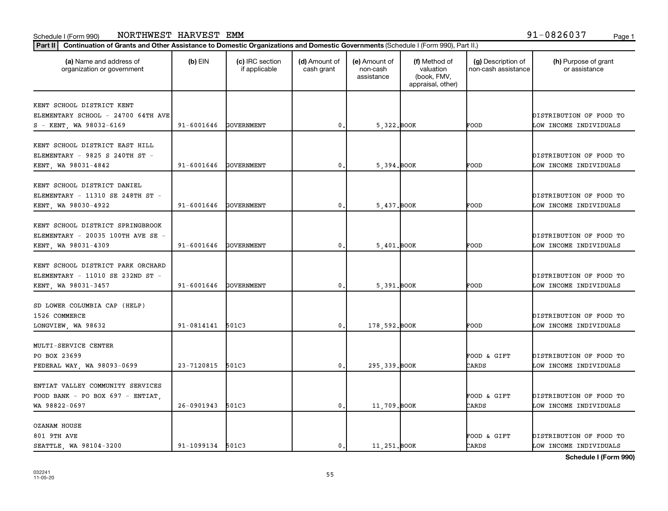# Schedule I (Form 990) NORTHWEST HARVEST EMM 91-0826037 <sub>Page 1</sub>

| (a) Name and address of<br>organization or government                                        | $(b)$ EIN        | (c) IRC section<br>if applicable | (d) Amount of<br>cash grant | (e) Amount of<br>non-cash<br>assistance | (f) Method of<br>valuation<br>(book, FMV,<br>appraisal, other) | (g) Description of<br>non-cash assistance | (h) Purpose of grant<br>or assistance             |
|----------------------------------------------------------------------------------------------|------------------|----------------------------------|-----------------------------|-----------------------------------------|----------------------------------------------------------------|-------------------------------------------|---------------------------------------------------|
| KENT SCHOOL DISTRICT KENT<br>ELEMENTARY SCHOOL - 24700 64TH AVE<br>$S$ - KENT, WA 98032-6169 | 91-6001646       | GOVERNMENT                       | 0                           | 5,322. BOOK                             |                                                                | FOOD                                      | DISTRIBUTION OF FOOD TO<br>LOW INCOME INDIVIDUALS |
| KENT SCHOOL DISTRICT EAST HILL<br>ELEMENTARY - 9825 S 240TH ST -<br>KENT, WA 98031-4842      | 91-6001646       | GOVERNMENT                       | $\mathbf 0$                 | 5,394. BOOK                             |                                                                | FOOD                                      | DISTRIBUTION OF FOOD TO<br>LOW INCOME INDIVIDUALS |
| KENT SCHOOL DISTRICT DANIEL<br>ELEMENTARY - 11310 SE 248TH ST -<br>KENT, WA 98030-4922       | 91-6001646       | GOVERNMENT                       | 0                           | 5,437. BOOK                             |                                                                | FOOD                                      | DISTRIBUTION OF FOOD TO<br>LOW INCOME INDIVIDUALS |
| KENT SCHOOL DISTRICT SPRINGBROOK<br>ELEMENTARY - 20035 100TH AVE SE -<br>KENT, WA 98031-4309 | $91 - 6001646$   | <b>GOVERNMENT</b>                | $\mathbf{0}$                | 5,401. BOOK                             |                                                                | FOOD                                      | DISTRIBUTION OF FOOD TO<br>LOW INCOME INDIVIDUALS |
| KENT SCHOOL DISTRICT PARK ORCHARD<br>ELEMENTARY - 11010 SE 232ND ST -<br>KENT, WA 98031-3457 | 91-6001646       | <b>GOVERNMENT</b>                | $\mathbf{0}$                | 5,391. BOOK                             |                                                                | FOOD                                      | DISTRIBUTION OF FOOD TO<br>LOW INCOME INDIVIDUALS |
| SD LOWER COLUMBIA CAP (HELP)<br>1526 COMMERCE<br>LONGVIEW, WA 98632                          | 91-0814141 501C3 |                                  | 0                           | 178,592. BOOK                           |                                                                | FOOD                                      | DISTRIBUTION OF FOOD TO<br>LOW INCOME INDIVIDUALS |
| MULTI-SERVICE CENTER<br>PO BOX 23699<br>FEDERAL WAY, WA 98093-0699                           | 23-7120815       | 501C3                            | $\mathbf{0}$                | 295, 339. BOOK                          |                                                                | FOOD & GIFT<br>CARDS                      | DISTRIBUTION OF FOOD TO<br>LOW INCOME INDIVIDUALS |
| ENTIAT VALLEY COMMUNITY SERVICES<br>FOOD BANK - PO BOX 697 - ENTIAT,<br>WA 98822-0697        | 26-0901943 501C3 |                                  | $\mathbf{0}$                | 11,709. BOOK                            |                                                                | FOOD & GIFT<br>CARDS                      | DISTRIBUTION OF FOOD TO<br>LOW INCOME INDIVIDUALS |
| <b>OZANAM HOUSE</b><br>801 9TH AVE<br>SEATTLE, WA 98104-3200                                 | 91-1099134 501C3 |                                  | 0.1                         | 11,251. BOOK                            |                                                                | FOOD & GIFT<br>CARDS                      | DISTRIBUTION OF FOOD TO<br>LOW INCOME INDIVIDUALS |

**Part II Continuation of Grants and Other Assistance to Domestic Organizations and Domestic Governments**  (Schedule I (Form 990), Part II.)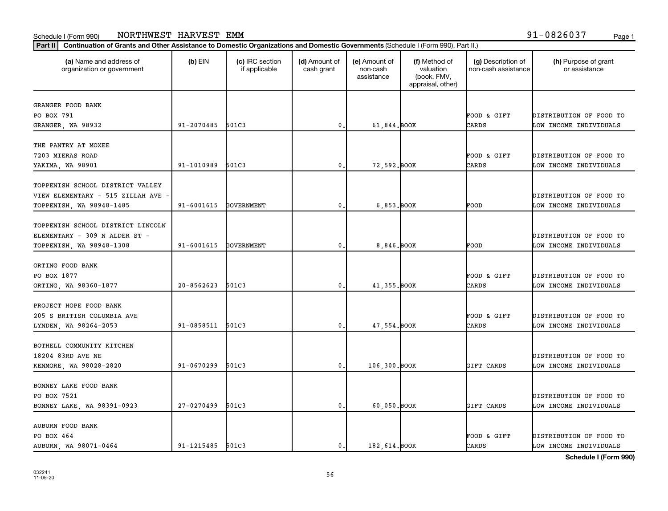| (a) Name and address of<br>organization or government | $(b)$ EIN        | (c) IRC section<br>if applicable | (d) Amount of<br>cash grant | (e) Amount of<br>non-cash<br>assistance | (f) Method of<br>valuation<br>(book, FMV,<br>appraisal, other) | (g) Description of<br>non-cash assistance | (h) Purpose of grant<br>or assistance |
|-------------------------------------------------------|------------------|----------------------------------|-----------------------------|-----------------------------------------|----------------------------------------------------------------|-------------------------------------------|---------------------------------------|
| GRANGER FOOD BANK                                     |                  |                                  |                             |                                         |                                                                |                                           |                                       |
| PO BOX 791                                            |                  |                                  |                             |                                         |                                                                | FOOD & GIFT                               | DISTRIBUTION OF FOOD TO               |
| GRANGER, WA 98932                                     | $91 - 2070485$   | 501C3                            | $\mathbf 0$                 | 61,844. BOOK                            |                                                                | CARDS                                     | LOW INCOME INDIVIDUALS                |
| THE PANTRY AT MOXEE                                   |                  |                                  |                             |                                         |                                                                |                                           |                                       |
| 7203 MIERAS ROAD                                      |                  |                                  |                             |                                         |                                                                | FOOD & GIFT                               | DISTRIBUTION OF FOOD TO               |
| YAKIMA, WA 98901                                      | 91-1010989       | 501C3                            | $\mathbf{0}$ .              | 72,592. BOOK                            |                                                                | CARDS                                     | LOW INCOME INDIVIDUALS                |
| TOPPENISH SCHOOL DISTRICT VALLEY                      |                  |                                  |                             |                                         |                                                                |                                           |                                       |
| VIEW ELEMENTARY - 515 ZILLAH AVE                      |                  |                                  |                             |                                         |                                                                |                                           | DISTRIBUTION OF FOOD TO               |
| TOPPENISH, WA 98948-1485                              | 91-6001615       | GOVERNMENT                       | $^{\circ}$ .                | 6,853. BOOK                             |                                                                | FOOD                                      | LOW INCOME INDIVIDUALS                |
|                                                       |                  |                                  |                             |                                         |                                                                |                                           |                                       |
| TOPPENISH SCHOOL DISTRICT LINCOLN                     |                  |                                  |                             |                                         |                                                                |                                           |                                       |
| ELEMENTARY - 309 N ALDER ST -                         |                  |                                  |                             |                                         |                                                                |                                           | DISTRIBUTION OF FOOD TO               |
| TOPPENISH, WA 98948-1308                              | 91-6001615       | GOVERNMENT                       | 0                           | 8,846. BOOK                             |                                                                | FOOD                                      | LOW INCOME INDIVIDUALS                |
| ORTING FOOD BANK                                      |                  |                                  |                             |                                         |                                                                |                                           |                                       |
| PO BOX 1877                                           |                  |                                  |                             |                                         |                                                                | FOOD & GIFT                               | DISTRIBUTION OF FOOD TO               |
| ORTING, WA 98360-1877                                 | $20 - 8562623$   | 501C3                            | $\mathfrak o$ .             | 41, 355. BOOK                           |                                                                | CARDS                                     | LOW INCOME INDIVIDUALS                |
| PROJECT HOPE FOOD BANK                                |                  |                                  |                             |                                         |                                                                |                                           |                                       |
| 205 S BRITISH COLUMBIA AVE                            |                  |                                  |                             |                                         |                                                                | FOOD & GIFT                               | DISTRIBUTION OF FOOD TO               |
| LYNDEN, WA 98264-2053                                 | 91-0858511       | 501C3                            | 0.                          | 47,554. BOOK                            |                                                                | CARDS                                     | LOW INCOME INDIVIDUALS                |
|                                                       |                  |                                  |                             |                                         |                                                                |                                           |                                       |
| BOTHELL COMMUNITY KITCHEN                             |                  |                                  |                             |                                         |                                                                |                                           |                                       |
| 18204 83RD AVE NE                                     |                  |                                  |                             |                                         |                                                                |                                           | DISTRIBUTION OF FOOD TO               |
| KENMORE, WA 98028-2820                                | 91-0670299       | 501C3                            | 0                           | 106,300. BOOK                           |                                                                | GIFT CARDS                                | LOW INCOME INDIVIDUALS                |
| BONNEY LAKE FOOD BANK                                 |                  |                                  |                             |                                         |                                                                |                                           |                                       |
| PO BOX 7521                                           |                  |                                  |                             |                                         |                                                                |                                           | DISTRIBUTION OF FOOD TO               |
| BONNEY LAKE, WA 98391-0923                            | 27-0270499       | 501C3                            | 0.                          | 60,050. BOOK                            |                                                                | <b>GIFT CARDS</b>                         | LOW INCOME INDIVIDUALS                |
|                                                       |                  |                                  |                             |                                         |                                                                |                                           |                                       |
| AUBURN FOOD BANK                                      |                  |                                  |                             |                                         |                                                                |                                           |                                       |
| PO BOX 464                                            |                  |                                  |                             |                                         |                                                                | FOOD & GIFT                               | DISTRIBUTION OF FOOD TO               |
| AUBURN, WA 98071-0464                                 | 91-1215485 501C3 |                                  | 0.                          | 182,614. BOOK                           |                                                                | CARDS                                     | LOW INCOME INDIVIDUALS                |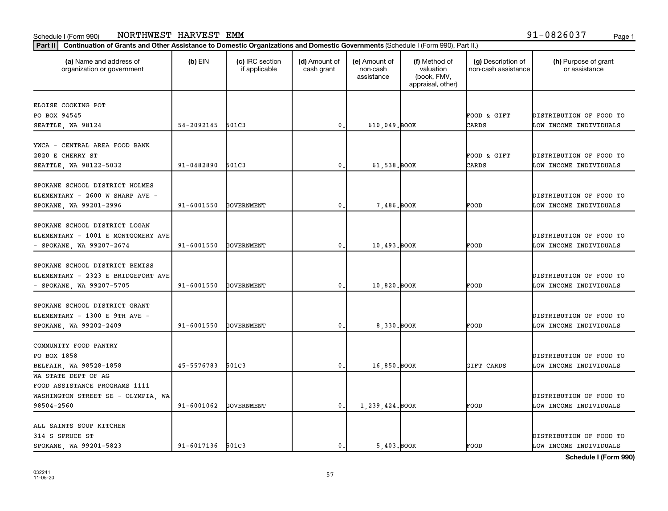# Schedule I (Form 990) NORTHWEST HARVEST EMM 91-0826037 <sub>Page 1</sub>

| Schedule I (Form 990) |  |  |
|-----------------------|--|--|
|-----------------------|--|--|

| (a) Name and address of<br>organization or government | $(b)$ EIN        | (c) IRC section<br>if applicable | (d) Amount of<br>cash grant | (e) Amount of<br>non-cash<br>assistance | (f) Method of<br>valuation<br>(book, FMV,<br>appraisal, other) | (g) Description of<br>non-cash assistance | (h) Purpose of grant<br>or assistance |
|-------------------------------------------------------|------------------|----------------------------------|-----------------------------|-----------------------------------------|----------------------------------------------------------------|-------------------------------------------|---------------------------------------|
| ELOISE COOKING POT                                    |                  |                                  |                             |                                         |                                                                |                                           |                                       |
| PO BOX 94545                                          |                  |                                  |                             |                                         |                                                                | FOOD & GIFT                               | DISTRIBUTION OF FOOD TO               |
| SEATTLE, WA 98124                                     | 54-2092145       | 501C3                            | 0                           | 610,049. BOOK                           |                                                                | CARDS                                     | LOW INCOME INDIVIDUALS                |
| YWCA - CENTRAL AREA FOOD BANK                         |                  |                                  |                             |                                         |                                                                |                                           |                                       |
| 2820 E CHERRY ST                                      |                  |                                  |                             |                                         |                                                                | FOOD & GIFT                               | DISTRIBUTION OF FOOD TO               |
| SEATTLE, WA 98122-5032                                | 91-0482890       | 501C3                            | 0                           | 61,538. BOOK                            |                                                                | CARDS                                     | LOW INCOME INDIVIDUALS                |
| SPOKANE SCHOOL DISTRICT HOLMES                        |                  |                                  |                             |                                         |                                                                |                                           |                                       |
| ELEMENTARY - 2600 W SHARP AVE -                       |                  |                                  |                             |                                         |                                                                |                                           | DISTRIBUTION OF FOOD TO               |
| SPOKANE, WA 99201-2996                                | 91-6001550       | GOVERNMENT                       | 0                           | 7,486. BOOK                             |                                                                | FOOD                                      | LOW INCOME INDIVIDUALS                |
|                                                       |                  |                                  |                             |                                         |                                                                |                                           |                                       |
| SPOKANE SCHOOL DISTRICT LOGAN                         |                  |                                  |                             |                                         |                                                                |                                           |                                       |
| ELEMENTARY - 1001 E MONTGOMERY AVE                    |                  |                                  |                             |                                         |                                                                |                                           | DISTRIBUTION OF FOOD TO               |
| - SPOKANE, WA 99207-2674                              | $91 - 6001550$   | GOVERNMENT                       | $\mathbf 0$                 | 10,493. BOOK                            |                                                                | FOOD                                      | LOW INCOME INDIVIDUALS                |
|                                                       |                  |                                  |                             |                                         |                                                                |                                           |                                       |
| SPOKANE SCHOOL DISTRICT BEMISS                        |                  |                                  |                             |                                         |                                                                |                                           |                                       |
| ELEMENTARY - 2323 E BRIDGEPORT AVE                    |                  |                                  |                             |                                         |                                                                |                                           | DISTRIBUTION OF FOOD TO               |
| - SPOKANE, WA 99207-5705                              | 91-6001550       | GOVERNMENT                       | 0.                          | 10,820. BOOK                            |                                                                | FOOD                                      | LOW INCOME INDIVIDUALS                |
| SPOKANE SCHOOL DISTRICT GRANT                         |                  |                                  |                             |                                         |                                                                |                                           |                                       |
| ELEMENTARY - 1300 E 9TH AVE -                         |                  |                                  |                             |                                         |                                                                |                                           | DISTRIBUTION OF FOOD TO               |
| SPOKANE, WA 99202-2409                                | $91 - 6001550$   | GOVERNMENT                       | 0                           | 8.330. BOOK                             |                                                                | FOOD                                      | LOW INCOME INDIVIDUALS                |
|                                                       |                  |                                  |                             |                                         |                                                                |                                           |                                       |
| COMMUNITY FOOD PANTRY                                 |                  |                                  |                             |                                         |                                                                |                                           |                                       |
| PO BOX 1858                                           | 45-5576783       | 501C3                            | 0.                          |                                         |                                                                | GIFT CARDS                                | DISTRIBUTION OF FOOD TO               |
| BELFAIR, WA 98528-1858<br>WA STATE DEPT OF AG         |                  |                                  |                             | 16,850. BOOK                            |                                                                |                                           | LOW INCOME INDIVIDUALS                |
| FOOD ASSISTANCE PROGRAMS 1111                         |                  |                                  |                             |                                         |                                                                |                                           |                                       |
| WASHINGTON STREET SE - OLYMPIA, WA                    |                  |                                  |                             |                                         |                                                                |                                           | DISTRIBUTION OF FOOD TO               |
| 98504-2560                                            | 91-6001062       | GOVERNMENT                       | 0.                          | 1,239,424. BOOK                         |                                                                | FOOD                                      | LOW INCOME INDIVIDUALS                |
|                                                       |                  |                                  |                             |                                         |                                                                |                                           |                                       |
| ALL SAINTS SOUP KITCHEN                               |                  |                                  |                             |                                         |                                                                |                                           |                                       |
| 314 S SPRUCE ST                                       |                  |                                  |                             |                                         |                                                                |                                           | DISTRIBUTION OF FOOD TO               |
| SPOKANE, WA 99201-5823                                | 91-6017136 501C3 |                                  | $\mathbf{0}$ .              | 5,403. BOOK                             |                                                                | FOOD                                      | LOW INCOME INDIVIDUALS                |

**Part II Continuation of Grants and Other Assistance to Domestic Organizations and Domestic Governments**  (Schedule I (Form 990), Part II.)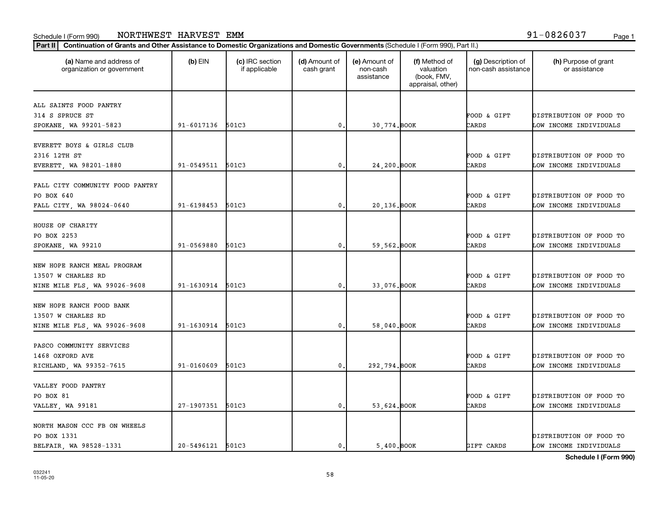| Continuation of Grants and Other Assistance to Domestic Organizations and Domestic Governments (Schedule I (Form 990), Part II.)<br>  Part II |                  |                                  |                             |                                         |                                                                |                                           |                                       |
|-----------------------------------------------------------------------------------------------------------------------------------------------|------------------|----------------------------------|-----------------------------|-----------------------------------------|----------------------------------------------------------------|-------------------------------------------|---------------------------------------|
| (a) Name and address of<br>organization or government                                                                                         | $(b)$ EIN        | (c) IRC section<br>if applicable | (d) Amount of<br>cash grant | (e) Amount of<br>non-cash<br>assistance | (f) Method of<br>valuation<br>(book, FMV,<br>appraisal, other) | (g) Description of<br>non-cash assistance | (h) Purpose of grant<br>or assistance |
| ALL SAINTS FOOD PANTRY                                                                                                                        |                  |                                  |                             |                                         |                                                                |                                           |                                       |
| 314 S SPRUCE ST                                                                                                                               |                  |                                  |                             |                                         |                                                                | FOOD & GIFT                               | DISTRIBUTION OF FOOD TO               |
| SPOKANE, WA 99201-5823                                                                                                                        | 91-6017136       | 501C3                            | $\mathbf 0$                 | 30,774. BOOK                            |                                                                | CARDS                                     | LOW INCOME INDIVIDUALS                |
|                                                                                                                                               |                  |                                  |                             |                                         |                                                                |                                           |                                       |
| EVERETT BOYS & GIRLS CLUB                                                                                                                     |                  |                                  |                             |                                         |                                                                |                                           |                                       |
| 2316 12TH ST                                                                                                                                  |                  |                                  |                             |                                         |                                                                | FOOD & GIFT                               | DISTRIBUTION OF FOOD TO               |
| EVERETT, WA 98201-1880                                                                                                                        | 91-0549511 501C3 |                                  | $\mathbf{0}$ .              | 24,200. BOOK                            |                                                                | CARDS                                     | LOW INCOME INDIVIDUALS                |
|                                                                                                                                               |                  |                                  |                             |                                         |                                                                |                                           |                                       |
| FALL CITY COMMUNITY FOOD PANTRY                                                                                                               |                  |                                  |                             |                                         |                                                                |                                           |                                       |
| PO BOX 640                                                                                                                                    |                  |                                  |                             |                                         |                                                                | FOOD & GIFT                               | DISTRIBUTION OF FOOD TO               |
| FALL CITY, WA 98024-0640                                                                                                                      | 91-6198453 501C3 |                                  | 0.                          | 20,136. BOOK                            |                                                                | CARDS                                     | LOW INCOME INDIVIDUALS                |
|                                                                                                                                               |                  |                                  |                             |                                         |                                                                |                                           |                                       |
| HOUSE OF CHARITY                                                                                                                              |                  |                                  |                             |                                         |                                                                |                                           |                                       |
| PO BOX 2253                                                                                                                                   |                  |                                  |                             |                                         |                                                                | FOOD & GIFT                               | DISTRIBUTION OF FOOD TO               |
| SPOKANE, WA 99210                                                                                                                             | 91-0569880       | 501C3                            | 0                           | 59,562. BOOK                            |                                                                | CARDS                                     | LOW INCOME INDIVIDUALS                |
|                                                                                                                                               |                  |                                  |                             |                                         |                                                                |                                           |                                       |
| NEW HOPE RANCH MEAL PROGRAM                                                                                                                   |                  |                                  |                             |                                         |                                                                |                                           |                                       |
| 13507 W CHARLES RD                                                                                                                            |                  |                                  |                             |                                         |                                                                | FOOD & GIFT                               | DISTRIBUTION OF FOOD TO               |
| NINE MILE FLS, WA 99026-9608                                                                                                                  | 91-1630914 501C3 |                                  | 0.                          | 33,076. BOOK                            |                                                                | CARDS                                     | LOW INCOME INDIVIDUALS                |
| NEW HOPE RANCH FOOD BANK                                                                                                                      |                  |                                  |                             |                                         |                                                                |                                           |                                       |
| 13507 W CHARLES RD                                                                                                                            |                  |                                  |                             |                                         |                                                                | FOOD & GIFT                               | DISTRIBUTION OF FOOD TO               |
| NINE MILE FLS, WA 99026-9608                                                                                                                  | 91-1630914       | 501C3                            | 0.                          | 58.040. BOOK                            |                                                                | CARDS                                     | LOW INCOME INDIVIDUALS                |
|                                                                                                                                               |                  |                                  |                             |                                         |                                                                |                                           |                                       |
| PASCO COMMUNITY SERVICES                                                                                                                      |                  |                                  |                             |                                         |                                                                |                                           |                                       |
| 1468 OXFORD AVE                                                                                                                               |                  |                                  |                             |                                         |                                                                | FOOD & GIFT                               | DISTRIBUTION OF FOOD TO               |
| RICHLAND, WA 99352-7615                                                                                                                       | 91-0160609       | 501C3                            | 0                           | 292,794. BOOK                           |                                                                | CARDS                                     | LOW INCOME INDIVIDUALS                |
|                                                                                                                                               |                  |                                  |                             |                                         |                                                                |                                           |                                       |
| VALLEY FOOD PANTRY                                                                                                                            |                  |                                  |                             |                                         |                                                                |                                           |                                       |
| PO BOX 81                                                                                                                                     |                  |                                  |                             |                                         |                                                                | FOOD & GIFT                               | DISTRIBUTION OF FOOD TO               |
| VALLEY, WA 99181                                                                                                                              | 27-1907351 501C3 |                                  | 0.                          | 53,624. BOOK                            |                                                                | CARDS                                     | LOW INCOME INDIVIDUALS                |
|                                                                                                                                               |                  |                                  |                             |                                         |                                                                |                                           |                                       |
| NORTH MASON CCC FB ON WHEELS                                                                                                                  |                  |                                  |                             |                                         |                                                                |                                           |                                       |
| PO BOX 1331                                                                                                                                   |                  |                                  |                             |                                         |                                                                |                                           | DISTRIBUTION OF FOOD TO               |
| BELFAIR, WA 98528-1331                                                                                                                        | 20-5496121 501C3 |                                  | 0.                          | 5,400. BOOK                             |                                                                | GIFT CARDS                                | LOW INCOME INDIVIDUALS                |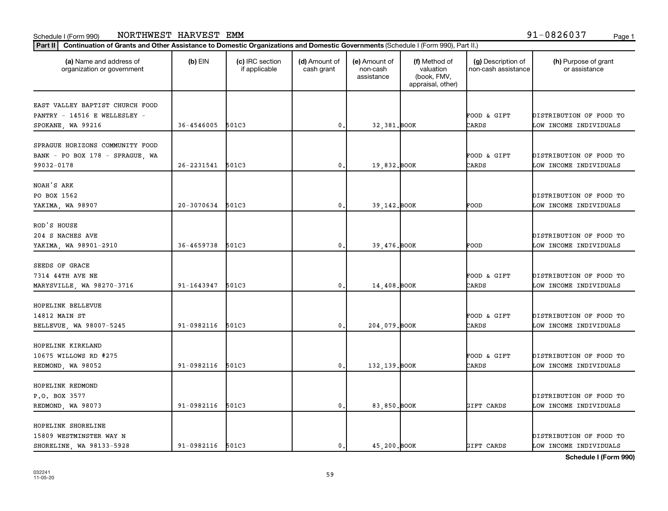| (a) Name and address of<br>organization or government | $(b)$ EIN        | (c) IRC section<br>if applicable | (d) Amount of<br>cash grant | (e) Amount of<br>non-cash<br>assistance | (f) Method of<br>valuation<br>(book, FMV,<br>appraisal, other) | (g) Description of<br>non-cash assistance | (h) Purpose of grant<br>or assistance |
|-------------------------------------------------------|------------------|----------------------------------|-----------------------------|-----------------------------------------|----------------------------------------------------------------|-------------------------------------------|---------------------------------------|
| EAST VALLEY BAPTIST CHURCH FOOD                       |                  |                                  |                             |                                         |                                                                |                                           |                                       |
| PANTRY - 14516 E WELLESLEY -                          |                  |                                  |                             |                                         |                                                                | FOOD & GIFT                               | DISTRIBUTION OF FOOD TO               |
| SPOKANE, WA 99216                                     | 36-4546005       | 501C3                            | $\mathbf{0}$                | 32,381. BOOK                            |                                                                | CARDS                                     | LOW INCOME INDIVIDUALS                |
|                                                       |                  |                                  |                             |                                         |                                                                |                                           |                                       |
| SPRAGUE HORIZONS COMMUNITY FOOD                       |                  |                                  |                             |                                         |                                                                |                                           |                                       |
| BANK - PO BOX 178 - SPRAGUE, WA                       |                  |                                  |                             |                                         |                                                                | FOOD & GIFT                               | DISTRIBUTION OF FOOD TO               |
| 99032-0178                                            | 26-2231541       | 501C3                            | 0.                          | 19,832. BOOK                            |                                                                | CARDS                                     | LOW INCOME INDIVIDUALS                |
| NOAH'S ARK                                            |                  |                                  |                             |                                         |                                                                |                                           |                                       |
| PO BOX 1562                                           |                  |                                  |                             |                                         |                                                                |                                           | DISTRIBUTION OF FOOD TO               |
| YAKIMA, WA 98907                                      | $20 - 3070634$   | 501C3                            | 0.                          | 39,142. BOOK                            |                                                                | FOOD                                      | LOW INCOME INDIVIDUALS                |
| ROD'S HOUSE                                           |                  |                                  |                             |                                         |                                                                |                                           |                                       |
| 204 S NACHES AVE                                      |                  |                                  |                             |                                         |                                                                |                                           | DISTRIBUTION OF FOOD TO               |
| YAKIMA, WA 98901-2910                                 | 36-4659738       | 501C3                            | $\mathbf 0$                 | 39,476. BOOK                            |                                                                | FOOD                                      | LOW INCOME INDIVIDUALS                |
|                                                       |                  |                                  |                             |                                         |                                                                |                                           |                                       |
| SEEDS OF GRACE                                        |                  |                                  |                             |                                         |                                                                |                                           |                                       |
| 7314 44TH AVE NE                                      |                  |                                  |                             |                                         |                                                                | FOOD & GIFT                               | DISTRIBUTION OF FOOD TO               |
| MARYSVILLE, WA 98270-3716                             | 91-1643947       | 501C3                            | 0.                          | 14,408. BOOK                            |                                                                | CARDS                                     | LOW INCOME INDIVIDUALS                |
| HOPELINK BELLEVUE                                     |                  |                                  |                             |                                         |                                                                |                                           |                                       |
| 14812 MAIN ST                                         |                  |                                  |                             |                                         |                                                                | FOOD & GIFT                               | DISTRIBUTION OF FOOD TO               |
| BELLEVUE, WA 98007-5245                               | 91-0982116       | 501C3                            | 0.                          | 204,079. BOOK                           |                                                                | CARDS                                     | LOW INCOME INDIVIDUALS                |
|                                                       |                  |                                  |                             |                                         |                                                                |                                           |                                       |
| HOPELINK KIRKLAND                                     |                  |                                  |                             |                                         |                                                                |                                           |                                       |
| 10675 WILLOWS RD #275                                 |                  |                                  |                             |                                         |                                                                | FOOD & GIFT                               | DISTRIBUTION OF FOOD TO               |
| REDMOND, WA 98052                                     | 91-0982116       | 501C3                            | $\pmb{0}$                   | 132,139. BOOK                           |                                                                | CARDS                                     | LOW INCOME INDIVIDUALS                |
| HOPELINK REDMOND                                      |                  |                                  |                             |                                         |                                                                |                                           |                                       |
| P.O. BOX 3577                                         |                  |                                  |                             |                                         |                                                                |                                           | DISTRIBUTION OF FOOD TO               |
| REDMOND, WA 98073                                     | 91-0982116       | 501C3                            | 0.                          | 83,850. BOOK                            |                                                                | GIFT CARDS                                | LOW INCOME INDIVIDUALS                |
|                                                       |                  |                                  |                             |                                         |                                                                |                                           |                                       |
| HOPELINK SHORELINE                                    |                  |                                  |                             |                                         |                                                                |                                           |                                       |
| 15809 WESTMINSTER WAY N                               |                  |                                  |                             |                                         |                                                                |                                           | DISTRIBUTION OF FOOD TO               |
| SHORELINE, WA 98133-5928                              | 91-0982116 501C3 |                                  | $0$ .                       | 45,200. BOOK                            |                                                                | GIFT CARDS                                | LOW INCOME INDIVIDUALS                |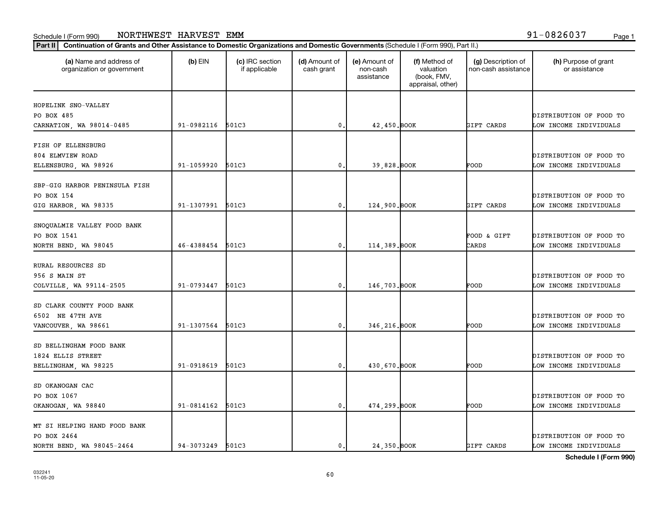| Continuation of Grants and Other Assistance to Domestic Organizations and Domestic Governments (Schedule I (Form 990), Part II.)<br>  Part II |                  |                                  |                             |                                         |                                                                |                                           |                                       |
|-----------------------------------------------------------------------------------------------------------------------------------------------|------------------|----------------------------------|-----------------------------|-----------------------------------------|----------------------------------------------------------------|-------------------------------------------|---------------------------------------|
| (a) Name and address of<br>organization or government                                                                                         | $(b)$ EIN        | (c) IRC section<br>if applicable | (d) Amount of<br>cash grant | (e) Amount of<br>non-cash<br>assistance | (f) Method of<br>valuation<br>(book, FMV,<br>appraisal, other) | (g) Description of<br>non-cash assistance | (h) Purpose of grant<br>or assistance |
| HOPELINK SNO-VALLEY                                                                                                                           |                  |                                  |                             |                                         |                                                                |                                           |                                       |
| PO BOX 485                                                                                                                                    |                  |                                  |                             |                                         |                                                                |                                           | DISTRIBUTION OF FOOD TO               |
| CARNATION, WA 98014-0485                                                                                                                      | 91-0982116       | 501C3                            | $\mathbf{0}$ .              | 42,450. BOOK                            |                                                                | GIFT CARDS                                | LOW INCOME INDIVIDUALS                |
|                                                                                                                                               |                  |                                  |                             |                                         |                                                                |                                           |                                       |
| FISH OF ELLENSBURG                                                                                                                            |                  |                                  |                             |                                         |                                                                |                                           |                                       |
| 804 ELMVIEW ROAD                                                                                                                              |                  |                                  |                             |                                         |                                                                |                                           | DISTRIBUTION OF FOOD TO               |
| ELLENSBURG, WA 98926                                                                                                                          | 91-1059920       | 501C3                            | $\mathbf{0}$ .              | 39,828. BOOK                            |                                                                | FOOD                                      | LOW INCOME INDIVIDUALS                |
|                                                                                                                                               |                  |                                  |                             |                                         |                                                                |                                           |                                       |
| SBP-GIG HARBOR PENINSULA FISH                                                                                                                 |                  |                                  |                             |                                         |                                                                |                                           |                                       |
| PO BOX 154                                                                                                                                    |                  |                                  |                             |                                         |                                                                |                                           | DISTRIBUTION OF FOOD TO               |
| GIG HARBOR, WA 98335                                                                                                                          | 91-1307991 501C3 |                                  | 0.                          | 124,900. BOOK                           |                                                                | GIFT CARDS                                | LOW INCOME INDIVIDUALS                |
| SNOQUALMIE VALLEY FOOD BANK                                                                                                                   |                  |                                  |                             |                                         |                                                                |                                           |                                       |
| PO BOX 1541                                                                                                                                   |                  |                                  |                             |                                         |                                                                | FOOD & GIFT                               | DISTRIBUTION OF FOOD TO               |
| NORTH BEND, WA 98045                                                                                                                          | 46-4388454 501C3 |                                  | $\mathbf 0$                 | 114,389. BOOK                           |                                                                | CARDS                                     | LOW INCOME INDIVIDUALS                |
|                                                                                                                                               |                  |                                  |                             |                                         |                                                                |                                           |                                       |
| RURAL RESOURCES SD                                                                                                                            |                  |                                  |                             |                                         |                                                                |                                           |                                       |
| 956 S MAIN ST                                                                                                                                 |                  |                                  |                             |                                         |                                                                |                                           | DISTRIBUTION OF FOOD TO               |
| COLVILLE, WA 99114-2505                                                                                                                       | 91-0793447       | 501C3                            | $\mathbf{0}$ .              | 146,703. BOOK                           |                                                                | FOOD                                      | LOW INCOME INDIVIDUALS                |
|                                                                                                                                               |                  |                                  |                             |                                         |                                                                |                                           |                                       |
| SD CLARK COUNTY FOOD BANK                                                                                                                     |                  |                                  |                             |                                         |                                                                |                                           |                                       |
| 6502 NE 47TH AVE                                                                                                                              |                  |                                  |                             |                                         |                                                                |                                           | DISTRIBUTION OF FOOD TO               |
| VANCOUVER, WA 98661                                                                                                                           | 91-1307564       | 501C3                            | 0.                          | 346, 216. BOOK                          |                                                                | FOOD                                      | LOW INCOME INDIVIDUALS                |
|                                                                                                                                               |                  |                                  |                             |                                         |                                                                |                                           |                                       |
| SD BELLINGHAM FOOD BANK                                                                                                                       |                  |                                  |                             |                                         |                                                                |                                           |                                       |
| 1824 ELLIS STREET                                                                                                                             |                  |                                  |                             |                                         |                                                                |                                           | DISTRIBUTION OF FOOD TO               |
| BELLINGHAM, WA 98225                                                                                                                          | 91-0918619       | 501C3                            | $\pmb{0}$                   | 430,670. BOOK                           |                                                                | FOOD                                      | LOW INCOME INDIVIDUALS                |
| SD OKANOGAN CAC                                                                                                                               |                  |                                  |                             |                                         |                                                                |                                           |                                       |
| PO BOX 1067                                                                                                                                   |                  |                                  |                             |                                         |                                                                |                                           | DISTRIBUTION OF FOOD TO               |
| OKANOGAN, WA 98840                                                                                                                            | 91-0814162 501C3 |                                  | 0.                          | 474, 299. BOOK                          |                                                                | FOOD                                      | LOW INCOME INDIVIDUALS                |
|                                                                                                                                               |                  |                                  |                             |                                         |                                                                |                                           |                                       |
| MT SI HELPING HAND FOOD BANK                                                                                                                  |                  |                                  |                             |                                         |                                                                |                                           |                                       |
| PO BOX 2464                                                                                                                                   |                  |                                  |                             |                                         |                                                                |                                           | DISTRIBUTION OF FOOD TO               |
| NORTH BEND, WA 98045-2464                                                                                                                     | 94-3073249 501C3 |                                  | $0$ .                       | 24,350. BOOK                            |                                                                | GIFT CARDS                                | LOW INCOME INDIVIDUALS                |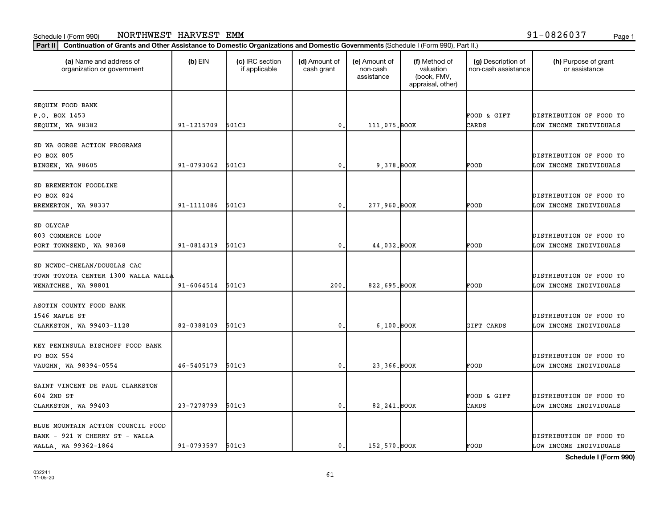# Schedule I (Form 990) NORTHWEST HARVEST EMM 91-0826037 <sub>Page 1</sub>

**Schedule I (Form 990)**

| (a) Name and address of<br>organization or government               | $(b)$ EIN  | (c) IRC section<br>if applicable | (d) Amount of<br>cash grant | (e) Amount of<br>non-cash<br>assistance | (f) Method of<br>valuation<br>(book, FMV,<br>appraisal, other) | (g) Description of<br>non-cash assistance | (h) Purpose of grant<br>or assistance             |
|---------------------------------------------------------------------|------------|----------------------------------|-----------------------------|-----------------------------------------|----------------------------------------------------------------|-------------------------------------------|---------------------------------------------------|
| SEQUIM FOOD BANK                                                    |            |                                  |                             |                                         |                                                                |                                           |                                                   |
| P.O. BOX 1453                                                       |            |                                  |                             |                                         |                                                                | FOOD & GIFT                               | DISTRIBUTION OF FOOD TO                           |
| SEQUIM, WA 98382                                                    | 91-1215709 | 501C3                            | $\mathbf{0}$ .              | 111,075. BOOK                           |                                                                | CARDS                                     | LOW INCOME INDIVIDUALS                            |
| SD WA GORGE ACTION PROGRAMS                                         |            |                                  |                             |                                         |                                                                |                                           |                                                   |
| PO BOX 805                                                          |            |                                  |                             |                                         |                                                                |                                           | DISTRIBUTION OF FOOD TO                           |
| BINGEN, WA 98605                                                    | 91-0793062 | 501C3                            | $^{\rm 0}$ .                | 9,378. BOOK                             |                                                                | FOOD                                      | LOW INCOME INDIVIDUALS                            |
|                                                                     |            |                                  |                             |                                         |                                                                |                                           |                                                   |
| SD BREMERTON FOODLINE                                               |            |                                  |                             |                                         |                                                                |                                           |                                                   |
| PO BOX 824<br>BREMERTON, WA 98337                                   | 91-1111086 | 501C3                            | $\mathbf{0}$ .              | 277,960. BOOK                           |                                                                | FOOD                                      | DISTRIBUTION OF FOOD TO<br>LOW INCOME INDIVIDUALS |
|                                                                     |            |                                  |                             |                                         |                                                                |                                           |                                                   |
| SD OLYCAP                                                           |            |                                  |                             |                                         |                                                                |                                           |                                                   |
| 803 COMMERCE LOOP                                                   |            |                                  |                             |                                         |                                                                |                                           | DISTRIBUTION OF FOOD TO                           |
| PORT TOWNSEND, WA 98368                                             | 91-0814319 | 501C3                            | $\mathbf{0}$ .              | 44,032. BOOK                            |                                                                | FOOD                                      | LOW INCOME INDIVIDUALS                            |
|                                                                     |            |                                  |                             |                                         |                                                                |                                           |                                                   |
| SD NCWDC-CHELAN/DOUGLAS CAC                                         |            |                                  |                             |                                         |                                                                |                                           |                                                   |
| TOWN TOYOTA CENTER 1300 WALLA WALLA                                 |            |                                  |                             |                                         |                                                                |                                           | DISTRIBUTION OF FOOD TO                           |
| WENATCHEE, WA 98801                                                 | 91-6064514 | 501C3                            | 200.                        | 822,695. BOOK                           |                                                                | FOOD                                      | LOW INCOME INDIVIDUALS                            |
| ASOTIN COUNTY FOOD BANK                                             |            |                                  |                             |                                         |                                                                |                                           |                                                   |
| 1546 MAPLE ST                                                       |            |                                  |                             |                                         |                                                                |                                           | DISTRIBUTION OF FOOD TO                           |
| CLARKSTON, WA 99403-1128                                            | 82-0388109 | 501C3                            | $\mathbf{0}$ .              | 6.100. BOOK                             |                                                                | GIFT CARDS                                | LOW INCOME INDIVIDUALS                            |
|                                                                     |            |                                  |                             |                                         |                                                                |                                           |                                                   |
| KEY PENINSULA BISCHOFF FOOD BANK                                    |            |                                  |                             |                                         |                                                                |                                           |                                                   |
| PO BOX 554                                                          |            |                                  |                             |                                         |                                                                |                                           | DISTRIBUTION OF FOOD TO                           |
| VAUGHN, WA 98394-0554                                               | 46-5405179 | 501C3                            | $\mathbf{0}$ .              | 23,366. BOOK                            |                                                                | FOOD                                      | LOW INCOME INDIVIDUALS                            |
|                                                                     |            |                                  |                             |                                         |                                                                |                                           |                                                   |
| SAINT VINCENT DE PAUL CLARKSTON                                     |            |                                  |                             |                                         |                                                                |                                           |                                                   |
| 604 2ND ST                                                          |            |                                  |                             |                                         |                                                                | FOOD & GIFT                               | DISTRIBUTION OF FOOD TO                           |
| CLARKSTON, WA 99403                                                 | 23-7278799 | 501C3                            | $\mathbf{0}$ .              | 82, 241. BOOK                           |                                                                | CARDS                                     | LOW INCOME INDIVIDUALS                            |
|                                                                     |            |                                  |                             |                                         |                                                                |                                           |                                                   |
| BLUE MOUNTAIN ACTION COUNCIL FOOD<br>BANK - 921 W CHERRY ST - WALLA |            |                                  |                             |                                         |                                                                |                                           | DISTRIBUTION OF FOOD TO                           |
| WALLA, WA 99362-1864                                                | 91-0793597 | 501C3                            | 0.                          | 152,570. BOOK                           |                                                                | FOOD                                      | LOW INCOME INDIVIDUALS                            |

**Part II Continuation of Grants and Other Assistance to Domestic Organizations and Domestic Governments**  (Schedule I (Form 990), Part II.)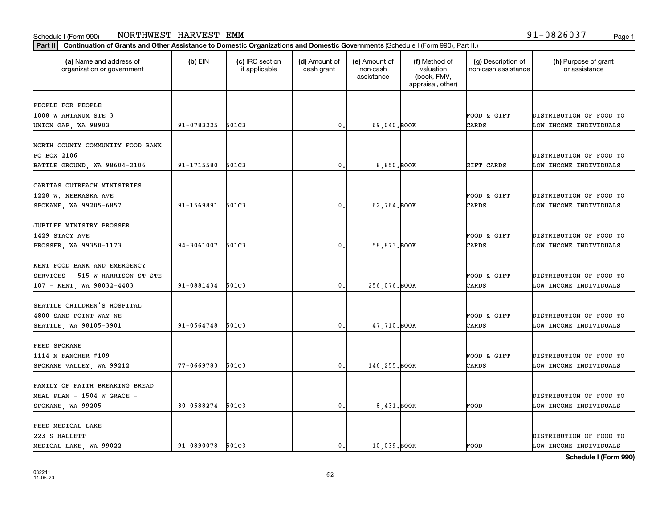| (a) Name and address of<br>organization or government | $(b)$ EIN        | (c) IRC section<br>if applicable | (d) Amount of<br>cash grant | (e) Amount of<br>non-cash<br>assistance | (f) Method of<br>valuation<br>(book, FMV,<br>appraisal, other) | (g) Description of<br>non-cash assistance | (h) Purpose of grant<br>or assistance |
|-------------------------------------------------------|------------------|----------------------------------|-----------------------------|-----------------------------------------|----------------------------------------------------------------|-------------------------------------------|---------------------------------------|
| PEOPLE FOR PEOPLE                                     |                  |                                  |                             |                                         |                                                                |                                           |                                       |
| 1008 W AHTANUM STE 3                                  |                  |                                  |                             |                                         |                                                                | FOOD & GIFT                               | DISTRIBUTION OF FOOD TO               |
| UNION GAP, WA 98903                                   | 91-0783225       | 501C3                            | $\mathbf{0}$                | 69,040. BOOK                            |                                                                | CARDS                                     | LOW INCOME INDIVIDUALS                |
|                                                       |                  |                                  |                             |                                         |                                                                |                                           |                                       |
| NORTH COUNTY COMMUNITY FOOD BANK                      |                  |                                  |                             |                                         |                                                                |                                           |                                       |
| PO BOX 2106                                           |                  |                                  |                             |                                         |                                                                |                                           | DISTRIBUTION OF FOOD TO               |
| BATTLE GROUND, WA 98604-2106                          | 91-1715580       | 501C3                            | $\mathbf 0$ .               | 8,850. BOOK                             |                                                                | GIFT CARDS                                | LOW INCOME INDIVIDUALS                |
|                                                       |                  |                                  |                             |                                         |                                                                |                                           |                                       |
| CARITAS OUTREACH MINISTRIES                           |                  |                                  |                             |                                         |                                                                |                                           |                                       |
| 1228 W. NEBRASKA AVE                                  |                  |                                  |                             |                                         |                                                                | FOOD & GIFT                               | DISTRIBUTION OF FOOD TO               |
| SPOKANE, WA 99205-6857                                | 91-1569891       | 501C3                            | 0.                          | 62,764. BOOK                            |                                                                | CARDS                                     | LOW INCOME INDIVIDUALS                |
|                                                       |                  |                                  |                             |                                         |                                                                |                                           |                                       |
| JUBILEE MINISTRY PROSSER                              |                  |                                  |                             |                                         |                                                                |                                           |                                       |
| 1429 STACY AVE                                        |                  |                                  |                             |                                         |                                                                | FOOD & GIFT                               | DISTRIBUTION OF FOOD TO               |
| PROSSER, WA 99350-1173                                | 94-3061007       | 501C3                            | 0                           | 58,873. BOOK                            |                                                                | CARDS                                     | LOW INCOME INDIVIDUALS                |
|                                                       |                  |                                  |                             |                                         |                                                                |                                           |                                       |
| KENT FOOD BANK AND EMERGENCY                          |                  |                                  |                             |                                         |                                                                |                                           |                                       |
| SERVICES - 515 W HARRISON ST STE                      |                  |                                  |                             |                                         |                                                                | FOOD & GIFT                               | DISTRIBUTION OF FOOD TO               |
| 107 - KENT, WA 98032-4403                             | 91-0881434       | 501C3                            | $\mathbf{0}$                | 256,076. BOOK                           |                                                                | CARDS                                     | LOW INCOME INDIVIDUALS                |
| SEATTLE CHILDREN'S HOSPITAL                           |                  |                                  |                             |                                         |                                                                |                                           |                                       |
| 4800 SAND POINT WAY NE                                |                  |                                  |                             |                                         |                                                                | FOOD & GIFT                               | DISTRIBUTION OF FOOD TO               |
| SEATTLE, WA 98105-3901                                | 91-0564748       | 501C3                            | $^{\circ}$ .                | 47.710. BOOK                            |                                                                | CARDS                                     | LOW INCOME INDIVIDUALS                |
|                                                       |                  |                                  |                             |                                         |                                                                |                                           |                                       |
| FEED SPOKANE                                          |                  |                                  |                             |                                         |                                                                |                                           |                                       |
| 1114 N FANCHER #109                                   |                  |                                  |                             |                                         |                                                                | FOOD & GIFT                               | DISTRIBUTION OF FOOD TO               |
| SPOKANE VALLEY, WA 99212                              | 77-0669783       | 501C3                            | $\mathbf 0$ .               | 146, 255. BOOK                          |                                                                | CARDS                                     | LOW INCOME INDIVIDUALS                |
|                                                       |                  |                                  |                             |                                         |                                                                |                                           |                                       |
| FAMILY OF FAITH BREAKING BREAD                        |                  |                                  |                             |                                         |                                                                |                                           |                                       |
| MEAL PLAN - 1504 W GRACE -                            |                  |                                  |                             |                                         |                                                                |                                           | DISTRIBUTION OF FOOD TO               |
| SPOKANE, WA 99205                                     | 30-0588274       | 501C3                            | 0.                          | 8,431. BOOK                             |                                                                | FOOD                                      | LOW INCOME INDIVIDUALS                |
|                                                       |                  |                                  |                             |                                         |                                                                |                                           |                                       |
| FEED MEDICAL LAKE                                     |                  |                                  |                             |                                         |                                                                |                                           |                                       |
| 223 S HALLETT                                         |                  |                                  |                             |                                         |                                                                |                                           | DISTRIBUTION OF FOOD TO               |
| MEDICAL LAKE, WA 99022                                | 91-0890078 501C3 |                                  | $\mathbf{0}$ .              | 10.039. BOOK                            |                                                                | FOOD                                      | LOW INCOME INDIVIDUALS                |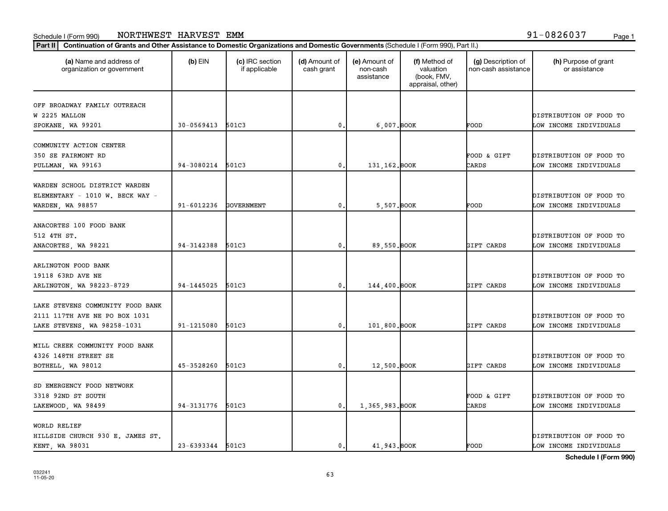# Schedule I (Form 990) NORTHWEST HARVEST EMM 91-0826037 <sub>Page 1</sub>

| (a) Name and address of<br>organization or government | $(b)$ EIN        | (c) IRC section<br>if applicable | (d) Amount of<br>cash grant | (e) Amount of<br>non-cash<br>assistance | (f) Method of<br>valuation<br>(book, FMV,<br>appraisal, other) | (g) Description of<br>non-cash assistance | (h) Purpose of grant<br>or assistance |
|-------------------------------------------------------|------------------|----------------------------------|-----------------------------|-----------------------------------------|----------------------------------------------------------------|-------------------------------------------|---------------------------------------|
| OFF BROADWAY FAMILY OUTREACH                          |                  |                                  |                             |                                         |                                                                |                                           |                                       |
| W 2225 MALLON                                         |                  |                                  |                             |                                         |                                                                |                                           | DISTRIBUTION OF FOOD TO               |
| SPOKANE, WA 99201                                     | 30-0569413       | 501C3                            | $\mathbf{0}$                | 6,007. BOOK                             |                                                                | FOOD                                      | LOW INCOME INDIVIDUALS                |
| COMMUNITY ACTION CENTER                               |                  |                                  |                             |                                         |                                                                |                                           |                                       |
| 350 SE FAIRMONT RD                                    |                  |                                  |                             |                                         |                                                                | FOOD & GIFT                               | DISTRIBUTION OF FOOD TO               |
| PULLMAN, WA 99163                                     | 94-3080214       | 501C3                            | 0                           | 131, 162. BOOK                          |                                                                | CARDS                                     | LOW INCOME INDIVIDUALS                |
| WARDEN SCHOOL DISTRICT WARDEN                         |                  |                                  |                             |                                         |                                                                |                                           |                                       |
| ELEMENTARY - 1010 W. BECK WAY -                       |                  |                                  |                             |                                         |                                                                |                                           | DISTRIBUTION OF FOOD TO               |
| WARDEN, WA 98857                                      | 91-6012236       | <b>GOVERNMENT</b>                | 0.                          | 5,507. BOOK                             |                                                                | FOOD                                      | LOW INCOME INDIVIDUALS                |
|                                                       |                  |                                  |                             |                                         |                                                                |                                           |                                       |
| ANACORTES 100 FOOD BANK                               |                  |                                  |                             |                                         |                                                                |                                           |                                       |
| 512 4TH ST.                                           |                  |                                  |                             |                                         |                                                                |                                           | DISTRIBUTION OF FOOD TO               |
| ANACORTES, WA 98221                                   | 94-3142388       | 501C3                            | $\mathbf 0$ .               | 89,550. BOOK                            |                                                                | GIFT CARDS                                | LOW INCOME INDIVIDUALS                |
| ARLINGTON FOOD BANK                                   |                  |                                  |                             |                                         |                                                                |                                           |                                       |
| 19118 63RD AVE NE                                     |                  |                                  |                             |                                         |                                                                |                                           | DISTRIBUTION OF FOOD TO               |
| ARLINGTON, WA 98223-8729                              | 94-1445025       | 501C3                            | $\mathbf 0$                 | 144,400. BOOK                           |                                                                | GIFT CARDS                                | LOW INCOME INDIVIDUALS                |
|                                                       |                  |                                  |                             |                                         |                                                                |                                           |                                       |
| LAKE STEVENS COMMUNITY FOOD BANK                      |                  |                                  |                             |                                         |                                                                |                                           |                                       |
| 2111 117TH AVE NE PO BOX 1031                         |                  |                                  |                             |                                         |                                                                |                                           | DISTRIBUTION OF FOOD TO               |
| LAKE STEVENS, WA 98258-1031                           | 91-1215080       | 501C3                            | 0.                          | 101,800. BOOK                           |                                                                | GIFT CARDS                                | LOW INCOME INDIVIDUALS                |
| MILL CREEK COMMUNITY FOOD BANK                        |                  |                                  |                             |                                         |                                                                |                                           |                                       |
| 4326 148TH STREET SE                                  |                  |                                  |                             |                                         |                                                                |                                           | DISTRIBUTION OF FOOD TO               |
| BOTHELL, WA 98012                                     | 45-3528260       | 501C3                            | 0.                          | 12,500. BOOK                            |                                                                | GIFT CARDS                                | LOW INCOME INDIVIDUALS                |
| SD EMERGENCY FOOD NETWORK                             |                  |                                  |                             |                                         |                                                                |                                           |                                       |
| 3318 92ND ST SOUTH                                    |                  |                                  |                             |                                         |                                                                | FOOD & GIFT                               | DISTRIBUTION OF FOOD TO               |
| LAKEWOOD, WA 98499                                    | 94-3131776       | 501C3                            | 0.                          | 1,365,983. BOOK                         |                                                                | CARDS                                     | LOW INCOME INDIVIDUALS                |
|                                                       |                  |                                  |                             |                                         |                                                                |                                           |                                       |
| WORLD RELIEF                                          |                  |                                  |                             |                                         |                                                                |                                           |                                       |
| HILLSIDE CHURCH 930 E. JAMES ST.                      |                  |                                  |                             |                                         |                                                                |                                           | DISTRIBUTION OF FOOD TO               |
| KENT, WA 98031                                        | 23-6393344 501C3 |                                  | 0.                          | 41,943. BOOK                            |                                                                | FOOD                                      | LOW INCOME INDIVIDUALS                |

**Part II Continuation of Grants and Other Assistance to Domestic Organizations and Domestic Governments**  (Schedule I (Form 990), Part II.)

63

**Schedule I (Form 990)**

 $\mathbf{I}$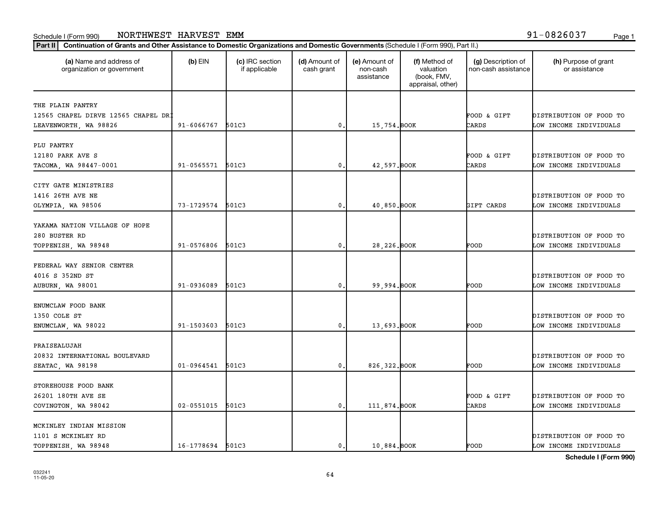| (a) Name and address of<br>organization or government | $(b)$ EIN      | (c) IRC section<br>if applicable | (d) Amount of<br>cash grant | (e) Amount of<br>non-cash<br>assistance | (f) Method of<br>valuation<br>(book, FMV,<br>appraisal, other) | (g) Description of<br>non-cash assistance | (h) Purpose of grant<br>or assistance |
|-------------------------------------------------------|----------------|----------------------------------|-----------------------------|-----------------------------------------|----------------------------------------------------------------|-------------------------------------------|---------------------------------------|
| THE PLAIN PANTRY                                      |                |                                  |                             |                                         |                                                                |                                           |                                       |
| 12565 CHAPEL DIRVE 12565 CHAPEL DRI                   |                |                                  |                             |                                         |                                                                | FOOD & GIFT                               | DISTRIBUTION OF FOOD TO               |
| LEAVENWORTH, WA 98826                                 | 91-6066767     | 501C3                            | $\mathbf 0$                 | 15,754. BOOK                            |                                                                | CARDS                                     | LOW INCOME INDIVIDUALS                |
|                                                       |                |                                  |                             |                                         |                                                                |                                           |                                       |
| PLU PANTRY                                            |                |                                  |                             |                                         |                                                                |                                           |                                       |
| 12180 PARK AVE S                                      |                |                                  |                             |                                         |                                                                | FOOD & GIFT                               | DISTRIBUTION OF FOOD TO               |
| TACOMA, WA 98447-0001                                 | 91-0565571     | 501C3                            | $^{\circ}$ .                | 42,597. BOOK                            |                                                                | CARDS                                     | LOW INCOME INDIVIDUALS                |
| CITY GATE MINISTRIES                                  |                |                                  |                             |                                         |                                                                |                                           |                                       |
| 1416 26TH AVE NE                                      |                |                                  |                             |                                         |                                                                |                                           | DISTRIBUTION OF FOOD TO               |
| OLYMPIA, WA 98506                                     | 73-1729574     | 501C3                            | 0.                          | 40,850. BOOK                            |                                                                | GIFT CARDS                                | LOW INCOME INDIVIDUALS                |
|                                                       |                |                                  |                             |                                         |                                                                |                                           |                                       |
| YAKAMA NATION VILLAGE OF HOPE                         |                |                                  |                             |                                         |                                                                |                                           |                                       |
| 280 BUSTER RD                                         |                |                                  |                             |                                         |                                                                |                                           | DISTRIBUTION OF FOOD TO               |
| TOPPENISH, WA 98948                                   | 91-0576806     | 501C3                            | $\mathbf 0$                 | 28, 226. BOOK                           |                                                                | FOOD                                      | LOW INCOME INDIVIDUALS                |
|                                                       |                |                                  |                             |                                         |                                                                |                                           |                                       |
| FEDERAL WAY SENIOR CENTER                             |                |                                  |                             |                                         |                                                                |                                           |                                       |
| 4016 S 352ND ST                                       |                |                                  |                             |                                         |                                                                |                                           | DISTRIBUTION OF FOOD TO               |
| AUBURN, WA 98001                                      | 91-0936089     | 501C3                            | $\mathbf{0}$ .              | 99,994. BOOK                            |                                                                | FOOD                                      | LOW INCOME INDIVIDUALS                |
| ENUMCLAW FOOD BANK                                    |                |                                  |                             |                                         |                                                                |                                           |                                       |
| 1350 COLE ST                                          |                |                                  |                             |                                         |                                                                |                                           | DISTRIBUTION OF FOOD TO               |
| ENUMCLAW, WA 98022                                    | 91-1503603     | 501C3                            | 0.                          | 13,693. BOOK                            |                                                                | FOOD                                      | LOW INCOME INDIVIDUALS                |
|                                                       |                |                                  |                             |                                         |                                                                |                                           |                                       |
| PRAISEALUJAH                                          |                |                                  |                             |                                         |                                                                |                                           |                                       |
| 20832 INTERNATIONAL BOULEVARD                         |                |                                  |                             |                                         |                                                                |                                           | DISTRIBUTION OF FOOD TO               |
| SEATAC, WA 98198                                      | $01 - 0964541$ | 501C3                            | $\mathbf{0}$ .              | 826, 322. BOOK                          |                                                                | FOOD                                      | LOW INCOME INDIVIDUALS                |
|                                                       |                |                                  |                             |                                         |                                                                |                                           |                                       |
| STOREHOUSE FOOD BANK                                  |                |                                  |                             |                                         |                                                                |                                           |                                       |
| 26201 180TH AVE SE                                    |                |                                  |                             |                                         |                                                                | FOOD & GIFT                               | DISTRIBUTION OF FOOD TO               |
| COVINGTON, WA 98042                                   | 02-0551015     | 501C3                            | $\mathbf{0}$ .              | 111,874. BOOK                           |                                                                | CARDS                                     | LOW INCOME INDIVIDUALS                |
| MCKINLEY INDIAN MISSION                               |                |                                  |                             |                                         |                                                                |                                           |                                       |
| 1101 S MCKINLEY RD                                    |                |                                  |                             |                                         |                                                                |                                           | DISTRIBUTION OF FOOD TO               |
| TOPPENISH, WA 98948                                   | 16-1778694     | 501C3                            | 0.                          | 10,884. BOOK                            |                                                                | FOOD                                      | LOW INCOME INDIVIDUALS                |
|                                                       |                |                                  |                             |                                         |                                                                |                                           |                                       |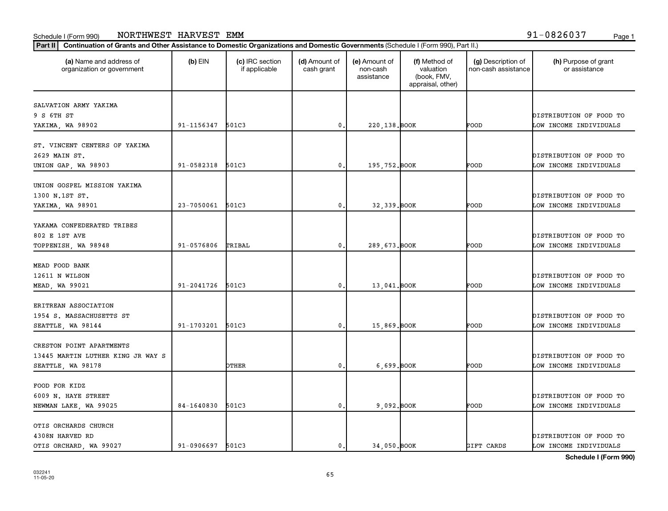| Part II   Continuation of Grants and Other Assistance to Domestic Organizations and Domestic Governments (Schedule I (Form 990), Part II.) |                  |                                  |                             |                                         |                                                                |                                           |                                       |
|--------------------------------------------------------------------------------------------------------------------------------------------|------------------|----------------------------------|-----------------------------|-----------------------------------------|----------------------------------------------------------------|-------------------------------------------|---------------------------------------|
| (a) Name and address of<br>organization or government                                                                                      | $(b)$ EIN        | (c) IRC section<br>if applicable | (d) Amount of<br>cash grant | (e) Amount of<br>non-cash<br>assistance | (f) Method of<br>valuation<br>(book, FMV,<br>appraisal, other) | (g) Description of<br>non-cash assistance | (h) Purpose of grant<br>or assistance |
|                                                                                                                                            |                  |                                  |                             |                                         |                                                                |                                           |                                       |
| SALVATION ARMY YAKIMA<br>9 S 6TH ST                                                                                                        |                  |                                  |                             |                                         |                                                                |                                           | DISTRIBUTION OF FOOD TO               |
| YAKIMA, WA 98902                                                                                                                           | 91-1156347       | 501C3                            | $\mathbf 0$                 | 220, 138. BOOK                          |                                                                | FOOD                                      | LOW INCOME INDIVIDUALS                |
|                                                                                                                                            |                  |                                  |                             |                                         |                                                                |                                           |                                       |
| ST. VINCENT CENTERS OF YAKIMA                                                                                                              |                  |                                  |                             |                                         |                                                                |                                           |                                       |
| 2629 MAIN ST.                                                                                                                              |                  |                                  |                             |                                         |                                                                |                                           | DISTRIBUTION OF FOOD TO               |
| UNION GAP, WA 98903                                                                                                                        | 91-0582318       | 501C3                            | $\mathbf 0$                 | 195,752. BOOK                           |                                                                | FOOD                                      | LOW INCOME INDIVIDUALS                |
|                                                                                                                                            |                  |                                  |                             |                                         |                                                                |                                           |                                       |
| UNION GOSPEL MISSION YAKIMA                                                                                                                |                  |                                  |                             |                                         |                                                                |                                           |                                       |
| 1300 N.1ST ST.                                                                                                                             |                  |                                  |                             |                                         |                                                                |                                           | DISTRIBUTION OF FOOD TO               |
| YAKIMA, WA 98901                                                                                                                           | 23-7050061       | 501C3                            | $\mathbf 0$                 | 32, 339. BOOK                           |                                                                | FOOD                                      | LOW INCOME INDIVIDUALS                |
|                                                                                                                                            |                  |                                  |                             |                                         |                                                                |                                           |                                       |
| YAKAMA CONFEDERATED TRIBES                                                                                                                 |                  |                                  |                             |                                         |                                                                |                                           |                                       |
| 802 E 1ST AVE                                                                                                                              |                  |                                  |                             |                                         |                                                                |                                           | DISTRIBUTION OF FOOD TO               |
| TOPPENISH, WA 98948                                                                                                                        | 91-0576806       | TRIBAL                           | $\mathbf 0$                 | 289,673. BOOK                           |                                                                | FOOD                                      | LOW INCOME INDIVIDUALS                |
| MEAD FOOD BANK                                                                                                                             |                  |                                  |                             |                                         |                                                                |                                           |                                       |
| 12611 N WILSON                                                                                                                             |                  |                                  |                             |                                         |                                                                |                                           | DISTRIBUTION OF FOOD TO               |
| MEAD, WA 99021                                                                                                                             | 91-2041726       | 501C3                            | 0                           | 13,041. BOOK                            |                                                                | FOOD                                      | LOW INCOME INDIVIDUALS                |
|                                                                                                                                            |                  |                                  |                             |                                         |                                                                |                                           |                                       |
| ERITREAN ASSOCIATION                                                                                                                       |                  |                                  |                             |                                         |                                                                |                                           |                                       |
| 1954 S. MASSACHUSETTS ST                                                                                                                   |                  |                                  |                             |                                         |                                                                |                                           | DISTRIBUTION OF FOOD TO               |
| SEATTLE, WA 98144                                                                                                                          | 91-1703201       | 501C3                            | $\mathbf 0$                 | 15,869. BOOK                            |                                                                | FOOD                                      | LOW INCOME INDIVIDUALS                |
|                                                                                                                                            |                  |                                  |                             |                                         |                                                                |                                           |                                       |
| CRESTON POINT APARTMENTS                                                                                                                   |                  |                                  |                             |                                         |                                                                |                                           |                                       |
| 13445 MARTIN LUTHER KING JR WAY S                                                                                                          |                  |                                  |                             |                                         |                                                                |                                           | DISTRIBUTION OF FOOD TO               |
| SEATTLE, WA 98178                                                                                                                          |                  | OTHER                            | $\mathbf 0$                 | 6,699. BOOK                             |                                                                | FOOD                                      | LOW INCOME INDIVIDUALS                |
|                                                                                                                                            |                  |                                  |                             |                                         |                                                                |                                           |                                       |
| FOOD FOR KIDZ                                                                                                                              |                  |                                  |                             |                                         |                                                                |                                           |                                       |
| 6009 N. HAYE STREET                                                                                                                        |                  |                                  |                             |                                         |                                                                |                                           | DISTRIBUTION OF FOOD TO               |
| NEWMAN LAKE, WA 99025                                                                                                                      | 84-1640830       | 501C3                            | $\mathbf 0$                 | 9,092. BOOK                             |                                                                | FOOD                                      | LOW INCOME INDIVIDUALS                |
|                                                                                                                                            |                  |                                  |                             |                                         |                                                                |                                           |                                       |
| OTIS ORCHARDS CHURCH                                                                                                                       |                  |                                  |                             |                                         |                                                                |                                           |                                       |
| 4308N HARVED RD                                                                                                                            |                  |                                  |                             |                                         |                                                                |                                           | DISTRIBUTION OF FOOD TO               |
| OTIS ORCHARD, WA 99027                                                                                                                     | 91-0906697 501C3 |                                  | $\mathbf{0}$                | 34,050. BOOK                            |                                                                | <b>GIFT CARDS</b>                         | LOW INCOME INDIVIDUALS                |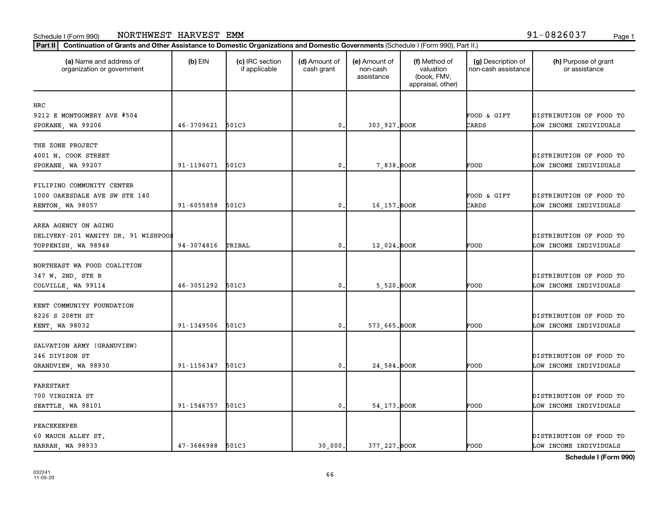| Part II                                               | Continuation of Grants and Other Assistance to Domestic Organizations and Domestic Governments (Schedule I (Form 990), Part II.) |                                  |                             |                                         |                                                                |                                           |                                       |  |  |  |
|-------------------------------------------------------|----------------------------------------------------------------------------------------------------------------------------------|----------------------------------|-----------------------------|-----------------------------------------|----------------------------------------------------------------|-------------------------------------------|---------------------------------------|--|--|--|
| (a) Name and address of<br>organization or government | $(b)$ EIN                                                                                                                        | (c) IRC section<br>if applicable | (d) Amount of<br>cash grant | (e) Amount of<br>non-cash<br>assistance | (f) Method of<br>valuation<br>(book, FMV,<br>appraisal, other) | (g) Description of<br>non-cash assistance | (h) Purpose of grant<br>or assistance |  |  |  |
|                                                       |                                                                                                                                  |                                  |                             |                                         |                                                                |                                           |                                       |  |  |  |
| HRC<br>9212 E MONTGOMERY AVE #504                     |                                                                                                                                  |                                  |                             |                                         |                                                                | FOOD & GIFT                               | DISTRIBUTION OF FOOD TO               |  |  |  |
| SPOKANE, WA 99206                                     | 46-3709621                                                                                                                       | 501C3                            | $\mathbf{0}$ .              | 303, 927. BOOK                          |                                                                | CARDS                                     | LOW INCOME INDIVIDUALS                |  |  |  |
|                                                       |                                                                                                                                  |                                  |                             |                                         |                                                                |                                           |                                       |  |  |  |
| THE ZONE PROJECT                                      |                                                                                                                                  |                                  |                             |                                         |                                                                |                                           |                                       |  |  |  |
| 4001 N. COOK STREET                                   |                                                                                                                                  |                                  |                             |                                         |                                                                |                                           | DISTRIBUTION OF FOOD TO               |  |  |  |
| SPOKANE, WA 99207                                     | 91-1196071                                                                                                                       | 501C3                            | 0.                          | 7,838. BOOK                             |                                                                | FOOD                                      | LOW INCOME INDIVIDUALS                |  |  |  |
|                                                       |                                                                                                                                  |                                  |                             |                                         |                                                                |                                           |                                       |  |  |  |
| FILIPINO COMMUNITY CENTER                             |                                                                                                                                  |                                  |                             |                                         |                                                                |                                           |                                       |  |  |  |
| 1000 OAKESDALE AVE SW STE 140                         |                                                                                                                                  |                                  |                             |                                         |                                                                | FOOD & GIFT                               | DISTRIBUTION OF FOOD TO               |  |  |  |
| RENTON, WA 98057                                      | $91 - 6055858$                                                                                                                   | 501C3                            | 0.                          | 16,157. BOOK                            |                                                                | CARDS                                     | LOW INCOME INDIVIDUALS                |  |  |  |
|                                                       |                                                                                                                                  |                                  |                             |                                         |                                                                |                                           |                                       |  |  |  |
| AREA AGENCY ON AGING                                  |                                                                                                                                  |                                  |                             |                                         |                                                                |                                           |                                       |  |  |  |
| DELIVERY-201 WANITY DR. 91 WISHPOO\$                  |                                                                                                                                  |                                  |                             |                                         |                                                                |                                           | DISTRIBUTION OF FOOD TO               |  |  |  |
| TOPPENISH, WA 98948                                   | 94-3074816                                                                                                                       | TRIBAL                           | $\mathbf 0$                 | 12,024. BOOK                            |                                                                | FOOD                                      | LOW INCOME INDIVIDUALS                |  |  |  |
|                                                       |                                                                                                                                  |                                  |                             |                                         |                                                                |                                           |                                       |  |  |  |
| NORTHEAST WA FOOD COALITION                           |                                                                                                                                  |                                  |                             |                                         |                                                                |                                           |                                       |  |  |  |
| 347 W. 2ND, STE B                                     |                                                                                                                                  |                                  |                             |                                         |                                                                |                                           | DISTRIBUTION OF FOOD TO               |  |  |  |
| COLVILLE, WA 99114                                    | 46-3051292                                                                                                                       | 501C3                            | 0.                          | 5,520. BOOK                             |                                                                | FOOD                                      | LOW INCOME INDIVIDUALS                |  |  |  |
| KENT COMMUNITY FOUNDATION                             |                                                                                                                                  |                                  |                             |                                         |                                                                |                                           |                                       |  |  |  |
| 8226 S 208TH ST                                       |                                                                                                                                  |                                  |                             |                                         |                                                                |                                           | DISTRIBUTION OF FOOD TO               |  |  |  |
| KENT, WA 98032                                        | 91-1349506                                                                                                                       | 501C3                            | 0.                          | 573,665. BOOK                           |                                                                | FOOD                                      | LOW INCOME INDIVIDUALS                |  |  |  |
|                                                       |                                                                                                                                  |                                  |                             |                                         |                                                                |                                           |                                       |  |  |  |
| SALVATION ARMY (GRANDVIEW)                            |                                                                                                                                  |                                  |                             |                                         |                                                                |                                           |                                       |  |  |  |
| 246 DIVISON ST                                        |                                                                                                                                  |                                  |                             |                                         |                                                                |                                           | DISTRIBUTION OF FOOD TO               |  |  |  |
| GRANDVIEW, WA 98930                                   | 91-1156347                                                                                                                       | 501C3                            | $\mathbf 0$                 | 24,584. BOOK                            |                                                                | FOOD                                      | LOW INCOME INDIVIDUALS                |  |  |  |
|                                                       |                                                                                                                                  |                                  |                             |                                         |                                                                |                                           |                                       |  |  |  |
| FARESTART                                             |                                                                                                                                  |                                  |                             |                                         |                                                                |                                           |                                       |  |  |  |
| 700 VIRGINIA ST                                       |                                                                                                                                  |                                  |                             |                                         |                                                                |                                           | DISTRIBUTION OF FOOD TO               |  |  |  |
| SEATTLE, WA 98101                                     | $91 - 1546757$                                                                                                                   | 501C3                            | 0.                          | 54, 173. BOOK                           |                                                                | FOOD                                      | LOW INCOME INDIVIDUALS                |  |  |  |
|                                                       |                                                                                                                                  |                                  |                             |                                         |                                                                |                                           |                                       |  |  |  |
| PEACEKEEPER                                           |                                                                                                                                  |                                  |                             |                                         |                                                                |                                           |                                       |  |  |  |
| 60 MAUCH ALLEY ST.                                    |                                                                                                                                  |                                  |                             |                                         |                                                                |                                           | DISTRIBUTION OF FOOD TO               |  |  |  |
| HARRAH, WA 98933                                      | 47-3686988                                                                                                                       | 501C3                            | 30,000.                     | 377, 227. BOOK                          |                                                                | FOOD                                      | LOW INCOME INDIVIDUALS                |  |  |  |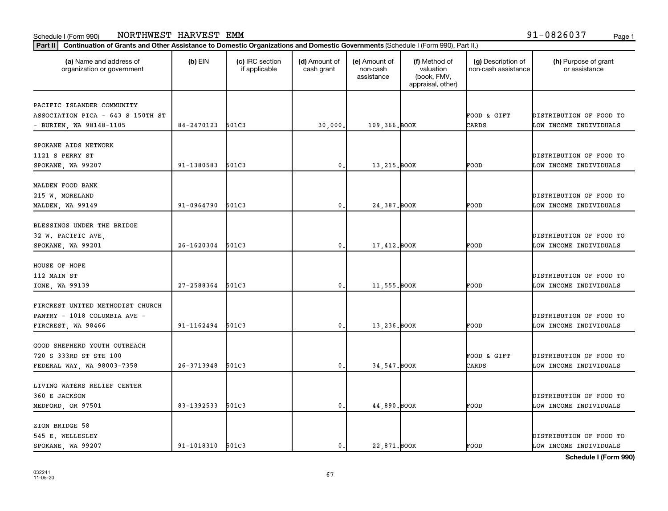| Part II   Continuation of Grants and Other Assistance to Domestic Organizations and Domestic Governments (Schedule I (Form 990), Part II.) |                  |                                  |                             |                                         |                                                                |                                           |                                       |  |
|--------------------------------------------------------------------------------------------------------------------------------------------|------------------|----------------------------------|-----------------------------|-----------------------------------------|----------------------------------------------------------------|-------------------------------------------|---------------------------------------|--|
| (a) Name and address of<br>organization or government                                                                                      | $(b)$ EIN        | (c) IRC section<br>if applicable | (d) Amount of<br>cash grant | (e) Amount of<br>non-cash<br>assistance | (f) Method of<br>valuation<br>(book, FMV,<br>appraisal, other) | (g) Description of<br>non-cash assistance | (h) Purpose of grant<br>or assistance |  |
| PACIFIC ISLANDER COMMUNITY                                                                                                                 |                  |                                  |                             |                                         |                                                                |                                           |                                       |  |
| ASSOCIATION PICA - 643 S 150TH ST                                                                                                          |                  |                                  |                             |                                         |                                                                | FOOD & GIFT                               | DISTRIBUTION OF FOOD TO               |  |
| - BURIEN, WA 98148-1105                                                                                                                    | 84-2470123       | 501C3                            | 30,000.                     | 109,366. BOOK                           |                                                                | CARDS                                     | LOW INCOME INDIVIDUALS                |  |
|                                                                                                                                            |                  |                                  |                             |                                         |                                                                |                                           |                                       |  |
| SPOKANE AIDS NETWORK                                                                                                                       |                  |                                  |                             |                                         |                                                                |                                           |                                       |  |
| 1121 S PERRY ST                                                                                                                            |                  |                                  |                             |                                         |                                                                |                                           | DISTRIBUTION OF FOOD TO               |  |
| SPOKANE, WA 99207                                                                                                                          | 91-1380583       | 501C3                            | $\mathbf{0}$                | 13, 215. BOOK                           |                                                                | FOOD                                      | LOW INCOME INDIVIDUALS                |  |
|                                                                                                                                            |                  |                                  |                             |                                         |                                                                |                                           |                                       |  |
| MALDEN FOOD BANK                                                                                                                           |                  |                                  |                             |                                         |                                                                |                                           |                                       |  |
| 215 W, MORELAND                                                                                                                            |                  |                                  |                             |                                         |                                                                |                                           | DISTRIBUTION OF FOOD TO               |  |
| MALDEN, WA 99149                                                                                                                           | 91-0964790       | 501C3                            | 0.                          | 24, 387. BOOK                           |                                                                | FOOD                                      | LOW INCOME INDIVIDUALS                |  |
|                                                                                                                                            |                  |                                  |                             |                                         |                                                                |                                           |                                       |  |
| BLESSINGS UNDER THE BRIDGE                                                                                                                 |                  |                                  |                             |                                         |                                                                |                                           |                                       |  |
| 32 W. PACIFIC AVE,                                                                                                                         |                  |                                  |                             |                                         |                                                                |                                           | DISTRIBUTION OF FOOD TO               |  |
| SPOKANE, WA 99201                                                                                                                          | 26-1620304       | 501C3                            | 0                           | 17,412. BOOK                            |                                                                | FOOD                                      | LOW INCOME INDIVIDUALS                |  |
|                                                                                                                                            |                  |                                  |                             |                                         |                                                                |                                           |                                       |  |
| HOUSE OF HOPE                                                                                                                              |                  |                                  |                             |                                         |                                                                |                                           |                                       |  |
| 112 MAIN ST                                                                                                                                |                  |                                  |                             |                                         |                                                                |                                           | DISTRIBUTION OF FOOD TO               |  |
| IONE, WA 99139                                                                                                                             | 27-2588364       | 501C3                            | 0                           | 11,555. BOOK                            |                                                                | FOOD                                      | LOW INCOME INDIVIDUALS                |  |
| FIRCREST UNITED METHODIST CHURCH                                                                                                           |                  |                                  |                             |                                         |                                                                |                                           |                                       |  |
| PANTRY - 1018 COLUMBIA AVE -                                                                                                               |                  |                                  |                             |                                         |                                                                |                                           | DISTRIBUTION OF FOOD TO               |  |
| FIRCREST, WA 98466                                                                                                                         | 91-1162494       | 501C3                            | 0.                          | 13,236. BOOK                            |                                                                | FOOD                                      | LOW INCOME INDIVIDUALS                |  |
|                                                                                                                                            |                  |                                  |                             |                                         |                                                                |                                           |                                       |  |
| GOOD SHEPHERD YOUTH OUTREACH                                                                                                               |                  |                                  |                             |                                         |                                                                |                                           |                                       |  |
| 720 S 333RD ST STE 100                                                                                                                     |                  |                                  |                             |                                         |                                                                | FOOD & GIFT                               | DISTRIBUTION OF FOOD TO               |  |
| FEDERAL WAY, WA 98003-7358                                                                                                                 | 26-3713948       | 501C3                            | 0                           | 34, 547. BOOK                           |                                                                | CARDS                                     | LOW INCOME INDIVIDUALS                |  |
|                                                                                                                                            |                  |                                  |                             |                                         |                                                                |                                           |                                       |  |
| LIVING WATERS RELIEF CENTER                                                                                                                |                  |                                  |                             |                                         |                                                                |                                           |                                       |  |
| 360 E JACKSON                                                                                                                              |                  |                                  |                             |                                         |                                                                |                                           | DISTRIBUTION OF FOOD TO               |  |
| MEDFORD, OR 97501                                                                                                                          | 83-1392533       | 501C3                            | $\mathbf{0}$ .              | 44,890. BOOK                            |                                                                | FOOD                                      | LOW INCOME INDIVIDUALS                |  |
|                                                                                                                                            |                  |                                  |                             |                                         |                                                                |                                           |                                       |  |
| ZION BRIDGE 58                                                                                                                             |                  |                                  |                             |                                         |                                                                |                                           |                                       |  |
| 545 E. WELLESLEY                                                                                                                           |                  |                                  |                             |                                         |                                                                |                                           | DISTRIBUTION OF FOOD TO               |  |
| SPOKANE, WA 99207                                                                                                                          | 91-1018310 501C3 |                                  | $\mathbf{0}$ .              | 22,871. BOOK                            |                                                                | FOOD                                      | LOW INCOME INDIVIDUALS                |  |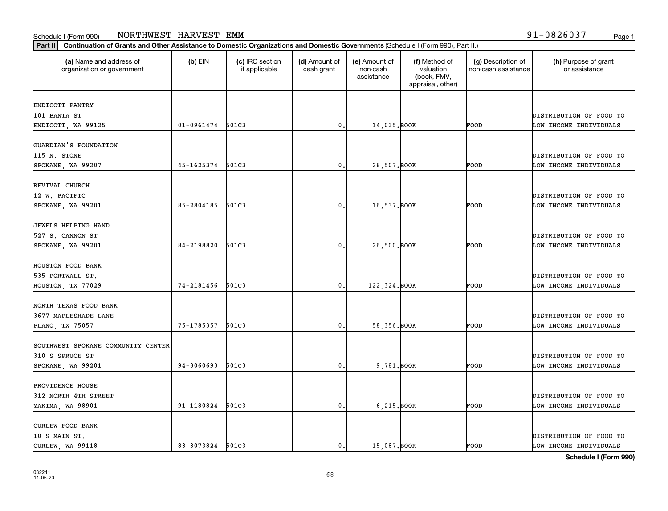| (a) Name and address of<br>organization or government | $(b)$ EIN        | (c) IRC section<br>if applicable | (d) Amount of<br>cash grant | (e) Amount of<br>non-cash<br>assistance | (f) Method of<br>valuation<br>(book, FMV,<br>appraisal, other) | (g) Description of<br>non-cash assistance | (h) Purpose of grant<br>or assistance |
|-------------------------------------------------------|------------------|----------------------------------|-----------------------------|-----------------------------------------|----------------------------------------------------------------|-------------------------------------------|---------------------------------------|
| ENDICOTT PANTRY                                       |                  |                                  |                             |                                         |                                                                |                                           |                                       |
| 101 BANTA ST                                          |                  |                                  |                             |                                         |                                                                |                                           | DISTRIBUTION OF FOOD TO               |
| ENDICOTT, WA 99125                                    | $01 - 0961474$   | 501C3                            | 0                           | 14,035. BOOK                            |                                                                | FOOD                                      | LOW INCOME INDIVIDUALS                |
| GUARDIAN'S FOUNDATION                                 |                  |                                  |                             |                                         |                                                                |                                           |                                       |
| 115 N. STONE                                          |                  |                                  |                             |                                         |                                                                |                                           | DISTRIBUTION OF FOOD TO               |
| SPOKANE, WA 99207                                     | 45-1625374       | 501C3                            | 0                           | 28,507. BOOK                            |                                                                | FOOD                                      | LOW INCOME INDIVIDUALS                |
|                                                       |                  |                                  |                             |                                         |                                                                |                                           |                                       |
| REVIVAL CHURCH                                        |                  |                                  |                             |                                         |                                                                |                                           |                                       |
| 12 W. PACIFIC                                         |                  |                                  |                             |                                         |                                                                |                                           | DISTRIBUTION OF FOOD TO               |
| SPOKANE, WA 99201                                     | 85-2804185       | 501C3                            | 0.                          | 16.537. BOOK                            |                                                                | FOOD                                      | LOW INCOME INDIVIDUALS                |
| JEWELS HELPING HAND                                   |                  |                                  |                             |                                         |                                                                |                                           |                                       |
| 527 S. CANNON ST                                      |                  |                                  |                             |                                         |                                                                |                                           | DISTRIBUTION OF FOOD TO               |
| SPOKANE, WA 99201                                     | 84-2198820       | 501C3                            | 0                           | 26,500. BOOK                            |                                                                | FOOD                                      | LOW INCOME INDIVIDUALS                |
|                                                       |                  |                                  |                             |                                         |                                                                |                                           |                                       |
| HOUSTON FOOD BANK                                     |                  |                                  |                             |                                         |                                                                |                                           |                                       |
| 535 PORTWALL ST.                                      |                  |                                  |                             |                                         |                                                                |                                           | DISTRIBUTION OF FOOD TO               |
| HOUSTON, TX 77029                                     | 74-2181456       | 501C3                            | 0                           | 122, 324. BOOK                          |                                                                | FOOD                                      | LOW INCOME INDIVIDUALS                |
|                                                       |                  |                                  |                             |                                         |                                                                |                                           |                                       |
| NORTH TEXAS FOOD BANK                                 |                  |                                  |                             |                                         |                                                                |                                           |                                       |
| 3677 MAPLESHADE LANE                                  |                  |                                  |                             |                                         |                                                                |                                           | DISTRIBUTION OF FOOD TO               |
| PLANO, TX 75057                                       | 75-1785357       | 501C3                            | $\mathbf{0}$                | 58,356. BOOK                            |                                                                | FOOD                                      | LOW INCOME INDIVIDUALS                |
| SOUTHWEST SPOKANE COMMUNITY CENTER                    |                  |                                  |                             |                                         |                                                                |                                           |                                       |
| 310 S SPRUCE ST                                       |                  |                                  |                             |                                         |                                                                |                                           | DISTRIBUTION OF FOOD TO               |
| SPOKANE, WA 99201                                     | 94-3060693       | 501C3                            | 0                           | 9,781. BOOK                             |                                                                | FOOD                                      | LOW INCOME INDIVIDUALS                |
|                                                       |                  |                                  |                             |                                         |                                                                |                                           |                                       |
| PROVIDENCE HOUSE                                      |                  |                                  |                             |                                         |                                                                |                                           |                                       |
| 312 NORTH 4TH STREET                                  |                  |                                  |                             |                                         |                                                                |                                           | DISTRIBUTION OF FOOD TO               |
| YAKIMA, WA 98901                                      | 91-1180824       | 501C3                            | $\mathbf{0}$                | 6,215. BOOK                             |                                                                | FOOD                                      | LOW INCOME INDIVIDUALS                |
|                                                       |                  |                                  |                             |                                         |                                                                |                                           |                                       |
| CURLEW FOOD BANK                                      |                  |                                  |                             |                                         |                                                                |                                           |                                       |
| 10 S MAIN ST.                                         |                  |                                  |                             |                                         |                                                                |                                           | DISTRIBUTION OF FOOD TO               |
| CURLEW, WA 99118                                      | 83-3073824 501C3 |                                  | $\mathbf{0}$ .              | 15,087. BOOK                            |                                                                | FOOD                                      | LOW INCOME INDIVIDUALS                |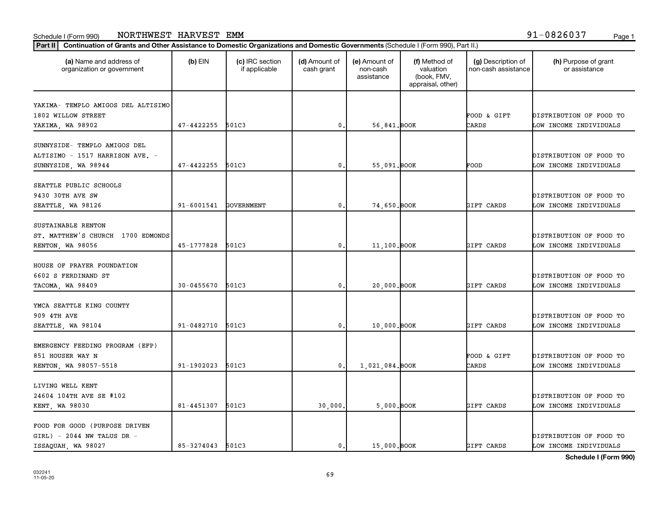| , c u u a u |  | Page 1 |  |
|-------------|--|--------|--|
|             |  |        |  |

**Schedule I (Form 990)**

| Part II   Continuation of Grants and Other Assistance to Domestic Organizations and Domestic Governments (Schedule I (Form 990), Part II.) |                |                                  |                             |                                         |                                                                |                                           |                                                   |
|--------------------------------------------------------------------------------------------------------------------------------------------|----------------|----------------------------------|-----------------------------|-----------------------------------------|----------------------------------------------------------------|-------------------------------------------|---------------------------------------------------|
| (a) Name and address of<br>organization or government                                                                                      | $(b)$ EIN      | (c) IRC section<br>if applicable | (d) Amount of<br>cash grant | (e) Amount of<br>non-cash<br>assistance | (f) Method of<br>valuation<br>(book, FMV,<br>appraisal, other) | (g) Description of<br>non-cash assistance | (h) Purpose of grant<br>or assistance             |
| YAKIMA- TEMPLO AMIGOS DEL ALTISIMO                                                                                                         |                |                                  |                             |                                         |                                                                |                                           |                                                   |
| 1802 WILLOW STREET                                                                                                                         |                |                                  |                             |                                         |                                                                | FOOD & GIFT                               | DISTRIBUTION OF FOOD TO                           |
| YAKIMA, WA 98902                                                                                                                           | 47-4422255     | 501C3                            | $\mathbf{0}$ .              | 56,841. BOOK                            |                                                                | CARDS                                     | LOW INCOME INDIVIDUALS                            |
|                                                                                                                                            |                |                                  |                             |                                         |                                                                |                                           |                                                   |
| SUNNYSIDE- TEMPLO AMIGOS DEL                                                                                                               |                |                                  |                             |                                         |                                                                |                                           |                                                   |
| ALTISIMO - 1517 HARRISON AVE. -                                                                                                            |                |                                  |                             |                                         |                                                                |                                           | DISTRIBUTION OF FOOD TO                           |
| SUNNYSIDE, WA 98944                                                                                                                        | 47-4422255     | 501C3                            | 0.                          | 55,091. BOOK                            |                                                                | FOOD                                      | LOW INCOME INDIVIDUALS                            |
| SEATTLE PUBLIC SCHOOLS                                                                                                                     |                |                                  |                             |                                         |                                                                |                                           |                                                   |
| 9430 30TH AVE SW                                                                                                                           |                |                                  |                             |                                         |                                                                |                                           | DISTRIBUTION OF FOOD TO                           |
| SEATTLE, WA 98126                                                                                                                          | 91-6001541     | GOVERNMENT                       | $\mathbf{0}$ .              | 74,650. BOOK                            |                                                                | GIFT CARDS                                | LOW INCOME INDIVIDUALS                            |
|                                                                                                                                            |                |                                  |                             |                                         |                                                                |                                           |                                                   |
| SUSTAINABLE RENTON                                                                                                                         |                |                                  |                             |                                         |                                                                |                                           |                                                   |
| ST. MATTHEW'S CHURCH 1700 EDMONDS                                                                                                          |                |                                  |                             |                                         |                                                                |                                           | DISTRIBUTION OF FOOD TO                           |
| RENTON, WA 98056                                                                                                                           | 45-1777828     | 501C3                            | $\mathbf{0}$ .              | 11,100. BOOK                            |                                                                | GIFT CARDS                                | LOW INCOME INDIVIDUALS                            |
|                                                                                                                                            |                |                                  |                             |                                         |                                                                |                                           |                                                   |
| HOUSE OF PRAYER FOUNDATION<br>6602 S FERDINAND ST                                                                                          |                |                                  |                             |                                         |                                                                |                                           |                                                   |
|                                                                                                                                            | $30 - 0455670$ | 501C3                            | $\mathbf{0}$ .              | 20,000. BOOK                            |                                                                | GIFT CARDS                                | DISTRIBUTION OF FOOD TO<br>LOW INCOME INDIVIDUALS |
| TACOMA, WA 98409                                                                                                                           |                |                                  |                             |                                         |                                                                |                                           |                                                   |
| YMCA SEATTLE KING COUNTY                                                                                                                   |                |                                  |                             |                                         |                                                                |                                           |                                                   |
| 909 4TH AVE                                                                                                                                |                |                                  |                             |                                         |                                                                |                                           | DISTRIBUTION OF FOOD TO                           |
| SEATTLE, WA 98104                                                                                                                          | 91-0482710     | 501C3                            | $\mathbf{0}$ .              | 10,000. BOOK                            |                                                                | GIFT CARDS                                | LOW INCOME INDIVIDUALS                            |
|                                                                                                                                            |                |                                  |                             |                                         |                                                                |                                           |                                                   |
| EMERGENCY FEEDING PROGRAM (EFP)                                                                                                            |                |                                  |                             |                                         |                                                                |                                           |                                                   |
| 851 HOUSER WAY N                                                                                                                           |                |                                  |                             |                                         |                                                                | FOOD & GIFT                               | DISTRIBUTION OF FOOD TO                           |
| RENTON, WA 98057-5518                                                                                                                      | $91 - 1902023$ | 501C3                            | $\mathbf{0}$ .              | 1,021,084. BOOK                         |                                                                | CARDS                                     | LOW INCOME INDIVIDUALS                            |
| LIVING WELL KENT                                                                                                                           |                |                                  |                             |                                         |                                                                |                                           |                                                   |
| 24604 104TH AVE SE #102                                                                                                                    |                |                                  |                             |                                         |                                                                |                                           | DISTRIBUTION OF FOOD TO                           |
| KENT, WA 98030                                                                                                                             | 81-4451307     | 501C3                            | 30,000.                     | 5,000. BOOK                             |                                                                | GIFT CARDS                                | LOW INCOME INDIVIDUALS                            |
|                                                                                                                                            |                |                                  |                             |                                         |                                                                |                                           |                                                   |
| FOOD FOR GOOD (PURPOSE DRIVEN                                                                                                              |                |                                  |                             |                                         |                                                                |                                           |                                                   |
| $GIRL$ ) - 2044 NW TALUS DR -                                                                                                              |                |                                  |                             |                                         |                                                                |                                           | DISTRIBUTION OF FOOD TO                           |
| ISSAQUAH, WA 98027                                                                                                                         | 85-3274043     | 501C3                            | $0$ .                       | 15,000. BOOK                            |                                                                | GIFT CARDS                                | LOW INCOME INDIVIDUALS                            |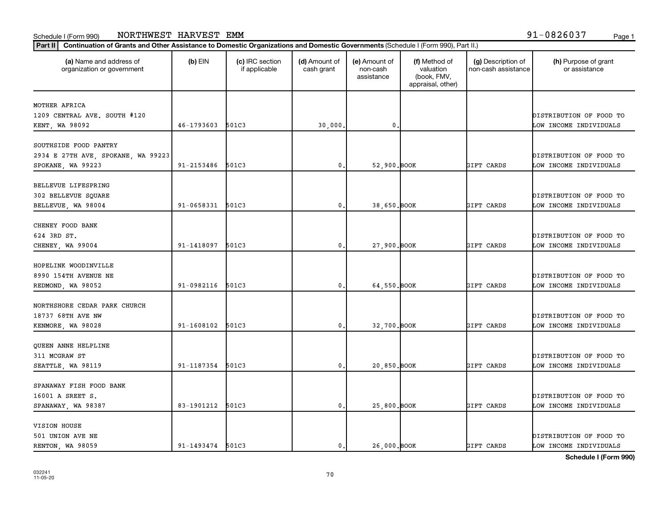| (a) Name and address of<br>organization or government | $(b)$ EIN        | (c) IRC section<br>if applicable | (d) Amount of<br>cash grant | (e) Amount of<br>non-cash<br>assistance | (f) Method of<br>valuation<br>(book, FMV,<br>appraisal, other) | (g) Description of<br>non-cash assistance | (h) Purpose of grant<br>or assistance |
|-------------------------------------------------------|------------------|----------------------------------|-----------------------------|-----------------------------------------|----------------------------------------------------------------|-------------------------------------------|---------------------------------------|
| MOTHER AFRICA                                         |                  |                                  |                             |                                         |                                                                |                                           |                                       |
| 1209 CENTRAL AVE. SOUTH #120                          |                  |                                  |                             |                                         |                                                                |                                           | DISTRIBUTION OF FOOD TO               |
| KENT, WA 98092                                        | 46-1793603       | 501C3                            | 30,000.                     | 0.                                      |                                                                |                                           | LOW INCOME INDIVIDUALS                |
| SOUTHSIDE FOOD PANTRY                                 |                  |                                  |                             |                                         |                                                                |                                           |                                       |
| 2934 E 27TH AVE, SPOKANE, WA 99223                    |                  |                                  |                             |                                         |                                                                |                                           | DISTRIBUTION OF FOOD TO               |
| SPOKANE, WA 99223                                     | 91-2153486       | 501C3                            | $\mathbf{0}$ .              | 52,900. BOOK                            |                                                                | GIFT CARDS                                | LOW INCOME INDIVIDUALS                |
|                                                       |                  |                                  |                             |                                         |                                                                |                                           |                                       |
| BELLEVUE LIFESPRING                                   |                  |                                  |                             |                                         |                                                                |                                           |                                       |
| 302 BELLEVUE SQUARE                                   |                  |                                  |                             |                                         |                                                                |                                           | DISTRIBUTION OF FOOD TO               |
| BELLEVUE, WA 98004                                    | 91-0658331 501C3 |                                  | 0.                          | 38,650. BOOK                            |                                                                | GIFT CARDS                                | LOW INCOME INDIVIDUALS                |
| CHENEY FOOD BANK                                      |                  |                                  |                             |                                         |                                                                |                                           |                                       |
| 624 3RD ST.                                           |                  |                                  |                             |                                         |                                                                |                                           | DISTRIBUTION OF FOOD TO               |
| CHENEY, WA 99004                                      | 91-1418097       | 501C3                            | 0                           | 27,900. BOOK                            |                                                                | GIFT CARDS                                | LOW INCOME INDIVIDUALS                |
|                                                       |                  |                                  |                             |                                         |                                                                |                                           |                                       |
| HOPELINK WOODINVILLE                                  |                  |                                  |                             |                                         |                                                                |                                           |                                       |
| 8990 154TH AVENUE NE                                  |                  |                                  | $\mathbf{0}$ .              |                                         |                                                                | GIFT CARDS                                | DISTRIBUTION OF FOOD TO               |
| REDMOND, WA 98052                                     | 91-0982116       | 501C3                            |                             | 64,550. BOOK                            |                                                                |                                           | LOW INCOME INDIVIDUALS                |
| NORTHSHORE CEDAR PARK CHURCH                          |                  |                                  |                             |                                         |                                                                |                                           |                                       |
| 18737 68TH AVE NW                                     |                  |                                  |                             |                                         |                                                                |                                           | DISTRIBUTION OF FOOD TO               |
| KENMORE, WA 98028                                     | 91-1608102       | 501C3                            | 0.                          | 32,700. BOOK                            |                                                                | <b>GIFT CARDS</b>                         | LOW INCOME INDIVIDUALS                |
| QUEEN ANNE HELPLINE                                   |                  |                                  |                             |                                         |                                                                |                                           |                                       |
| 311 MCGRAW ST                                         |                  |                                  |                             |                                         |                                                                |                                           | DISTRIBUTION OF FOOD TO               |
| SEATTLE, WA 98119                                     | 91-1187354       | 501C3                            | 0                           | 20,850. BOOK                            |                                                                | GIFT CARDS                                | LOW INCOME INDIVIDUALS                |
|                                                       |                  |                                  |                             |                                         |                                                                |                                           |                                       |
| SPANAWAY FISH FOOD BANK                               |                  |                                  |                             |                                         |                                                                |                                           |                                       |
| 16001 A SREET S.                                      |                  |                                  |                             |                                         |                                                                |                                           | DISTRIBUTION OF FOOD TO               |
| SPANAWAY, WA 98387                                    | 83-1901212       | 501C3                            | 0.                          | 25,800. BOOK                            |                                                                | <b>GIFT CARDS</b>                         | LOW INCOME INDIVIDUALS                |
| VISION HOUSE                                          |                  |                                  |                             |                                         |                                                                |                                           |                                       |
| 501 UNION AVE NE                                      |                  |                                  |                             |                                         |                                                                |                                           | DISTRIBUTION OF FOOD TO               |
| RENTON, WA 98059                                      | 91-1493474 501C3 |                                  | 0.                          | 26,000. BOOK                            |                                                                | GIFT CARDS                                | LOW INCOME INDIVIDUALS                |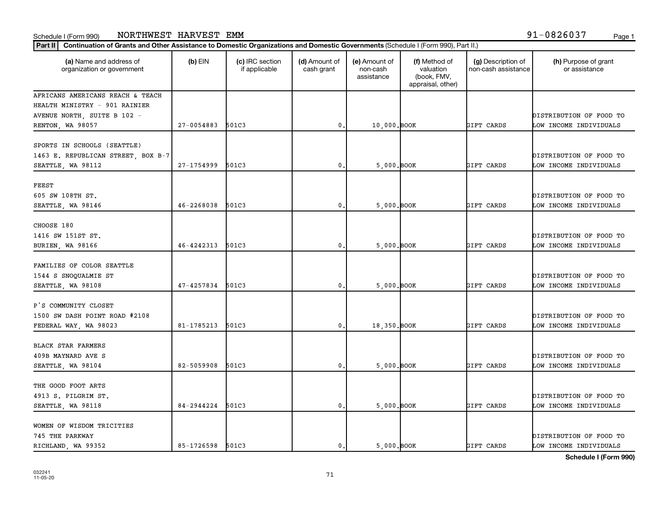|                                                                                | Part II   Continuation of Grants and Other Assistance to Domestic Organizations and Domestic Governments (Schedule I (Form 990), Part II.) |                                  |                             |                                         |                                                                |                                           |                                                   |  |  |
|--------------------------------------------------------------------------------|--------------------------------------------------------------------------------------------------------------------------------------------|----------------------------------|-----------------------------|-----------------------------------------|----------------------------------------------------------------|-------------------------------------------|---------------------------------------------------|--|--|
| (a) Name and address of<br>organization or government                          | $(b)$ EIN                                                                                                                                  | (c) IRC section<br>if applicable | (d) Amount of<br>cash grant | (e) Amount of<br>non-cash<br>assistance | (f) Method of<br>valuation<br>(book, FMV,<br>appraisal, other) | (g) Description of<br>non-cash assistance | (h) Purpose of grant<br>or assistance             |  |  |
| AFRICANS AMERICANS REACH & TEACH                                               |                                                                                                                                            |                                  |                             |                                         |                                                                |                                           |                                                   |  |  |
| HEALTH MINISTRY - 901 RAINIER                                                  |                                                                                                                                            |                                  |                             |                                         |                                                                |                                           |                                                   |  |  |
| AVENUE NORTH, SUITE B 102 -                                                    |                                                                                                                                            |                                  |                             |                                         |                                                                |                                           | DISTRIBUTION OF FOOD TO                           |  |  |
| RENTON, WA 98057                                                               | 27-0054883                                                                                                                                 | 501C3                            | 0                           | 10,000. BOOK                            |                                                                | GIFT CARDS                                | LOW INCOME INDIVIDUALS                            |  |  |
| SPORTS IN SCHOOLS (SEATTLE)<br>1463 E. REPUBLICAN STREET, BOX B-7              |                                                                                                                                            |                                  |                             |                                         |                                                                |                                           | DISTRIBUTION OF FOOD TO                           |  |  |
| SEATTLE, WA 98112                                                              | 27-1754999                                                                                                                                 | 501C3                            | 0                           | 5,000. BOOK                             |                                                                | GIFT CARDS                                | LOW INCOME INDIVIDUALS                            |  |  |
| FEEST<br>605 SW 108TH ST.<br>SEATTLE, WA 98146                                 | 46-2268038                                                                                                                                 | 501C3                            | 0                           | $5,000$ . BOOK                          |                                                                | GIFT CARDS                                | DISTRIBUTION OF FOOD TO<br>LOW INCOME INDIVIDUALS |  |  |
|                                                                                |                                                                                                                                            |                                  |                             |                                         |                                                                |                                           |                                                   |  |  |
| CHOOSE 180<br>1416 SW 151ST ST.<br>BURIEN, WA 98166                            | 46-4242313                                                                                                                                 | 501C3                            | 0                           | 5,000. BOOK                             |                                                                | GIFT CARDS                                | DISTRIBUTION OF FOOD TO<br>LOW INCOME INDIVIDUALS |  |  |
| FAMILIES OF COLOR SEATTLE<br>1544 S SNOQUALMIE ST<br>SEATTLE, WA 98108         | $47 - 4257834$                                                                                                                             | 501C3                            | 0                           | 5,000. BOOK                             |                                                                | GIFT CARDS                                | DISTRIBUTION OF FOOD TO<br>LOW INCOME INDIVIDUALS |  |  |
| P'S COMMUNITY CLOSET<br>1500 SW DASH POINT ROAD #2108<br>FEDERAL WAY, WA 98023 | 81-1785213                                                                                                                                 | 501C3                            | 0                           | 18,350. BOOK                            |                                                                | GIFT CARDS                                | DISTRIBUTION OF FOOD TO<br>LOW INCOME INDIVIDUALS |  |  |
| BLACK STAR FARMERS<br>409B MAYNARD AVE S<br>SEATTLE, WA 98104                  | 82-5059908                                                                                                                                 | 501C3                            | 0                           | 5,000. BOOK                             |                                                                | GIFT CARDS                                | DISTRIBUTION OF FOOD TO<br>LOW INCOME INDIVIDUALS |  |  |
| THE GOOD FOOT ARTS<br>4913 S. PILGRIM ST.<br>SEATTLE, WA 98118                 | 84-2944224                                                                                                                                 | 501C3                            | $\mathbf{0}$                | $5,000$ . BOOK                          |                                                                | GIFT CARDS                                | DISTRIBUTION OF FOOD TO<br>LOW INCOME INDIVIDUALS |  |  |
| WOMEN OF WISDOM TRICITIES<br>745 THE PARKWAY<br>RICHLAND, WA 99352             | 85-1726598                                                                                                                                 | 501C3                            | $\mathbf{0}$ .              | 5,000. BOOK                             |                                                                | GIFT CARDS                                | DISTRIBUTION OF FOOD TO<br>LOW INCOME INDIVIDUALS |  |  |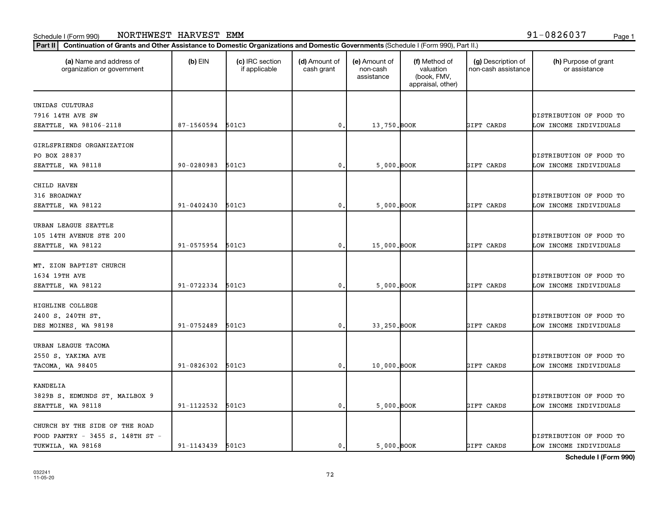| Part II                                               | Continuation of Grants and Other Assistance to Domestic Organizations and Domestic Governments (Schedule I (Form 990), Part II.) |                                  |                             |                                         |                                                                |                                           |                                       |  |  |
|-------------------------------------------------------|----------------------------------------------------------------------------------------------------------------------------------|----------------------------------|-----------------------------|-----------------------------------------|----------------------------------------------------------------|-------------------------------------------|---------------------------------------|--|--|
| (a) Name and address of<br>organization or government | $(b)$ EIN                                                                                                                        | (c) IRC section<br>if applicable | (d) Amount of<br>cash grant | (e) Amount of<br>non-cash<br>assistance | (f) Method of<br>valuation<br>(book, FMV,<br>appraisal, other) | (g) Description of<br>non-cash assistance | (h) Purpose of grant<br>or assistance |  |  |
|                                                       |                                                                                                                                  |                                  |                             |                                         |                                                                |                                           |                                       |  |  |
| UNIDAS CULTURAS<br>7916 14TH AVE SW                   |                                                                                                                                  |                                  |                             |                                         |                                                                |                                           | DISTRIBUTION OF FOOD TO               |  |  |
| SEATTLE, WA 98106-2118                                | 87-1560594                                                                                                                       | 501C3                            | $\mathbf 0$                 | 13,750. BOOK                            |                                                                | GIFT CARDS                                | LOW INCOME INDIVIDUALS                |  |  |
|                                                       |                                                                                                                                  |                                  |                             |                                         |                                                                |                                           |                                       |  |  |
| GIRLSFRIENDS ORGANIZATION                             |                                                                                                                                  |                                  |                             |                                         |                                                                |                                           |                                       |  |  |
| PO BOX 28837                                          |                                                                                                                                  |                                  |                             |                                         |                                                                |                                           | DISTRIBUTION OF FOOD TO               |  |  |
| SEATTLE, WA 98118                                     | 90-0280983                                                                                                                       | 501C3                            | $\mathbf{0}$ .              | 5,000. BOOK                             |                                                                | GIFT CARDS                                | LOW INCOME INDIVIDUALS                |  |  |
|                                                       |                                                                                                                                  |                                  |                             |                                         |                                                                |                                           |                                       |  |  |
| CHILD HAVEN                                           |                                                                                                                                  |                                  |                             |                                         |                                                                |                                           |                                       |  |  |
| 316 BROADWAY                                          |                                                                                                                                  |                                  |                             |                                         |                                                                |                                           | DISTRIBUTION OF FOOD TO               |  |  |
| SEATTLE, WA 98122                                     | 91-0402430                                                                                                                       | 501C3                            | $\mathbf{0}$ .              | 5,000. BOOK                             |                                                                | GIFT CARDS                                | LOW INCOME INDIVIDUALS                |  |  |
| URBAN LEAGUE SEATTLE                                  |                                                                                                                                  |                                  |                             |                                         |                                                                |                                           |                                       |  |  |
| 105 14TH AVENUE STE 200                               |                                                                                                                                  |                                  |                             |                                         |                                                                |                                           | DISTRIBUTION OF FOOD TO               |  |  |
| SEATTLE, WA 98122                                     | 91-0575954                                                                                                                       | 501C3                            | $\mathbf 0$                 | 15,000. BOOK                            |                                                                | GIFT CARDS                                | LOW INCOME INDIVIDUALS                |  |  |
|                                                       |                                                                                                                                  |                                  |                             |                                         |                                                                |                                           |                                       |  |  |
| MT. ZION BAPTIST CHURCH                               |                                                                                                                                  |                                  |                             |                                         |                                                                |                                           |                                       |  |  |
| 1634 19TH AVE                                         |                                                                                                                                  |                                  |                             |                                         |                                                                |                                           | DISTRIBUTION OF FOOD TO               |  |  |
| SEATTLE, WA 98122                                     | 91-0722334                                                                                                                       | 501C3                            | 0.                          | 5,000. BOOK                             |                                                                | GIFT CARDS                                | LOW INCOME INDIVIDUALS                |  |  |
|                                                       |                                                                                                                                  |                                  |                             |                                         |                                                                |                                           |                                       |  |  |
| HIGHLINE COLLEGE                                      |                                                                                                                                  |                                  |                             |                                         |                                                                |                                           |                                       |  |  |
| 2400 S. 240TH ST.                                     |                                                                                                                                  |                                  |                             |                                         |                                                                |                                           | DISTRIBUTION OF FOOD TO               |  |  |
| DES MOINES, WA 98198                                  | 91-0752489                                                                                                                       | 501C3                            | 0.                          | 33,250. BOOK                            |                                                                | GIFT CARDS                                | LOW INCOME INDIVIDUALS                |  |  |
|                                                       |                                                                                                                                  |                                  |                             |                                         |                                                                |                                           |                                       |  |  |
| URBAN LEAGUE TACOMA                                   |                                                                                                                                  |                                  |                             |                                         |                                                                |                                           |                                       |  |  |
| 2550 S. YAKIMA AVE                                    |                                                                                                                                  |                                  |                             |                                         |                                                                |                                           | DISTRIBUTION OF FOOD TO               |  |  |
| TACOMA, WA 98405                                      | 91-0826302                                                                                                                       | 501C3                            | $\mathbf 0$                 | 10,000. BOOK                            |                                                                | GIFT CARDS                                | LOW INCOME INDIVIDUALS                |  |  |
|                                                       |                                                                                                                                  |                                  |                             |                                         |                                                                |                                           |                                       |  |  |
| KANDELIA                                              |                                                                                                                                  |                                  |                             |                                         |                                                                |                                           |                                       |  |  |
| 3829B S. EDMUNDS ST, MAILBOX 9                        |                                                                                                                                  |                                  |                             |                                         |                                                                |                                           | DISTRIBUTION OF FOOD TO               |  |  |
| SEATTLE, WA 98118                                     | 91-1122532                                                                                                                       | 501C3                            | 0.                          | 5,000. BOOK                             |                                                                | GIFT CARDS                                | LOW INCOME INDIVIDUALS                |  |  |
| CHURCH BY THE SIDE OF THE ROAD                        |                                                                                                                                  |                                  |                             |                                         |                                                                |                                           |                                       |  |  |
| FOOD PANTRY - 3455 S. 148TH ST -                      |                                                                                                                                  |                                  |                             |                                         |                                                                |                                           | DISTRIBUTION OF FOOD TO               |  |  |
| TUKWILA, WA 98168                                     | 91-1143439 501C3                                                                                                                 |                                  | 0.                          | 5,000. BOOK                             |                                                                | GIFT CARDS                                | LOW INCOME INDIVIDUALS                |  |  |
|                                                       |                                                                                                                                  |                                  |                             |                                         |                                                                |                                           |                                       |  |  |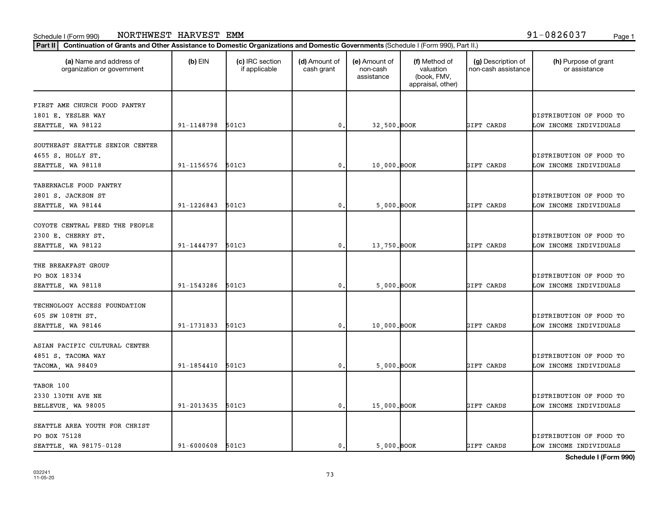| (a) Name and address of<br>organization or government | $(b)$ EIN  | (c) IRC section<br>if applicable | (d) Amount of<br>cash grant | (e) Amount of<br>non-cash<br>assistance | (f) Method of<br>valuation<br>(book, FMV,<br>appraisal, other) | (g) Description of<br>non-cash assistance | (h) Purpose of grant<br>or assistance |
|-------------------------------------------------------|------------|----------------------------------|-----------------------------|-----------------------------------------|----------------------------------------------------------------|-------------------------------------------|---------------------------------------|
| FIRST AME CHURCH FOOD PANTRY                          |            |                                  |                             |                                         |                                                                |                                           |                                       |
| 1801 E. YESLER WAY                                    |            |                                  |                             |                                         |                                                                |                                           | DISTRIBUTION OF FOOD TO               |
| SEATTLE, WA 98122                                     | 91-1148798 | 501C3                            | 0                           | 32,500. BOOK                            |                                                                | GIFT CARDS                                | LOW INCOME INDIVIDUALS                |
| SOUTHEAST SEATTLE SENIOR CENTER                       |            |                                  |                             |                                         |                                                                |                                           |                                       |
| 4655 S. HOLLY ST.                                     |            |                                  |                             |                                         |                                                                |                                           | DISTRIBUTION OF FOOD TO               |
| SEATTLE, WA 98118                                     | 91-1156576 | 501C3                            | 0                           | 10,000. BOOK                            |                                                                | GIFT CARDS                                | LOW INCOME INDIVIDUALS                |
| TABERNACLE FOOD PANTRY                                |            |                                  |                             |                                         |                                                                |                                           |                                       |
| 2801 S. JACKSON ST                                    |            |                                  |                             |                                         |                                                                |                                           | DISTRIBUTION OF FOOD TO               |
| SEATTLE, WA 98144                                     | 91-1226843 | 501C3                            | 0.                          | 5,000. BOOK                             |                                                                | <b>GIFT CARDS</b>                         | LOW INCOME INDIVIDUALS                |
| COYOTE CENTRAL FEED THE PEOPLE                        |            |                                  |                             |                                         |                                                                |                                           |                                       |
| 2300 E. CHERRY ST.                                    |            |                                  |                             |                                         |                                                                |                                           | DISTRIBUTION OF FOOD TO               |
| SEATTLE, WA 98122                                     | 91-1444797 | 501C3                            | 0                           | 13,750. BOOK                            |                                                                | GIFT CARDS                                | LOW INCOME INDIVIDUALS                |
| THE BREAKFAST GROUP                                   |            |                                  |                             |                                         |                                                                |                                           |                                       |
| PO BOX 18334                                          |            |                                  |                             |                                         |                                                                |                                           | DISTRIBUTION OF FOOD TO               |
| SEATTLE, WA 98118                                     | 91-1543286 | 501C3                            | 0                           | $5,000$ . BOOK                          |                                                                | GIFT CARDS                                | LOW INCOME INDIVIDUALS                |
| TECHNOLOGY ACCESS FOUNDATION                          |            |                                  |                             |                                         |                                                                |                                           |                                       |
| 605 SW 108TH ST.                                      |            |                                  |                             |                                         |                                                                |                                           | DISTRIBUTION OF FOOD TO               |
| SEATTLE, WA 98146                                     | 91-1731833 | 501C3                            | 0.                          | 10,000. BOOK                            |                                                                | GIFT CARDS                                | LOW INCOME INDIVIDUALS                |
| ASIAN PACIFIC CULTURAL CENTER                         |            |                                  |                             |                                         |                                                                |                                           |                                       |
| 4851 S. TACOMA WAY                                    |            |                                  |                             |                                         |                                                                |                                           | DISTRIBUTION OF FOOD TO               |
| TACOMA, WA 98409                                      | 91-1854410 | 501C3                            | 0                           | $5,000$ . BOOK                          |                                                                | GIFT CARDS                                | LOW INCOME INDIVIDUALS                |
| TABOR 100                                             |            |                                  |                             |                                         |                                                                |                                           |                                       |
| 2330 130TH AVE NE                                     |            |                                  |                             |                                         |                                                                |                                           | DISTRIBUTION OF FOOD TO               |
| BELLEVUE, WA 98005                                    | 91-2013635 | 501C3                            | 0.                          | 15,000. BOOK                            |                                                                | GIFT CARDS                                | LOW INCOME INDIVIDUALS                |
| SEATTLE AREA YOUTH FOR CHRIST                         |            |                                  |                             |                                         |                                                                |                                           |                                       |
| PO BOX 75128                                          |            |                                  |                             |                                         |                                                                |                                           | DISTRIBUTION OF FOOD TO               |
| SEATTLE, WA 98175-0128                                | 91-6000608 | 501C3                            | $\mathbf{0}$ .              | 5,000. BOOK                             |                                                                | GIFT CARDS                                | LOW INCOME INDIVIDUALS                |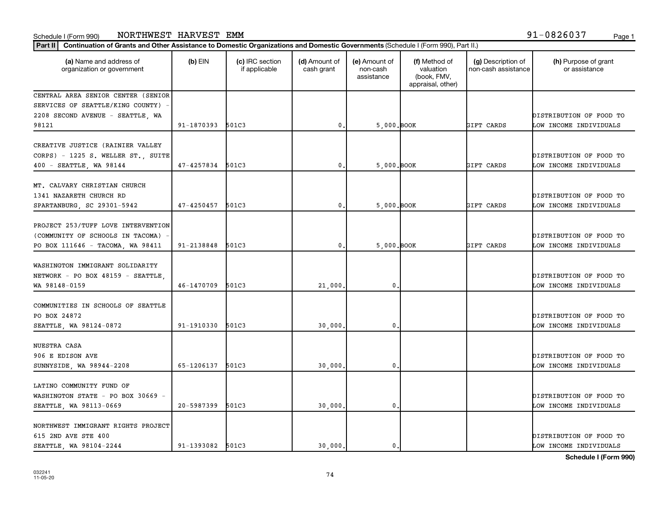#### Schedule I (Form 990) Page 1 NORTHWEST HARVEST EMM 91-0826037

| Part II   Continuation of Grants and Other Assistance to Domestic Organizations and Domestic Governments (Schedule I (Form 990), Part II.) |                  |                                  |                             |                                         |                                                                |                                           |                                                   |
|--------------------------------------------------------------------------------------------------------------------------------------------|------------------|----------------------------------|-----------------------------|-----------------------------------------|----------------------------------------------------------------|-------------------------------------------|---------------------------------------------------|
| (a) Name and address of<br>organization or government                                                                                      | $(b)$ EIN        | (c) IRC section<br>if applicable | (d) Amount of<br>cash grant | (e) Amount of<br>non-cash<br>assistance | (f) Method of<br>valuation<br>(book, FMV,<br>appraisal, other) | (g) Description of<br>non-cash assistance | (h) Purpose of grant<br>or assistance             |
| CENTRAL AREA SENIOR CENTER (SENIOR                                                                                                         |                  |                                  |                             |                                         |                                                                |                                           |                                                   |
| SERVICES OF SEATTLE/KING COUNTY)                                                                                                           |                  |                                  |                             |                                         |                                                                |                                           |                                                   |
| 2208 SECOND AVENUE - SEATTLE, WA                                                                                                           |                  |                                  |                             |                                         |                                                                |                                           | DISTRIBUTION OF FOOD TO                           |
| 98121                                                                                                                                      | 91-1870393       | 501C3                            | $\mathbf{0}$                | $5,000$ . BOOK                          |                                                                | GIFT CARDS                                | LOW INCOME INDIVIDUALS                            |
| CREATIVE JUSTICE (RAINIER VALLEY<br>CORPS) - 1225 S. WELLER ST., SUITE                                                                     |                  |                                  |                             |                                         |                                                                |                                           | DISTRIBUTION OF FOOD TO                           |
| 400 - SEATTLE, WA 98144                                                                                                                    | 47-4257834 501C3 |                                  | $\mathbf{0}$                | 5,000. BOOK                             |                                                                | GIFT CARDS                                | LOW INCOME INDIVIDUALS                            |
| MT. CALVARY CHRISTIAN CHURCH<br>1341 NAZARETH CHURCH RD<br>SPARTANBURG, SC 29301-5942                                                      | 47-4250457       | 501C3                            | $\mathbf{0}$                | 5,000. BOOK                             |                                                                | GIFT CARDS                                | DISTRIBUTION OF FOOD TO<br>LOW INCOME INDIVIDUALS |
| PROJECT 253/TUFF LOVE INTERVENTION<br>(COMMUNITY OF SCHOOLS IN TACOMA)<br>PO BOX 111646 - TACOMA, WA 98411                                 | 91-2138848       | 501C3                            | $\mathbf{0}$                | 5,000. BOOK                             |                                                                | GIFT CARDS                                | DISTRIBUTION OF FOOD TO<br>LOW INCOME INDIVIDUALS |
| WASHINGTON IMMIGRANT SOLIDARITY<br>NETWORK - PO BOX 48159 - SEATTLE,<br>WA 98148-0159                                                      | 46-1470709       | 501C3                            | 21,000                      | 0.                                      |                                                                |                                           | DISTRIBUTION OF FOOD TO<br>LOW INCOME INDIVIDUALS |
| COMMUNITIES IN SCHOOLS OF SEATTLE<br>PO BOX 24872<br>SEATTLE, WA 98124-0872                                                                | 91-1910330       | 501C3                            | 30,000                      | $\mathbf 0$ .                           |                                                                |                                           | DISTRIBUTION OF FOOD TO<br>LOW INCOME INDIVIDUALS |
| NUESTRA CASA<br>906 E EDISON AVE<br>SUNNYSIDE, WA 98944-2208                                                                               | 65-1206137       | 501C3                            | 30,000                      | 0.                                      |                                                                |                                           | DISTRIBUTION OF FOOD TO<br>LOW INCOME INDIVIDUALS |
| LATINO COMMUNITY FUND OF<br>WASHINGTON STATE - PO BOX 30669 -<br>SEATTLE, WA 98113-0669                                                    | 20-5987399       | 501C3                            | 30,000                      | 0.                                      |                                                                |                                           | DISTRIBUTION OF FOOD TO<br>LOW INCOME INDIVIDUALS |
| NORTHWEST IMMIGRANT RIGHTS PROJECT<br>615 2ND AVE STE 400<br>SEATTLE, WA 98104-2244                                                        | 91-1393082 501C3 |                                  | 30,000                      | 0.                                      |                                                                |                                           | DISTRIBUTION OF FOOD TO<br>LOW INCOME INDIVIDUALS |

**Schedule I (Form 990)**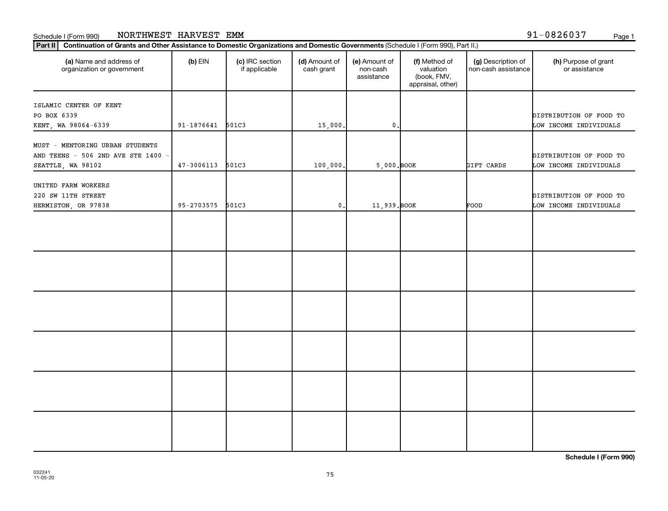### Schedule I (Form 990) NORTHWEST HARVEST EMM 91-0826037 <sub>Page 1</sub>

| 91-0826037<br>Page |  |
|--------------------|--|
|--------------------|--|

| (a) Name and address of<br>organization or government                                    | $(b)$ EIN        | (c) IRC section<br>if applicable | (d) Amount of<br>cash grant | (e) Amount of<br>non-cash<br>assistance | (f) Method of<br>valuation<br>(book, FMV,<br>appraisal, other) | (g) Description of<br>non-cash assistance | (h) Purpose of grant<br>or assistance             |
|------------------------------------------------------------------------------------------|------------------|----------------------------------|-----------------------------|-----------------------------------------|----------------------------------------------------------------|-------------------------------------------|---------------------------------------------------|
| ISLAMIC CENTER OF KENT<br>PO BOX 6339<br>KENT, WA 98064-6339                             | $91 - 1876641$   | 501C3                            | 15,000.                     | $\mathsf{0}$ .                          |                                                                |                                           | DISTRIBUTION OF FOOD TO<br>LOW INCOME INDIVIDUALS |
| MUST - MENTORING URBAN STUDENTS<br>AND TEENS - 506 2ND AVE STE 1400<br>SEATTLE, WA 98102 | 47-3006113 501C3 |                                  | 100,000.                    | 5,000. BOOK                             |                                                                | GIFT CARDS                                | DISTRIBUTION OF FOOD TO<br>LOW INCOME INDIVIDUALS |
| UNITED FARM WORKERS<br>220 SW 11TH STREET<br>HERMISTON, OR 97838                         | 95-2703575       | 501C3                            | $\mathbf 0$ .               | 11,939. BOOK                            |                                                                | FOOD                                      | DISTRIBUTION OF FOOD TO<br>LOW INCOME INDIVIDUALS |
|                                                                                          |                  |                                  |                             |                                         |                                                                |                                           |                                                   |
|                                                                                          |                  |                                  |                             |                                         |                                                                |                                           |                                                   |
|                                                                                          |                  |                                  |                             |                                         |                                                                |                                           |                                                   |
|                                                                                          |                  |                                  |                             |                                         |                                                                |                                           |                                                   |
|                                                                                          |                  |                                  |                             |                                         |                                                                |                                           |                                                   |
|                                                                                          |                  |                                  |                             |                                         |                                                                |                                           |                                                   |

**Schedule I (Form 990)**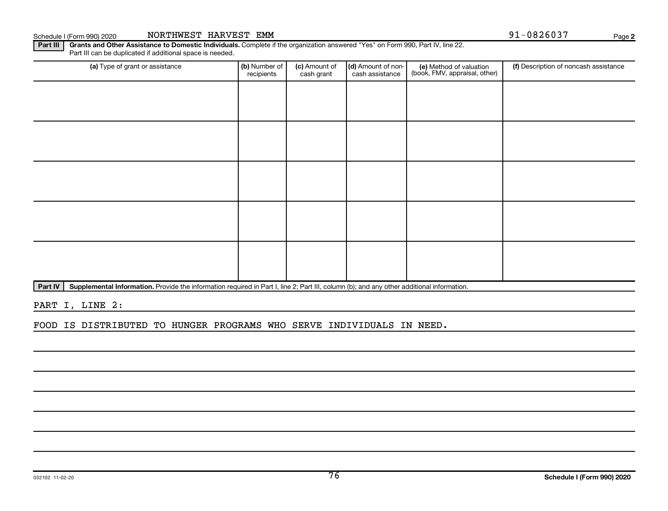Part III can be duplicated if additional space is needed.

Part III | Grants and Other Assistance to Domestic Individuals. Complete if the organization answered "Yes" on Form 990, Part IV, line 22.

(a) Type of grant or assistance **(b)** Number of  $|$  **(c)** Amount of  $|$  **(d)** Amount of non- $|$  **(e)** Method of valuation  $|$  **(f)** (e) Method of valuation (book, FMV, appraisal, other) recipients (c) Amount of cash grant (d) Amount of noncash assistance (f) Description of noncash assistance

Part IV | Supplemental Information. Provide the information required in Part I, line 2; Part III, column (b); and any other additional information.

PART I, LINE 2:

FOOD IS DISTRIBUTED TO HUNGER PROGRAMS WHO SERVE INDIVIDUALS IN NEED.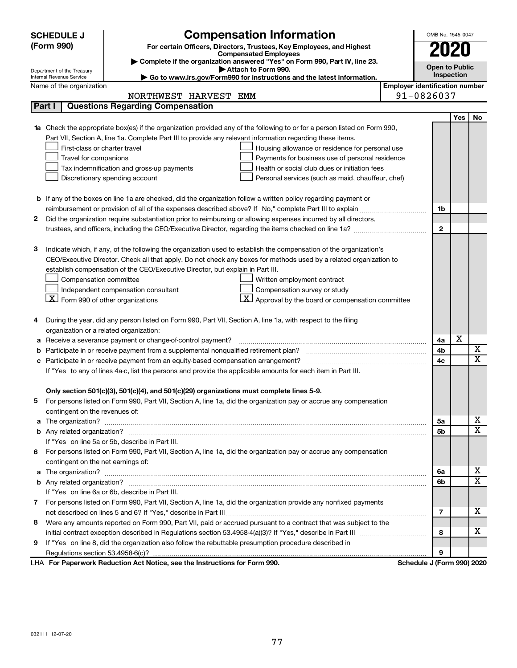|   | <b>SCHEDULE J</b>                              | <b>Compensation Information</b>                                                                                                                                                                                                     |                                       | OMB No. 1545-0047          |     |             |
|---|------------------------------------------------|-------------------------------------------------------------------------------------------------------------------------------------------------------------------------------------------------------------------------------------|---------------------------------------|----------------------------|-----|-------------|
|   | (Form 990)                                     | For certain Officers, Directors, Trustees, Key Employees, and Highest                                                                                                                                                               |                                       | 2020                       |     |             |
|   |                                                | <b>Compensated Employees</b>                                                                                                                                                                                                        |                                       |                            |     |             |
|   | Department of the Treasury                     | Complete if the organization answered "Yes" on Form 990, Part IV, line 23.<br>Attach to Form 990.                                                                                                                                   |                                       | <b>Open to Public</b>      |     |             |
|   | Internal Revenue Service                       | Go to www.irs.gov/Form990 for instructions and the latest information.                                                                                                                                                              |                                       | Inspection                 |     |             |
|   | Name of the organization                       |                                                                                                                                                                                                                                     | <b>Employer identification number</b> |                            |     |             |
|   |                                                | NORTHWEST HARVEST EMM                                                                                                                                                                                                               |                                       | 91-0826037                 |     |             |
|   | Part I                                         | <b>Questions Regarding Compensation</b>                                                                                                                                                                                             |                                       |                            |     |             |
|   |                                                |                                                                                                                                                                                                                                     |                                       |                            | Yes | No          |
|   |                                                | 1a Check the appropriate box(es) if the organization provided any of the following to or for a person listed on Form 990,                                                                                                           |                                       |                            |     |             |
|   |                                                | Part VII, Section A, line 1a. Complete Part III to provide any relevant information regarding these items.                                                                                                                          |                                       |                            |     |             |
|   | First-class or charter travel                  | Housing allowance or residence for personal use                                                                                                                                                                                     |                                       |                            |     |             |
|   | Travel for companions                          | Payments for business use of personal residence                                                                                                                                                                                     |                                       |                            |     |             |
|   |                                                | Tax indemnification and gross-up payments<br>Health or social club dues or initiation fees                                                                                                                                          |                                       |                            |     |             |
|   |                                                | Discretionary spending account<br>Personal services (such as maid, chauffeur, chef)                                                                                                                                                 |                                       |                            |     |             |
|   |                                                |                                                                                                                                                                                                                                     |                                       |                            |     |             |
|   |                                                | <b>b</b> If any of the boxes on line 1a are checked, did the organization follow a written policy regarding payment or                                                                                                              |                                       |                            |     |             |
|   |                                                |                                                                                                                                                                                                                                     |                                       | 1b                         |     |             |
| 2 |                                                | Did the organization require substantiation prior to reimbursing or allowing expenses incurred by all directors,                                                                                                                    |                                       |                            |     |             |
|   |                                                | trustees, and officers, including the CEO/Executive Director, regarding the items checked on line 1a?                                                                                                                               |                                       | $\mathbf{2}$               |     |             |
|   |                                                |                                                                                                                                                                                                                                     |                                       |                            |     |             |
| З |                                                | Indicate which, if any, of the following the organization used to establish the compensation of the organization's                                                                                                                  |                                       |                            |     |             |
|   |                                                | CEO/Executive Director. Check all that apply. Do not check any boxes for methods used by a related organization to                                                                                                                  |                                       |                            |     |             |
|   |                                                | establish compensation of the CEO/Executive Director, but explain in Part III.                                                                                                                                                      |                                       |                            |     |             |
|   | Compensation committee                         | Written employment contract                                                                                                                                                                                                         |                                       |                            |     |             |
|   |                                                | Compensation survey or study<br>Independent compensation consultant                                                                                                                                                                 |                                       |                            |     |             |
|   | $ \mathbf{X} $ Form 990 of other organizations | $\lfloor \underline{X} \rfloor$ Approval by the board or compensation committee                                                                                                                                                     |                                       |                            |     |             |
| 4 |                                                | During the year, did any person listed on Form 990, Part VII, Section A, line 1a, with respect to the filing                                                                                                                        |                                       |                            |     |             |
|   | organization or a related organization:        |                                                                                                                                                                                                                                     |                                       |                            |     |             |
| а |                                                | Receive a severance payment or change-of-control payment?                                                                                                                                                                           |                                       | 4a                         | х   |             |
| b |                                                |                                                                                                                                                                                                                                     |                                       | 4b                         |     | х           |
| c |                                                |                                                                                                                                                                                                                                     |                                       | 4c                         |     | $\mathbf x$ |
|   |                                                | If "Yes" to any of lines 4a-c, list the persons and provide the applicable amounts for each item in Part III.                                                                                                                       |                                       |                            |     |             |
|   |                                                |                                                                                                                                                                                                                                     |                                       |                            |     |             |
|   |                                                | Only section 501(c)(3), 501(c)(4), and 501(c)(29) organizations must complete lines 5-9.                                                                                                                                            |                                       |                            |     |             |
|   |                                                | For persons listed on Form 990, Part VII, Section A, line 1a, did the organization pay or accrue any compensation                                                                                                                   |                                       |                            |     |             |
|   | contingent on the revenues of:                 |                                                                                                                                                                                                                                     |                                       |                            |     |             |
|   |                                                | a The organization? <b>contracts</b> and contracts are contracted and contract and contract and contract and contract and contract and contract and contract and contract and contract and contract and contract and contract and c |                                       | 5а                         |     | х           |
|   |                                                |                                                                                                                                                                                                                                     |                                       | 5b                         |     | x           |
|   |                                                | If "Yes" on line 5a or 5b, describe in Part III.                                                                                                                                                                                    |                                       |                            |     |             |
|   |                                                | 6 For persons listed on Form 990, Part VII, Section A, line 1a, did the organization pay or accrue any compensation                                                                                                                 |                                       |                            |     |             |
|   | contingent on the net earnings of:             |                                                                                                                                                                                                                                     |                                       |                            |     |             |
|   |                                                |                                                                                                                                                                                                                                     |                                       | 6a                         |     | х           |
|   |                                                |                                                                                                                                                                                                                                     |                                       | 6b                         |     | x           |
|   |                                                | If "Yes" on line 6a or 6b, describe in Part III.                                                                                                                                                                                    |                                       |                            |     |             |
|   |                                                | 7 For persons listed on Form 990, Part VII, Section A, line 1a, did the organization provide any nonfixed payments                                                                                                                  |                                       |                            |     |             |
|   |                                                |                                                                                                                                                                                                                                     |                                       | 7                          |     | х           |
| 8 |                                                | Were any amounts reported on Form 990, Part VII, paid or accrued pursuant to a contract that was subject to the                                                                                                                     |                                       |                            |     |             |
|   |                                                |                                                                                                                                                                                                                                     |                                       | 8                          |     | х           |
| 9 |                                                | If "Yes" on line 8, did the organization also follow the rebuttable presumption procedure described in                                                                                                                              |                                       |                            |     |             |
|   |                                                |                                                                                                                                                                                                                                     |                                       | 9                          |     |             |
|   |                                                | LHA For Paperwork Reduction Act Notice, see the Instructions for Form 990.                                                                                                                                                          |                                       | Schedule J (Form 990) 2020 |     |             |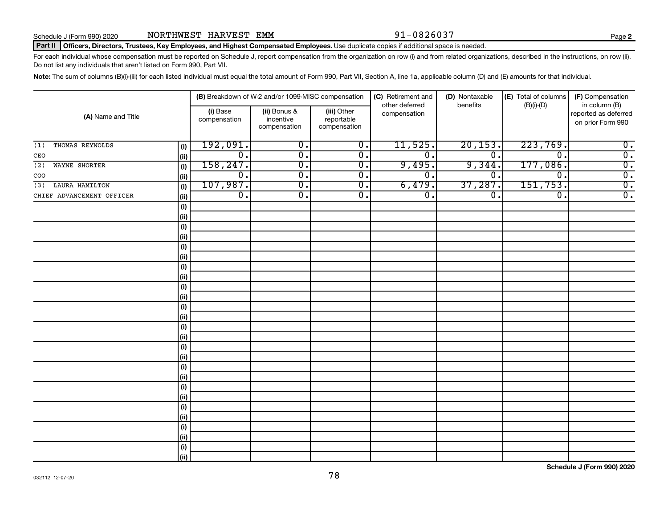#### Part II | Officers, Directors, Trustees, Key Employees, and Highest Compensated Employees. Use duplicate copies if additional space is needed.

For each individual whose compensation must be reported on Schedule J, report compensation from the organization on row (i) and from related organizations, described in the instructions, on row (ii). Do not list any individuals that aren't listed on Form 990, Part VII.

Note: The sum of columns (B)(i)-(iii) for each listed individual must equal the total amount of Form 990, Part VII, Section A, line 1a, applicable column (D) and (E) amounts for that individual.

|                           |             |                          | (B) Breakdown of W-2 and/or 1099-MISC compensation |                                           | (C) Retirement and<br>other deferred | (D) Nontaxable<br>benefits  | (E) Total of columns<br>$(B)(i)-(D)$ | (F) Compensation<br>in column (B)         |
|---------------------------|-------------|--------------------------|----------------------------------------------------|-------------------------------------------|--------------------------------------|-----------------------------|--------------------------------------|-------------------------------------------|
| (A) Name and Title        |             | (i) Base<br>compensation | (ii) Bonus &<br>incentive<br>compensation          | (iii) Other<br>reportable<br>compensation | compensation                         |                             |                                      | reported as deferred<br>on prior Form 990 |
| THOMAS REYNOLDS<br>(1)    | (i)         | 192,091.                 | $\overline{0}$ .                                   | $\overline{\mathbf{0}}$ .                 | 11,525.                              | 20, 153.                    | 223,769.                             | $\overline{\mathbf{0}}$ .                 |
| CEO                       | (ii)        | $\overline{0}$ .         | $\overline{\mathfrak{o}}$ .                        | $\overline{\mathbf{0}}$ .                 | σ.                                   | $\overline{\mathfrak{o}}$ . | $\overline{\mathfrak{o}}$ .          | $\overline{0}$ .                          |
| (2)<br>WAYNE SHORTER      | (i)         | 158, 247.                | $\overline{0}$ .                                   | $\overline{\mathbf{0}}$ .                 | 9,495.                               | 9,344.                      | 177,086.                             | $\overline{0}$ .                          |
| COO                       | (ii)        | $\overline{0}$ .         | $\overline{\mathfrak{o}}$ .                        | $\overline{\mathfrak{o}}$ .               | $\overline{0}$ .                     | 0.                          | $\overline{\mathfrak{o}}$ .          | $\overline{0}$ .                          |
| LAURA HAMILTON<br>(3)     | (i)         | 107,987.                 | $\overline{0}$ .                                   | $\overline{\mathbf{0}}$ .                 | 6,479.                               | 37,287                      | 151, 753.                            | $\overline{0}$ .                          |
| CHIEF ADVANCEMENT OFFICER | (ii)        | $\overline{0}$ .         | $\overline{0}$ .                                   | $\overline{0}$ .                          | $\overline{0}$ .                     | $\overline{0}$ .            | $\overline{\mathfrak{o}}$ .          | $\overline{0}$ .                          |
|                           | (i)         |                          |                                                    |                                           |                                      |                             |                                      |                                           |
|                           | (ii)        |                          |                                                    |                                           |                                      |                             |                                      |                                           |
|                           | (i)         |                          |                                                    |                                           |                                      |                             |                                      |                                           |
|                           | (ii)        |                          |                                                    |                                           |                                      |                             |                                      |                                           |
|                           | (i)         |                          |                                                    |                                           |                                      |                             |                                      |                                           |
|                           | (ii)        |                          |                                                    |                                           |                                      |                             |                                      |                                           |
|                           | (i)         |                          |                                                    |                                           |                                      |                             |                                      |                                           |
|                           | (ii)        |                          |                                                    |                                           |                                      |                             |                                      |                                           |
|                           | (i)         |                          |                                                    |                                           |                                      |                             |                                      |                                           |
|                           | (ii)        |                          |                                                    |                                           |                                      |                             |                                      |                                           |
|                           | (i)         |                          |                                                    |                                           |                                      |                             |                                      |                                           |
|                           | (ii)        |                          |                                                    |                                           |                                      |                             |                                      |                                           |
|                           | (i)<br>(ii) |                          |                                                    |                                           |                                      |                             |                                      |                                           |
|                           | (i)         |                          |                                                    |                                           |                                      |                             |                                      |                                           |
|                           | (ii)        |                          |                                                    |                                           |                                      |                             |                                      |                                           |
|                           | (i)         |                          |                                                    |                                           |                                      |                             |                                      |                                           |
|                           | (ii)        |                          |                                                    |                                           |                                      |                             |                                      |                                           |
|                           | (i)         |                          |                                                    |                                           |                                      |                             |                                      |                                           |
|                           | (ii)        |                          |                                                    |                                           |                                      |                             |                                      |                                           |
|                           | (i)         |                          |                                                    |                                           |                                      |                             |                                      |                                           |
|                           | (ii)        |                          |                                                    |                                           |                                      |                             |                                      |                                           |
|                           | (i)         |                          |                                                    |                                           |                                      |                             |                                      |                                           |
|                           | (ii)        |                          |                                                    |                                           |                                      |                             |                                      |                                           |
|                           | (i)         |                          |                                                    |                                           |                                      |                             |                                      |                                           |
|                           | (ii)        |                          |                                                    |                                           |                                      |                             |                                      |                                           |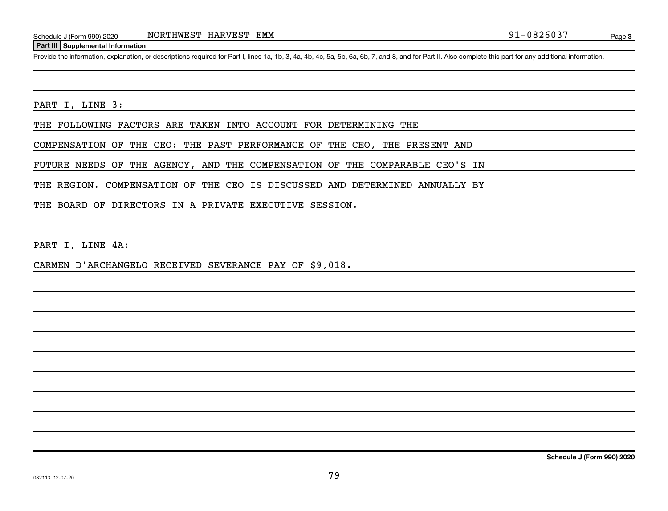#### **Part III Supplemental Information**

Provide the information, explanation, or descriptions required for Part I, lines 1a, 1b, 3, 4a, 4b, 4c, 5a, 5b, 6a, 6b, 7, and 8, and for Part II. Also complete this part for any additional information.

PART I, LINE 3:

THE FOLLOWING FACTORS ARE TAKEN INTO ACCOUNT FOR DETERMINING THE

COMPENSATION OF THE CEO: THE PAST PERFORMANCE OF THE CEO, THE PRESENT AND

FUTURE NEEDS OF THE AGENCY, AND THE COMPENSATION OF THE COMPARABLE CEO'S IN

THE REGION. COMPENSATION OF THE CEO IS DISCUSSED AND DETERMINED ANNUALLY BY

THE BOARD OF DIRECTORS IN A PRIVATE EXECUTIVE SESSION.

PART I, LINE 4A:

CARMEN D'ARCHANGELO RECEIVED SEVERANCE PAY OF \$9,018.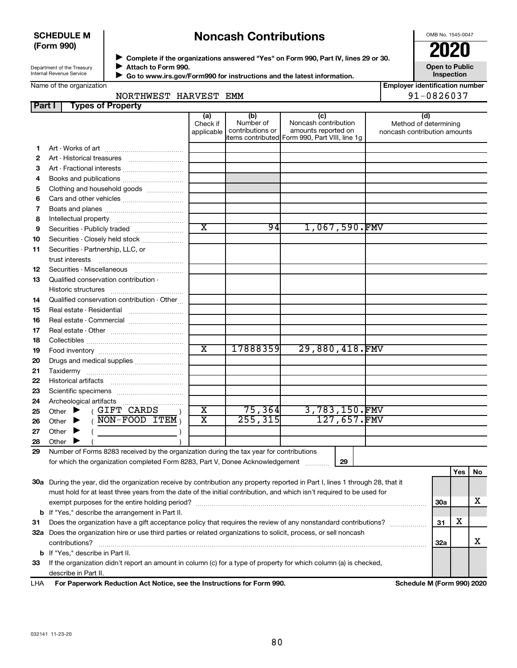## **SCHEDULE M (Form 990)**

# **Noncash Contributions**

OMB No. 1545-0047

**Employer identification number**

| Department of the Treasury |  |
|----------------------------|--|
| Internal Revenue Service   |  |

◆ Complete if the organizations answered "Yes" on Form 990, Part IV, lines 29 or 30.<br>● Complete if the organizations answered "Yes" on Form 990, Part IV, lines 29 or 30. **Attach to Form 990.**  $\blacktriangleright$ 

 **Go to www.irs.gov/Form990 for instructions and the latest information.** J

**Open to Public Inspection**

|  | Name of the organization |  |
|--|--------------------------|--|
|  |                          |  |
|  |                          |  |
|  |                          |  |

| NORTHWEST HARVEST EMM |  |
|-----------------------|--|
|                       |  |

|               | NORTHWEST HARVEST EMM                                                                                                          |                               |                                      |                                                                                                      |                                                              | 91-0826037 |     |           |
|---------------|--------------------------------------------------------------------------------------------------------------------------------|-------------------------------|--------------------------------------|------------------------------------------------------------------------------------------------------|--------------------------------------------------------------|------------|-----|-----------|
| <b>Part I</b> | <b>Types of Property</b>                                                                                                       |                               |                                      |                                                                                                      |                                                              |            |     |           |
|               |                                                                                                                                | (a)<br>Check if<br>applicable | (b)<br>Number of<br>contributions or | (c)<br>Noncash contribution<br>amounts reported on<br>items contributed Form 990, Part VIII, line 1g | (d)<br>Method of determining<br>noncash contribution amounts |            |     |           |
| 1             |                                                                                                                                |                               |                                      |                                                                                                      |                                                              |            |     |           |
| 2             |                                                                                                                                |                               |                                      |                                                                                                      |                                                              |            |     |           |
| З             | Art - Fractional interests                                                                                                     |                               |                                      |                                                                                                      |                                                              |            |     |           |
| 4             | Books and publications                                                                                                         |                               |                                      |                                                                                                      |                                                              |            |     |           |
| 5             | Clothing and household goods                                                                                                   |                               |                                      |                                                                                                      |                                                              |            |     |           |
| 6             |                                                                                                                                |                               |                                      |                                                                                                      |                                                              |            |     |           |
| 7             |                                                                                                                                |                               |                                      |                                                                                                      |                                                              |            |     |           |
| 8             |                                                                                                                                |                               |                                      |                                                                                                      |                                                              |            |     |           |
| 9             | Securities - Publicly traded                                                                                                   | $\overline{\text{x}}$         | 94                                   | 1,067,590.FMV                                                                                        |                                                              |            |     |           |
| 10            | Securities - Closely held stock                                                                                                |                               |                                      |                                                                                                      |                                                              |            |     |           |
| 11            | Securities - Partnership, LLC, or                                                                                              |                               |                                      |                                                                                                      |                                                              |            |     |           |
|               | trust interests                                                                                                                |                               |                                      |                                                                                                      |                                                              |            |     |           |
| 12            | Securities - Miscellaneous                                                                                                     |                               |                                      |                                                                                                      |                                                              |            |     |           |
| 13            | Qualified conservation contribution -                                                                                          |                               |                                      |                                                                                                      |                                                              |            |     |           |
|               |                                                                                                                                |                               |                                      |                                                                                                      |                                                              |            |     |           |
| 14            | Qualified conservation contribution - Other                                                                                    |                               |                                      |                                                                                                      |                                                              |            |     |           |
| 15            | Real estate - Residential                                                                                                      |                               |                                      |                                                                                                      |                                                              |            |     |           |
| 16            | Real estate - Commercial                                                                                                       |                               |                                      |                                                                                                      |                                                              |            |     |           |
| 17            |                                                                                                                                |                               |                                      |                                                                                                      |                                                              |            |     |           |
| 18            |                                                                                                                                |                               |                                      |                                                                                                      |                                                              |            |     |           |
| 19            |                                                                                                                                | $\overline{\text{x}}$         | 17888359                             | 29,880,418.FMV                                                                                       |                                                              |            |     |           |
| 20            | Drugs and medical supplies                                                                                                     |                               |                                      |                                                                                                      |                                                              |            |     |           |
| 21            |                                                                                                                                |                               |                                      |                                                                                                      |                                                              |            |     |           |
| 22            |                                                                                                                                |                               |                                      |                                                                                                      |                                                              |            |     |           |
| 23            |                                                                                                                                |                               |                                      |                                                                                                      |                                                              |            |     |           |
| 24            |                                                                                                                                | $\overline{\text{x}}$         |                                      | 3,783,150.FMV                                                                                        |                                                              |            |     |           |
| 25            | (GIFT CARDS<br>Other $\blacktriangleright$<br>$(NON-FOOD$ ITEM)                                                                | $\overline{\text{x}}$         | 75, 364<br><u> 255, 315</u>          | 127,657.FMV                                                                                          |                                                              |            |     |           |
| 26            | Other $\blacktriangleright$                                                                                                    |                               |                                      |                                                                                                      |                                                              |            |     |           |
| 27<br>28      | Other $\blacktriangleright$<br>Other $\blacktriangleright$                                                                     |                               |                                      |                                                                                                      |                                                              |            |     |           |
| 29            | Number of Forms 8283 received by the organization during the tax year for contributions                                        |                               |                                      |                                                                                                      |                                                              |            |     |           |
|               | for which the organization completed Form 8283, Part V, Donee Acknowledgement                                                  |                               |                                      | 29                                                                                                   |                                                              |            |     |           |
|               |                                                                                                                                |                               |                                      |                                                                                                      |                                                              |            | Yes | <b>No</b> |
|               | 30a During the year, did the organization receive by contribution any property reported in Part I, lines 1 through 28, that it |                               |                                      |                                                                                                      |                                                              |            |     |           |
|               | must hold for at least three years from the date of the initial contribution, and which isn't required to be used for          |                               |                                      |                                                                                                      |                                                              |            |     |           |
|               |                                                                                                                                |                               |                                      |                                                                                                      |                                                              | 30a        |     | x         |
|               | <b>b</b> If "Yes," describe the arrangement in Part II.                                                                        |                               |                                      |                                                                                                      |                                                              |            |     |           |
| 31            | Does the organization have a gift acceptance policy that requires the review of any nonstandard contributions?                 |                               |                                      |                                                                                                      |                                                              | 31         | х   |           |
|               | 32a Does the organization hire or use third parties or related organizations to solicit, process, or sell noncash              |                               |                                      |                                                                                                      |                                                              |            |     |           |
|               | contributions?                                                                                                                 |                               |                                      |                                                                                                      |                                                              | <b>32a</b> |     | x         |
|               |                                                                                                                                |                               |                                      |                                                                                                      |                                                              |            |     |           |

**b** If "Yes," describe in Part II.

| For Paperwork Reduction Act Notice, see the Instructions for Form 990.<br>LHA |
|-------------------------------------------------------------------------------|
|-------------------------------------------------------------------------------|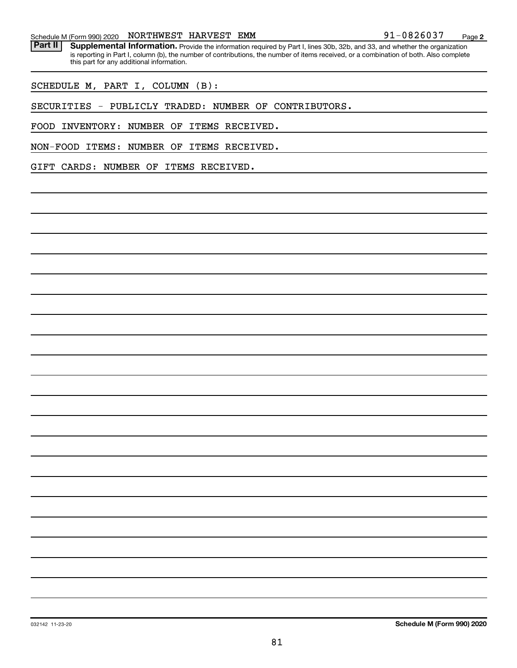Part II | Supplemental Information. Provide the information required by Part I, lines 30b, 32b, and 33, and whether the organization is reporting in Part I, column (b), the number of contributions, the number of items received, or a combination of both. Also complete this part for any additional information.

SCHEDULE M, PART I, COLUMN (B):

SECURITIES - PUBLICLY TRADED: NUMBER OF CONTRIBUTORS.

FOOD INVENTORY: NUMBER OF ITEMS RECEIVED.

NON-FOOD ITEMS: NUMBER OF ITEMS RECEIVED.

GIFT CARDS: NUMBER OF ITEMS RECEIVED.